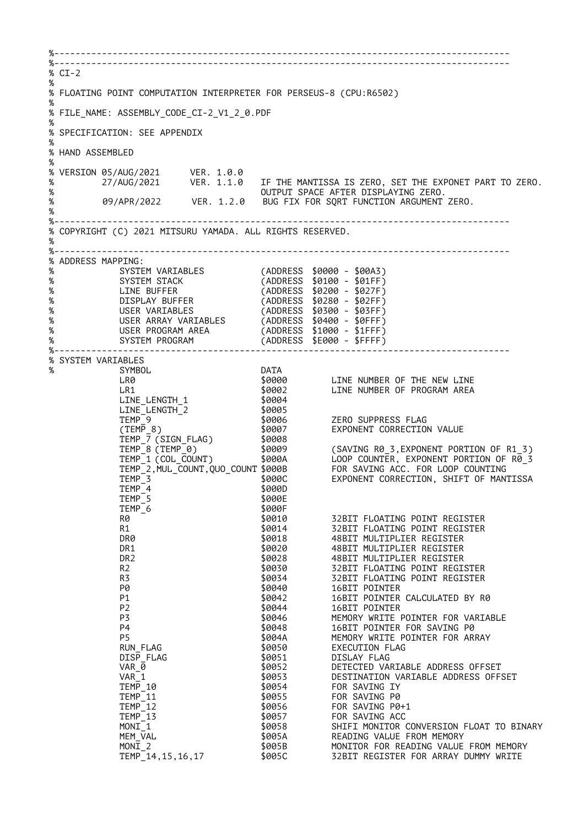%-------------------------------------------------------------------------------------- %-------------------------------------------------------------------------------------- % CI-2 % % FLOATING POINT COMPUTATION INTERPRETER FOR PERSEUS-8 (CPU:R6502) % % FILE NAME: ASSEMBLY CODE CI-2 V1 2 0.PDF % % SPECIFICATION: SEE APPENDIX % % HAND ASSEMBLED % % VERSION 05/AUG/2021 VER. 1.0.0 % 27/AUG/2021 VER. 1.1.0 IF THE MANTISSA IS ZERO, SET THE EXPONET PART TO ZERO. % OUTPUT SPACE AFTER DISPLAYING ZERO. % 09/APR/2022 VER. 1.2.0 BUG FIX FOR SQRT FUNCTION ARGUMENT ZERO. % %-------------------------------------------------------------------------------------- % COPYRIGHT (C) 2021 MITSURU YAMADA. ALL RIGHTS RESERVED. % %-------------------------------------------------------------------------------------- % ADDRESS MAPPING:<br>% SYSTEM VARIABLES % SYSTEM VARIABLES (ADDRESS \$0000 - \$00A3) % SYSTEM STACK (ADDRESS \$0100 - \$01FF) % LINE BUFFER (ADDRESS \$0200 - \$027F) % DISPLAY BUFFER (ADDRESS \$0280 - \$02FF) % USER VARIABLES (ADDRESS \$0300 - \$03FF) % USER ARRAY VARIABLES (ADDRESS \$0400 - \$0FFF) % USER PROGRAM AREA (ADDRESS \$1000 - \$1FFF) % SYSTEM PROGRAM (ADDRESS \$E000 - \$FFFF) %-------------------------------------------------------------------------------------- % SYSTEM VARIABLES % SYMBOL DATA LINE NUMBER OF THE NEW LINE LR1 \$0002 LINE NUMBER OF PROGRAM AREA LINE\_LENGTH\_1 \$0004 LINE\_LENGTH\_2 \$0005 TEMP\_9 \$0006 ZERO SUPPRESS FLAG \$0007 EXPONENT CORRECTION VALUE<br>\$0008  $(TEMP_8)$ <br>TEMP\_7 (SIGN\_FLAG) \$0009 (SAVING R0\_3,EXPONENT PORTION OF R1\_3)<br>\$000A LOOP COUNTER, EXPONENT PORTION OF R0\_3 LOOP COUNTER, EXPONENT PORTION OF R0\_3<br>FOR SAVING ACC. FOR LOOP COUNTING TEMP\_8 (TEMP\_0)<br>
TEMP\_1 (COL\_COUNT) \$0009<br>
TEMP\_1 (COL\_COUNT) \$000A<br>
TEMP\_2, MUL\_COUNT, QUO\_COUNT \$000B<br>
TEMP 3 \$000C TEMP\_3 \$000C EXPONENT CORRECTION, SHIFT OF MANTISSA  $TEMP - 4$ TEMP\_5<br>TEMP\_6 \$000E<br>\$000F  $TEMP_6$ R0 \$0010 \$0010 32BIT FLOATING POINT REGISTER R1 \$0014 32BIT FLOATING POINT REGISTER DR0 \$0018 48BIT MULTIPLIER REGISTER DR1 \$0020 48BIT MULTIPLIER REGISTER DR2 \$0028 48BIT MULTIPLIER REGISTER R2 \$0030 32BIT FLOATING POINT REGISTER R3 \$0034 32BIT FLOATING POINT REGISTER P0 \$0040 16BIT POINTER P1 \$0042 16BIT POINTER CALCULATED BY R0 P2 \$0044 16BIT POINTER MEMORY WRITE POINTER FOR VARIABLE P4 \$0048 16BIT POINTER FOR SAVING P0 MEMORY WRITE POINTER FOR ARRAY RUN\_FLAG \$0050 EXECUTION FLAG DISP\_FLAG \$0051 DISLAY FLAG DETECTED VARIABLE ADDRESS OFFSET VAR\_1 \$0053 DESTINATION VARIABLE ADDRESS OFFSET TEMP\_10 \$0054 FOR SAVING IY<br>TEMP\_11 50055 FOR SAVING P0 TEMP\_11 \$0055 FOR SAVING P0<br>TEMP\_12 \$0056 FOR SAVING P0 TEMP<sup>-12</sup><br>
TEMP<sup>-13</sup>
TEMP<sup>-13</sup>
TEMP<sup>-13</sup>
SQ957
FOR SAVING ACC<br>
MONI<sup>-1</sup>
SQ058
SHIFI MONITOR TEMP\_13 \$0057 FOR SAVING ACC MONI $\overline{1}$ 1  $\overline{1}$  \$0058 SHIFI MONITOR CONVERSION FLOAT TO BINARY<br>MEM VAL \$005A READING VALUE FROM MEMORY MEM\_VAL \$005A READING VALUE FROM MEMORY MONI\_2 \$005B \$005B MONITOR FOR READING VALUE FROM MEMORY<br>TEMP\_14,15,16,17 \$005C \$2BIT REGISTER FOR ARRAY DUMMY WRITE 32BIT REGISTER FOR ARRAY DUMMY WRITE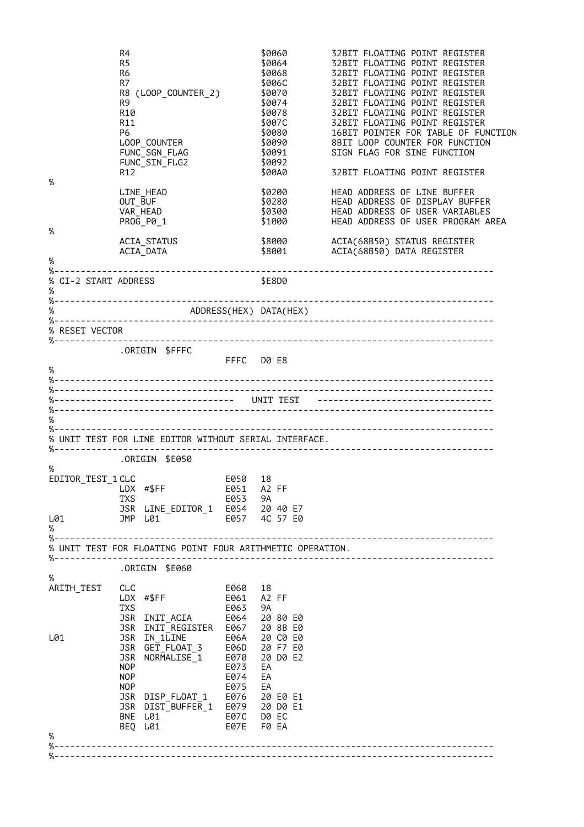| %                                                  | R4<br>R5<br>R <sub>6</sub><br>R7<br>R9<br>R10<br>R11<br>P6<br>R12 | R8 (LOOP_COUNTER_2)<br>LOOP_COUNTER<br>FUNC SGN FLAG<br>FUNC_SIN_FLG2          |                                       | \$0060<br>\$0064<br>\$0068<br>\$006C<br>\$0070<br>\$0074<br>\$0078<br>\$007C<br>\$0080<br>\$0090<br>\$0091<br>\$0092<br>\$00A0 | 32BIT FLOATING POINT REGISTER<br>32BIT FLOATING POINT REGISTER<br>32BIT FLOATING POINT REGISTER<br>32BIT FLOATING POINT REGISTER<br>32BIT FLOATING POINT REGISTER<br>32BIT FLOATING POINT REGISTER<br>32BIT FLOATING POINT REGISTER<br>32BIT FLOATING POINT REGISTER<br>16BIT POINTER FOR TABLE OF FUNCTION<br>8BIT LOOP COUNTER FOR FUNCTION<br>SIGN FLAG FOR SINE FUNCTION<br>32BIT FLOATING POINT REGISTER |
|----------------------------------------------------|-------------------------------------------------------------------|--------------------------------------------------------------------------------|---------------------------------------|--------------------------------------------------------------------------------------------------------------------------------|---------------------------------------------------------------------------------------------------------------------------------------------------------------------------------------------------------------------------------------------------------------------------------------------------------------------------------------------------------------------------------------------------------------|
| %                                                  | OUT_BUF                                                           | LINE HEAD<br>VAR HEAD<br>PR0G_P0_1                                             |                                       | \$0200<br>\$0280<br>\$0300<br>\$1000                                                                                           | HEAD ADDRESS OF LINE BUFFER<br>HEAD ADDRESS OF DISPLAY BUFFER<br>HEAD ADDRESS OF USER VARIABLES<br>HEAD ADDRESS OF USER PROGRAM AREA                                                                                                                                                                                                                                                                          |
| %                                                  |                                                                   | ACIA STATUS<br>ACIA_DATA                                                       |                                       | \$8000<br>\$8001                                                                                                               | ACIA(68B50) STATUS REGISTER<br>ACIA(68B50) DATA REGISTER                                                                                                                                                                                                                                                                                                                                                      |
| % CI-2 START ADDRESS                               |                                                                   |                                                                                |                                       | \$E8D0                                                                                                                         |                                                                                                                                                                                                                                                                                                                                                                                                               |
| $\%$                                               |                                                                   | ADDRESS(HEX) DATA(HEX)                                                         |                                       |                                                                                                                                |                                                                                                                                                                                                                                                                                                                                                                                                               |
| % RESET VECTOR                                     |                                                                   |                                                                                |                                       |                                                                                                                                |                                                                                                                                                                                                                                                                                                                                                                                                               |
| %--------------<br>%                               |                                                                   | .ORIGIN \$FFFC                                                                 | FFFC DO E8                            |                                                                                                                                |                                                                                                                                                                                                                                                                                                                                                                                                               |
|                                                    |                                                                   | %----------------------------------  UNIT TEST                                 |                                       |                                                                                                                                | -----------------------------------                                                                                                                                                                                                                                                                                                                                                                           |
| %                                                  |                                                                   |                                                                                |                                       |                                                                                                                                |                                                                                                                                                                                                                                                                                                                                                                                                               |
|                                                    |                                                                   | % UNIT TEST FOR LINE EDITOR WITHOUT SERIAL INTERFACE.                          |                                       |                                                                                                                                |                                                                                                                                                                                                                                                                                                                                                                                                               |
|                                                    |                                                                   | ORIGIN \$E050.                                                                 |                                       |                                                                                                                                |                                                                                                                                                                                                                                                                                                                                                                                                               |
| $\%$<br>EDITOR_TEST_1 CLC<br>LDX #\$FF<br>L01<br>% | TXS                                                               | JSR LINE_EDITOR_1 E054 20 40 E7<br>JMP L01                                     | E050 18<br>E051 A2 FF<br>E053<br>E057 | 9A<br>4C 57 E0                                                                                                                 |                                                                                                                                                                                                                                                                                                                                                                                                               |
|                                                    |                                                                   | % UNIT TEST FOR FLOATING POINT FOUR ARITHMETIC OPERATION.                      |                                       |                                                                                                                                |                                                                                                                                                                                                                                                                                                                                                                                                               |
| %-----------------------                           |                                                                   |                                                                                |                                       |                                                                                                                                |                                                                                                                                                                                                                                                                                                                                                                                                               |
| %                                                  |                                                                   | ORIGIN \$E060.                                                                 |                                       |                                                                                                                                |                                                                                                                                                                                                                                                                                                                                                                                                               |
| ARITH_TEST                                         | CLC<br><b>TXS</b>                                                 | LDX #\$FF<br>JSR INIT ACIA<br>JSR INIT_REGISTER E067                           | E060<br>E061<br>E063                  | 18<br>A2 FF<br>9A<br>E064 20 80 E0<br>20 8B E0                                                                                 |                                                                                                                                                                                                                                                                                                                                                                                                               |
| L01                                                | NOP<br>NOP<br><b>NOP</b>                                          | JSR IN_1LINE<br>JSR GET_FLOAT_3 E06D 20 F7 E0<br>JSR NORMALISE 1               | E070<br>E073<br>E074<br>E075          | E06A 20 C0 E0<br>20 D0 E2<br>EA<br>EA<br>EA                                                                                    |                                                                                                                                                                                                                                                                                                                                                                                                               |
|                                                    |                                                                   | JSR DISP_FLOAT_1 E076<br>JSR DIST_BUFFER_1 E079 20 D0 E1<br>BNE L01<br>BEQ L01 | E07C<br>E07E                          | 20 E0 E1<br>D0 EC<br>F0 EA                                                                                                     |                                                                                                                                                                                                                                                                                                                                                                                                               |
| %                                                  |                                                                   |                                                                                |                                       |                                                                                                                                |                                                                                                                                                                                                                                                                                                                                                                                                               |
|                                                    |                                                                   |                                                                                |                                       |                                                                                                                                |                                                                                                                                                                                                                                                                                                                                                                                                               |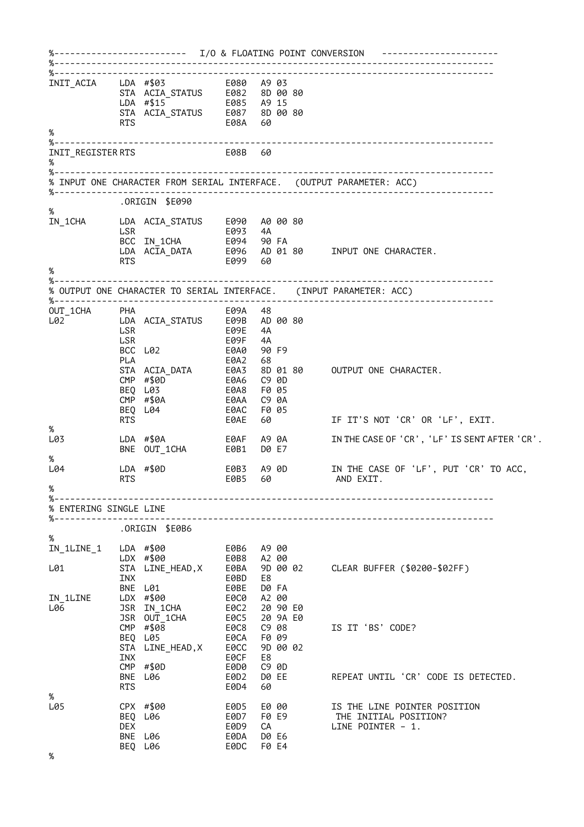%------------------------- I/O & FLOATING POINT CONVERSION ---------------------- %----------------------------------------------------------------------------------- %----------------------------------------------------------------------------------- INIT\_ACIA LDA #\$03 E080 A9 03 STA ACIA\_STATUS E082 8D 00 80 LDA #\$15 E085 A9 15 STA ACIA\_STATUS E087 8D 00 80 RTS E08A 60 % %----------------------------------------------------------------------------------- INIT\_REGISTER RTS % %----------------------------------------------------------------------------------- % INPUT ONE CHARACTER FROM SERIAL INTERFACE. (OUTPUT PARAMETER: ACC) %----------------------------------------------------------------------------------- .ORIGIN \$E090 %<br>IN 1CHA IN\_1CHA LDA ACIA\_STATUS E090 A0 00 80 LSR E093 4A BCC IN\_1CHA E094 90 FA LDA ACIA\_DATA E096 AD 01 80 INPUT ONE CHARACTER. RTS E099 60 % %-----------------% OUTPUT ONE CHARACTER TO SERIAL INTERFACE. (INPUT PARAMETER: ACC) %----------------------------------------------------------------------------------- OUT\_1CHA PHA E09A 48 L02 LDA ACIA\_STATUS E09B AD 00 80 LSR E09E 4A LSR E09F 4A BCC L02 E0A0 90 F9 PLA E0A2 68 SO 01 80 OUTPUT ONE CHARACTER.<br>C9 0D CMP #\$0D E0A6 C9 0D BEQ L03 E0A8 F0 05 CMP #\$0A E0AA C9 0A BEQ L04 E0AC F0 05 RTS E0AE 60 IF IT'S NOT 'CR' OR 'LF', EXIT. %<br>เ.คร IN THE CASE OF 'CR', 'LF' IS SENT AFTER 'CR'. BNE OUT\_1CHA E0B1 D0 E7 %<br>I.04 L04 LDA #\$0D E0B3 A9 0D IN THE CASE OF 'LF', PUT 'CR' TO ACC, RTS E0B5 60 AND EXIT.  $\alpha$ %----------------------------------------------------------------------------------- % ENTERING SINGLE LINE %----------------------------------------------------------------------------------- .ORIGIN \$E0B6 % IN\_1LINE\_1 LDA #\$00 E0B6 A9 00 LDX #\$00 E0B8 A2 00 L01 STA LINE\_HEAD,X E0BA 9D 00 02 CLEAR BUFFER (\$0200-\$02FF) INX E0BD E8 BNE L01 E0BE D0 FA IN\_1LINE LDX #\$00 E0C0 A2 00 L06 JSR IN\_1CHA E0C2 20 90 E0 JSR OUT\_1CHA E0C5 20 9A E0 CMP #\$08 E0C8 C9 08 IS IT 'BS' CODE? BEQ L05 E0CA F0 09 STA LINE\_HEAD,X E0CC 9D 00 02 INX E0CF E8 CMP #\$0D E0D0 C9 0D BNE L06 E0D2 D0 EE REPEAT UNTIL 'CR' CODE IS DETECTED. RTS E0D4 60 %<br>1.05 L05 CPX #\$00 E0D5 E0 00 IS THE LINE POINTER POSITION BEQ L06 E0D7 F0 E9 THE INITIAL POSITION? DEX E0D9 CA LINE POINTER – 1. BNE L06 E0DA D0 E6 BEQ L06 E0DC F0 E4

%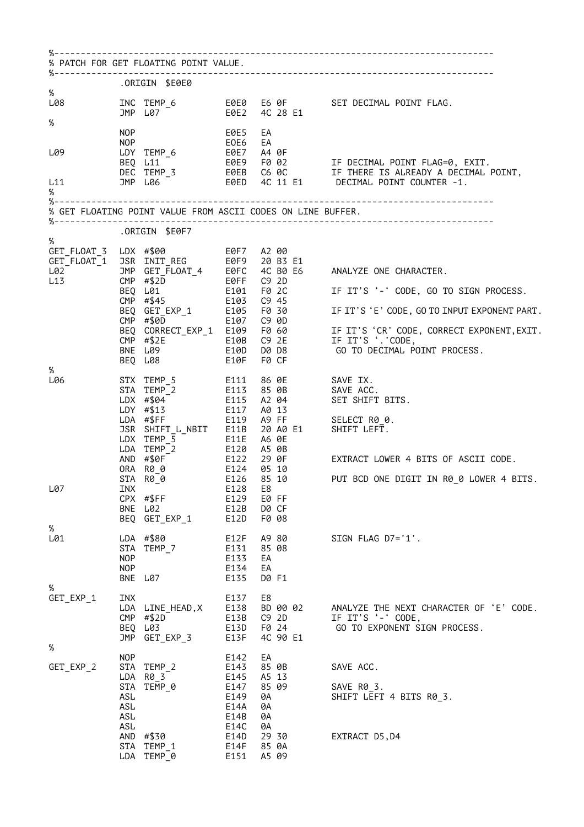|                                                                                                                     |                                               | % PATCH FOR GET FLOATING POINT VALUE.                                                                                                    |                                                                                      |                                                                                  |                                                                                                                                                                                                                                                                                                                                                                                                                                   |
|---------------------------------------------------------------------------------------------------------------------|-----------------------------------------------|------------------------------------------------------------------------------------------------------------------------------------------|--------------------------------------------------------------------------------------|----------------------------------------------------------------------------------|-----------------------------------------------------------------------------------------------------------------------------------------------------------------------------------------------------------------------------------------------------------------------------------------------------------------------------------------------------------------------------------------------------------------------------------|
|                                                                                                                     |                                               | ORIGIN \$E0E0.                                                                                                                           |                                                                                      |                                                                                  |                                                                                                                                                                                                                                                                                                                                                                                                                                   |
| %<br>L08 and the state of the state of the state of the state of the state of the state of the state of the state o |                                               | JMP L07 60E2 4C 28 E1                                                                                                                    |                                                                                      |                                                                                  | INC TEMP_6    E0E0    E6    OF    SET DECIMAL POINT FLAG.                                                                                                                                                                                                                                                                                                                                                                         |
| %<br>L09                                                                                                            | NOP                                           | NOP <sub>c</sub>                                                                                                                         | <b>E0E5</b><br>EOE6                                                                  | EA<br>EA                                                                         |                                                                                                                                                                                                                                                                                                                                                                                                                                   |
| L11<br>%                                                                                                            |                                               |                                                                                                                                          |                                                                                      |                                                                                  |                                                                                                                                                                                                                                                                                                                                                                                                                                   |
|                                                                                                                     |                                               | % GET FLOATING POINT VALUE FROM ASCII CODES ON LINE BUFFER.                                                                              |                                                                                      |                                                                                  |                                                                                                                                                                                                                                                                                                                                                                                                                                   |
|                                                                                                                     |                                               | ORIGIN \$E0F7.                                                                                                                           |                                                                                      |                                                                                  |                                                                                                                                                                                                                                                                                                                                                                                                                                   |
| %                                                                                                                   |                                               | BEQ L01 E101 F0 2C<br>CMP #\$45 E103 C9 45<br>BEQ GET_EXP_1 E105 F0 30<br>BEQ L08                                                        | E10F                                                                                 | F0 2C<br>F0 CF                                                                   | CONTRIGUAT_3 LDX #\$00<br>CONTRIGUAT_1 JOURNAL TREG EVERTING A 20 B3 E1<br>LO2 JMP GET_FLOAT_4 EOFC 4C B0 E6 ANALYZE ONE CHARACTER.<br>L13 CHP #\$2D EOFF C9 2D TE TRIG (1 CODE CO TH<br>IF IT'S '-' CODE, GO TO SIGN PROCESS.<br>E107 C9 0D<br>BEQ CORRECT_EXP_1 E109 F0 60 IF IT'S 'CR' CODE, CORRECT EXPONENT PART.<br>CMP #\$2E E10B C9 2E IF IT'S '.'CODE, CORRECT EXPONENT, EXIT.<br>BNE L09 E10D D0 D8 GO TO BECTAAL CODE, |
| %<br>L06                                                                                                            |                                               | LDY #\$13 E117<br>LDA #\$FF<br>JSR SHIFT_L_NBIT E11B<br>LDX TEMP_5 E11E<br>LDA TEMP_2<br>AND #\$0F<br>ORA R00<br>$STA \quad R0_0$ $E126$ | E119                                                                                 | A0 13<br>A9 FF<br>20 A0 E1<br>A6 0E<br>E124 05 10<br>85 10                       | SAVE ACC.<br>SET SHIFT BITS.<br>SELECT R0_0.<br>E1         SHIFT LEFT.<br>E120    A5  0B<br>E122    29  0F               EXTRACT  LOWER  4  BITS  OF  ASCII  CODE.<br>PUT BCD ONE DIGIT IN R0_0 LOWER 4 BITS.                                                                                                                                                                                                                     |
| L07<br>%                                                                                                            |                                               | INX<br>CPX #\$FF<br>BNE L02<br>BEQ GET_EXP_1                                                                                             | E129<br>E12B<br>E12D                                                                 | E128 E8<br>E0 FF<br>D0 CF<br>F0 08                                               |                                                                                                                                                                                                                                                                                                                                                                                                                                   |
| L01<br>%                                                                                                            | <b>NOP</b><br><b>NOP</b>                      | LDA #\$80<br>STA TEMP 7<br>BNE L07                                                                                                       | E12F<br>E131<br>E133<br>E134<br>E135                                                 | A9 80<br>85 08<br>EA<br>EA<br>D0 F1                                              | SIGN FLAG D7='1'.                                                                                                                                                                                                                                                                                                                                                                                                                 |
| GET_EXP_1                                                                                                           | INX<br>JMP                                    | LDA LINE_HEAD, X<br>$CMP$ #\$2D<br>BEQ L03<br>GET_EXP_3                                                                                  | E137<br>E138<br>E13B<br>E13D<br>E13F                                                 | E8<br>BD 00 02<br>C9 2D<br>F0 24<br>4C 90 E1                                     | ANALYZE THE NEXT CHARACTER OF 'E' CODE.<br>IF IT'S '-' CODE,<br>GO TO EXPONENT SIGN PROCESS.                                                                                                                                                                                                                                                                                                                                      |
| %<br>GET_EXP_2                                                                                                      | <b>NOP</b><br>STA<br>ASL<br>ASL<br>ASL<br>ASL | STA TEMP_2<br>LDA R0_3<br>TEMP 0<br>AND #\$30<br>STA TEMP 1<br>LDA TEMP_0                                                                | E142<br>E143<br>E145<br>E147<br>E149<br>E14A<br>E14B<br>E14C<br>E14D<br>E14F<br>E151 | EA<br>85 0B<br>A5 13<br>85 09<br>0A<br>0A<br>0A<br>0A<br>29 30<br>85 0A<br>A5 09 | SAVE ACC.<br>SAVE R0_3.<br>SHIFT LEFT 4 BITS R0_3.<br>EXTRACT D5, D4                                                                                                                                                                                                                                                                                                                                                              |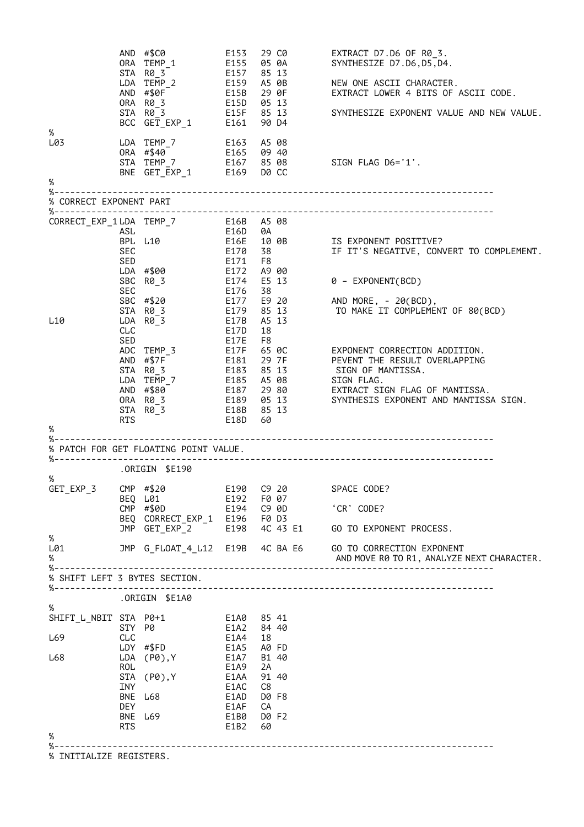|                               |            | $AND$ #\$C0<br>ORA TEMP 1                    | E153         | 29 C0<br>E155 05 0A       | EXTRACT D7.D6 OF R0_3.<br>SYNTHESIZE D7.D6,D5,D4.                                                                                                         |
|-------------------------------|------------|----------------------------------------------|--------------|---------------------------|-----------------------------------------------------------------------------------------------------------------------------------------------------------|
|                               |            | STA R0_3<br>LDA TEMP_2                       | E157         | 85 13<br>E159 A5 0B       | NEW ONE ASCII CHARACTER.                                                                                                                                  |
|                               |            | AND #\$0F<br>ORA R0 3                        |              | E15B 29 OF<br>E15D 05 13  | EXTRACT LOWER 4 BITS OF ASCII CODE.                                                                                                                       |
|                               |            | STA R0_3                                     |              | E15F 85 13<br>90 D4       | SYNTHESIZE EXPONENT VALUE AND NEW VALUE.                                                                                                                  |
| %<br>L03                      |            | LDA TEMP_7                                   |              | E163 A5 08<br>E165 09 40  |                                                                                                                                                           |
|                               |            | ORA #\$40<br>STA TEMP 7 E167 85 08           |              |                           | SIGN FLAG D6='1'.                                                                                                                                         |
|                               |            | BNE GET_EXP_1 E169 D0 CC                     |              |                           |                                                                                                                                                           |
| %                             |            |                                              |              |                           |                                                                                                                                                           |
| % CORRECT EXPONENT PART       |            |                                              |              |                           |                                                                                                                                                           |
|                               |            | CORRECT_EXP_1LDA TEMP_7 E16B A5 08           |              |                           |                                                                                                                                                           |
|                               | ASL        | BPL L10                                      | E16D         | 0A<br>E16E 10 0B          | IS EXPONENT POSITIVE?                                                                                                                                     |
|                               | <b>SEC</b> |                                              | E170         | 38                        | IF IT'S NEGATIVE, CONVERT TO COMPLEMENT.                                                                                                                  |
|                               | SED        | LDA #\$00                                    | E171<br>E172 | F8<br>A9 00               |                                                                                                                                                           |
|                               | SEC        | SBC R0_3                                     | E176         | E174 E5 13                | 0 - EXPONENT(BCD)                                                                                                                                         |
|                               |            | SBC #\$20                                    |              | 38                        | E177    E9  20              AND  MORE,  -  20( BCD),<br>E179    85  13                 TO  MAKE  IT  COMPLEME!                                            |
| L10                           |            | STA R0_3<br>LDA R0_3                         | E17B         | A5 13                     | TO MAKE IT COMPLEMENT OF 80(BCD)                                                                                                                          |
|                               | <b>CLC</b> |                                              | E17D         | 18                        |                                                                                                                                                           |
|                               | SED        | ADC TEMP_3 E17F                              | E17E         | F8                        |                                                                                                                                                           |
|                               |            | AND #\$7F                                    |              |                           |                                                                                                                                                           |
|                               |            | STA R0_3<br>LDA TEMP_7 E185 A5 08 SIGN FLAG. |              |                           |                                                                                                                                                           |
|                               |            | AND #\$80                                    |              |                           | E187   29 80            EXTRACT SIGN FLAG OF MANTISSA.<br>E189   05 13            SYNTHESIS EXPONENT AND MANTISS<br>SYNTHESIS EXPONENT AND MANTISSA SIGN. |
|                               |            | ORA R0_3<br>$STA$ $R\theta$ $3$              | E18B         | 85 13                     |                                                                                                                                                           |
| %                             | RTS        |                                              | E18D         | 60                        |                                                                                                                                                           |
|                               |            |                                              |              |                           |                                                                                                                                                           |
|                               |            | % PATCH FOR GET FLOATING POINT VALUE.        |              |                           |                                                                                                                                                           |
| %                             |            | ORIGIN \$E190.                               |              |                           |                                                                                                                                                           |
|                               |            | GET_EXP_3 CMP #\$20 E190 C9 20 SPACE CODE?   |              |                           |                                                                                                                                                           |
|                               |            | BEO L01<br>CMP #\$0D                         | E192         | F0 07<br>E194    C9    OD | 'CR' CODE?                                                                                                                                                |
|                               |            | BEQ CORRECT_EXP_1 E196 F0 D3                 |              |                           | 4C 43 E1 GO TO EXPONENT PROCESS.                                                                                                                          |
| %                             |            | JMP GET_EXP_2 E198                           |              |                           |                                                                                                                                                           |
| L01<br>%                      |            |                                              |              |                           | JMP G_FLOAT_4_L12 E19B 4C BA E6     GO TO CORRECTION EXPONENT<br>AND MOVE R0 TO R1, ANALYZE NEXT CHARACTER.                                               |
| % SHIFT LEFT 3 BYTES SECTION. |            |                                              |              |                           |                                                                                                                                                           |
| %----------------------       |            | .ORIGIN \$E1A0                               |              |                           |                                                                                                                                                           |
| $\%$<br>SHIFT_L_NBIT STA P0+1 |            |                                              | E1A0 85 41   |                           |                                                                                                                                                           |
|                               | STY P0     |                                              | E1A2         | 84 40                     |                                                                                                                                                           |
| L69                           | CLC        | LDY #\$FD                                    | E1A4<br>E1A5 | 18<br>A0 FD               |                                                                                                                                                           |
| L68                           |            | LDA (P0),Y                                   | E1A7         | B1 40                     |                                                                                                                                                           |
|                               | <b>ROL</b> | STA (P0), Y                                  | E1A9<br>E1AA | 2A<br>91 40               |                                                                                                                                                           |
|                               | <b>INY</b> |                                              | E1AC         | C8                        |                                                                                                                                                           |
|                               | <b>DEY</b> | BNE L68                                      | E1AD<br>E1AF | D0 F8<br>СA               |                                                                                                                                                           |
|                               | RTS        | BNE L69                                      | E1B0<br>E1B2 | D0 F2<br>60               |                                                                                                                                                           |
| %                             |            |                                              |              |                           |                                                                                                                                                           |
| % INITIALIZE REGISTERS.       |            |                                              |              |                           |                                                                                                                                                           |
|                               |            |                                              |              |                           |                                                                                                                                                           |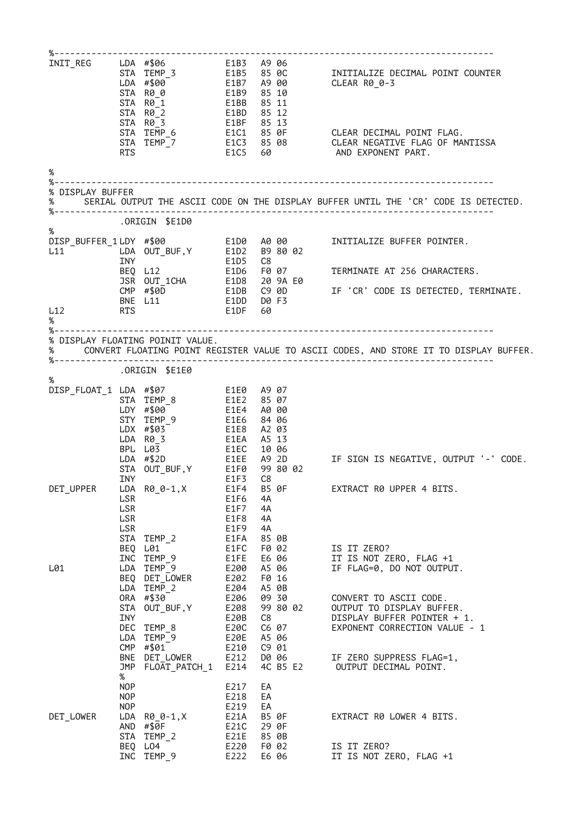|                                                 |                                             | STA R0_0 E1B9                                                                                                                    |                                                      | 85 10<br>85 11                                     | TNIT_REG<br>STA TEMP_3<br>LDA #\$00 E1B5 85 0C<br>LDA #\$00 E1B7 A9 00 CLEAR R0_0-3                                                       |
|-------------------------------------------------|---------------------------------------------|----------------------------------------------------------------------------------------------------------------------------------|------------------------------------------------------|----------------------------------------------------|-------------------------------------------------------------------------------------------------------------------------------------------|
|                                                 | <b>RTS</b>                                  | STA R0_1<br>STA R0_2<br>STA R0 <sup>3</sup><br>STA TEMP_6<br>STA TEMP_7<br>PTS                                                   | E1BB<br>E1BD                                         | 85 12                                              | E1C1 85 0F     CLEAR DECIMAL POINT FLAG.<br>E1C3 85 08     CLEAR NEGATIVE FLAG OF MANTISSA<br>E1C5 60              AND EXPONENT PART.     |
| $\%$                                            |                                             |                                                                                                                                  |                                                      |                                                    |                                                                                                                                           |
| % DISPLAY BUFFER<br>%<br>%--------------------- |                                             |                                                                                                                                  |                                                      |                                                    | SERIAL OUTPUT THE ASCII CODE ON THE DISPLAY BUFFER UNTIL THE 'CR' CODE IS DETECTED.                                                       |
|                                                 |                                             | ORIGIN \$E1D0.                                                                                                                   |                                                      |                                                    |                                                                                                                                           |
| %                                               |                                             |                                                                                                                                  |                                                      |                                                    | 0<br>ISP_BUFFER_1LDY #\$00 E1D0 A0 00 INITIALIZE BUFFER POINTER.<br>L11 LDA OUT_BUF,Y E1D2 B9 80 02<br>INY E1D5 C8 E1D5 C8 E1D6 F0 07<br> |
|                                                 |                                             |                                                                                                                                  |                                                      |                                                    | F0 07 TERMINATE AT 256 CHARACTERS.                                                                                                        |
| <b>RTS</b><br>L12                               |                                             | CMP #\$0D<br>BNE L11 E1DD D0 F3<br>E1DF 60                                                                                       |                                                      |                                                    | USE UT_1CHA<br>TSR OUT_1CHA E1D8 20 9A E0<br>CMP #\$0D E1DB C9 0D IF 'CR' CODE IS DETECTED, TERMINATE.                                    |
| %                                               |                                             |                                                                                                                                  |                                                      |                                                    |                                                                                                                                           |
| $\%$                                            |                                             | % DISPLAY FLOATING POINIT VALUE.                                                                                                 |                                                      |                                                    | CONVERT FLOATING POINT REGISTER VALUE TO ASCII CODES, AND STORE IT TO DISPLAY BUFFER.                                                     |
|                                                 |                                             | ORIGIN \$E1E0.                                                                                                                   |                                                      |                                                    |                                                                                                                                           |
| %                                               |                                             | DISP_FLOAT_1 LDA #\$07 E1E0 A9 07<br>STA TEMP_8<br>LDY #\$00<br>LDY #\$00<br>STY TEMP_9<br>E1E4 A0 00<br>LDX #\$03<br>E1E8 A2 03 |                                                      | A5 13                                              |                                                                                                                                           |
|                                                 | INY                                         | LDA R0_3 E1EA<br>BPL L03 E1EC<br>LDA #\$2D E1EE A9 2D<br>$STA$ OUT_BUF, Y E1F0                                                   | E1F3                                                 | 10 06<br>99 80 02<br>C8                            | IF SIGN IS NEGATIVE, OUTPUT '-' CODE.                                                                                                     |
| DET_UPPER LDA R0_0-1,X                          | LSR<br>LSR<br>LSR<br>LSR                    | STA TEMP_2                                                                                                                       | E1F6<br>E1F7<br>E1F8<br>E1F9<br>E1FA                 | E1F4 B5 0F<br>4A<br>4A<br>4A<br>4A<br>85 0B        | EXTRACT R0 UPPER 4 BITS.                                                                                                                  |
| L01                                             |                                             | BEQ L01<br>INC TEMP 9<br>LDA TEMP 9<br>BEQ DET_LOWER<br>LDA TEMP 2                                                               | E1FC<br>E1FE<br>E200<br>E202<br>E204                 | F0 02<br>E6 06<br>A5 06<br>F0 16<br>A5 0B          | IS IT ZERO?<br>IT IS NOT ZERO, FLAG +1<br>IF FLAG=0, DO NOT OUTPUT.                                                                       |
|                                                 | INY                                         | ORA #\$30<br>STA OUT BUF, Y<br>DEC TEMP_8<br>LDA TEMP_9                                                                          | E206<br>E208<br>E20B<br>E20C<br>E20E                 | 09 30<br>99 80 02<br>C8<br>C6 07<br>A5 06          | CONVERT TO ASCII CODE.<br>OUTPUT TO DISPLAY BUFFER.<br>DISPLAY BUFFER POINTER + 1.<br>EXPONENT CORRECTION VALUE - 1                       |
|                                                 | JMP                                         | CMP #\$01<br>BNE DET_LOWER<br>FLOAT_PATCH_1                                                                                      | E210<br>E212<br>E214                                 | C9 01<br>D0 06<br>4C B5 E2                         | IF ZERO SUPPRESS FLAG=1,<br>OUTPUT DECIMAL POINT.                                                                                         |
| DET LOWER                                       | %<br><b>NOP</b><br><b>NOP</b><br><b>NOP</b> | $LDA$ $RØ_0-1, X$<br>AND $#§$ $\theta$ F<br>STA TEMP_2<br>BEQ LO4                                                                | E217<br>E218<br>E219<br>E21A<br>E21C<br>E21E<br>E220 | EA<br>EA<br>EA<br>B5 0F<br>29 0F<br>85 0B<br>F0 02 | EXTRACT R0 LOWER 4 BITS.<br>IS IT ZERO?                                                                                                   |
|                                                 |                                             | INC TEMP_9                                                                                                                       | E222                                                 | E6 06                                              | IT IS NOT ZERO, FLAG +1                                                                                                                   |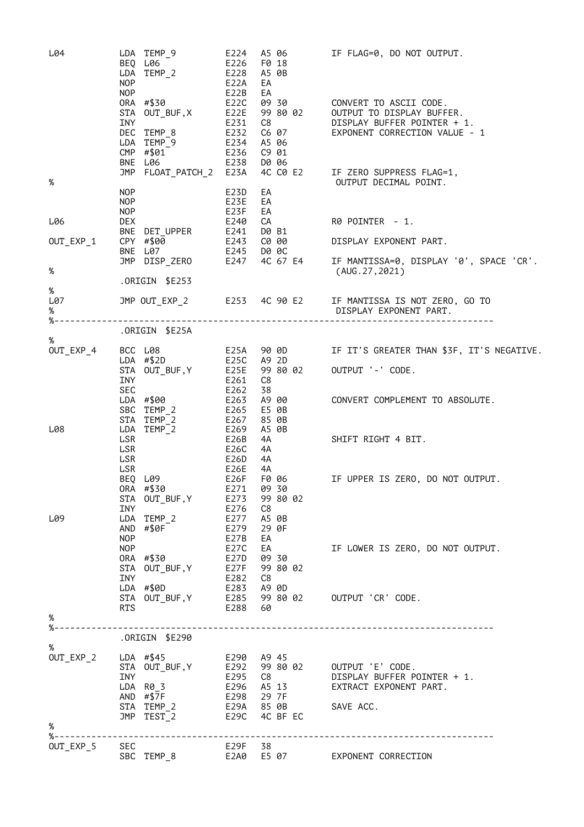| L04                   | LDA TEMP_9<br>BEQ L06<br>$LDA$ TEMP <sup>2</sup> E228<br>NOP                                           | E224 A5 06<br>E226<br>F0 18<br>A5 0B<br>E22A<br>EA   | IF FLAG=0, DO NOT OUTPUT.                                                                                                         |
|-----------------------|--------------------------------------------------------------------------------------------------------|------------------------------------------------------|-----------------------------------------------------------------------------------------------------------------------------------|
|                       | <b>NOP</b><br>LDA TEMP <sup>-</sup> 9 E234<br>CMP #\$01 E236<br>BNE L06 E238<br>JMP FLOAT_PATCH_2 E23A | E22B<br>EA<br>E22C<br>C9 01<br>D0 06                 | C6 07 EXPONENT CORRECTION VALUE - 1<br>4C C0 E2 IF ZERO SUPPRESS FLAG=1,                                                          |
| $\%$                  |                                                                                                        |                                                      | OUTPUT DECIMAL POINT.                                                                                                             |
| L06<br>%              | NOP<br>NOP<br><b>NOP</b><br><b>DEX</b><br>$OUT\_EXP_1$ CPY #\$00<br>BNE L07 E245 D0 0C                 | E23D<br>EA<br>E23E<br>EA<br>E23F<br>EA<br>E240<br>CA | R0 POINTER - 1.<br>DISPLAY EXPONENT PART.<br>JMP DISP_ZERO E247 4C 67 E4 IF MANTISSA=0, DISPLAY '0', SPACE 'CR'.<br>(AUG.27,2021) |
| %                     | ORIGIN \$E253.                                                                                         |                                                      |                                                                                                                                   |
| L07<br>%<br>$% - - -$ |                                                                                                        |                                                      | JMP OUT_EXP_2          E253    4C 90 E2      IF MANTISSA IS NOT ZERO, GO TO<br>DISPLAY EXPONENT PART.                             |
| %                     | ORIGIN \$E25A.                                                                                         |                                                      |                                                                                                                                   |
| OUT_EXP_4             |                                                                                                        |                                                      | BCC L08 E25A 90 0D IF IT'S GREATER THAN \$3F, IT'S NEGATIVE.<br>LDA #\$2D E25C A9 2D                                              |
|                       | STA OUT_BUF, Y<br>E25E 99 80 02<br>INY E261 C8<br>SEC                                                  | E261<br>E262<br>38                                   | OUTPUT '-' CODE.                                                                                                                  |
| L08                   | $LDA$ #\$00 $E263$<br>SBC TEMP <sub>_2</sub> E265                                                      | A9 00<br>E5 0B<br>85 0B<br>A5 0B                     | CONVERT COMPLEMENT TO ABSOLUTE.                                                                                                   |
|                       | LSR<br>LSR<br>LSR<br>LSR                                                                               | 4A<br>E26C<br>4A<br>E26D<br>4A<br>E26E<br>4A         | SHIFT RIGHT 4 BIT.                                                                                                                |
|                       | BEQ L09<br>ORA #\$30<br>STA OUT_BUF, Y<br>INY                                                          | E26F<br>E271 09 30<br>E273<br>99 80 02<br>E276<br>C8 | F0 06 IF UPPER IS ZERO, DO NOT OUTPUT.                                                                                            |
| L09                   | LDA TEMP_2<br>AND #\$0F<br><b>NOP</b>                                                                  | E277<br>A5 0B<br>E279<br>29 0F<br>E27B<br>EA         |                                                                                                                                   |
|                       | <b>NOP</b><br>ORA #\$30<br>STA OUT_BUF, Y E27F 99 80 02<br>INY<br>LDA #\$0D                            | E27C<br>EA<br>E27D 09 30<br>E282 C8<br>E283 A9 0D    | IF LOWER IS ZERO, DO NOT OUTPUT.                                                                                                  |
| %                     | RTS                                                                                                    | E288 60                                              | STA OUT_BUF, Y E285 99 80 02 OUTPUT 'CR' CODE.                                                                                    |
|                       |                                                                                                        |                                                      |                                                                                                                                   |
| %                     | ORIGIN \$E290.                                                                                         |                                                      |                                                                                                                                   |
| OUT_EXP_2             | LDA #\$45 E290 A9 45<br>STA OUT_BUF, Y<br>INY<br>LDA R0_3<br>AND #\$7F<br>$STA TEMP_2$                 | E29A 85 0B SAVE ACC.                                 | E296 A5 13<br>EXTRACT EXPONENT PART.<br>E298 29 7F                                                                                |
| %                     | JMP TEST <sup>-</sup> 2 E29C                                                                           | 4C BF EC                                             |                                                                                                                                   |
| OUT_EXP_5             | %----------------------<br>SEC<br>SBC TEMP_8                                                           | ------------------------<br>E29F 38                  | E2A0 E5 07 EXPONENT CORRECTION                                                                                                    |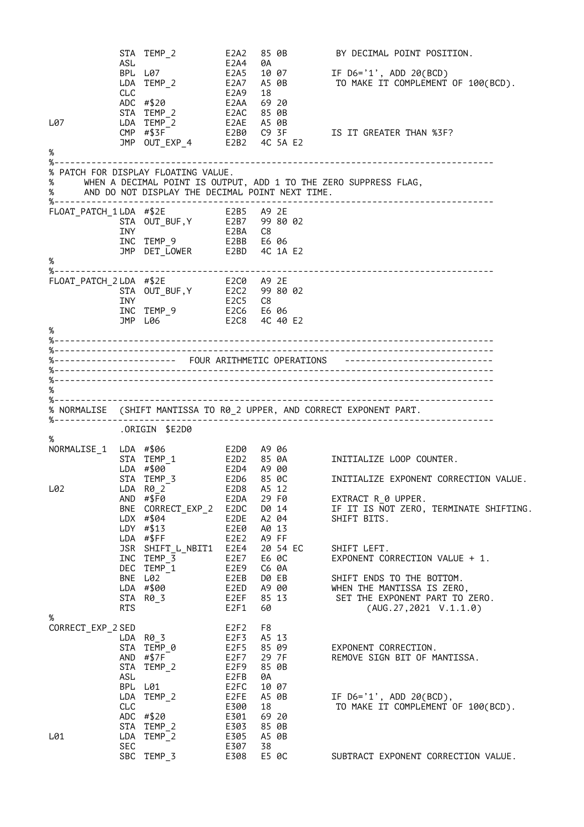STA TEMP\_2 E2A2 85 0B BY DECIMAL POINT POSITION. ASL E2A4 0A BPL L07 E2A5 10 07 IF D6='1', ADD 20(BCD) IF D6='1', ADD 20(BCD)<br>TO MAKE IT COMPLEMENT OF 100(BCD). CLC E2A9 18 ADC #\$20 E2AA 69 20 STA TEMP\_2 E2AC 85 0B L07 LDA TEMP\_2 E2AE A5 0B CMP #\$3F E2B0 C9 3F IS IT GREATER THAN %3F? JMP OUT\_EXP\_4 E2B2 4C 5A E2 % %----------------------------------------------------------------------------------- % PATCH FOR DISPLAY FLOATING VALUE. % WHEN A DECIMAL POINT IS OUTPUT, ADD 1 TO THE ZERO SUPPRESS FLAG, % AND DO NOT DISPLAY THE DECIMAL POINT NEXT TIME. %----------------------------------------------------------------------------------- FLOAT\_PATCH\_1 LDA #\$2E E2B5 A9 2E STA OUT\_BUF,Y E2B7 99 80 02 INY E2BA C8 INC TEMP\_9 E2BB E6 06 JMP DET\_LOWER E2BD 4C 1A E2 % %----------------------------------------------------------------------------------- FLOAT\_PATCH\_2 LDA #\$2E E2C0 A9 2E STA OUT\_BUF,Y E2C2 99 80 02 INY E2C5 C8 INC TEMP\_9 E2C6 E6 06 JMP L06 E2C8 4C 40 E2 % %----------------------------------------------------------------------------------- %----------------------------------------------------------------------------------- %----------------------- FOUR ARITHMETIC OPERATIONS ---------------------------- %----------------------------------------------------------------------------------- %----------------------------------------------------------------------------------- % %----------------------------------------------------------------------------------- % NORMALISE (SHIFT MANTISSA TO R0\_2 UPPER, AND CORRECT EXPONENT PART. %----------------------------------------------------------------------------------- .ORIGIN \$E2D0 % NORMALISE\_1 LDA #\$06 E2D0 A9 06 STA TEMP\_1 E2D2 85 0A INITIALIZE LOOP COUNTER. LDA #\$00 E2D4 A9 00 STA TEMP\_3 E2D6 85 0C INITIALIZE EXPONENT CORRECTION VALUE. L02 LDA R0\_2 E2D8 A5 12 AND #\$F0 E2DA 29 F0 EXTRACT R\_0 UPPER. BNE CORRECT\_EXP\_2 E2DC D0 14 IF IT IS NOT ZERO, TERMINATE SHIFTING. LDX #\$04 E2DE A2 04 SHIFT BITS. LDY #\$13 E2E0 A0 13 LDA #\$FF E2E2 A9 FF JSR SHIFT\_L\_NBIT1 E2E4 20 54 EC SHIFT LEFT. INC TEMP\_3 E2E7 E6 0C EXPONENT CORRECTION VALUE + 1. DEC TEMP\_1 E2E9 C6 0A BNE L02 E2EB D0 EB SHIFT ENDS TO THE BOTTOM. LDA #\$00 E2ED A9 00 WHEN THE MANTISSA IS ZERO, STA R0\_3 E2EF 85 13 SET THE EXPONENT PART TO ZERO. RTS E2F1 60 (AUG.27,2021 V.1.1.0) %<br>CORRECT\_EXP\_2 SED CORRECT\_EXP\_2 SED E2F2 F8 LDA R0\_3 E2F3 A5 13 STA TEMP\_0 E2F5 85 09 EXPONENT CORRECTION. AND #\$7F E2F7 29 7F REMOVE SIGN BIT OF MANTISSA. STA TEMP\_2 E2F9 85 0B ASL E2FB 0A BPL L01 E2FC 10 07 LDA TEMP\_2 E2FE A5 0B IF D6='1', ADD 20(BCD), IF D6='1', ADD 20(BCD),<br>TO MAKE IT COMPLEMENT OF 100(BCD). ADC #\$20 E301 69 20 STA TEMP\_2 E303 85 0B L01 LDA TEMP\_2 E305 A5 0B SEC 67 E307 38 SBC TEMP\_3 E308 E5 0C SUBTRACT EXPONENT CORRECTION VALUE.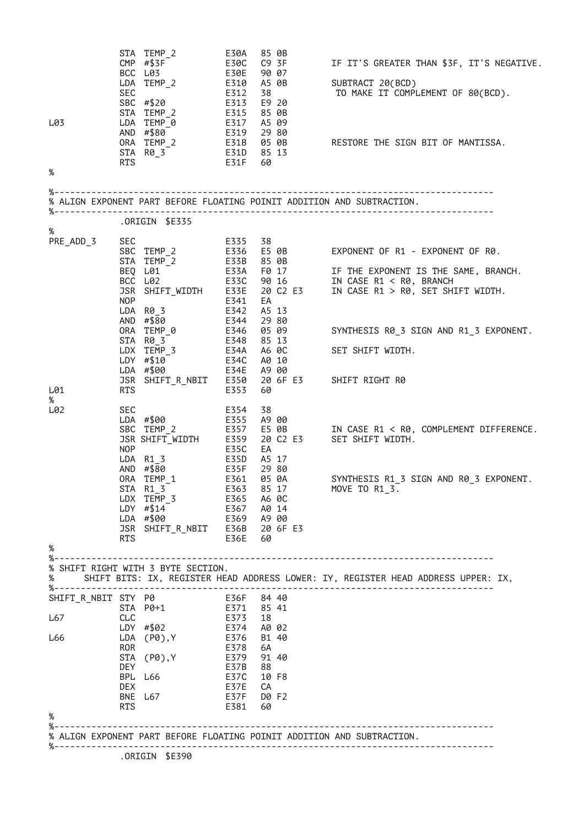|                              | <b>SEC</b>                             | STA TEMP 2<br>CMP $\#$ \$3F <sup>-1</sup><br>BCC L03<br>LDA TEMP_2<br>SBC #\$20 E313<br>STA TEMP $-2$                                                                                                                                                                                                  | E30A<br>E30C<br><b>E30E</b><br>E310<br>E312 | 85 0B<br>C9 3F<br>90 07<br>A5 0B<br>38<br>E9 20<br>85 0B                                                                                                              | IF IT'S GREATER THAN \$3F, IT'S NEGATIVE.<br>SUBTRACT 20(BCD)<br>TO MAKE IT COMPLEMENT OF 80(BCD).                                                                                                                                                                                                                                                                                                                                                    |
|------------------------------|----------------------------------------|--------------------------------------------------------------------------------------------------------------------------------------------------------------------------------------------------------------------------------------------------------------------------------------------------------|---------------------------------------------|-----------------------------------------------------------------------------------------------------------------------------------------------------------------------|-------------------------------------------------------------------------------------------------------------------------------------------------------------------------------------------------------------------------------------------------------------------------------------------------------------------------------------------------------------------------------------------------------------------------------------------------------|
| L03<br>%                     |                                        | STA TEMP_2 E315<br>LDA TEMP_0 E317<br>AND #\$80 E319<br>0RA TEMP_2 E31B 05 0B<br>STA R0_3 E31D 85 13<br>RTS E31F 60                                                                                                                                                                                    |                                             | A5 09<br>29 80                                                                                                                                                        | RESTORE THE SIGN BIT OF MANTISSA.                                                                                                                                                                                                                                                                                                                                                                                                                     |
|                              |                                        |                                                                                                                                                                                                                                                                                                        |                                             |                                                                                                                                                                       |                                                                                                                                                                                                                                                                                                                                                                                                                                                       |
|                              |                                        |                                                                                                                                                                                                                                                                                                        |                                             |                                                                                                                                                                       | % ALIGN EXPONENT PART BEFORE FLOATING POINIT ADDITION AND SUBTRACTION.                                                                                                                                                                                                                                                                                                                                                                                |
| %                            |                                        | ORIGIN \$E335.                                                                                                                                                                                                                                                                                         |                                             |                                                                                                                                                                       |                                                                                                                                                                                                                                                                                                                                                                                                                                                       |
| PRE_ADD_3<br>L01<br>%<br>L02 | <b>NOP</b><br>RTS<br><b>SEC</b><br>NOP | JSR SHIFT_WIDTH E33E<br>LDA R0_3<br>AND $\#$ \$80 E344<br>ORA TEMP_0<br>STA R0_3<br>LDX TEMP_3 E34A A6 OC<br>LDY #\$10 E34C A0 10<br>LDA #\$00 E34E A9 00<br>JSR SHIFT_R_NBIT E350<br>LDA #\$00<br>SBC TEMP 2<br>JSR SHIFT WIDTH E359<br>LDA R1_3<br>AND $\#$ \$80<br>E361<br>ORA TEMP_1<br>$STA R1_3$ | E341<br>E342<br>E353<br>E354<br><b>E35C</b> | EA<br>A5 13<br>29 80<br>E346     05  09<br>E348      85  13<br>05 09<br>60<br>38<br>E355 A9 00<br>E357 E5 0B<br>EA<br>E35D A5 17<br>E35F 29 80<br>05 0A<br>E363 85 17 | SBC 11.1" $-2$<br>STA TEMP 2 E33B 85 0B<br>BEQ L01 E33A F0 17 IF THE EXPONENT IS THE SAME, BRANCH.<br>BCC L02 E33C 90 16 IN CASE R1 < R0, BRANCH<br>TN CASE R1 < R0, BRANCH<br>20 C2 E3 IN CASE R1 > R0, SET SHIFT WIDTH.<br>SYNTHESIS R0_3 SIGN AND R1_3 EXPONENT.<br>SET SHIFT WIDTH.<br>20 6F E3 SHIFT RIGHT R0<br>IN CASE R1 < R0, COMPLEMENT DIFFERENCE.<br>20 C2 E3 SET SHIFT WIDTH.<br>SYNTHESIS R1_3 SIGN AND R0_3 EXPONENT.<br>MOVE TO R1_3. |
|                              |                                        | LDX TEMP 3<br>$LDY$ #\$14<br>LDA #\$00<br>JSR SHIFT_R_NBIT                                                                                                                                                                                                                                             |                                             | E365 A6 0C<br>E367 A0 14<br>E369 A900<br>E36B 20 6F E3                                                                                                                |                                                                                                                                                                                                                                                                                                                                                                                                                                                       |
| %                            | <b>RTS</b>                             |                                                                                                                                                                                                                                                                                                        | E36E                                        | 60                                                                                                                                                                    |                                                                                                                                                                                                                                                                                                                                                                                                                                                       |
|                              |                                        | % SHIFT RIGHT WITH 3 BYTE SECTION.                                                                                                                                                                                                                                                                     |                                             |                                                                                                                                                                       |                                                                                                                                                                                                                                                                                                                                                                                                                                                       |
| %                            |                                        |                                                                                                                                                                                                                                                                                                        |                                             |                                                                                                                                                                       | SHIFT BITS: IX, REGISTER HEAD ADDRESS LOWER: IY, REGISTER HEAD ADDRESS UPPER: IX,                                                                                                                                                                                                                                                                                                                                                                     |
| SHIFT_R_NBIT STY P0          |                                        | STA P0+1                                                                                                                                                                                                                                                                                               | E36F 84 40<br>E371 85 41                    |                                                                                                                                                                       |                                                                                                                                                                                                                                                                                                                                                                                                                                                       |
| L67                          | <b>CLC</b>                             |                                                                                                                                                                                                                                                                                                        | E373                                        | 18                                                                                                                                                                    |                                                                                                                                                                                                                                                                                                                                                                                                                                                       |
| L66                          |                                        | LDY #\$02<br>$LDA$ $(P0)$ , Y                                                                                                                                                                                                                                                                          | E374<br>E376                                | A0 02<br>B1 40                                                                                                                                                        |                                                                                                                                                                                                                                                                                                                                                                                                                                                       |
|                              | <b>ROR</b>                             | STA (P0), Y                                                                                                                                                                                                                                                                                            | E378<br>E379                                | 6A<br>91 40                                                                                                                                                           |                                                                                                                                                                                                                                                                                                                                                                                                                                                       |
|                              | <b>DEY</b>                             |                                                                                                                                                                                                                                                                                                        | E37B                                        | 88                                                                                                                                                                    |                                                                                                                                                                                                                                                                                                                                                                                                                                                       |
|                              | DEX.                                   | BPL L66                                                                                                                                                                                                                                                                                                | E37C<br>E37E                                | 10 F8<br>CA                                                                                                                                                           |                                                                                                                                                                                                                                                                                                                                                                                                                                                       |
|                              |                                        | BNE L67                                                                                                                                                                                                                                                                                                | E37F                                        | D0 F2                                                                                                                                                                 |                                                                                                                                                                                                                                                                                                                                                                                                                                                       |
| %                            | <b>RTS</b>                             |                                                                                                                                                                                                                                                                                                        | E381                                        | 60                                                                                                                                                                    |                                                                                                                                                                                                                                                                                                                                                                                                                                                       |
|                              |                                        |                                                                                                                                                                                                                                                                                                        |                                             |                                                                                                                                                                       | % ALIGN EXPONENT PART BEFORE FLOATING POINIT ADDITION AND SUBTRACTION.                                                                                                                                                                                                                                                                                                                                                                                |
|                              |                                        |                                                                                                                                                                                                                                                                                                        |                                             | -----------------------------------                                                                                                                                   |                                                                                                                                                                                                                                                                                                                                                                                                                                                       |
|                              |                                        | .ORIGIN \$E390                                                                                                                                                                                                                                                                                         |                                             |                                                                                                                                                                       |                                                                                                                                                                                                                                                                                                                                                                                                                                                       |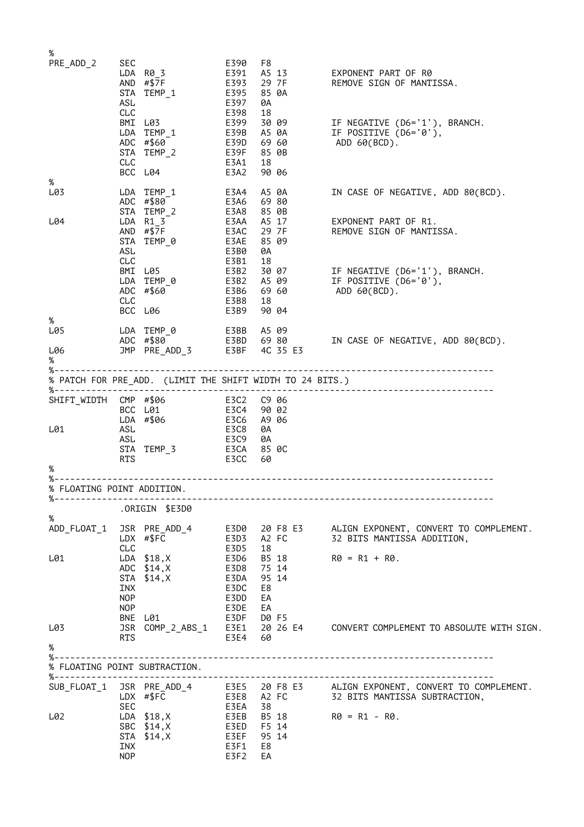| %           |            |                               |                    |                |       |                                                                                |
|-------------|------------|-------------------------------|--------------------|----------------|-------|--------------------------------------------------------------------------------|
| PRE_ADD_2   | SEC        |                               | E390               | F8             |       |                                                                                |
|             |            | LDA R03                       |                    |                |       |                                                                                |
|             |            | AND #\$7F<br>STA TEMP_1       | E393<br>E395       | 85 0A          | 29 7F | REMOVE SIGN OF MANTISSA.                                                       |
|             | ASL        |                               | E397               | 0A             |       |                                                                                |
|             | <b>CLC</b> |                               | E398               | 18             |       |                                                                                |
|             |            | BMI L03                       | E399               | 30 09          |       | IF NEGATIVE (D6='1'), BRANCH.                                                  |
|             |            | LDA TEMP 1<br>ADC #\$60       | E39B A5 0A<br>E39D | 6960           |       | IF POSITIVE (D6='0'),<br>ADD 60(BCD).                                          |
|             |            | STA TEMP 2                    | E39F               | 85 0B          |       |                                                                                |
|             | CLC        |                               | E3A1               | 18             |       |                                                                                |
|             |            | BCC L04                       | E3A2               | 90 06          |       |                                                                                |
| %<br>L03    |            | LDA TEMP 1                    | E3A4               | A5 0A          |       | IN CASE OF NEGATIVE, ADD 80(BCD).                                              |
|             |            | ADC #\$80                     | E3A6               | 6980           |       |                                                                                |
|             |            | STA TEMP 2                    | E3A8               | 85 0B          |       |                                                                                |
| L04         |            | LDA R1 3                      | E3AA A5 17         |                |       | EXPONENT PART OF R1.                                                           |
|             |            | AND $\#$ \$7F<br>STA TEMP_0   | E3AC<br>E3AE       | 29 7F<br>85 09 |       | REMOVE SIGN OF MANTISSA.                                                       |
|             | ASL        |                               | E3B0               | 0A             |       |                                                                                |
|             | CLC        |                               | E3B1               | 18             |       |                                                                                |
|             |            | BMI L05                       | E3B2               |                |       | 30 07 IF NEGATIVE $(DS = '1')$ , BRANCH.                                       |
|             |            | LDA TEMP_0<br>ADC #\$60       | E3B2 A5 09<br>E3B6 | 6960           |       | IF POSITIVE (D6='0'),<br>ADD 60(BCD).                                          |
|             | CLC        |                               | E3B8               | 18             |       |                                                                                |
|             |            | BCC L06                       | E3B9               | 90 04          |       |                                                                                |
| %           |            |                               |                    |                |       |                                                                                |
| L05         |            | LDA TEMP_0<br>ADC #\$80       |                    |                |       | E3BB   A5 09<br>E3BD   69 80         IN CASE OF NEGATIVE, ADD 80(BCD).         |
| L06         |            | JMP PRE ADD 3 E3BF 4C 35 E3   |                    |                |       |                                                                                |
| %           |            |                               |                    |                |       |                                                                                |
|             |            |                               |                    |                |       |                                                                                |
|             |            |                               |                    |                |       |                                                                                |
| SHIFT_WIDTH |            | CMP #\$06                     | E3C2 C9 06         |                |       |                                                                                |
|             |            | BCC L01                       | E3C4               | 90 02          |       |                                                                                |
|             |            | LDA #\$06                     | E3C6               | A9 06          |       |                                                                                |
| L01         | ASL<br>ASL |                               | E3C8<br>E3C9       | 0A<br>0A       |       |                                                                                |
|             |            | STA TEMP_3                    | E3CA               | 85 OC          |       |                                                                                |
|             | RTS        |                               | E3CC               | 60             |       |                                                                                |
| %           |            |                               |                    |                |       |                                                                                |
|             |            | % FLOATING POINT ADDITION.    |                    |                |       |                                                                                |
| %-------    |            |                               |                    |                |       |                                                                                |
| $\%$        |            | .ORIGIN \$E3D0                |                    |                |       |                                                                                |
|             |            |                               |                    |                |       | ADD_FLOAT_1 JSR PRE_ADD_4 E3D0 20 F8 E3 ALIGN EXPONENT, CONVERT TO COMPLEMENT. |
|             |            | LDX #\$FC                     |                    |                |       | E3D3 A2 FC 32 BITS MANTISSA ADDITION,                                          |
|             | CLC        |                               | E3D5               | 18             |       |                                                                                |
| L01         |            | LDA \$18,X                    | E3D6               |                |       | B5 18 $R\theta = R1 + R\theta$ .                                               |
|             |            | ADC \$14, X<br>STA \$14, X    | E3D8<br>E3DA       | 75 14<br>95 14 |       |                                                                                |
|             | INX        |                               | E3DC               | E8             |       |                                                                                |
|             | <b>NOP</b> |                               | E3DD               | EA             |       |                                                                                |
|             | <b>NOP</b> |                               | E3DE               | EA             |       |                                                                                |
| L03         |            | BNE L01                       | E3DF D0 F5         |                |       | JSR COMP_2_ABS_1 E3E1 20 26 E4 CONVERT COMPLEMENT TO ABSOLUTE WITH SIGN.       |
|             | <b>RTS</b> |                               | E3E4 60            |                |       |                                                                                |
| %           |            |                               |                    |                |       |                                                                                |
|             |            |                               |                    |                |       |                                                                                |
|             |            | % FLOATING POINT SUBTRACTION. |                    |                |       |                                                                                |
|             |            |                               |                    |                |       | SUB_FLOAT_1 JSR PRE_ADD_4 E3E5 20 F8 E3 ALIGN EXPONENT, CONVERT TO COMPLEMENT. |
|             |            | LDX #\$FC                     |                    |                |       | E3E8 A2 FC 32 BITS MANTISSA SUBTRACTION,                                       |
|             | SEC        | LDA \$18,X                    | E3EA 38            |                |       |                                                                                |
| L02         |            | SBC \$14, X                   | E3ED F5 14         |                |       | R0 = R1 - R0.                                                                  |
|             |            | STA \$14, X                   | E3EF 95 14         |                |       |                                                                                |
|             | INX        |                               | E3F1               | E8             |       |                                                                                |
|             | <b>NOP</b> |                               | E3F2               | EA             |       |                                                                                |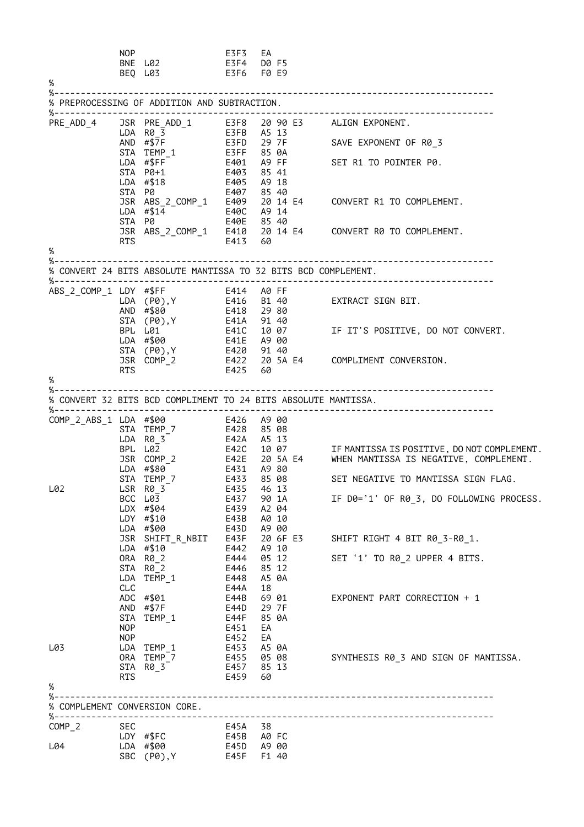| $\%$                          | NOP        | BNE L02<br>BEQ L03                                             | E3F3<br>E3F4 D0 F5<br>E3F6 F0 E9 | EA    |       |                                                                                                                                                                            |
|-------------------------------|------------|----------------------------------------------------------------|----------------------------------|-------|-------|----------------------------------------------------------------------------------------------------------------------------------------------------------------------------|
|                               |            | % PREPROCESSING OF ADDITION AND SUBTRACTION.                   |                                  |       |       |                                                                                                                                                                            |
| PRE_ADD_4                     |            |                                                                |                                  |       |       | JSR PRE_ADD_1 E3F8 20 90 E3 ALIGN EXPONENT.                                                                                                                                |
|                               |            | LDA R0_3<br>AND #\$7F                                          | E3FB A5 13                       |       |       |                                                                                                                                                                            |
|                               |            | $STA$ $TEMP_1$                                                 |                                  |       |       |                                                                                                                                                                            |
|                               |            | $LDA$ #\$FF <sup>-</sup><br>$STA$ $PØ+1$                       | E403 85 41                       |       |       |                                                                                                                                                                            |
|                               | STA P0     | LDA #\$18                                                      | E405 A9 18<br>E407 85 40         |       |       |                                                                                                                                                                            |
|                               |            |                                                                |                                  |       |       | JSR ABS_2_COMP_1 E409 20 14 E4<br>LDA #\$14 E40C A9 14<br>STA P0 E40E 85 40<br>JSR ABS_2_COMP_1 E410 20 14 E4<br>TA BS_2_COMP_1 E410 20 14 E4<br>CONVERT R0 TO COMPLEMENT. |
|                               |            |                                                                |                                  |       |       |                                                                                                                                                                            |
|                               | <b>RTS</b> |                                                                | E413 60                          |       |       |                                                                                                                                                                            |
| %<br>%.                       |            |                                                                |                                  |       |       |                                                                                                                                                                            |
|                               |            | % CONVERT 24 BITS ABSOLUTE MANTISSA TO 32 BITS BCD COMPLEMENT. |                                  |       |       |                                                                                                                                                                            |
|                               |            |                                                                |                                  |       |       |                                                                                                                                                                            |
|                               |            |                                                                |                                  |       |       |                                                                                                                                                                            |
|                               |            |                                                                |                                  |       |       | STA (P0),Y<br>BPL L01 E41C 10 07 IF IT'S POSITIVE, DO NOT CONVERT.<br>LDA #\$00 E41E A9 00                                                                                 |
|                               |            | STA (P0), Y E420 91 40                                         |                                  |       |       |                                                                                                                                                                            |
|                               | RTS        | $JSR$ $COMP_2$                                                 |                                  |       |       | E422   20 5A E4       COMPLIMENT CONVERSION.<br>E425   60                                                                                                                  |
| %                             |            |                                                                |                                  |       |       |                                                                                                                                                                            |
|                               |            | % CONVERT 32 BITS BCD COMPLIMENT TO 24 BITS ABSOLUTE MANTISSA. |                                  |       |       |                                                                                                                                                                            |
|                               |            | COMP_2_ABS_1 LDA #\$00 E426 A9 00<br>STA TEMP_7 E428 85 08     |                                  |       |       |                                                                                                                                                                            |
|                               |            | $LDA$ $R\theta_3^-$                                            | E42A A5 13                       |       |       |                                                                                                                                                                            |
|                               |            | BPL L02                                                        |                                  |       |       | E42C 10 07<br>E42E 20 SA E4 WHEN MANTISSA IS NEGATIVE, COMPLEMENT.<br>E431 A9 80                                                                                           |
|                               |            | JSR COMP_2<br>LDA #\$80                                        |                                  |       |       |                                                                                                                                                                            |
| L02                           |            | STA TEMP_7<br>LSR R0_3                                         | E433 85 08<br>E435               |       | 46 13 | SET NEGATIVE TO MANTISSA SIGN FLAG.                                                                                                                                        |
|                               |            | BCC L03<br>LDX #\$04                                           | E437 90 1A<br>E439               |       | A2 04 | IF D0='1' OF R0_3, DO FOLLOWING PROCESS.                                                                                                                                   |
|                               |            | LDY #\$10<br>LDA #\$00                                         | E43B<br>E43D A9 00               | A0 10 |       |                                                                                                                                                                            |
|                               |            |                                                                |                                  |       |       | SHIFT RIGHT 4 BIT R0 3-R0 1.                                                                                                                                               |
|                               |            |                                                                |                                  |       |       | SET '1' TO R0_2 UPPER 4 BITS.                                                                                                                                              |
|                               |            | STA R0_2<br>LDA TEMP_1                                         | E446 85 12<br>E448               | A5 0A |       |                                                                                                                                                                            |
|                               | CLC        | ADC #\$01                                                      | E44A<br>E44B                     | 18    | 69 01 | EXPONENT PART CORRECTION + 1                                                                                                                                               |
|                               |            | AND #\$7F                                                      | E44D                             |       | 29 7F |                                                                                                                                                                            |
|                               | NOP        | STA TEMP_1                                                     | E44F 85 0A<br>E451               | EA    |       |                                                                                                                                                                            |
| L03                           |            | NOP <sub>2</sub><br>LDA TEMP_1                                 | E452<br>E453 A5 0A               | EA    |       |                                                                                                                                                                            |
|                               |            | ORA TEMP_7 E455 05 08<br>STA R0_3                              | E457 85 13                       |       |       | SYNTHESIS R0_3 AND SIGN OF MANTISSA.                                                                                                                                       |
|                               | <b>RTS</b> |                                                                | E459 60                          |       |       |                                                                                                                                                                            |
| %<br>%-                       |            |                                                                |                                  |       |       |                                                                                                                                                                            |
| % COMPLEMENT CONVERSION CORE. |            | %-------------------------------                               |                                  |       |       |                                                                                                                                                                            |
| $COMP_2$                      | SEC        | LDY #\$FC                                                      | E45A 38<br>E45B A0FC             |       |       |                                                                                                                                                                            |
| L04                           |            | LDA #\$00 E45D A9 00<br>SBC (P0), Y                            | E45F F1 40                       |       |       |                                                                                                                                                                            |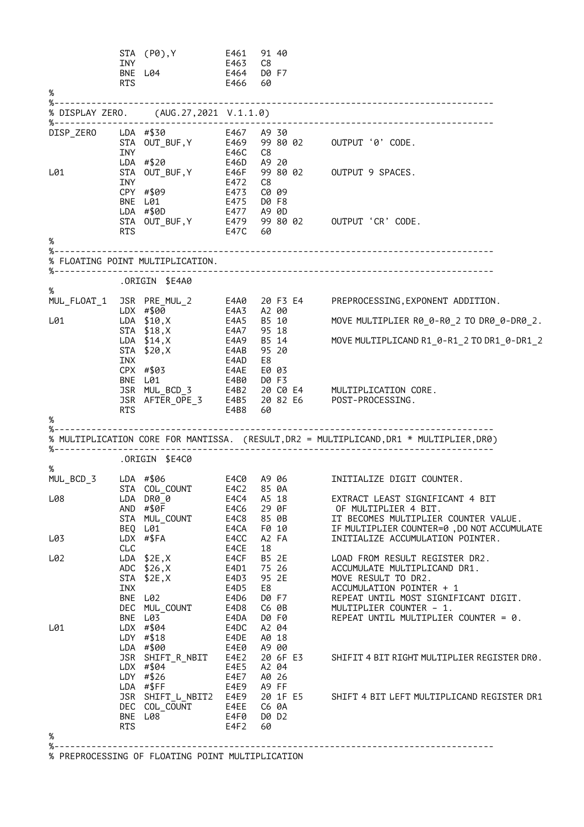|                       |            | STA (P0),Y                                       | E461         | 91 40                    |                                                                                         |
|-----------------------|------------|--------------------------------------------------|--------------|--------------------------|-----------------------------------------------------------------------------------------|
|                       | INY        | INY<br>BNE L04                                   | E463<br>E464 | C8<br>D0 F7              |                                                                                         |
|                       | RTS        |                                                  | E466         | 60                       |                                                                                         |
| $\%$                  |            |                                                  |              |                          |                                                                                         |
|                       |            | % DISPLAY ZERO. (AUG.27,2021 V.1.1.0)            |              |                          |                                                                                         |
| %-------------------- |            |                                                  |              |                          |                                                                                         |
|                       |            |                                                  |              |                          | DISP_ZERO LDA #\$30 E467 A9 30<br>STA OUT_BUF,Y E469 99 80 02 OUTPUT '0' CODE.          |
|                       | <b>INY</b> |                                                  | E46C         | C8                       |                                                                                         |
|                       |            |                                                  |              |                          |                                                                                         |
| L01                   |            |                                                  |              |                          | STA $OUT_BUF, Y$<br>E46F 99 80 02 OUTPUT 9 SPACES.<br>CPY #\$00 FILE C8                 |
|                       |            |                                                  |              |                          |                                                                                         |
|                       |            | CPY #\$09                                        | E473         | C0 09                    |                                                                                         |
|                       |            | BNE L01<br>LDA #\$0D                             | E475         | D0 F8<br>E477 A9 0D      |                                                                                         |
|                       |            |                                                  |              |                          | STA OUT_BUF, Y E479 99 80 02 OUTPUT 'CR' CODE.<br>RTS                                   |
|                       | RTS        |                                                  | E47C 60      |                          |                                                                                         |
| %                     |            |                                                  |              |                          |                                                                                         |
|                       |            | % FLOATING POINT MULTIPLICATION.                 |              |                          |                                                                                         |
|                       |            |                                                  |              |                          |                                                                                         |
| %                     |            | ORIGIN \$E4A0.                                   |              |                          |                                                                                         |
|                       |            |                                                  |              |                          | MUL_FLOAT_1 JSR PRE_MUL_2 E4A0 20 F3 E4 PREPROCESSING, EXPONENT ADDITION.               |
|                       |            | LDX #\$00                                        | E4A3         | A2 00                    |                                                                                         |
| L01                   |            | LDA \$10,X                                       |              | $E4A5$ B <sub>5</sub> 10 | MOVE MULTIPLIER R0_0-R0_2 TO DR0_0-DR0_2.                                               |
|                       |            | STA \$18, X<br>$LDA$ \$14, X                     |              | E4A7 95 18<br>E4A9 B5 14 | MOVE MULTIPLICAND R1_0-R1_2 TO DR1_0-DR1_2                                              |
|                       |            | STA \$20, X                                      | E4AB         | 95 20                    |                                                                                         |
|                       | INX        |                                                  | E4AD         | E8                       |                                                                                         |
|                       |            | CPX #\$03                                        | E4AE         | E0 03                    |                                                                                         |
|                       |            |                                                  |              |                          |                                                                                         |
|                       |            |                                                  |              |                          |                                                                                         |
|                       | RTS        |                                                  | E4B8         | 60                       |                                                                                         |
| %                     |            |                                                  |              |                          |                                                                                         |
|                       |            |                                                  |              |                          | % MULTIPLICATION CORE FOR MANTISSA. (RESULT, DR2 = MULTIPLICAND, DR1 * MULTIPLIER, DR0) |
|                       |            |                                                  |              |                          |                                                                                         |
| $\%$                  |            | ORIGIN \$E4C0.                                   |              |                          |                                                                                         |
|                       |            |                                                  |              |                          | MUL_BCD_3 LDA #\$06 64C0 A9 06 INITIALIZE DIGIT COUNTER.                                |
|                       |            | STA COL_COUNT E4C2 85 0A                         |              |                          |                                                                                         |
| L08                   |            | LDA DR0 0                                        | E4C4         | A5 18                    | EXTRACT LEAST SIGNIFICANT 4 BIT                                                         |
|                       |            | AND #\$0F                                        | E4C6         | 29 0F                    | OF MULTIPLIER 4 BIT.                                                                    |
|                       |            | STA MUL_COUNT<br>BEQ L01                         | E4C8<br>E4CA | 85 0B<br>F0 10           | IT BECOMES MULTIPLIER COUNTER VALUE.<br>IF MULTIPLIER COUNTER=0, DO NOT ACCUMULATE      |
| L03                   |            | LDX #\$FA                                        | E4CC         | A2 FA                    | INITIALIZE ACCUMULATION POINTER.                                                        |
|                       | CLC        |                                                  | E4CE         | 18                       |                                                                                         |
| L02                   |            | $LDA$ \$2E, X                                    | E4CF         | B5 2E                    | LOAD FROM RESULT REGISTER DR2.                                                          |
|                       |            | ADC \$26, X<br>STA \$2E, X                       | E4D1<br>E4D3 | 75 26<br>95 2E           | ACCUMULATE MULTIPLICAND DR1.<br>MOVE RESULT TO DR2.                                     |
|                       | INX        |                                                  | E4D5         | E8                       | ACCUMULATION POINTER + 1                                                                |
|                       |            | BNE L02                                          | E4D6         | D0 F7                    | REPEAT UNTIL MOST SIGNIFICANT DIGIT.                                                    |
|                       |            | DEC MUL_COUNT                                    | E4D8         | C6 0B                    | MULTIPLIER COUNTER - 1.                                                                 |
| L01                   |            | BNE L03<br>LDX #\$04                             | E4DA<br>E4DC | D0 F0<br>A2 04           | REPEAT UNTIL MULTIPLIER COUNTER = 0.                                                    |
|                       |            | $LDY$ #\$18                                      | E4DE         | A0 18                    |                                                                                         |
|                       |            | LDA #\$00                                        | E4E0         | A9 00                    |                                                                                         |
|                       |            | JSR SHIFT_R_NBIT                                 | E4E2         | 20 6F E3                 | SHIFIT 4 BIT RIGHT MULTIPLIER REGISTER DR0.                                             |
|                       |            | LDX #\$04<br>LDY #\$26                           | E4E5<br>E4E7 | A2 04<br>A0 26           |                                                                                         |
|                       |            | LDA #\$FF                                        | E4E9         | A9 FF                    |                                                                                         |
|                       |            | JSR SHIFT_L_NBIT2 E4E9                           |              | 20 1F E5                 | SHIFT 4 BIT LEFT MULTIPLICAND REGISTER DR1                                              |
|                       |            | DEC COL_COUNT                                    | E4EE         | C6 0A                    |                                                                                         |
|                       | <b>RTS</b> | BNE L08                                          | E4F0<br>E4F2 | D0 D2<br>60              |                                                                                         |
| %                     |            |                                                  |              |                          |                                                                                         |
| $% - -$               |            |                                                  |              |                          |                                                                                         |
|                       |            | % PREPROCESSING OF FLOATING POINT MULTIPLICATION |              |                          |                                                                                         |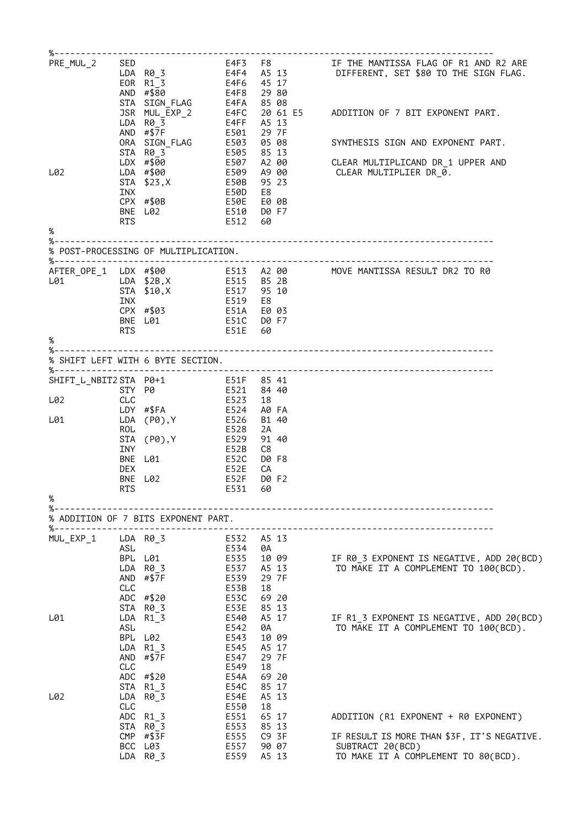| PRE_MUL_2                 |            | <b>SED</b><br>LDA R0_3<br>EOR R1_3<br>AND #\$80           | E4F8 2980                                     |     |                | E4F3   F8               IF THE MANTISSA FLAG OF R1 AND R2 ARE<br>E4F4   A5 13            DIFFERENT, SET \$80 TO THE SIGN FLAG.<br>E4F6   45 17 |
|---------------------------|------------|-----------------------------------------------------------|-----------------------------------------------|-----|----------------|------------------------------------------------------------------------------------------------------------------------------------------------|
|                           |            | STA SIGN_FLAG<br>JSR MUL_EXP_2<br>LDA R0 3<br>AND $# $7F$ | E4FA 85 08<br>E4FF A5 13                      |     |                | E4FC 20 61 E5 ADDITION OF 7 BIT EXPONENT PART.                                                                                                 |
|                           |            | ORA SIGN_FLAG<br>STA R03                                  | E501 29 7F                                    |     |                | E503 05 08<br>E503 05 08       SYNTHESIS SIGN AND EXPONENT PART.<br>E505   85 13                                                               |
| L02                       |            | LDX #\$00<br>LDA #\$00                                    |                                               |     |                |                                                                                                                                                |
|                           | INX        | E50B 95 23<br>STA \$23, X                                 |                                               |     |                |                                                                                                                                                |
|                           | <b>RTS</b> | CPX #\$0B<br>BNE L02                                      | E50D E8<br>E50E E00B<br>E510 D0 F7<br>E512 60 |     |                |                                                                                                                                                |
| %                         |            |                                                           |                                               |     |                |                                                                                                                                                |
|                           |            | % POST-PROCESSING OF MULTIPLICATION.                      |                                               |     |                |                                                                                                                                                |
| L01                       |            | LDA \$2B,X E515 B5 2B<br>STA \$10, X                      | E517 95 10<br>E519 E8                         |     |                | AFTER_OPE_1 LDX #\$00 6513 A2 00 MOVE MANTISSA RESULT DR2 TO R0                                                                                |
|                           | INX        | CPX #\$03                                                 | E51A E0 03                                    |     |                |                                                                                                                                                |
|                           | <b>RTS</b> | BNE L01                                                   | E51C D0 F7<br>E51E 60                         |     |                |                                                                                                                                                |
| %                         |            |                                                           |                                               |     |                |                                                                                                                                                |
|                           |            | % SHIFT LEFT WITH 6 BYTE SECTION.                         |                                               |     |                |                                                                                                                                                |
|                           |            |                                                           |                                               |     |                |                                                                                                                                                |
| L02                       | CLC        |                                                           | E523                                          | -18 |                |                                                                                                                                                |
| L01                       | <b>ROL</b> | LDY #\$FA<br>LDA (P0),Y                                   | E524<br>E526<br>E528                          | 2A  | A0 FA<br>B1 40 |                                                                                                                                                |
|                           | <b>INY</b> | STA (P0),Y                                                | E529<br>E52B                                  | C8  | 91 40          |                                                                                                                                                |
|                           | <b>DEX</b> | BNE L01                                                   | E52C<br><b>E52E</b>                           | СA  | D0 F8          |                                                                                                                                                |
|                           | RTS        | BNE L02                                                   | E52F<br>E531 60                               |     | D0 F2          |                                                                                                                                                |
| %<br>$% - -$              |            |                                                           |                                               |     |                |                                                                                                                                                |
| %------------------------ |            | % ADDITION OF 7 BITS EXPONENT PART.                       |                                               |     |                |                                                                                                                                                |
| MUL_EXP_1                 | ASL        | LDA R0_3                                                  | E532 A5 13<br>E534                            | 0A  |                |                                                                                                                                                |
|                           |            | BPL L01                                                   | E535                                          |     | 10 09          | IF R0_3 EXPONENT IS NEGATIVE, ADD 20(BCD)                                                                                                      |
|                           |            | LDA R0_3<br>AND $# $7F$                                   | E537<br>E539                                  |     | A5 13<br>29 7F | TO MAKE IT A COMPLEMENT TO 100(BCD).                                                                                                           |
|                           | CLC        | ADC #\$20                                                 | E53B<br>E53C                                  | 18  | 69 20          |                                                                                                                                                |
|                           |            | STA R0_3                                                  | E53E                                          |     | 85 13          |                                                                                                                                                |
| L01                       | ASL        | $LDA$ $R1_3$                                              | E540<br>E542                                  | 0A  | A5 17          | IF R1 3 EXPONENT IS NEGATIVE, ADD 20(BCD)<br>TO MAKE IT A COMPLEMENT TO 100(BCD).                                                              |
|                           |            | BPL L02<br>LDA R1 3                                       | E543<br>E545                                  |     | 10 09<br>A5 17 |                                                                                                                                                |
|                           |            | AND $# $7F$                                               | E547                                          |     | 29 7F          |                                                                                                                                                |
|                           | CLC        | ADC #\$20                                                 | E549<br>E54A                                  | 18  | 69 20          |                                                                                                                                                |
| L02                       |            | STA R1_3<br>LDA R0_3                                      | E54C<br>E54E                                  |     | 85 17<br>A5 13 |                                                                                                                                                |
|                           | <b>CLC</b> |                                                           | E550                                          | 18  |                |                                                                                                                                                |
|                           |            | ADC R1_3<br>STA R0 3                                      | E551<br>E553                                  |     | 65 17<br>85 13 | ADDITION (R1 EXPONENT + R0 EXPONENT)                                                                                                           |
|                           |            | $CMP$ #\$3F<br>BCC L03                                    | E555<br>E557                                  |     | C9 3F<br>90 07 | IF RESULT IS MORE THAN \$3F, IT'S NEGATIVE.<br>SUBTRACT 20(BCD)                                                                                |
|                           |            | LDA R0_3                                                  | E559                                          |     | A5 13          | TO MAKE IT A COMPLEMENT TO 80(BCD).                                                                                                            |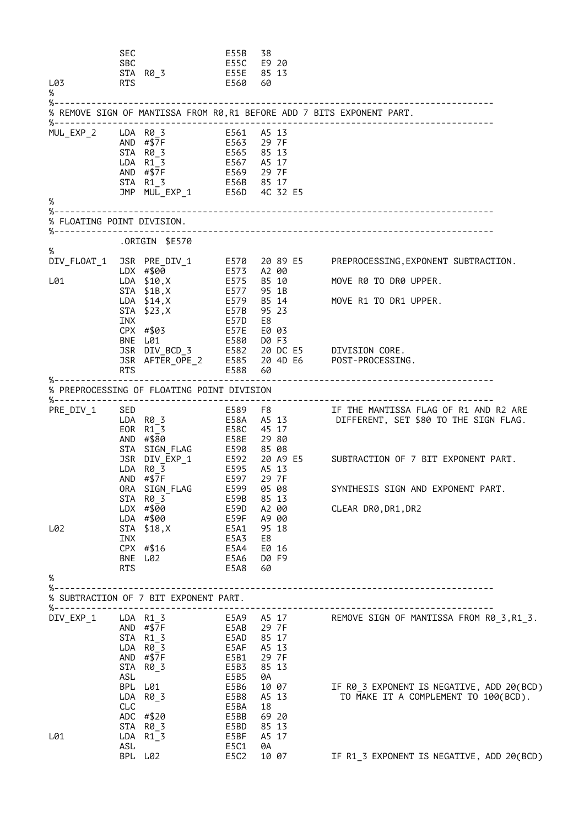SEC E55B 38 E55C E9 20<br>E55E 85 13 STA R0\_3 E55E 85 13 L03 RTS E560 60 % %----------------------------------------------------------------------------------- % REMOVE SIGN OF MANTISSA FROM R0,R1 BEFORE ADD 7 BITS EXPONENT PART. %----------------------------------------------------------------------------------- MUL\_EXP\_2 LDA R0\_3 E561 A5 13 AND #\$7F E563 29 7F STA R0\_3 E565 85 13 LDA R1\_3 E567 A5 17 AND #\$7F E569 29 7F STA R1\_3 E56B 85 17 JMP MUL\_EXP\_1 E56D 4C 32 E5 % %----------------------------------------------------------------------------------- % FLOATING POINT DIVISION. %----------------------------------------------------------------------------------- .ORIGIN \$E570 %<br>DIV\_FLOAT\_1 JSR PRE\_DIV\_1 E570 20 89 E5 PREPROCESSING,EXPONENT SUBTRACTION. LDX #\$00 E573 A2 00 L01 LDA \$10,X E575 B5 10 MOVE R0 TO DR0 UPPER.<br>STA \$1B,X E577 95 1B STA \$1B,X E577 95 1B LDA \$14,X E579 B5 14 MOVE R1 TO DR1 UPPER. STA \$23,X E57B 95 23 INX E57D E8 CPX #\$03 E57E E0 03 BNE L01 E580 D0 F3 JSR DIV\_BCD\_3 E582 20 DC E5 DIVISION CORE. JSR AFTER\_OPE\_2 E585 20 4D E6 POST-PROCESSING. RTS E588 60 %----------------------------------------------------------------------------------- % PREPROCESSING OF FLOATING POINT DIVISION %----------------------------------------------------------------------------------- PRE\_DIV\_1 SED E589 F8 IF THE MANTISSA FLAG OF R1 AND R2 ARE DIFFERENT, SET \$80 TO THE SIGN FLAG. LDA R0\_3<br>
LDA R0\_3<br>
EOR R1\_3<br>
AND #\$80<br>
E58E 29 80 AND #\$80 E58E 29 80 STA SIGN\_FLAG E590 85 08 JSR DIV\_EXP\_1 E592 20 A9 E5 SUBTRACTION OF 7 BIT EXPONENT PART. LDA R0\_3 E595 A5 13 AND #\$7F E597 29 7F ORA SIGN\_FLAG E599 05 08 SYNTHESIS SIGN AND EXPONENT PART. STA R0\_3 E59B 85 13 LDX #\$00 E59D A2 00 CLEAR DR0,DR1,DR2 LDA #\$00 E59F A9 00 LDA #\$00 E59F A9 00<br>L02 STA \$18,X E5A1 95 18<br>INX E5A3 E8 INX E5A3 E8 CPX #\$16 E5A4 E0 16<br>BNE L02 E5A6 D0 F9 BNE L02 E5A6 D0 F9  $E5A8$ % %----------------------------------------------------------------------------------- % SUBTRACTION OF 7 BIT EXPONENT PART. %----------------------------------------------------------------------------------- DIV\_EXP\_1 LDA R1\_3 E5A9 A5 17 REMOVE SIGN OF MANTISSA FROM R0\_3,R1\_3. AND #\$7F E5AB 29 7F STA R1\_3 E5AD 85 17 LDA R0\_3 E5AF A5 13 AND #\$7F E5B1 29 7F STA R0\_3 E5B3 85 13 AND #\$7F<br>
AND #\$7F<br>
STA R0\_3<br>
ASL<br>
ASL<br>
ASL<br>
BPL L01<br>
BPL L01<br>
BPL L01<br>
BPL L01<br>
BPL C01<br>
BPL C01<br>
BPL C5B6<br>
10<br>
07 IF R0 3 EXPONENT IS NEGATIVE, ADD 20(BCD) LDA R0\_3 E5B8 A5 13 TO MAKE IT A COMPLEMENT TO 100(BCD). CLC E5BA 18 ADC #\$20 E5BB 69 20 STA R0\_3 E5BD 85 13 L01 LDA R1\_3 E5BF A5 17 ASL E5C1 0A IF R1 3 EXPONENT IS NEGATIVE, ADD 20(BCD)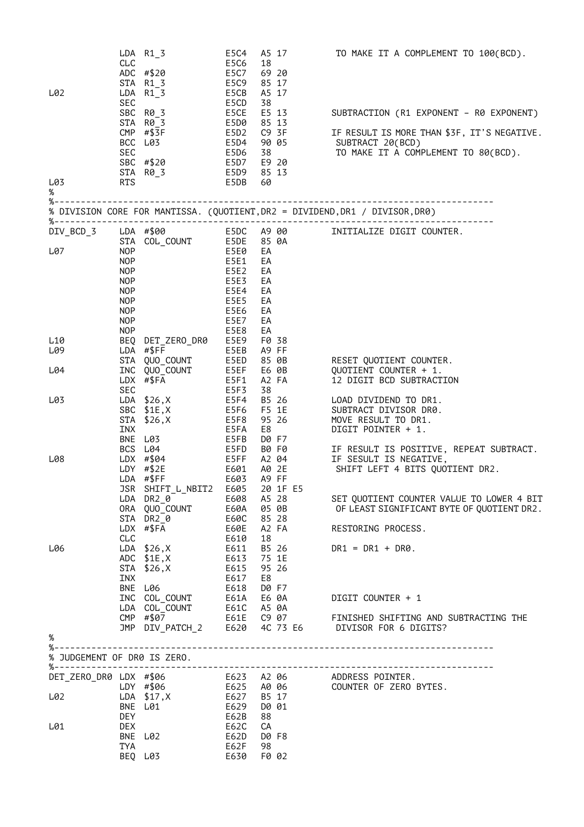|                             |                   | $LDA$ $R1_3$                                                                                                                                                                                                                              | E5C4                     |          | A5 17          | TO MAKE IT A COMPLEMENT TO 100(BCD).                                         |
|-----------------------------|-------------------|-------------------------------------------------------------------------------------------------------------------------------------------------------------------------------------------------------------------------------------------|--------------------------|----------|----------------|------------------------------------------------------------------------------|
|                             | CLC               |                                                                                                                                                                                                                                           | E5C6                     | 18       |                |                                                                              |
|                             |                   | ADC #\$20<br>STA R1 3                                                                                                                                                                                                                     | E5C7<br>E5C9             |          | 69 20<br>85 17 |                                                                              |
| L02                         |                   | LDA R1 3                                                                                                                                                                                                                                  | E5CB                     | A5 17    |                |                                                                              |
|                             | SEC               |                                                                                                                                                                                                                                           | E5CD                     | 38       |                |                                                                              |
|                             |                   | SBC R0_3                                                                                                                                                                                                                                  | E5CE                     |          | E5 13          | SUBTRACTION (R1 EXPONENT – R0 EXPONENT)                                      |
|                             |                   | STA R0 3                                                                                                                                                                                                                                  | E5D0                     |          | 85 13          |                                                                              |
|                             |                   | $CMP$ #\$3F                                                                                                                                                                                                                               | E5D2                     |          | C9 3F          | IF RESULT IS MORE THAN \$3F, IT'S NEGATIVE.                                  |
|                             | BCC               | L03                                                                                                                                                                                                                                       | E5D4                     |          | 90 05          | SUBTRACT 20(BCD)                                                             |
|                             | <b>SEC</b>        | SBC #\$20                                                                                                                                                                                                                                 | E5D6<br>E5D7             | 38       | E9 20          | TO MAKE IT A COMPLEMENT TO 80(BCD).                                          |
|                             |                   | STA R0_3                                                                                                                                                                                                                                  | E5D9                     |          | 85 13          |                                                                              |
| L03                         | <b>RTS</b>        |                                                                                                                                                                                                                                           | E5DB                     | 60       |                |                                                                              |
| %                           |                   |                                                                                                                                                                                                                                           |                          |          |                |                                                                              |
|                             |                   |                                                                                                                                                                                                                                           |                          |          |                | % DIVISION CORE FOR MANTISSA. (QUOTIENT, DR2 = DIVIDEND, DR1 / DIVISOR, DR0) |
| $% - - - - - -$             |                   |                                                                                                                                                                                                                                           |                          |          |                |                                                                              |
| DIV_BCD_3                   |                   | LDA #\$00                                                                                                                                                                                                                                 | E5DC                     | A9 00    |                | INITIALIZE DIGIT COUNTER.                                                    |
|                             |                   | STA COL_COUNT                                                                                                                                                                                                                             | E5DE                     |          | 85 0A          |                                                                              |
| L07                         | <b>NOP</b><br>NOP |                                                                                                                                                                                                                                           | E5E0<br>E5E1             | EA<br>EA |                |                                                                              |
|                             | NOP               |                                                                                                                                                                                                                                           | E5E2                     | EA       |                |                                                                              |
|                             | NOP               |                                                                                                                                                                                                                                           | E5E3                     | EA       |                |                                                                              |
|                             | <b>NOP</b>        |                                                                                                                                                                                                                                           | <b>E5E4</b>              | EA       |                |                                                                              |
|                             | <b>NOP</b>        |                                                                                                                                                                                                                                           | E5E5                     | EA       |                |                                                                              |
|                             | <b>NOP</b>        |                                                                                                                                                                                                                                           | <b>E5E6</b>              | EA       |                |                                                                              |
|                             | <b>NOP</b>        |                                                                                                                                                                                                                                           | E5E7                     | EA       |                |                                                                              |
|                             | <b>NOP</b>        |                                                                                                                                                                                                                                           | E5E8                     | EA       |                |                                                                              |
| L10<br>L09                  | LDA               | BEQ DET_ZERO_DR0<br>#\$FF                                                                                                                                                                                                                 | E5E9<br>E5EB             |          | F0 38<br>A9 FF |                                                                              |
|                             | STA               | QUO_COUNT                                                                                                                                                                                                                                 | E5ED                     |          | 85 0B          | RESET QUOTIENT COUNTER.                                                      |
| L04                         | INC               | QUO_COUNT                                                                                                                                                                                                                                 | E5EF                     |          | E6 0B          | QUOTIENT COUNTER + 1.                                                        |
|                             |                   | $LDX$ #\$FA                                                                                                                                                                                                                               | E5F1                     |          | A2 FA          | 12 DIGIT BCD SUBTRACTION                                                     |
|                             | SEC               |                                                                                                                                                                                                                                           | E5F3                     | 38       |                |                                                                              |
| L03                         |                   | LDA $$26, X$                                                                                                                                                                                                                              | E5F4                     |          | B5 26          | LOAD DIVIDEND TO DR1.                                                        |
|                             | SBC               | \$1E,X                                                                                                                                                                                                                                    | E5F6                     |          | F5 1E          | SUBTRACT DIVISOR DR0.                                                        |
|                             | STA               | \$26, X                                                                                                                                                                                                                                   | E5F8                     |          | 95 26          | MOVE RESULT TO DR1.                                                          |
|                             | INX<br><b>BNE</b> | L03                                                                                                                                                                                                                                       | E5FA<br>E5FB             | E8       | D0 F7          | DIGIT POINTER + 1.                                                           |
|                             |                   | BCS L04                                                                                                                                                                                                                                   | E5FD                     |          | B0 F0          | IF RESULT IS POSITIVE, REPEAT SUBTRACT.                                      |
| L08                         |                   | LDX #\$04                                                                                                                                                                                                                                 | E5FF                     |          | A2 04          | IF SESULT IS NEGATIVE,                                                       |
|                             |                   | $LDY$ #\$2E                                                                                                                                                                                                                               | E601                     |          | A0 2E          | SHIFT LEFT 4 BITS QUOTIENT DR2.                                              |
|                             |                   | LDA #\$FF                                                                                                                                                                                                                                 | E603                     |          | A9 FF          |                                                                              |
|                             |                   | JSR SHIFT_L_NBIT2 E605 20 1F E5                                                                                                                                                                                                           |                          |          |                |                                                                              |
|                             |                   | LDA DR2 0                                                                                                                                                                                                                                 | E608 A5 28               |          |                | SET QUOTIENT COUNTER VALUE TO LOWER 4 BIT                                    |
|                             |                   | ORA QUO_COUNT<br>STA DR20                                                                                                                                                                                                                 | <b>E60A</b><br>E60C      |          | 05 OB<br>85 28 | OF LEAST SIGNIFICANT BYTE OF QUOTIENT DR2.                                   |
|                             |                   | LDX #\$FA                                                                                                                                                                                                                                 | E60E                     |          | A2 FA          | RESTORING PROCESS.                                                           |
|                             | CLC               |                                                                                                                                                                                                                                           | E610                     | 18       |                |                                                                              |
| L06                         |                   | LDA \$26,X                                                                                                                                                                                                                                | E611                     |          | B5 26          | $DR1 = DR1 + DR0.$                                                           |
|                             |                   | $ADC$ $$1E, X$                                                                                                                                                                                                                            | E613                     |          | 75 1E          |                                                                              |
|                             |                   | STA \$26, X E615                                                                                                                                                                                                                          |                          |          | 95 26          |                                                                              |
|                             | INX               |                                                                                                                                                                                                                                           | E617                     | E8       |                |                                                                              |
|                             |                   | BNE L06<br>THE COLOUNT THE COLOUNT COLOUNT ESSENT BEST AS ON COLOUNT COLOUNT ESSENT AS ON THE COLOUNT COLOUNT COLOUNT THE COLOUNT COLOUNT COLOUNT COLOUNT COLOUNT COLOUNT COLOUNT COLOUNT COLOUNT COLOUNT COLOUNT COLOUNT COLOUNT COLOUNT | E618                     |          | D0 F7          |                                                                              |
|                             |                   |                                                                                                                                                                                                                                           |                          |          |                | DIGIT COUNTER + 1                                                            |
|                             |                   |                                                                                                                                                                                                                                           |                          |          |                |                                                                              |
|                             |                   |                                                                                                                                                                                                                                           |                          |          |                |                                                                              |
| $\%$                        |                   |                                                                                                                                                                                                                                           |                          |          |                |                                                                              |
| $% - -$                     |                   |                                                                                                                                                                                                                                           |                          |          |                |                                                                              |
| % JUDGEMENT OF DR0 IS ZERO. |                   |                                                                                                                                                                                                                                           |                          |          |                |                                                                              |
|                             |                   |                                                                                                                                                                                                                                           |                          |          |                | DET_ZERO_DR0 LDX #\$06 623 A2 06 ADDRESS POINTER.                            |
|                             |                   |                                                                                                                                                                                                                                           |                          |          |                | LDY #\$06 E625 A0 06 COUNTER OF ZERO BYTES.                                  |
| L02                         |                   | LDA \$17, X                                                                                                                                                                                                                               | E627 B5 17<br>E629 D0 01 |          |                |                                                                              |
|                             | <b>DEY</b>        | BNE L01                                                                                                                                                                                                                                   | E62B                     | 88       |                |                                                                              |
| L01                         | <b>DEX</b>        |                                                                                                                                                                                                                                           | E62C                     | СA       |                |                                                                              |
|                             |                   | BNE L02                                                                                                                                                                                                                                   | E62D                     |          | D0 F8          |                                                                              |
|                             | TYA               |                                                                                                                                                                                                                                           | E62F                     | 98       |                |                                                                              |
|                             |                   | BEQ L03                                                                                                                                                                                                                                   | E630                     |          | F0 02          |                                                                              |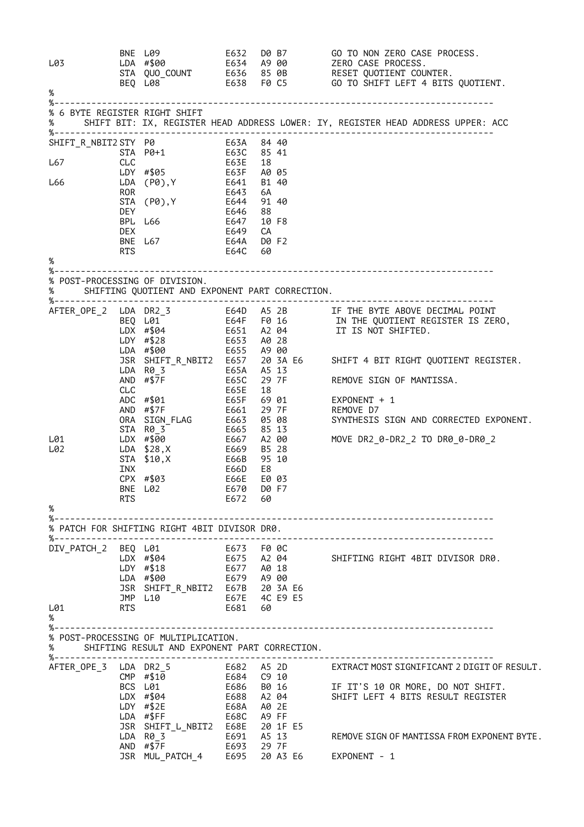| L03<br>%                       |                   | BNE L09<br>LDA #\$00<br>STA QUO_COUNT<br>BEQ L08<br>BEQ L08                                                                                    |                                                          |                               |       | E632 D0 B7 GO TO NON ZERO CASE PROCESS.<br>E634 A9 00         ZERO CASE PROCESS.<br>E636   85 0B         RESET QUOTIENT COUNTER.<br>E638   F0 C5           GO TO SHIFT LEFT 4 BITS QUOTIENT. |
|--------------------------------|-------------------|------------------------------------------------------------------------------------------------------------------------------------------------|----------------------------------------------------------|-------------------------------|-------|----------------------------------------------------------------------------------------------------------------------------------------------------------------------------------------------|
| $% - - - - - - - -$            |                   |                                                                                                                                                |                                                          |                               |       |                                                                                                                                                                                              |
| % 6 BYTE REGISTER RIGHT SHIFT  |                   |                                                                                                                                                |                                                          |                               |       | SHIFT BIT: IX, REGISTER HEAD ADDRESS LOWER: IY, REGISTER HEAD ADDRESS UPPER: ACC                                                                                                             |
|                                |                   | SHIFT_R_NBIT2 STY P0 E63A 84 40                                                                                                                |                                                          |                               |       |                                                                                                                                                                                              |
| L67                            | CLC               | STA P0+1 E63C                                                                                                                                  | E63E<br>E63F                                             | 85 41<br>18                   |       |                                                                                                                                                                                              |
|                                |                   | LDY #\$05                                                                                                                                      |                                                          | A0 05                         |       |                                                                                                                                                                                              |
| L66                            | <b>ROR</b>        | LDA (P0), Y E641                                                                                                                               |                                                          | B1 40<br>6A                   |       |                                                                                                                                                                                              |
|                                |                   | STA (P0), Y                                                                                                                                    | E643<br>E644                                             | 91 40                         |       |                                                                                                                                                                                              |
|                                | DEY.              | E647<br>BPL L66                                                                                                                                | E646                                                     | 88<br>10 F8                   |       |                                                                                                                                                                                              |
|                                | <b>DEX</b>        |                                                                                                                                                | E649                                                     | СA                            |       |                                                                                                                                                                                              |
|                                | <b>RTS</b>        | BNE L67 E64A                                                                                                                                   | E64C                                                     | D0 F2<br>60                   |       |                                                                                                                                                                                              |
| %                              |                   |                                                                                                                                                |                                                          |                               |       |                                                                                                                                                                                              |
| % POST-PROCESSING OF DIVISION. |                   | SHIFTING QUOTIENT AND EXPONENT PART CORRECTION.                                                                                                |                                                          |                               |       |                                                                                                                                                                                              |
|                                |                   | LDY #\$28 E653 A0 28<br>LDA #\$00                                                                                                              | E655 A9 00                                               |                               |       |                                                                                                                                                                                              |
|                                |                   |                                                                                                                                                |                                                          |                               |       | JSR SHIFT_R_NBIT2 E657 20 3A E6 SHIFT 4 BIT RIGHT QUOTIENT REGISTER.                                                                                                                         |
|                                |                   | LDA R0 3<br>E65A<br>AND $\# $7F$                                                                                                               | E65C                                                     | A5 13                         | 29 7F | REMOVE SIGN OF MANTISSA.                                                                                                                                                                     |
|                                | CLC               | ADC #\$01<br><b>E65F</b><br>AND $# $7F$<br>ORA SIGN_FLAG<br>STA R0 3                                                                           | E65E<br>E661     29  7F<br>E663     05  08<br>E665 85 13 | 18                            |       | 69 01<br>$EXPONENT + 1$<br>REMOVE D7<br>SYNTHESIS SIGN AND CORRECTED EXPONENT.                                                                                                               |
| L01<br>L02                     | INX<br><b>RTS</b> | LDX #\$00<br>LDA \$28,X<br>E669<br>E66B<br>STA \$10, X<br>CPX #\$03<br>BNE L02                                                                 | E667<br>E669<br>E66D<br>E66E<br>E670 D0 F7<br>E672 60    | B5 28<br>95 10<br>E8<br>E0 03 | A2 00 | MOVE DR2_0-DR2_2 TO DR0_0-DR0_2                                                                                                                                                              |
| %                              |                   |                                                                                                                                                |                                                          |                               |       |                                                                                                                                                                                              |
|                                |                   | % PATCH FOR SHIFTING RIGHT 4BIT DIVISOR DR0.                                                                                                   |                                                          |                               |       |                                                                                                                                                                                              |
| L01<br>%                       |                   | DIV_PATCH_2 BEQ L01 E673 F0 0C<br>JSR SHIFT_R_NBIT2 E67B 20 3A E6<br>JMP L10 <sup>- -</sup> E67E 4C E9 E5<br>RTS                     E681   60 |                                                          |                               |       | LDX #\$04 E675 A2 04 SHIFTING RIGHT 4BIT DIVISOR DR0.                                                                                                                                        |
| $\%$                           |                   | % POST-PROCESSING OF MULTIPLICATION.<br>SHIFTING RESULT AND EXPONENT PART CORRECTION.                                                          |                                                          |                               |       |                                                                                                                                                                                              |
|                                |                   |                                                                                                                                                |                                                          |                               |       | AFTER_OPE_3 LDA DR2_5 E682 A5 2D EXTRACT MOST SIGNIFICANT 2 DIGIT OF RESULT.                                                                                                                 |
|                                |                   | $LDY$ #\$2E                                                                                                                                    | E68A A0 2E                                               |                               |       | CMP #\$10<br>BCS L01 E684 C9 10<br>BCS L01 E686 B0 16 IF IT'S 10 OR MORE, DO NOT SHIFT.<br>LDX #\$04 E688 A2 04 SHIFT LEFT 4 BITS RESULT REGISTER<br>IN #\$7F F68A A0 2F                     |
|                                |                   | JSR SHIFT_L_NBIT2 E68E 20 1F E5<br>LDA R0_3<br>AND $\#$ \$7F<br>E693 29 7F                                                                     | E691 A5 13                                               |                               |       | REMOVE SIGN OF MANTISSA FROM EXPONENT BYTE.                                                                                                                                                  |
|                                |                   | JSR MUL_PATCH_4 E695 20 A3 E6                                                                                                                  |                                                          |                               |       | EXPONENT - 1                                                                                                                                                                                 |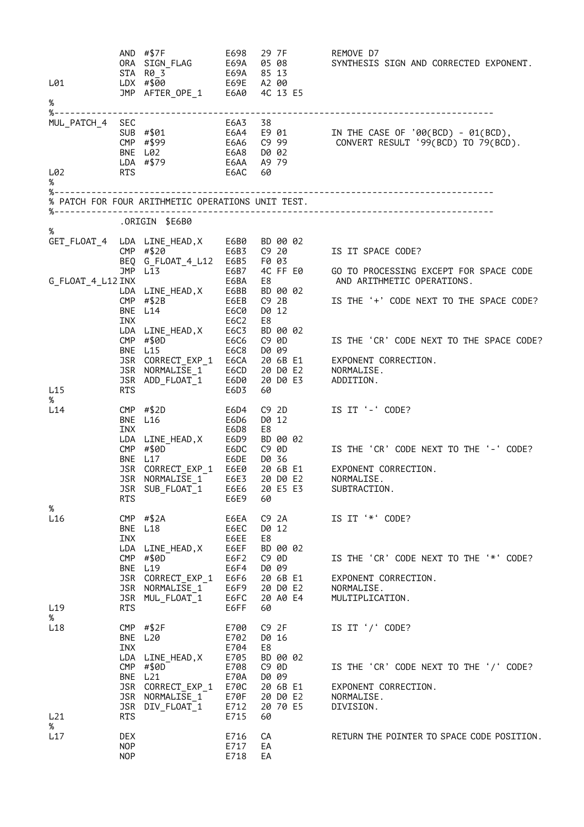| L01                         |                                 | AND #\$7F<br>ORA SIGN_FLAG<br>STA RO_3<br>LDX #\$00 E69A 85 13<br>JMP AFTER_OPE_1 E6A0 4C 13 E5                                                 | E698<br>E69A                                                                 | 29 7F<br>05 08                                                                                          | REMOVE D7<br>SYNTHESIS SIGN AND CORRECTED EXPONENT.                                                                |
|-----------------------------|---------------------------------|-------------------------------------------------------------------------------------------------------------------------------------------------|------------------------------------------------------------------------------|---------------------------------------------------------------------------------------------------------|--------------------------------------------------------------------------------------------------------------------|
| %                           |                                 |                                                                                                                                                 |                                                                              |                                                                                                         |                                                                                                                    |
| MUL_PATCH_4 SEC             | <b>RTS</b>                      | SUB #\$01<br>CMP #\$99<br>BNE L02<br>LDA #\$79                                                                                                  | E6A3<br>E6AA                                                                 | 38<br>E6A6     C9  99<br>E6A8     D0  02<br>A9 79<br>60                                                 | E6A4 E9 01      IN THE CASE OF '00(BCD) - 01(BCD),<br>CONVERT RESULT '99(BCD) TO 79(BCD).                          |
| L02<br>%                    |                                 |                                                                                                                                                 | E6AC                                                                         |                                                                                                         |                                                                                                                    |
|                             |                                 | % PATCH FOR FOUR ARITHMETIC OPERATIONS UNIT TEST.                                                                                               |                                                                              |                                                                                                         |                                                                                                                    |
| %                           |                                 | ORIGIN \$E6B0.                                                                                                                                  |                                                                              |                                                                                                         |                                                                                                                    |
|                             |                                 | GET_FLOAT_4 LDA LINE_HEAD,X E6B0<br>E6B3<br>CMP #\$20<br>BEQ G_FLOAT_4_L12 E6B5<br>JMP L13                                                      | E6B7                                                                         | BD 00 02<br>C9 20<br>F0 03<br>4C FF E0                                                                  | IS IT SPACE CODE?<br>GO TO PROCESSING EXCEPT FOR SPACE CODE                                                        |
| G FLOAT 4 L12 INX           | <b>CMP</b><br><b>INX</b>        | LDA LINE HEAD, X<br>#\$2B<br>BNE L14                                                                                                            | E6BA<br>E6BB<br>E6EB<br>E6C0<br>E6C2                                         | E8<br>BD 00 02<br>C92B<br>D0 12<br>E8                                                                   | AND ARITHMETIC OPERATIONS.<br>IS THE '+' CODE NEXT TO THE SPACE CODE?                                              |
| L15                         | <b>RTS</b>                      | LDA LINE HEAD, X<br>CMP #\$0D<br>BNE L15<br>JSR CORRECT_EXP_1<br>JSR NORMALISE 1<br>JSR ADD_FLOAT_1                                             | E6C3<br>E6C6<br>E6C8<br>E6CA<br>E6CD<br>E6D0<br>E6D3                         | BD 00 02<br>C9 0D<br>D0 09<br>20 6B E1<br>20 D0 E2<br>20 DO E3<br>60                                    | IS THE 'CR' CODE NEXT TO THE SPACE CODE?<br>EXPONENT CORRECTION.<br>NORMALISE.<br>ADDITION.                        |
| %<br>L14<br>%               | <b>INX</b><br>RTS               | CMP $# $2D$<br>BNE L16<br>LDA LINE_HEAD,X<br>CMP #\$0D<br>BNE L17<br>JSR CORRECT_EXP_1 E6E0<br>JSR NORMALISE 1<br>JSR SUB_FLOAT_1 E6E6 20 E5 E3 | E6D4<br>E6D6<br>E6D8<br>E6D9<br>E6DC<br>E6DE<br>E6E3<br>E6E9                 | $C9$ 2D<br>D0 12<br>E8<br>BD 00 02<br>C9 0D<br>D0 36<br>20 6B E1<br>20 DO E2<br>60                      | IS IT '-' CODE?<br>IS THE 'CR' CODE NEXT TO THE '-' CODE?<br>EXPONENT CORRECTION.<br>NORMALISE.<br>SUBTRACTION.    |
| L16<br>L <sub>19</sub>      | INX<br><b>RTS</b>               | CMP $\# $2A$<br>BNE L18<br>LDA LINE HEAD, X<br>CMP #\$0D<br>BNE L19<br>JSR CORRECT_EXP_1<br>JSR NORMALISE 1<br>JSR MUL FLOAT 1                  | E6EA<br>E6EC<br>E6EE<br>E6EF<br>E6F2<br>E6F4<br>E6F6<br>E6F9<br>E6FC<br>E6FF | C9 2A<br>D0 12<br>E8<br>BD 00 02<br>C9 0D<br>D0 09<br>20 6B E1<br>20 D0 E2<br>20 A0 E4<br>60            | IS IT '*' CODE?<br>IS THE 'CR' CODE NEXT TO THE '*' CODE?<br>EXPONENT CORRECTION.<br>NORMALISE.<br>MULTIPLICATION. |
| %<br>L <sub>18</sub><br>L21 | <b>INX</b><br><b>RTS</b>        | $CMP$ #\$2F<br>BNE L20<br>LDA LINE_HEAD, X<br>CMP $#$0D$<br>BNE L21<br>JSR CORRECT_EXP_1<br>JSR NORMALISE 1<br>JSR DIV_FLOAT_1                  | E700<br>E702<br>E704<br>E705<br>E708<br>E70A<br>E70C<br>E70F<br>E712<br>E715 | C9 <sub>2F</sub><br>D0 16<br>E8<br>BD 00 02<br>C9 0D<br>D0 09<br>20 6B E1<br>20 D0 E2<br>20 70 E5<br>60 | IS IT '/' CODE?<br>IS THE 'CR' CODE NEXT TO THE '/' CODE?<br>EXPONENT CORRECTION.<br>NORMALISE.<br>DIVISION.       |
| %<br>L17                    | DEX<br><b>NOP</b><br><b>NOP</b> |                                                                                                                                                 | E716<br>E717<br>E718                                                         | СA<br>EA<br>EA                                                                                          | RETURN THE POINTER TO SPACE CODE POSITION.                                                                         |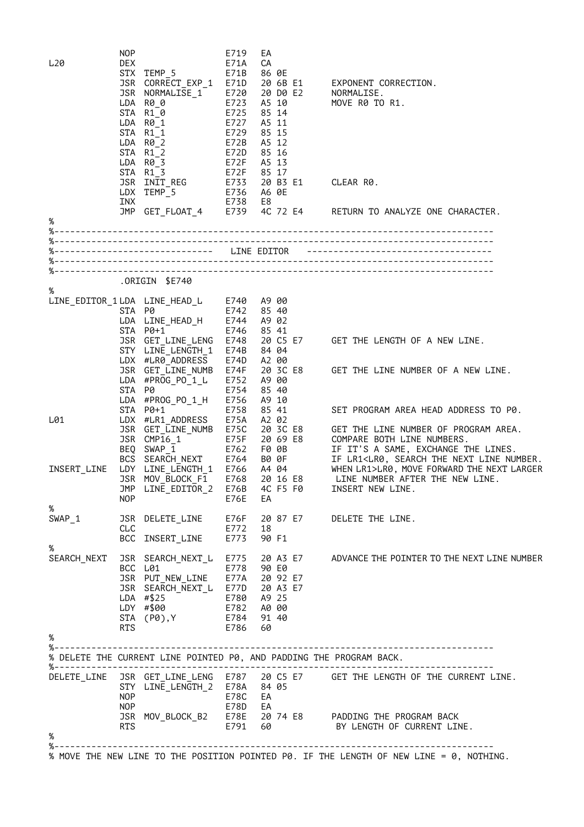| L <sub>20</sub>               | <b>NOP</b><br><b>DEX</b><br>JSR<br>JSR | STX TEMP 5<br>CORRECT_EXP_1<br>NORMALISE_1<br>LDA R0_0<br>STA R1_0<br>LDA R0 1<br>STA R1 1<br>$LDA$ $R\theta_2$<br>STA R1 2<br>LDA R0 3<br>STA R1 3 | E719<br>E71A<br>E71B<br>E71D<br>E720<br>E723<br>E725<br>E727<br>E729<br>E72B<br>E72D<br>E72F | EA<br>СA<br>86 0E<br>20 6B E1<br>20 DO E2<br>A5 10<br>85 14<br>A5 11<br>85 15<br>A5 12<br>85 16<br>A5 13<br>E72F 85 17 | EXPONENT CORRECTION.<br>NORMALISE.<br>MOVE R0 TO R1.                                                              |
|-------------------------------|----------------------------------------|-----------------------------------------------------------------------------------------------------------------------------------------------------|----------------------------------------------------------------------------------------------|------------------------------------------------------------------------------------------------------------------------|-------------------------------------------------------------------------------------------------------------------|
|                               | INX                                    | JSR INIT REG<br>LDX TEMP 5                                                                                                                          | E738                                                                                         | E733 20 B3 E1<br>E736 A6 0E<br>E8                                                                                      | CLEAR R0.                                                                                                         |
| %                             |                                        | JMP GET_FLOAT_4                                                                                                                                     | E739                                                                                         | 4C 72 E4                                                                                                               | RETURN TO ANALYZE ONE CHARACTER.                                                                                  |
|                               |                                        |                                                                                                                                                     |                                                                                              |                                                                                                                        |                                                                                                                   |
|                               |                                        |                                                                                                                                                     |                                                                                              |                                                                                                                        |                                                                                                                   |
|                               |                                        |                                                                                                                                                     |                                                                                              |                                                                                                                        |                                                                                                                   |
|                               |                                        |                                                                                                                                                     |                                                                                              |                                                                                                                        |                                                                                                                   |
| %                             |                                        | ORIGIN \$E740.                                                                                                                                      |                                                                                              |                                                                                                                        |                                                                                                                   |
| LINE_EDITOR_1 LDA LINE_HEAD_L |                                        |                                                                                                                                                     |                                                                                              | E740 A9 00                                                                                                             |                                                                                                                   |
|                               | STA P0                                 |                                                                                                                                                     |                                                                                              | E742 85 40                                                                                                             |                                                                                                                   |
|                               |                                        | LDA LINE_HEAD_H<br>STA P0+1                                                                                                                         | E744<br>E746                                                                                 | A9 02<br>85 41                                                                                                         |                                                                                                                   |
|                               |                                        | JSR GET_LINE_LENG                                                                                                                                   | E748                                                                                         | 20 C5 E7                                                                                                               | GET THE LENGTH OF A NEW LINE.                                                                                     |
|                               |                                        | STY LINE_LENGTH_1                                                                                                                                   | E74B                                                                                         | 84 04                                                                                                                  |                                                                                                                   |
|                               |                                        | LDX #LR0_ADDRESS<br>JSR GET_LINE_NUMB                                                                                                               | E74D<br>E74F                                                                                 | A2 00<br>20 3C E8                                                                                                      | GET THE LINE NUMBER OF A NEW LINE.                                                                                |
|                               |                                        | LDA #PROG PO 1 L                                                                                                                                    | E752                                                                                         | A9 00                                                                                                                  |                                                                                                                   |
|                               | STA                                    | P0                                                                                                                                                  | E754                                                                                         | 85 40                                                                                                                  |                                                                                                                   |
|                               |                                        | LDA #PROG_PO_1_H<br>STA P0+1                                                                                                                        | E756<br>E758                                                                                 | A9 10<br>85 41                                                                                                         | SET PROGRAM AREA HEAD ADDRESS TO P0.                                                                              |
| L01                           |                                        | LDX #LR1_ADDRESS                                                                                                                                    | E75A                                                                                         | A2 02                                                                                                                  |                                                                                                                   |
|                               |                                        | JSR GET_LINE_NUMB                                                                                                                                   | E75C                                                                                         | 20 3C E8                                                                                                               | GET THE LINE NUMBER OF PROGRAM AREA.                                                                              |
|                               | BEQ                                    | JSR CMP16 1<br>$SWAP_1$                                                                                                                             | E75F                                                                                         | 20 69 E8<br>E762 F0 0B                                                                                                 | COMPARE BOTH LINE NUMBERS.<br>IF IT'S A SAME, EXCHANGE THE LINES.                                                 |
|                               | BCS                                    | SEARCH_NEXT                                                                                                                                         |                                                                                              | E764 B0 0F                                                                                                             | IF LR1 <lr0, line="" next="" number.<="" search="" td="" the=""></lr0,>                                           |
| INSERT_LINE                   |                                        | LDY LINE LENGTH 1                                                                                                                                   |                                                                                              | E766 A4 04                                                                                                             | WHEN LR1>LR0, MOVE FORWARD THE NEXT LARGER                                                                        |
|                               |                                        | JSR MOV BLOCK F1<br>JMP LINE_EDITOR_2                                                                                                               | E768                                                                                         | 20 16 E8<br>E76B 4C F5 F0                                                                                              | LINE NUMBER AFTER THE NEW LINE.<br>INSERT NEW LINE.                                                               |
|                               | <b>NOP</b>                             |                                                                                                                                                     | E76E                                                                                         | EA                                                                                                                     |                                                                                                                   |
| %                             |                                        |                                                                                                                                                     |                                                                                              |                                                                                                                        |                                                                                                                   |
| SWAP 1                        | <b>CLC</b>                             | JSR DELETE_LINE                                                                                                                                     | E76F<br>E772 18                                                                              | 20 87 E7                                                                                                               | DELETE THE LINE.                                                                                                  |
|                               | BCC                                    | INSERT_LINE                                                                                                                                         | E773                                                                                         | 90 F1                                                                                                                  |                                                                                                                   |
| %                             |                                        |                                                                                                                                                     |                                                                                              |                                                                                                                        |                                                                                                                   |
| SEARCH_NEXT                   |                                        | BCC L01                                                                                                                                             |                                                                                              | E778 90 E0                                                                                                             | JSR SEARCH_NEXT_L E775 20 A3 E7 ADVANCE THE POINTER TO THE NEXT LINE NUMBER                                       |
|                               |                                        | JSR PUT_NEW_LINE E77A 20 92 E7<br>JSR SEARCH_NEXT_L E77D 20 A3 E7                                                                                   |                                                                                              |                                                                                                                        |                                                                                                                   |
|                               |                                        |                                                                                                                                                     |                                                                                              |                                                                                                                        |                                                                                                                   |
|                               |                                        | LDA $#$ \$25<br>LDY #\$00                                                                                                                           |                                                                                              | E780 A9 25<br>E782 A0 00                                                                                               |                                                                                                                   |
|                               |                                        | STA (P0), Y                                                                                                                                         |                                                                                              | E784 91 40                                                                                                             |                                                                                                                   |
|                               | <b>RTS</b>                             |                                                                                                                                                     | E786                                                                                         | 60                                                                                                                     |                                                                                                                   |
| %                             |                                        |                                                                                                                                                     |                                                                                              |                                                                                                                        |                                                                                                                   |
|                               |                                        |                                                                                                                                                     |                                                                                              |                                                                                                                        | % DELETE THE CURRENT LINE POINTED P0, AND PADDING THE PROGRAM BACK.                                               |
| $\%$ - - - - - - -            |                                        |                                                                                                                                                     |                                                                                              |                                                                                                                        |                                                                                                                   |
| DELETE_LINE                   |                                        |                                                                                                                                                     |                                                                                              |                                                                                                                        | JSR GET_LINE_LENG  E787  20 C5 E7      GET THE LENGTH OF THE CURRENT LINE.<br>STY  LINE_LENGTH_2   E78A    84  05 |
|                               | NOP                                    |                                                                                                                                                     | E78C                                                                                         | EA                                                                                                                     |                                                                                                                   |
|                               | NOP                                    |                                                                                                                                                     | E78D EA                                                                                      |                                                                                                                        |                                                                                                                   |
|                               |                                        |                                                                                                                                                     |                                                                                              |                                                                                                                        | JSR MOV_BLOCK_B2 E78E 20 74 E8 PADDING THE PROGRAM BACK                                                           |
| %                             | RTS                                    |                                                                                                                                                     |                                                                                              |                                                                                                                        | E791 60 BY LENGTH OF CURRENT LINE.                                                                                |
|                               |                                        |                                                                                                                                                     |                                                                                              |                                                                                                                        |                                                                                                                   |
|                               |                                        |                                                                                                                                                     |                                                                                              |                                                                                                                        | % MOVE THE NEW LINE TO THE POSITION POINTED P0. IF THE LENGTH OF NEW LINE = 0, NOTHING.                           |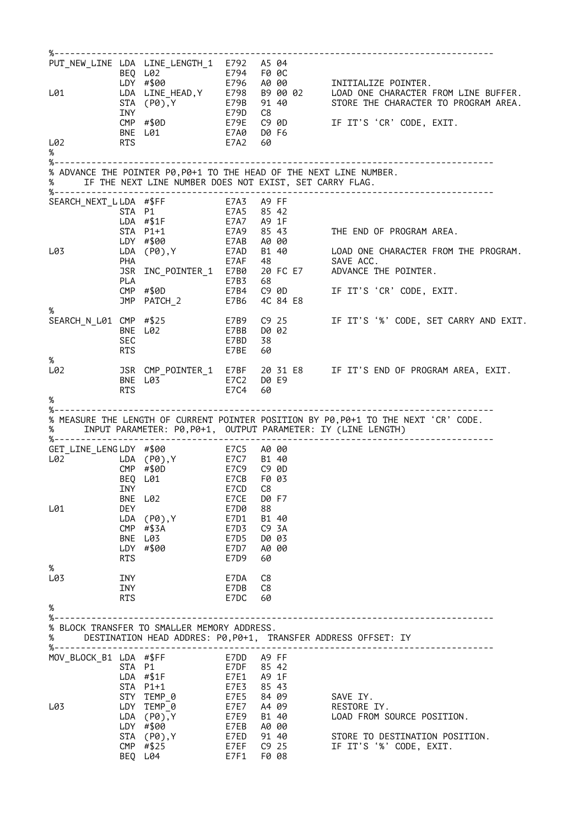| L01                    |                   | PUT_NEW_LINE LDA LINE_LENGTH_1 E792 A5 04<br>- - E794 F00C<br>} E796 A000<br>BEQ L02<br>LDY #\$00                                                                                                                                  |              |                          | INITIALIZE POINTER.                                                                                                                                                                              |
|------------------------|-------------------|------------------------------------------------------------------------------------------------------------------------------------------------------------------------------------------------------------------------------------|--------------|--------------------------|--------------------------------------------------------------------------------------------------------------------------------------------------------------------------------------------------|
|                        | INY               | CMP #\$0D                                                                                                                                                                                                                          | E79D         | C8                       | LDA LINE_HEAD,Y E798 B9 00 02 LOAD ONE CHARACTER FROM LINE BUFFER.<br>STA (P0),Y E79B 91 40 STORE THE CHARACTER TO PROGRAM AREA.<br>INY E79D C8<br>E79E   C9 0D         IF IT'S 'CR' CODE, EXIT. |
|                        |                   | BNE L01                                                                                                                                                                                                                            |              | E7A0 D0 F6               |                                                                                                                                                                                                  |
| L02<br>%               | <b>RTS</b>        |                                                                                                                                                                                                                                    | E7A2         | 60                       |                                                                                                                                                                                                  |
|                        |                   |                                                                                                                                                                                                                                    |              |                          |                                                                                                                                                                                                  |
| %                      |                   | IF THE NEXT LINE NUMBER DOES NOT EXIST, SET CARRY FLAG.                                                                                                                                                                            |              |                          | % ADVANCE THE POINTER P0, P0+1 TO THE HEAD OF THE NEXT LINE NUMBER.                                                                                                                              |
|                        |                   |                                                                                                                                                                                                                                    |              |                          |                                                                                                                                                                                                  |
| SEARCH_NEXT_LLDA #\$FF |                   |                                                                                                                                                                                                                                    | E7A3 A9 FF   |                          |                                                                                                                                                                                                  |
|                        |                   | STA P1<br>LDA $# $1F$                                                                                                                                                                                                              |              | E7A5 85 42<br>E7A7 A9 1F |                                                                                                                                                                                                  |
|                        |                   | STA P1+1                                                                                                                                                                                                                           |              |                          | E7A9 85 43 THE END OF PROGRAM AREA.<br>E7AB A0 00                                                                                                                                                |
|                        |                   | LDY #\$00                                                                                                                                                                                                                          |              |                          |                                                                                                                                                                                                  |
| L03                    | PHA               | LDA (P0),Y                                                                                                                                                                                                                         |              | E7AF 48                  | E7AD B1 40 LOAD ONE CHARACTER FROM THE PROGRAM.<br>SAVE ACC.                                                                                                                                     |
|                        |                   | JSR INC_POINTER_1 E7B0 20 FC E7                                                                                                                                                                                                    |              |                          | ADVANCE THE POINTER.                                                                                                                                                                             |
|                        | PLA               |                                                                                                                                                                                                                                    | E7B3         | 68                       |                                                                                                                                                                                                  |
|                        |                   | $CMP$ #\$0D                                                                                                                                                                                                                        | E7B4         | C9 0D                    | IF IT'S 'CR' CODE, EXIT.                                                                                                                                                                         |
| %                      |                   | JMP PATCH_2                                                                                                                                                                                                                        | E7B6         | 4C 84 E8                 |                                                                                                                                                                                                  |
| SEARCH_N_L01 CMP #\$25 |                   |                                                                                                                                                                                                                                    | E7B9         | C9 25                    | IF IT'S '%' CODE, SET CARRY AND EXIT.                                                                                                                                                            |
|                        |                   | BNE L02                                                                                                                                                                                                                            | E7BB         | D0 02                    |                                                                                                                                                                                                  |
|                        | SEC<br><b>RTS</b> |                                                                                                                                                                                                                                    | E7BD<br>E7BE | 38<br>60                 |                                                                                                                                                                                                  |
| %                      |                   |                                                                                                                                                                                                                                    |              |                          |                                                                                                                                                                                                  |
| L02                    |                   |                                                                                                                                                                                                                                    |              |                          | JSR CMP_POINTER_1 E7BF 20 31 E8    IF IT'S END OF PROGRAM AREA, EXIT.                                                                                                                            |
|                        |                   | BNE L03                                                                                                                                                                                                                            |              | E7C2 D0 E9               |                                                                                                                                                                                                  |
| %                      | <b>RTS</b>        |                                                                                                                                                                                                                                    | E7C4         | 60                       |                                                                                                                                                                                                  |
| %-------               |                   |                                                                                                                                                                                                                                    |              |                          |                                                                                                                                                                                                  |
| %                      |                   |                                                                                                                                                                                                                                    |              |                          | % MEASURE THE LENGTH OF CURRENT POINTER POSITION BY P0, P0+1 TO THE NEXT 'CR' CODE.<br>INPUT PARAMETER: P0, P0+1, OUTPUT PARAMETER: IY (LINE LENGTH)                                             |
| GET_LINE_LENGLDY #\$00 |                   |                                                                                                                                                                                                                                    | E7C5 A0 00   |                          |                                                                                                                                                                                                  |
|                        |                   | L02 <sup>-</sup> LDA (P0), Y<br>$CMP$ #\$0D                                                                                                                                                                                        |              | E7C7 B1 40<br>E7C9 C9 0D |                                                                                                                                                                                                  |
|                        |                   | BEQ L01                                                                                                                                                                                                                            | E7CB         | F0 03                    |                                                                                                                                                                                                  |
|                        |                   | <b>INY</b> THE TERM OF THE TERM OF THE TERM OF THE TERM OF THE TERM OF THE TERM OF THE TERM OF THE TERM OF THE TERM OF THE TERM OF THE TERM OF THE TERM OF THE TERM OF THE TERM OF THE TERM OF THE TERM OF THE TERM OF THE TERM OF | E7CD C8      |                          |                                                                                                                                                                                                  |
|                        |                   | BNE L02                                                                                                                                                                                                                            | E7CE         | D0 F7                    |                                                                                                                                                                                                  |
| L01                    | <b>DEY</b>        | $LDA$ $(PØ)$ , Y                                                                                                                                                                                                                   | E7D0<br>E7D1 | 88<br>B1 40              |                                                                                                                                                                                                  |
|                        |                   | $CMP$ #\$3A                                                                                                                                                                                                                        | E7D3         | C9 3A                    |                                                                                                                                                                                                  |
|                        |                   | BNE L03                                                                                                                                                                                                                            | E7D5         | D0 03                    |                                                                                                                                                                                                  |
|                        |                   | LDY #\$00                                                                                                                                                                                                                          | E7D7         | A0 00                    |                                                                                                                                                                                                  |
| %                      | <b>RTS</b>        |                                                                                                                                                                                                                                    | E7D9         | 60                       |                                                                                                                                                                                                  |
| L03                    | INY               |                                                                                                                                                                                                                                    | E7DA         | C8                       |                                                                                                                                                                                                  |
|                        | INY               |                                                                                                                                                                                                                                    | E7DB         | C8                       |                                                                                                                                                                                                  |
| %                      | <b>RTS</b>        |                                                                                                                                                                                                                                    | E7DC         | 60                       |                                                                                                                                                                                                  |
| %------                |                   |                                                                                                                                                                                                                                    |              |                          |                                                                                                                                                                                                  |
| %                      |                   | % BLOCK TRANSFER TO SMALLER MEMORY ADDRESS.                                                                                                                                                                                        |              |                          | DESTINATION HEAD ADDRES: P0, P0+1, TRANSFER ADDRESS OFFSET: IY<br>------------------------------                                                                                                 |
| MOV_BLOCK_B1 LDA #\$FF |                   |                                                                                                                                                                                                                                    |              | E7DD A9 FF               |                                                                                                                                                                                                  |
|                        |                   | STA P1                                                                                                                                                                                                                             |              | E7DF 85 42               |                                                                                                                                                                                                  |
|                        |                   | $LDA$ #\$1F                                                                                                                                                                                                                        | E7E1<br>E7E3 | A9 1F<br>85 43           |                                                                                                                                                                                                  |
|                        |                   |                                                                                                                                                                                                                                    |              |                          |                                                                                                                                                                                                  |
|                        | STA P1+1          |                                                                                                                                                                                                                                    |              |                          |                                                                                                                                                                                                  |
| L03                    |                   | STY TEMP_0<br>LDY TEMP_0                                                                                                                                                                                                           | E7E5         | 84 09<br>E7E7 A4 09      | SAVE IY.<br>RESTORE IY.                                                                                                                                                                          |
|                        |                   | $LDA$ $(PØ)$ , Y                                                                                                                                                                                                                   |              | E7E9 B1 40               | LOAD FROM SOURCE POSITION.                                                                                                                                                                       |
|                        |                   | LDY #\$00                                                                                                                                                                                                                          |              | E7EB A0 00               |                                                                                                                                                                                                  |
|                        |                   | STA (P0), Y<br>$CMP$ #\$25                                                                                                                                                                                                         | E7EF         | E7ED 91 40<br>C9 25      | STORE TO DESTINATION POSITION.<br>IF IT'S '%' CODE, EXIT.                                                                                                                                        |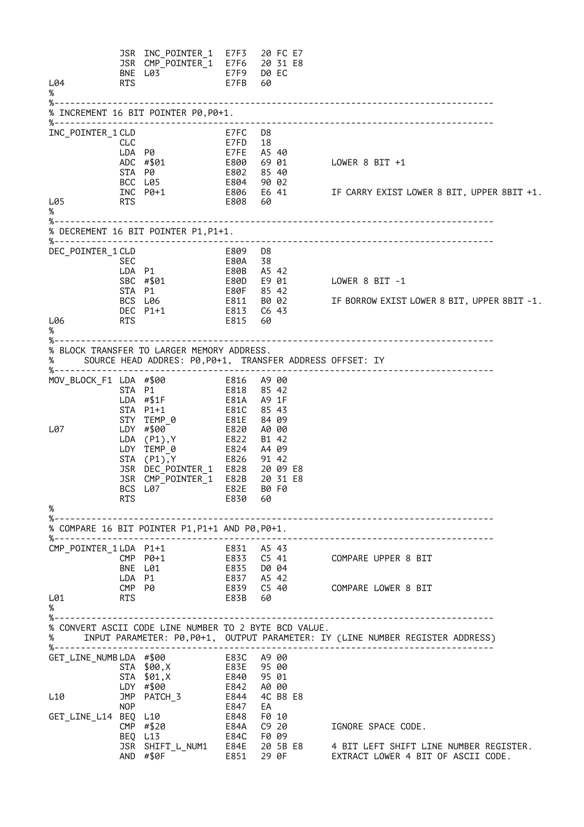JSR INC\_POINTER\_1 E7F3 20 FC E7 JSR CMP\_POINTER\_1 E7F6 20 31 E8 BNE L03 E7F9 D0 EC L04 RTS E7FB % %----------------------------------------------------------------------------------- % INCREMENT 16 BIT POINTER P0,P0+1. %----------------------------------------------------------------------------------- INC\_POINTER\_1 CLD CLD E7FC D8<br>CLC E7FD 18<br>LDA P0 E7FE A5 L716<br>E7FE A5 40 ADC #\$01 E800 69 01 LOWER 8 BIT +1 E802 85 40<br>E804 90 02<br>E806 E6 41 BCC L05<br>INC P0+1 INC P0+1 E806 E6 41 IF CARRY EXIST LOWER 8 BIT, UPPER 8BIT +1. L05 RTS E808 % %----------------------------------------------------------------------------------- % DECREMENT 16 BIT POINTER P1,P1+1. %----------------------------------------------------------------------------------- DEC\_POINTER\_1 CLD SEC E80A 38 LDA P1 E80B A5 42 SBC #\$01 E80D E9 01 LOWER 8 BIT -1 STA P1 E80F 85 42 BCS L06 E811 B0 02 IF BORROW EXIST LOWER 8 BIT, UPPER 8BIT -1. DEC P1+1 E813 C6 43 L06 RTS E815 60 % %----------------------------------------------------------------------------------- % BLOCK TRANSFER TO LARGER MEMORY ADDRESS. % SOURCE HEAD ADDRES: P0,P0+1, TRANSFER ADDRESS OFFSET: IY %----------------------------------------------------------------------------------- MOV\_BLOCK\_F1 LDA #\$00 E816 A9 00 STA P1 E818 85 42 E81A A9 1F STA P1+1 E81C 85 43<br>STY TEMP\_0 E81E 84 09<br>LDY #\$00 E820 A0 00 STY TEMP\_0 E81E 84 09 L07 LDY #\$00 E820 A0 00 LDA (P1),Y E822 B1 42 LDY TEMP\_0 E824 A4 09 STA (P1),Y E826 91 42 JSR DEC\_POINTER\_1 E828 20 09 E8 JSR CMP\_POINTER\_1 E82B 20 31 E8 BCS L07 E82E B0 F0 RTS E830 60 % %----------------------------------------------------------------------------------- % COMPARE 16 BIT POINTER P1,P1+1 AND P0,P0+1. %----------------------------------------------------------------------------------- CMP\_POINTER\_1 LDA P1+1<br>CMP P0+1 CMP P0+1 E833 C5 41 COMPARE UPPER 8 BIT BNE L01 LDA P1 E837 A5 42<br>
CMP P0 E839 C5 40 CS 40 COMPARE LOWER 8 BIT<br>60 L01 RTS E83B %<br>%-%----------------------------------------------------------------------------------- % CONVERT ASCII CODE LINE NUMBER TO 2 BYTE BCD VALUE. % INPUT PARAMETER: P0,P0+1, OUTPUT PARAMETER: IY (LINE NUMBER REGISTER ADDRESS) %----------------------------------------------------------------------------------- GET\_LINE\_NUMB LDA #\$00 E83C A9 00<br>STA \$00.X E83E 95 00 STA \$00,X E83E 95 00 STA \$01,X E840 95 01 LDY #\$00 E842 A0 00 L10 JMP PATCH\_3 E844 4C B8 E8 E847 EA<br>E848 F010<br>E84A C920 GET\_LINE\_L14 BEQ L10 E848 F0 10<br>CMP #\$20 E84A C9 20 CMP #\$20 E84A C9 20 IGNORE SPACE CODE. BEQ L13 E84C F0 09<br>JSR SHIFT\_L\_NUM1 E84E 20 5B E8 JSR SHIFT\_L\_NUM1 E84E 20 5B E8 4 BIT LEFT SHIFT LINE NUMBER REGISTER. EXTRACT LOWER 4 BIT OF ASCII CODE.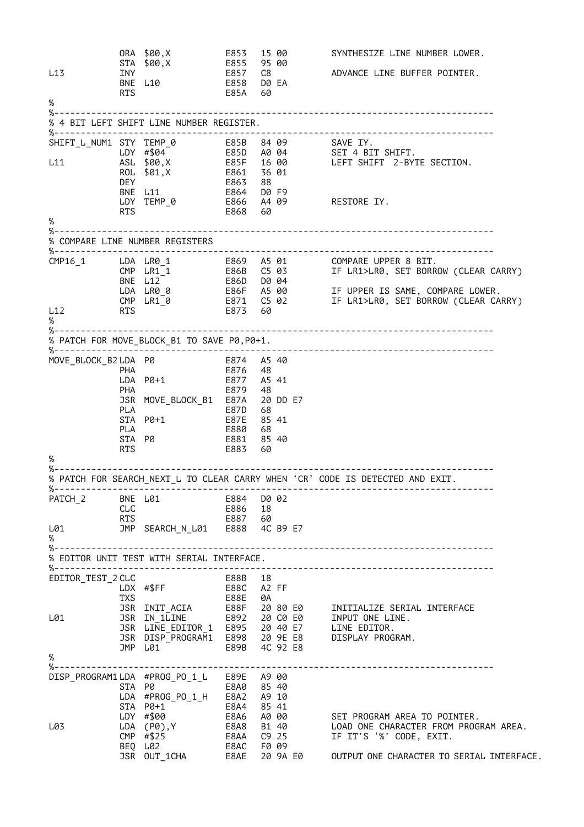ORA \$00,X E853 15 00 SYNTHESIZE LINE NUMBER LOWER.  $STA$  \$00, X<br>T<sub>N</sub><sub>1</sub> L13 INY E857 C8 ADVANCE LINE BUFFER POINTER. BNE L10 E858 D0 EA RTS E85A 60 % %----------------------------------------------------------------------------------- % 4 BIT LEFT SHIFT LINE NUMBER REGISTER. %----------------------------------------------------------------------------------- SHIFT\_L\_NUM1 STY TEMP\_0 E85B 84 09 SAVE IY. LDY #\$04 E85D A0 04 SET 4 BIT SHIFT. L11 ASL \$00,X E85F 16 00 LEFT SHIFT 2-BYTE SECTION. ROL \$01,X E861 36 01 DEY E863 88 BNE L11 E864 D0 F9 LDY TEMP\_0 E866 A4 09 RESTORE IY. RTS E868 60 % %----------------------------------------------------------------------------------- % COMPARE LINE NUMBER REGISTERS %----------------------------------------------------------------------------------- CMP16\_1 LDA LR0\_1 E869 A5 01 COMPARE UPPER 8 BIT. CMP LR1\_1 E86B C5 03 IF LR1>LR0, SET BORROW (CLEAR CARRY) BNE L12 E86D D0 04 LDA LR0\_0 E86F A5 00 IF UPPER IS SAME, COMPARE LOWER. CMP LR1\_0 E871 C5 02 IF LR1>LR0, SET BORROW (CLEAR CARRY) L12 RTS E873 60 % %----------------------------------------------------------------------------------- % PATCH FOR MOVE\_BLOCK\_B1 TO SAVE P0,P0+1. %----------------------------------------------------------------------------------- MOVE\_BLOCK\_B2 LDA P0 E874 A5 40 PHA E876 48 LDA P0+1 E877 A5 41 PHA E879 48 JSR MOVE\_BLOCK\_B1 E87A 20 DD E7 PLA E87D 68 STA P0+1 E87E 85 41 PLA E880 68 STA P0 E881 85 40 RTS E883 60 % %----------------------------------------------------------------------------------- % PATCH FOR SEARCH\_NEXT\_L TO CLEAR CARRY WHEN 'CR' CODE IS DETECTED AND EXIT. %----------------------------------------------------------------------------------- PATCH\_2 BNE L01 E884 D0 02<br>CLC E886 18 CLC<br>RTS RTS E887 60 L01 JMP SEARCH\_N\_L01 E888 4C B9 E7 % %----------------------------------------------------------------------------------- % EDITOR UNIT TEST WITH SERIAL INTERFACE. %----------------------------------------------------------------------------------- EDITOR\_TEST\_2 CLC E88B 18 LDX #\$FF E88C A2 FF TXS E88E 0A JSR INIT\_ACIA E88F 20 80 E0 INITIALIZE SERIAL INTERFACE L01 JSR IN\_1LINE E892 20 C0 E0 INPUT ONE LINE. JSR LINE\_EDITOR\_1 E895 20 40 E7 LINE EDITOR. JSR DISP\_PROGRAM1 E898 20 9E E8 DISPLAY PROGRAM. JMP L01 E89B 4C 92 E8 % %----------------------------------------------------------------------------------- DISP\_PROGRAM1 LDA #PROG\_PO\_1\_L E89E A9 00 STA P0 E8A0 85 40 LDA #PROG\_PO\_1\_H E8A2 A9 10 STA P0+1 E8A4 85 41 LDY #\$00 E8A6 A0 00 SET PROGRAM AREA TO POINTER. L03 LDA (P0),Y E8A8 B1 40 LOAD ONE CHARACTER FROM PROGRAM AREA. CMP #\$25 E8AA C9 25 IF IT'S '%' CODE, EXIT. BEQ L02 E8AC F0 09 JSR OUT\_1CHA E8AE 20 9A E0 OUTPUT ONE CHARACTER TO SERIAL INTERFACE.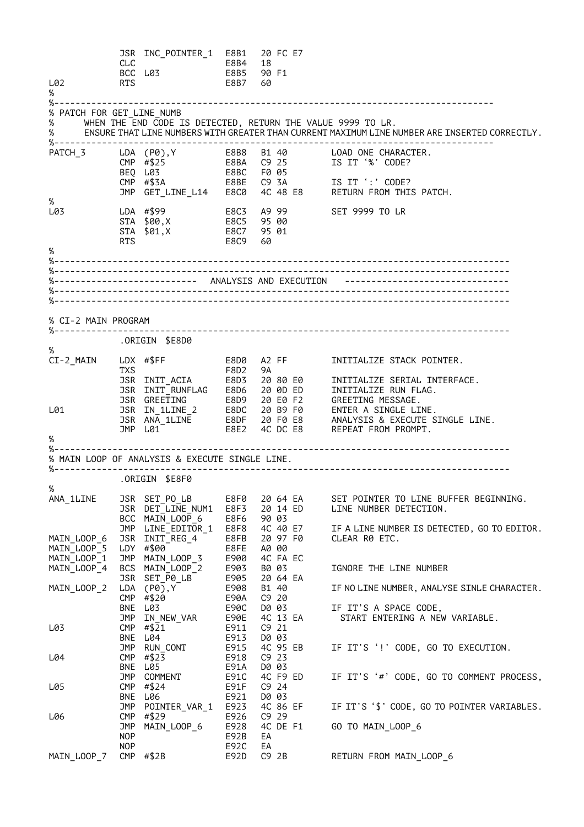|                                                       | CLC                      | JSR INC_POINTER_1 E8B1<br>BCC L03                           | E8B4<br>E8B5             | 18<br>90 F1 | 20 FC E7          |          |                                                                                                                                                                                                                                        |
|-------------------------------------------------------|--------------------------|-------------------------------------------------------------|--------------------------|-------------|-------------------|----------|----------------------------------------------------------------------------------------------------------------------------------------------------------------------------------------------------------------------------------------|
| L02<br>%                                              | <b>RTS</b>               |                                                             | E8B7                     | 60          |                   |          |                                                                                                                                                                                                                                        |
| $\%$ - - - - - - - - - -<br>% PATCH FOR GET_LINE_NUMB |                          |                                                             |                          |             |                   |          |                                                                                                                                                                                                                                        |
| $\%$                                                  |                          | WHEN THE END CODE IS DETECTED, RETURN THE VALUE 9999 TO LR. |                          |             |                   |          |                                                                                                                                                                                                                                        |
| %                                                     |                          |                                                             |                          |             |                   |          | ENSURE THAT LINE NUMBERS WITH GREATER THAN CURRENT MAXIMUM LINE NUMBER ARE INSERTED CORRECTLY.<br>-----------------                                                                                                                    |
| PATCH_3                                               |                          | LDA (P0),Y<br>CMP #\$25                                     | E8B8 B1 40               |             |                   |          | LOAD ONE CHARACTER.<br>IS IT '%' CODE?                                                                                                                                                                                                 |
|                                                       |                          | BEQ L03                                                     |                          |             |                   |          |                                                                                                                                                                                                                                        |
|                                                       |                          | CMP $\#$ \$3A<br>JMP GET_LINE_L14 E8C0                      |                          |             |                   |          | E8BE  C9 3A  IS  IT ':' CODE?<br>4C 48 E8 RETURN FROM THIS PATCH.                                                                                                                                                                      |
| $\%$                                                  |                          |                                                             |                          |             |                   |          |                                                                                                                                                                                                                                        |
| L03                                                   |                          | LDA #\$99                                                   | E8C3 A9 99               |             |                   |          | SET 9999 TO LR                                                                                                                                                                                                                         |
|                                                       |                          | STA \$00,X<br>STA \$01, X                                   | E8C5 95 00<br>E8C7 95 01 |             |                   |          |                                                                                                                                                                                                                                        |
|                                                       | <b>RTS</b>               |                                                             | E8C9                     | 60          |                   |          |                                                                                                                                                                                                                                        |
| $\%$                                                  |                          |                                                             |                          |             |                   |          |                                                                                                                                                                                                                                        |
|                                                       |                          |                                                             |                          |             |                   |          |                                                                                                                                                                                                                                        |
|                                                       |                          |                                                             |                          |             |                   |          |                                                                                                                                                                                                                                        |
|                                                       |                          |                                                             |                          |             |                   |          |                                                                                                                                                                                                                                        |
|                                                       |                          |                                                             |                          |             |                   |          |                                                                                                                                                                                                                                        |
| % CI-2 MAIN PROGRAM                                   |                          |                                                             |                          |             |                   |          |                                                                                                                                                                                                                                        |
|                                                       |                          | .ORIGIN \$E8D0                                              |                          |             |                   |          |                                                                                                                                                                                                                                        |
| $\%$<br>CI-2_MAIN                                     |                          |                                                             |                          |             |                   |          |                                                                                                                                                                                                                                        |
|                                                       | <b>TXS</b>               |                                                             | F8D2 9A                  |             |                   |          |                                                                                                                                                                                                                                        |
|                                                       |                          |                                                             |                          |             |                   |          | USR INIT_ACIA FOUZ FAND INITIALIZE SERIAL INTERFACE.<br>JSR INIT_RUNFLAG E8D6 20 0D ED INITIALIZE RUN FLAG.<br>JSR GREETING F8D9 20 E0 F2 GREETING MESSAGE.<br>JSR IN_1LINE_2 F8DC 20 B9 F0 ENTER A SINGLE LINE.<br>JSR ANA_1LINE F8DF |
|                                                       |                          |                                                             |                          |             |                   |          |                                                                                                                                                                                                                                        |
| L01                                                   |                          |                                                             |                          |             |                   |          |                                                                                                                                                                                                                                        |
|                                                       |                          |                                                             |                          |             |                   |          |                                                                                                                                                                                                                                        |
|                                                       |                          |                                                             |                          |             |                   |          |                                                                                                                                                                                                                                        |
| %                                                     |                          |                                                             |                          |             |                   |          |                                                                                                                                                                                                                                        |
|                                                       |                          | % MAIN LOOP OF ANALYSIS & EXECUTE SINGLE LINE.              |                          |             |                   |          |                                                                                                                                                                                                                                        |
|                                                       |                          |                                                             |                          |             |                   |          |                                                                                                                                                                                                                                        |
| %                                                     |                          | ORIGIN \$E8F0.                                              |                          |             |                   |          |                                                                                                                                                                                                                                        |
| ANA_1LINE                                             |                          | JSR SET_PO_LB                                               | E8F0                     |             |                   | 20 64 EA | SET POINTER TO LINE BUFFER BEGINNING.                                                                                                                                                                                                  |
|                                                       |                          | JSR DET_LINE_NUM1                                           | E8F3                     |             |                   | 20 14 ED | LINE NUMBER DETECTION.                                                                                                                                                                                                                 |
|                                                       | <b>JMP</b>               | BCC MAIN LOOP 6<br>LINE EDITOR 1                            | E8F6<br>E8F8             | 90 03       | 4C 40 E7          |          | IF A LINE NUMBER IS DETECTED, GO TO EDITOR.                                                                                                                                                                                            |
| MAIN LOOP 6                                           | <b>JSR</b>               | INIT_REG_4                                                  | E8FB                     |             | 20 97 F0          |          | CLEAR R0 ETC.                                                                                                                                                                                                                          |
| MAIN LOOP 5                                           |                          | LDY #\$00                                                   | E8FE                     | A0 00       |                   |          |                                                                                                                                                                                                                                        |
| MAIN LOOP 1<br>MAIN_LOOP_4                            | JMP<br><b>BCS</b>        | MAIN_LOOP_3<br>MAIN_LOOP_2                                  | E900<br>E903             |             | 4C FA EC<br>B0 03 |          | IGNORE THE LINE NUMBER                                                                                                                                                                                                                 |
|                                                       |                          | JSR SET_P0_LB                                               | E905                     |             | 20 64 EA          |          |                                                                                                                                                                                                                                        |
| MAIN LOOP 2                                           | LDA                      | $(PØ)$ , Y                                                  | E908                     |             | B1 40             |          | IF NO LINE NUMBER, ANALYSE SINLE CHARACTER.                                                                                                                                                                                            |
|                                                       | <b>CMP</b>               | #\$20                                                       | E90A                     |             | C920              |          |                                                                                                                                                                                                                                        |
|                                                       | JMP                      | BNE L03<br>IN_NEW_VAR                                       | E90C<br>E90E             | D0 03       |                   | 4C 13 EA | IF IT'S A SPACE CODE,<br>START ENTERING A NEW VARIABLE.                                                                                                                                                                                |
| L03                                                   |                          | $CMP$ #\$21                                                 | E911                     | C9 21       |                   |          |                                                                                                                                                                                                                                        |
|                                                       |                          | BNE L04                                                     | E913                     |             | D0 03             |          |                                                                                                                                                                                                                                        |
| L04                                                   | CMP                      | JMP RUN_CONT<br>#\$23                                       | E915<br>E918             |             | C9 23             | 4C 95 EB | IF IT'S '!' CODE, GO TO EXECUTION.                                                                                                                                                                                                     |
|                                                       |                          | BNE L05                                                     | E91A                     |             | D0 03             |          |                                                                                                                                                                                                                                        |
|                                                       |                          | JMP COMMENT                                                 | E91C                     |             | 4C F9 ED          |          | IF IT'S '#' CODE, GO TO COMMENT PROCESS,                                                                                                                                                                                               |
| L05                                                   | CMP<br>BNE               | #\$24<br>L06                                                | E91F<br>E921             |             | $C9$ 24<br>D0 03  |          |                                                                                                                                                                                                                                        |
|                                                       | JMP                      | POINTER_VAR_1                                               | E923                     |             | 4C 86 EF          |          | IF IT'S '\$' CODE, GO TO POINTER VARIABLES.                                                                                                                                                                                            |
| L06                                                   | <b>CMP</b>               | #\$29                                                       | E926                     | C9 29       |                   |          |                                                                                                                                                                                                                                        |
|                                                       | JMP                      | MAIN_LOOP_6                                                 | E928                     |             | 4C DE F1          |          | GO TO MAIN LOOP 6                                                                                                                                                                                                                      |
|                                                       | <b>NOP</b><br><b>NOP</b> |                                                             | E92B<br>E92C             | EA<br>EA    |                   |          |                                                                                                                                                                                                                                        |
| MAIN LOOP 7                                           |                          | CMP $# $2B$                                                 | E92D                     |             | C9 2B             |          | RETURN FROM MAIN_LOOP_6                                                                                                                                                                                                                |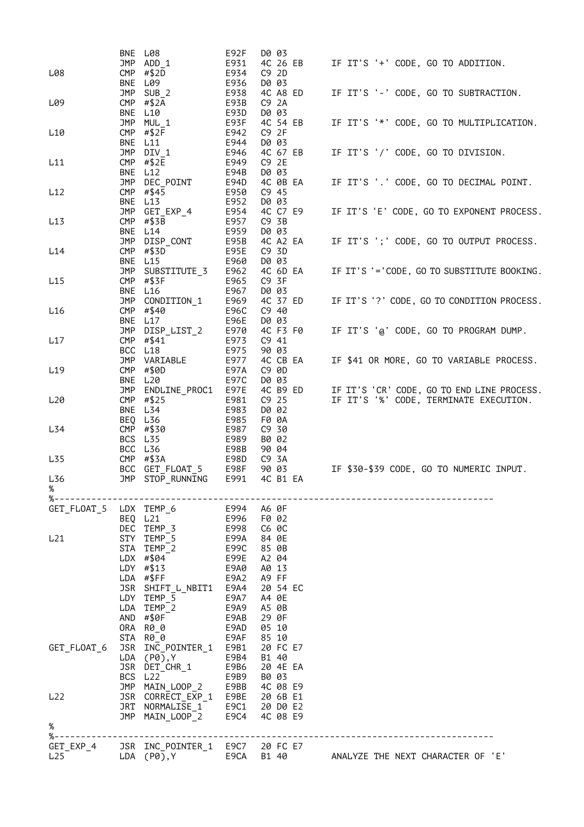|                                      | BNE               | L08                                  | E92F         | D0 03                               |                                            |
|--------------------------------------|-------------------|--------------------------------------|--------------|-------------------------------------|--------------------------------------------|
| L08                                  | JMP<br><b>CMP</b> | ADD 1<br>#\$2D                       | E931<br>E934 | 4C 26 EB<br>C9 2D                   | IF IT'S '+' CODE, GO TO ADDITION.          |
|                                      | <b>BNE</b>        | L09                                  | E936         | D0 03                               |                                            |
|                                      | <b>JMP</b>        | $SUB_2$                              | E938         | 4C A8 ED                            | IF IT'S '-' CODE, GO TO SUBTRACTION.       |
| L09                                  | CMP               | #\$2A                                | E93B         | C9 2A                               |                                            |
|                                      | <b>BNE</b>        | L10                                  | E93D         | D0 03                               |                                            |
| L <sub>10</sub>                      | <b>JMP</b><br>CMP | MUL 1<br>#\$2F                       | E93F<br>E942 | 4C 54 EB<br>C9 2F                   | IF IT'S '*' CODE, GO TO MULTIPLICATION.    |
|                                      | BNE               | L11                                  | E944         | D0 03                               |                                            |
|                                      | <b>JMP</b>        | DIV 1                                | E946         | 4C 67 EB                            | IF IT'S '/' CODE, GO TO DIVISION.          |
| L11                                  | CMP               | #\$2E                                | E949         | C9 2E                               |                                            |
|                                      | BNE               | L12                                  | E94B         | D0 03                               |                                            |
|                                      | JMP               | DEC POINT                            | E94D         | 4C 0B EA                            | IF IT'S '.' CODE, GO TO DECIMAL POINT.     |
| L12                                  | CMP<br>BNE        | #\$45<br>L <sub>13</sub>             | E950<br>E952 | $C9$ 45<br>D0 03                    |                                            |
|                                      | JMP               | GET_EXP_4                            | E954         | 4C C7 E9                            | IF IT'S 'E' CODE, GO TO EXPONENT PROCESS.  |
| L13                                  | CMP               | #\$3B                                | E957         | C9 3B                               |                                            |
|                                      | BNE               | L14                                  | E959         | D0 03                               |                                            |
|                                      | JMP               | DISP_CONT                            | E95B         | 4C A2 EA                            | IF IT'S ';' CODE, GO TO OUTPUT PROCESS.    |
| L14                                  | CMP               | #\$3D                                | E95E         | C9 3D                               |                                            |
|                                      | BNE<br>JMP        | L15<br>SUBSTITUTE_3                  | E960<br>E962 | D0 03<br>4C 6D EA                   | IF IT'S '='CODE, GO TO SUBSTITUTE BOOKING. |
| L15                                  | CMP               | #\$3F                                | E965         | C9 3F                               |                                            |
|                                      |                   | BNE L16                              | E967         | D0 03                               |                                            |
|                                      | <b>JMP</b>        | CONDITION 1                          | E969         | 4C 37 ED                            | IF IT'S '?' CODE, GO TO CONDITION PROCESS. |
| L16                                  | CMP               | #\$40                                | E96C         | C9 40                               |                                            |
|                                      |                   | BNE L17                              | E96E         | D0 03                               |                                            |
|                                      | JMP               | DISP_LIST_2                          | E970         | 4C F3 F0                            | IF IT'S '@' CODE, GO TO PROGRAM DUMP.      |
| L17                                  | CMP<br>BCC        | #\$41<br>L18                         | E973<br>E975 | C941<br>90 03                       |                                            |
|                                      |                   | JMP VARIABLE                         | E977         | 4C CB EA                            | IF \$41 OR MORE, GO TO VARIABLE PROCESS.   |
| L <sub>19</sub>                      | CMP               | #\$0D                                | E97A         | C9 0D                               |                                            |
|                                      |                   | BNE L20                              | E97C         | D0 03                               |                                            |
|                                      | <b>JMP</b>        | ENDLINE_PROC1                        | E97E         | 4C B9 ED                            | IF IT'S 'CR' CODE, GO TO END LINE PROCESS. |
| L <sub>20</sub>                      | CMP               | #\$25                                | E981         | $C9$ 25                             | IF IT'S '%' CODE, TERMINATE EXECUTION.     |
|                                      | BNE               | L34<br>BEQ L36                       | E983<br>E985 | D0 02<br>F0 0A                      |                                            |
| L34                                  | CMP               | #\$30                                | E987         | C9 30                               |                                            |
|                                      |                   | BCS L35                              | E989         | B0 02                               |                                            |
|                                      | BCC               | L36                                  | E98B         | 90 04                               |                                            |
| L <sub>35</sub>                      | CMP               | #\$3A                                | E98D         | C9 3A                               |                                            |
|                                      | BCC               | GET_FLOAT_5                          | E98F         | 90 03                               | IF \$30-\$39 CODE, GO TO NUMERIC INPUT.    |
| L <sub>36</sub><br>%                 | <b>JMP</b>        | STOP_RUNNING                         | E991         | 4C B1 EA                            |                                            |
| $\%$ – – – – – – –                   |                   |                                      |              | ----------------------------------- |                                            |
| GET FLOAT 5                          |                   | LDX TEMP_6                           | E994         | A6 0F                               |                                            |
|                                      |                   | BEQ L21                              | E996         | F0 02                               |                                            |
|                                      | DEC               | TEMP_3                               | E998         | C6 0C                               |                                            |
| L21                                  |                   | STY TEMP 5<br>STA TEMP 2             | E99A<br>E99C | 84 0E<br>85 0B                      |                                            |
|                                      |                   | LDX #\$04                            | E99E         | A2 04                               |                                            |
|                                      |                   | LDY $\#$ \$13                        | E9A0         | A0 13                               |                                            |
|                                      |                   | LDA #\$FF                            | E9A2         | A9 FF                               |                                            |
|                                      |                   | JSR SHIFT_L_NBIT1                    | E9A4         | 20 54 EC                            |                                            |
|                                      |                   | LDY TEMP_5                           | E9A7         | A4 0E                               |                                            |
|                                      |                   | LDA TEMP 2                           | E9A9         | A5 0B                               |                                            |
|                                      | AND<br>0RA        | #\$0F<br>R0 0                        | E9AB<br>E9AD | 29 OF<br>05 10                      |                                            |
|                                      |                   | STA R00                              | E9AF         | 85 10                               |                                            |
| GET_FLOAT 6                          |                   | JSR INC_POINTER_1                    | E9B1         | 20 FC E7                            |                                            |
|                                      |                   | LDA (P0), Y                          | E9B4         | B1 40                               |                                            |
|                                      |                   | JSR DET_CHR_1                        | E9B6         | 20 4E EA                            |                                            |
|                                      |                   | BCS L22                              | E9B9         | B0 03                               |                                            |
| L <sub>22</sub>                      |                   | JMP MAIN_LOOP_2<br>JSR CORRECT_EXP_1 | E9BB<br>E9BE | 4C 08 E9<br>20 6B E1                |                                            |
|                                      |                   | JRT NORMALISE 1                      | E9C1         | 20 D0 E2                            |                                            |
|                                      |                   | JMP MAIN_LOOP_2                      | E9C4         | 4C 08 E9                            |                                            |
| %                                    |                   |                                      |              |                                     |                                            |
| $% - - - - - - - - - -$<br>GET_EXP_4 |                   | JSR INC_POINTER_1 E9C7               |              | 20 FC E7                            |                                            |
| L <sub>25</sub>                      |                   | $LDA$ $(P0)$ , Y                     | E9CA         | B1 40                               | ANALYZE THE NEXT CHARACTER OF 'E'          |
|                                      |                   |                                      |              |                                     |                                            |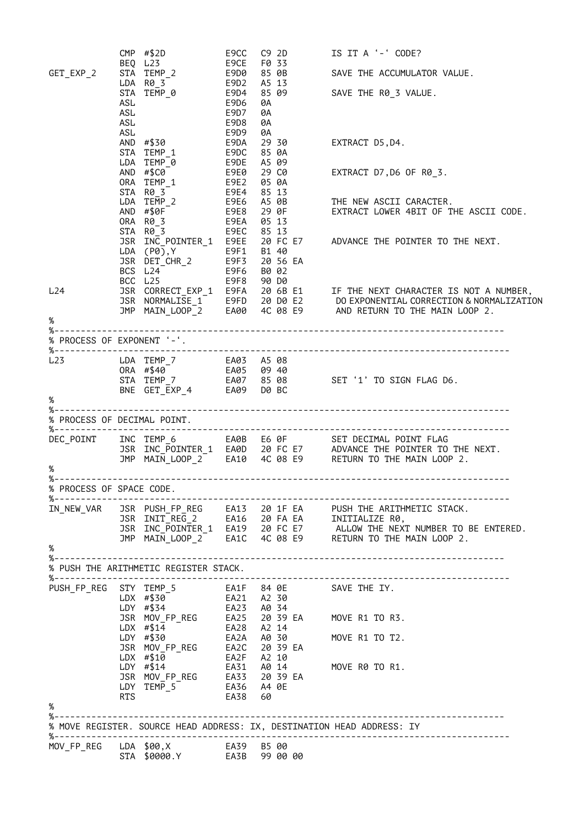|                                       |                   | $CMP$ #\$2D                                              | E9CC                        | C92D                             |  | IS IT A '-' CODE?                                                                                                                                                                                                                                 |
|---------------------------------------|-------------------|----------------------------------------------------------|-----------------------------|----------------------------------|--|---------------------------------------------------------------------------------------------------------------------------------------------------------------------------------------------------------------------------------------------------|
| GET_EXP_2                             |                   | BEQ L23<br>STA TEMP_2<br>LDA R0 3                        | E9CE<br>E9D0<br>E9D2        | F0 33<br>85 0B                   |  | SAVE THE ACCUMULATOR VALUE.                                                                                                                                                                                                                       |
|                                       | ASL<br>ASL<br>ASL | LDA R0_3<br>STA TEMP_0 E9D4<br>E9D8                      | E9D6<br>E9D7                | A5 13<br>85 09<br>0A<br>0A<br>0A |  | SAVE THE R0_3 VALUE.                                                                                                                                                                                                                              |
|                                       | ASL               | AND #\$30<br>STA TEMP 1<br>LDA TEMP 0                    | E9D9<br>E9DA<br>E9DC        | 0A<br>29 30<br>85 0A<br>A5 09    |  | EXTRACT D5, D4.                                                                                                                                                                                                                                   |
|                                       |                   | AND #\$C0<br>ORA TEMP_1 E9E2                             | E9DE<br>E9E0                | 29 C0<br>05 0A                   |  | EXTRACT D7, D6 OF R0_3.                                                                                                                                                                                                                           |
|                                       |                   | E9EA                                                     |                             |                                  |  |                                                                                                                                                                                                                                                   |
|                                       |                   | STA R0_3<br>E9F8 90 D0<br>BCC L25                        | E9EC 85 13                  |                                  |  | JSR INC_POINTER_1 E9EE 20 FC E7 ADVANCE THE POINTER TO THE NEXT.                                                                                                                                                                                  |
| L24<br>%                              |                   |                                                          |                             |                                  |  | JSR CORRECT_EXP_1 E9FA 20 6B E1 IF THE NEXT CHARACTER IS NOT A NUMBER,<br>JSR NORMALISE_1 E9FD 20 D0 E2 DO EXPONENTIAL CORRECTION & NORMALIZATION<br>JMP MAIN_LOOP_2 EA00 4C 08 E9 AND RETURN TO THE MAIN LOOP 2.                                 |
| $% - -$<br>% PROCESS OF EXPONENT '-'. |                   |                                                          |                             |                                  |  |                                                                                                                                                                                                                                                   |
| %-----------------------              |                   |                                                          |                             |                                  |  |                                                                                                                                                                                                                                                   |
| L23<br>%                              |                   |                                                          |                             |                                  |  |                                                                                                                                                                                                                                                   |
| %-                                    |                   |                                                          |                             |                                  |  |                                                                                                                                                                                                                                                   |
| % PROCESS OF DECIMAL POINT.           |                   |                                                          |                             |                                  |  |                                                                                                                                                                                                                                                   |
| DEC POINT<br>$\%$                     |                   |                                                          |                             |                                  |  |                                                                                                                                                                                                                                                   |
| % PROCESS OF SPACE CODE.              |                   |                                                          |                             |                                  |  |                                                                                                                                                                                                                                                   |
| %--------------------                 |                   |                                                          |                             |                                  |  | $\overline{1}N\_NEW\_VAR$ JSR PUSH_FP_REG EA13 20 1F EA PUSH THE ARITHMETIC STACK.<br>JSR INIT_REG_2 EA16 20 FA EA INITIALIZE R0,<br>JSR INC_POINTER_1 EA19 20 FC E7 ALLOW THE NEXT NUMBER TO BE ENTERED.<br>JMP MAIN_LOOP_2 EA1C 4C 08 E9 RETURN |
| $\%$                                  |                   |                                                          |                             |                                  |  |                                                                                                                                                                                                                                                   |
|                                       |                   |                                                          |                             |                                  |  |                                                                                                                                                                                                                                                   |
|                                       |                   | % PUSH THE ARITHMETIC REGISTER STACK.                    |                             |                                  |  |                                                                                                                                                                                                                                                   |
| PUSH_FP_REG                           |                   | STY TEMP_5<br>954 #34<br>DDY #\$34                       | EA23 A0 34                  |                                  |  | EA1F    84  0E                SAVE  THE  IY.<br>EA21     A2  30                                                                                                                                                                                   |
|                                       |                   | $LDX$ #\$14                                              | EA28 A2 14                  |                                  |  | JSR MOV_FP_REG EA25 20 39 EA MOVE R1 TO R3.                                                                                                                                                                                                       |
|                                       |                   | LDY #\$30                                                | EA2A A0 30                  |                                  |  | MOVE R1 TO T2.                                                                                                                                                                                                                                    |
|                                       |                   | JSR MOV_FP_REG<br>LDX #\$10                              | EA2C 20 39 EA<br>EA2F A2 10 |                                  |  |                                                                                                                                                                                                                                                   |
|                                       |                   | $LDY$ #\$14                                              | EA31 A0 14                  |                                  |  | MOVE R0 TO R1.                                                                                                                                                                                                                                    |
| %                                     | <b>RTS</b>        | JSR MOV_FP_REG EA33 20 39 EA<br>EA36 A4 0E<br>LDY TEMP_5 | EA38                        | 60                               |  |                                                                                                                                                                                                                                                   |
|                                       |                   |                                                          |                             |                                  |  | % MOVE REGISTER. SOURCE HEAD ADDRESS: IX, DESTINATION HEAD ADDRESS: IY                                                                                                                                                                            |
|                                       |                   |                                                          |                             |                                  |  |                                                                                                                                                                                                                                                   |
| MOV_FP_REG                            |                   |                                                          |                             |                                  |  |                                                                                                                                                                                                                                                   |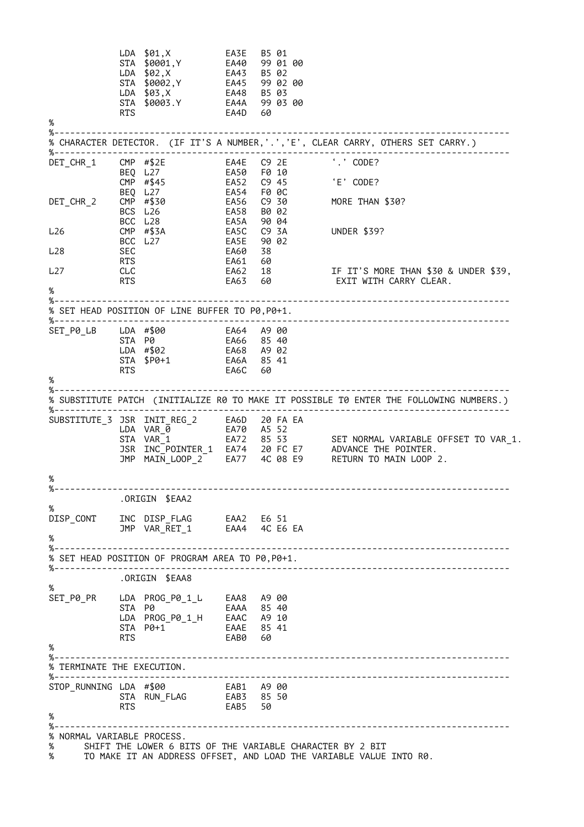LDA \$01,X EA3E B5 01 STA \$0001,Y EA40 99 01 00 LDA \$02,X EA43 B5 02 STA \$0002,Y EA45 99 02 00 LDA \$03,X EA48 B5 03 STA \$0003.Y EA4A 99 03 00 RTS EA4D 60 % %-------------------------------------------------------------------------------------- % CHARACTER DETECTOR. (IF IT'S A NUMBER,'.','E', CLEAR CARRY, OTHERS SET CARRY.) %-------------------------------------------------------------------------------------- DET\_CHR\_1 CMP #\$2E EA4E C9 2E<br>
BEQ L27 EA50 F0 10<br>
CMP #\$45 EA52 C9 45<br>
DET\_CHR\_2 CMP #\$30 EA56 C9 30 BEQ L27 EA50 F0 10 CMP #\$45 EA52 C9 45 'E' CODE? BEQ L27 EA54 F0 0C DET\_CHR\_2 CMP #\$30 EA56 C9 30 MORE THAN \$30? BCS L26 EA58 B0 02 BCC L28 EA5A 90 04 L26 CMP #\$3A EA5C C9 3A UNDER \$39? BCC L27 EA5E 90 02 L28 SEC EA60 38 RTS EA61 60 L27 CLC EA62 18 IF IT'S MORE THAN \$30 & UNDER \$39, RTS EA63 60 EXIT WITH CARRY CLEAR.  $\alpha$ %-------------------------------------------------------------------------------------- % SET HEAD POSITION OF LINE BUFFER TO P0,P0+1. %-------------------------------------------------------------------------------------- SET\_P0\_LB LDA #\$00 EA64 A9 00 STA P0 EA66 85 40 LDA #\$02 EA68 A9 02 STA \$P0+1 EA6A 85 41 RTS EA6C 60 % %-------------------------------------------------------------------------------------- % SUBSTITUTE PATCH (INITIALIZE R0 TO MAKE IT POSSIBLE T0 ENTER THE FOLLOWING NUMBERS.) %-------------------------------------------------------------------------------------- SUBSTITUTE\_3 JSR INIT\_REG\_2 EA6D 20 FA EA LDA VAR\_0 EA70 A5 52 STA VAR\_1 EA72 85 53 SET NORMAL VARIABLE OFFSET TO VAR\_1. JSR INC\_POINTER\_1 EA74 20 FC E7 ADVANCE THE POINTER. JMP MAIN\_LOOP\_2 EA77 4C 08 E9 RETURN TO MAIN LOOP 2. % %-------------------------------------------------------------------------------------- .ORIGIN \$EAA2 % DISP\_CONT INC DISP\_FLAG EAA2 E6 51 JMP VAR\_RET\_1 EAA4 4C E6 EA % %-------------------------------------------------------------------------------------- % SET HEAD POSITION OF PROGRAM AREA TO P0,P0+1. %-------------------------------------------------------------------------------------- .ORIGIN \$EAA8 % SET\_P0\_PR LDA PROG\_P0\_1\_L EAA8 A9 00 STA P0 EAAA 85 40 LDA PROG\_P0\_1\_H EAAC A9 10 STA P0+1 EAAE 85 41 RTS EAB0 60 % %-------------------------------------------------------------------------------------- % TERMINATE THE EXECUTION. %-------------------------------------------------------------------------------------- STOP\_RUNNING LDA #\$00 EAB1 A9 00 STA RUN\_FLAG EAB3 85 50 RTS EAB5 50 % %-------------------------------------------------------------------------------------- % NORMAL VARIABLE PROCESS.<br>% SHIFT THE LOWER 6 BI % SHIFT THE LOWER 6 BITS OF THE VARIABLE CHARACTER BY 2 BIT TO MAKE IT AN ADDRESS OFFSET, AND LOAD THE VARIABLE VALUE INTO R0.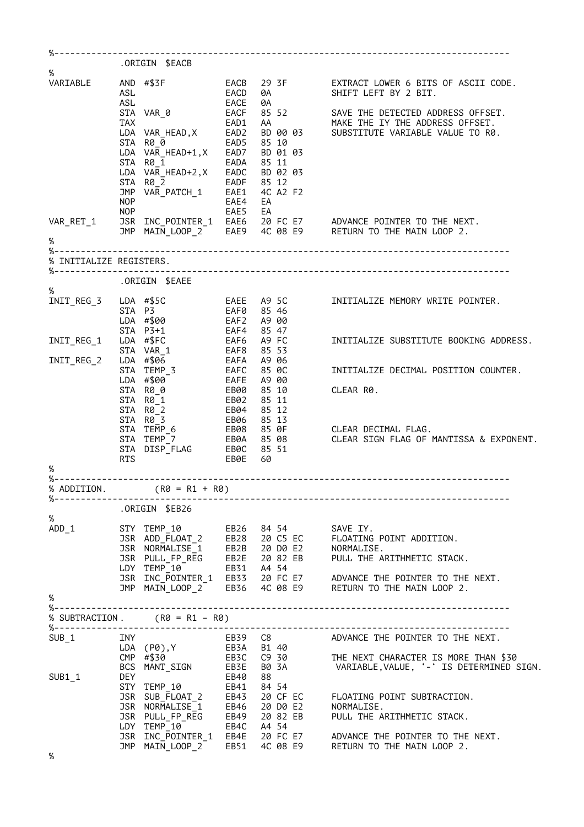| $\%$                      |            | .ORIGIN \$EACB                                                                                                                                                                                                                                                               |                     |                                                               |                                                                                                                                                                                                                                                                                                                |
|---------------------------|------------|------------------------------------------------------------------------------------------------------------------------------------------------------------------------------------------------------------------------------------------------------------------------------|---------------------|---------------------------------------------------------------|----------------------------------------------------------------------------------------------------------------------------------------------------------------------------------------------------------------------------------------------------------------------------------------------------------------|
| VARIABLE                  | ASL<br>ASL | STA VAR_0<br>LOA VAR_HEAD, X<br>LOA VAR_HEAD, X EAD2<br>STA R0 0<br>STA R0_0 EAD5 85 10                                                                                                                                                                                      | <b>EACD</b><br>EACE | 0A                                                            | AND #\$3F EACB 29 3F EXTRACT LOWER 6 BITS OF ASCII CODE.<br>0A SHIFT LEFT BY 2 BIT.<br>EACF 85 52 SAVE THE DETECTED ADDRESS OFFSET.<br>AA MAKE THE IY THE ADDRESS OFFSET.<br>BD 00 03 SUBSTITUTE VARIABLE VALUE TO R0.                                                                                         |
|                           | NOP        | LDA VAR_HEAD+1,X EAD7 BD 01 03<br>EADA<br>STA R0_1<br>LDA VAR_HEAD+2, X EADC BD 02 03<br>$\begin{array}{lll} \text{STA} & \text{R0} & \overline{2} & \text{EADF} & 85 & 12 \\ \text{JMP} & \text{VAR\_PATCH}_1 & \text{EAE1} & 4C & A2 & F2 \end{array}$<br>NOP <sub>2</sub> | EAE4 EA<br>EAE5 EA  | 85 11                                                         |                                                                                                                                                                                                                                                                                                                |
|                           |            |                                                                                                                                                                                                                                                                              |                     |                                                               | VAR_RET_1 JSR INC_POINTER_1 EAE6 20 FC E7 ADVANCE POINTER TO THE NEXT.<br>JMP MAIN_LOOP_2 EAE9 4C 08 E9 RETURN TO THE MAIN LOOP 2.                                                                                                                                                                             |
| $\%$                      |            |                                                                                                                                                                                                                                                                              |                     |                                                               |                                                                                                                                                                                                                                                                                                                |
| % INITIALIZE REGISTERS.   |            |                                                                                                                                                                                                                                                                              |                     |                                                               |                                                                                                                                                                                                                                                                                                                |
|                           |            | .ORIGIN \$EAEE                                                                                                                                                                                                                                                               |                     |                                                               |                                                                                                                                                                                                                                                                                                                |
| %<br>INIT_REG_3           |            | STA P3<br>LDA #\$00<br>STA P3+1                                                                                                                                                                                                                                              |                     | EAF0 85 46<br>EAF2 A9 00<br>EAF4 85 47                        | LDA #\$5C 6AEE A9 5C INITIALIZE MEMORY WRITE POINTER.                                                                                                                                                                                                                                                          |
| INIT_REG_2                |            | INIT_REG_1 LDA #\$FC<br>STA VAR_1<br>LDA #\$06                                                                                                                                                                                                                               |                     | EAF6 A9 FC<br>EAF8 85 53<br>EAFA A9 06                        | INITIALIZE SUBSTITUTE BOOKING ADDRESS.                                                                                                                                                                                                                                                                         |
|                           |            | EAFC 85 0C<br>STA TEMP 3<br>LDA #\$00                                                                                                                                                                                                                                        |                     | A9 00                                                         | INITIALIZE DECIMAL POSITION COUNTER.                                                                                                                                                                                                                                                                           |
|                           |            | STA R0_0<br>$STA \quad RO \quad 1$ EB02<br>STA R0_2<br>STA R0 3                                                                                                                                                                                                              |                     | EAFE A9 00<br>EB00 85 10<br>85 11<br>EB04 85 12<br>EB06 85 13 | CLEAR R0.                                                                                                                                                                                                                                                                                                      |
| %                         | <b>RTS</b> | STA TEMP <sub>6</sub>                                                                                                                                                                                                                                                        | EB0E                | 60                                                            | EB08 85 OF CLEAR DECIMAL FLAG.<br>STA TEMP <sup>T</sup><br>STA DISPIFLAG EB0C 85 51<br>STA DISPIFLAG EB0C 85 51                                                                                                                                                                                                |
|                           |            | % ADDITION. $( R0 = R1 + R0)$                                                                                                                                                                                                                                                |                     |                                                               |                                                                                                                                                                                                                                                                                                                |
| $% - - - - - - - - - - -$ |            | ORIGIN \$EB26.                                                                                                                                                                                                                                                               |                     |                                                               |                                                                                                                                                                                                                                                                                                                |
| %<br>$ADD_1$              |            |                                                                                                                                                                                                                                                                              |                     |                                                               |                                                                                                                                                                                                                                                                                                                |
|                           |            |                                                                                                                                                                                                                                                                              |                     |                                                               |                                                                                                                                                                                                                                                                                                                |
| %                         |            |                                                                                                                                                                                                                                                                              |                     |                                                               |                                                                                                                                                                                                                                                                                                                |
|                           |            | % SUBTRACTION. (R0 = R1 - R0)<br>%-----------------------------                                                                                                                                                                                                              |                     |                                                               |                                                                                                                                                                                                                                                                                                                |
| SUB 1                     |            |                                                                                                                                                                                                                                                                              |                     |                                                               |                                                                                                                                                                                                                                                                                                                |
| SUB1 1                    |            |                                                                                                                                                                                                                                                                              |                     |                                                               |                                                                                                                                                                                                                                                                                                                |
|                           |            |                                                                                                                                                                                                                                                                              |                     |                                                               | THE NEXT CHARACTER IS MORE THE NEXT.<br>LDA (P0),Y<br>CMP #\$30 EB3C C9 30 THE NEXT CHARACTER IS MORE THAN \$30<br>CMP #\$30 EB3C C9 30 THE NEXT CHARACTER IS MORE THAN \$30<br>BCS MANT_SIGN EB3E B0 3A VARIABLE, VALUE, '-' IS DETERMINE<br>JSR INC_POINTER_1 EB4E 20 FC E7 ADVANCE THE POINTER TO THE NEXT. |
|                           |            |                                                                                                                                                                                                                                                                              |                     |                                                               | JMP MAIN_LOOP_2 EB51 4C 08 E9 RETURN TO THE MAIN LOOP 2.                                                                                                                                                                                                                                                       |
| %                         |            |                                                                                                                                                                                                                                                                              |                     |                                                               |                                                                                                                                                                                                                                                                                                                |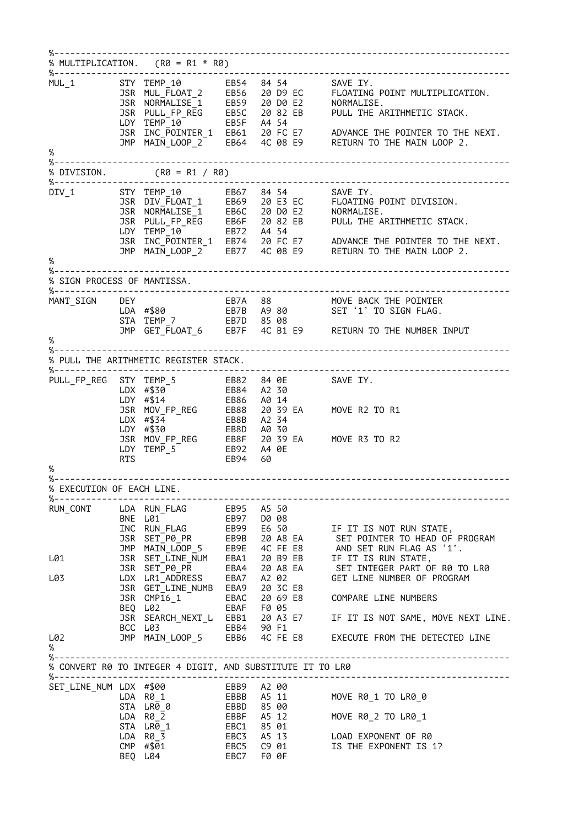%-------------------------------------------------------------------------------------- % MULTIPLICATION.  $(R0 = R1 * R0)$ %-------------------------------------------------------------------------------------- MUL\_1 STY TEMP\_10 EB54 84 54 SAVE IY. JSR MUL\_FLOAT\_2 EB56 20 D9 EC FLOATING POINT MULTIPLICATION. JSR NORMALISE\_1 EB59 20 D0 E2 NORMALISE. JSR PULL\_FP\_REG EB5C 20 82 EB PULL THE ARITHMETIC STACK. LDY TEMP\_10 EB5F A4 54 JSR INC\_POINTER\_1 EB61 20 FC E7 ADVANCE THE POINTER TO THE NEXT. JMP MAIN\_LOOP\_2 EB64 4C 08 E9 RETURN TO THE MAIN LOOP 2. % %-------------------------------------------------------------------------------------- % DIVISION. (R0 = R1 / R0) %-------------------------------------------------------------------------------------- DIV\_1 STY TEMP\_10 EB67 84 54 SAVE IY. JSR DIV\_FLOAT\_1 EB69 20 E3 EC FLOATING POINT DIVISION. JSR NORMALISE\_1 EB6C 20 D0 E2 NORMALISE. JSR PULL\_FP\_REG EB6F 20 82 EB PULL THE ARITHMETIC STACK. LDY TEMP\_10 EB72 A4 54 JSR INC\_POINTER\_1 EB74 20 FC E7 ADVANCE THE POINTER TO THE NEXT. JMP MAIN\_LOOP\_2 EB77 4C 08 E9 RETURN TO THE MAIN LOOP 2. % %-------------------------------------------------------------------------------------- % SIGN PROCESS OF MANTISSA. %-------------------------------------------------------------------------------------- MANT\_SIGN DEY EB7A 88 MOVE BACK THE POINTER LDA #\$80 EB7B A9 80 SET '1' TO SIGN FLAG. STA TEMP\_7 EB7D 85 08 JMP GET\_FLOAT\_6 EB7F 4C B1 E9 RETURN TO THE NUMBER INPUT %<br>%-----%-------------------------------------------------------------------------------------- % PULL THE ARITHMETIC REGISTER STACK. %-------------------------------------------------------------------------------------- PULL\_FP\_REG STY TEMP\_5 EB82 84 0E SAVE IY. LDX #\$30 EB84 A2 30 LDY #\$14 EB86 A0 14 JSR MOV\_FP\_REG EB88 20 39 EA MOVE R2 TO R1 LDX #\$34 EB8B A2 34 LDY #\$30 EB8D A0 30 JSR MOV\_FP\_REG EB8F 20 39 EA MOVE R3 TO R2 LDY TEMP\_5 EB92 A4 0E RTS EB94 60 % %-------------------------------------------------------------------------------------- % EXECUTION OF EACH LINE. %-------------------------------------------------------------------------------------- RUN\_CONT LDA RUN\_FLAG EB95 A5 50 BNE L01 EB97 D0 08 INC RUN\_FLAG EB99 E6 50 IF IT IS NOT RUN STATE, JSR SET\_P0\_PR EB9B 20 A8 EA SET POINTER TO HEAD OF PROGRAM JMP MAIN\_LOOP\_5 EB9E 4C FE E8 AND SET RUN FLAG AS '1'. L01 JSR SET\_LINE\_NUM EBA1 20 B9 EB IF IT IS RUN STATE, JSR SET\_P0\_PR EBA4 20 A8 EA SET INTEGER PART OF R0 TO LR0 L03 LDX LR1\_ADDRESS EBA7 A2 02 GET LINE NUMBER OF PROGRAM JSR GET\_LINE\_NUMB EBA9 20 3C E8 JSR CMP16\_1 EBAC 20 69 E8 COMPARE LINE NUMBERS BEQ L02 EBAF F0 05 JSR SEARCH\_NEXT\_L EBB1 20 A3 E7 IF IT IS NOT SAME, MOVE NEXT LINE. BCC L03 EBB4 90 F1 L02 JMP MAIN\_LOOP\_5 EBB6 4C FE E8 EXECUTE FROM THE DETECTED LINE % %-------------------------------------------------------------------------------------- % CONVERT R0 TO INTEGER 4 DIGIT, AND SUBSTITUTE IT TO LR0 %-------------------------------------------------------------------------------------- SET LINE NUM LDX #\$00 LDA R0\_1 EBBB A5 11 MOVE R0\_1 TO LR0\_0 STA LR0\_0 EBBD 85 00 LDA R0\_2 EBBF A5 12 MOVE R0\_2 TO LR0\_1 STA LR0\_1 EBC1 85 01 LDA R0\_3 EBC3 A5 13 LOAD EXPONENT OF R0 CMP #\$01 EBC5 C9 01 IS THE EXPONENT IS 1? BEQ L04 EBC7 F0 0F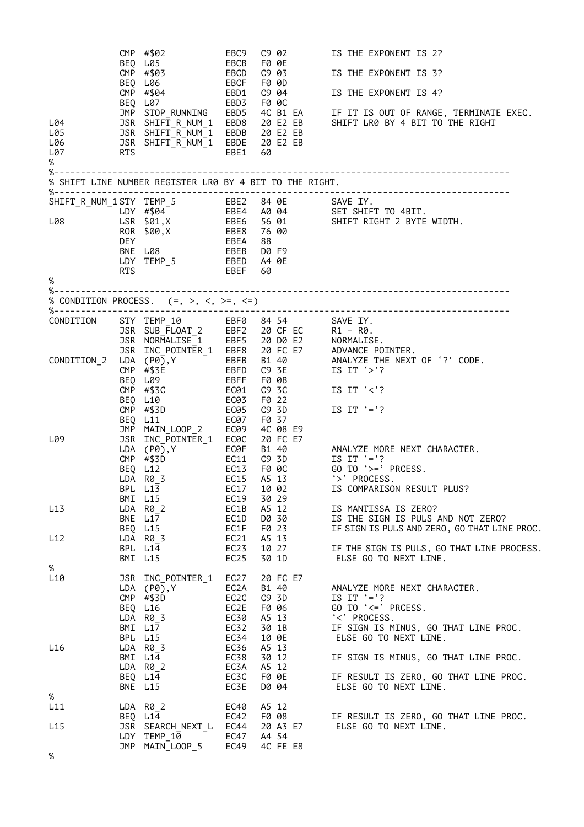| L04<br>L05<br>L06<br>L07<br>% | RTS               | CMP #\$02<br>BEQ L05<br>CMP #\$03<br>BEQ L06<br>CMP #\$04<br>BEQ L07<br>JSR SHIFT_R_NUM_1 EBDB 20 E2 EB<br>JSR SHIFT_R_NUM_1 EBDB 20 E2 EB<br>JSR SHIFT_R_NUM_1 EBDE 20 E2 EB<br>% SHIFT LINE NUMBER REGISTER LR0 BY 4 BIT TO THE RIGHT. | EBC9<br>EBCB<br>EBCD<br>EBCF<br>EBD1<br>EBD3 F0 0C<br>EBE1 60 | C9 02<br>F0 0E<br>C9 03<br>F0 0D<br>C9 04             | IS THE EXPONENT IS 2?<br>IS THE EXPONENT IS 3?<br>IS THE EXPONENT IS 4?<br>JMP STOP_RUNNING EBD5 4C B1 EA IF IT IS OUT OF RANGE, TERMINATE EXEC.<br>JSR SHIFT_R_NUM_1 EBD8 20 E2 EB SHIFT LR0 BY 4 BIT TO THE RIGHT |
|-------------------------------|-------------------|------------------------------------------------------------------------------------------------------------------------------------------------------------------------------------------------------------------------------------------|---------------------------------------------------------------|-------------------------------------------------------|---------------------------------------------------------------------------------------------------------------------------------------------------------------------------------------------------------------------|
| %                             | <b>DEY</b><br>RTS | ROR \$00,X EBE8 76 00<br>BNE L08<br>LDY TEMP_5 EBED A4 0E                                                                                                                                                                                | EBEA 88<br>EBEB D0F9<br>EBEF                                  | 60                                                    | SHIFT_R_NUM_1STY TEMP_5<br>LDY #\$04 EBE4 A0 04 SET SHIFT TO 4BIT.<br>L08 LSR \$01,X EBE6 56 01 SHIFT RIGHT 2 BYTE WIDTH.                                                                                           |
| %---------------------        |                   | % CONDITION PROCESS. $(=, >, <, >=, <=)$                                                                                                                                                                                                 |                                                               |                                                       |                                                                                                                                                                                                                     |
| CONDITION                     |                   |                                                                                                                                                                                                                                          |                                                               |                                                       | STY TEMP_10<br>STY TEMP_10 EBF0 84 54<br>SR SUB_FLOAT_2 EBF2 20 CF EC R1 – R0.<br>SR NORMALISE_1 EBF5 20 D0 E2 NORMALISE.<br>SR INC_POINTER_1 EBF8 20 FC E7 ADVANCE POINTER.                                        |
| CONDITION 2                   | BEQ L11           | LDA (P0),Y<br>$CMP$ #\$3E<br>BEQ L09<br>$CMP$ #\$3C<br>BEQ L10<br>$CMP$ $\#$3D$ $EC05$<br>JMP MAIN_LOOP_2 EC09                                                                                                                           | <b>EBFF</b><br>EC01<br>EC03<br>EC07                           | F0 0B<br>C9 3C<br>F0 22<br>C9 3D<br>F0 37<br>4C 08 E9 | EBFB B1 40 ANALYZE THE NEXT OF '?' CODE.<br>EBFD C9 3E      IS IT '>'?<br>EBFF F0 0B<br>IS IT $\langle \cdot \rangle$ ?<br>IS IT $'=$ ??                                                                            |
| L09                           |                   | JSR INC POINTER 1 EC0C<br>$LDA$ $(PØ)$ , Y<br>$CMP$ #\$3D<br>BEO L12<br>LDA R0_3 EC15 A5 13<br>BPL L13<br>BMI L15                                                                                                                        | EC19                                                          | 20 FC E7<br>EC17 10 02<br>30 29                       | ECOF B1 40<br>EC11 C9 3D IS IT '='?<br>EC13 F0 0C GO TO '>=' PRCESS.<br>'>' PROCESS.<br>IS COMPARISON RESULT PLUS?                                                                                                  |
| L13<br>L12                    |                   | LDA R0_2<br>BNE L17<br>BEQ L15<br>LDA R0_3                                                                                                                                                                                               | EC1B<br>EC1D<br>EC1F<br>EC21                                  | A5 12<br>D0 30<br>F0 23<br>A5 13                      | IS MANTISSA IS ZERO?<br>IS THE SIGN IS PULS AND NOT ZERO?<br>IF SIGN IS PULS AND ZERO, GO THAT LINE PROC.                                                                                                           |
|                               |                   | BPL L14<br>BMI L15                                                                                                                                                                                                                       | EC23<br>EC <sub>25</sub>                                      | 10 27<br>30 1D                                        | IF THE SIGN IS PULS, GO THAT LINE PROCESS.<br>ELSE GO TO NEXT LINE.                                                                                                                                                 |
| %<br>L10                      |                   | JSR INC_POINTER_1<br>$LDA$ $(P0)$ , Y<br>$CMP$ #\$3D<br>BEQ L16<br>LDA R0 3<br>BMI L17                                                                                                                                                   | EC27<br>EC2A<br>EC2C<br>EC2E<br>EC30<br>EC32                  | 20 FC E7<br>B1 40<br>C9 3D<br>F0 06<br>A5 13<br>30 1B | ANALYZE MORE NEXT CHARACTER.<br>IS IT $'=$ ??<br>GO TO '<=' PRCESS.<br>'<' PROCESS.<br>IF SIGN IS MINUS, GO THAT LINE PROC.                                                                                         |
| L16                           |                   | BPL L15<br>LDA R0_3<br>BMI L14<br>$LDA$ $R\theta_2$<br>BEQ L14<br>BNE L15                                                                                                                                                                | EC34<br>EC36<br>EC38<br>EC3A<br>EC3C<br>EC3E                  | 10 OE<br>A5 13<br>30 12<br>A5 12<br>F0 0E<br>D0 04    | ELSE GO TO NEXT LINE.<br>IF SIGN IS MINUS, GO THAT LINE PROC.<br>IF RESULT IS ZERO, GO THAT LINE PROC.<br>ELSE GO TO NEXT LINE.                                                                                     |
| %<br>L11                      |                   | LDA R0 2                                                                                                                                                                                                                                 | EC40                                                          | A5 12                                                 |                                                                                                                                                                                                                     |
| L15                           |                   | BEQ L14<br>JSR SEARCH_NEXT_L EC44<br>LDY TEMP_10<br>JMP MAIN_LOOP_5                                                                                                                                                                      | EC42<br>EC47<br>EC49                                          | F0 08<br>20 A3 E7<br>A4 54<br>4C FE E8                | IF RESULT IS ZERO, GO THAT LINE PROC.<br>ELSE GO TO NEXT LINE.                                                                                                                                                      |
| %                             |                   |                                                                                                                                                                                                                                          |                                                               |                                                       |                                                                                                                                                                                                                     |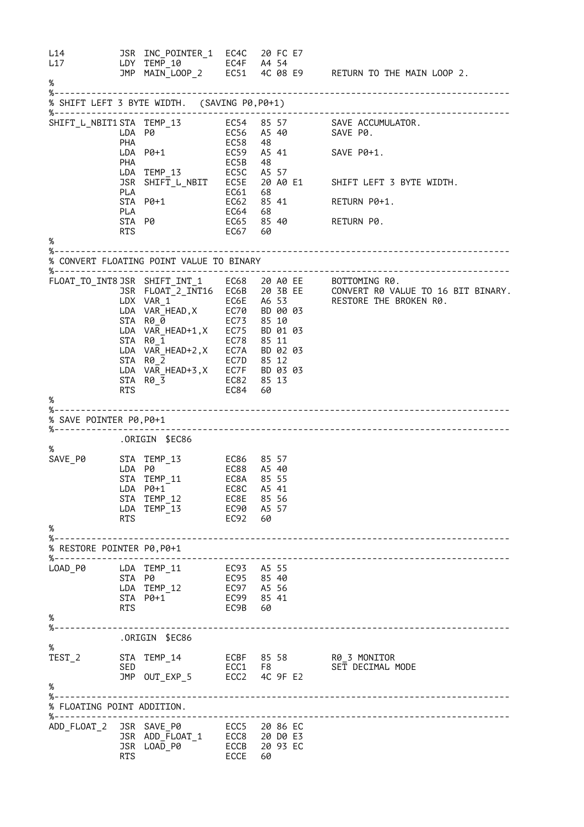L14 JSR INC\_POINTER\_1 EC4C 20 FC E7 L17 LDY TEMP\_10 EC4F A4 54 JMP MAIN\_LOOP\_2 EC51 4C 08 E9 RETURN TO THE MAIN LOOP 2. % %-------------------------------------------------------------------------------------- % SHIFT LEFT 3 BYTE WIDTH. (SAVING P0,P0+1) %-------------------------------------------------------------------------------------- SHIFT\_L\_NBIT1 STA TEMP\_13 EC54 85 57 SAVE ACCUMULATOR. LDA P0 EC56 A5 40 SAVE P0. PHA EC58 48 LDA P0+1 EC59 A5 41 SAVE P0+1. PHA EC5B 48 LDA TEMP\_13 EC5C A5 57 JSR SHIFT\_L\_NBIT EC5E 20 A0 E1 SHIFT LEFT 3 BYTE WIDTH. PLA EC61 68 STA P0+1 EC62 85 41 RETURN P0+1. PLA EC64 68 STA P0 EC65 85 40 RETURN P0. RTS EC67 60 % %-------------------------------------------------------------------------------------- % CONVERT FLOATING POINT VALUE TO BINARY %-------------------------------------------------------------------------------------- FLOAT\_TO\_INT8 JSR SHIFT\_INT\_1 EC68 20 A0 EE BOTTOMING R0. JSR FLOAT\_2\_INT16 EC6B 20 3B EE CONVERT R0 VALUE TO 16 BIT BINARY. LDX VAR\_1 EC6E A6 53 RESTORE THE BROKEN R0. LDA VAR\_HEAD,X EC70 BD 00 03 STA R0\_0 EC73 85 10 LDA VAR\_HEAD+1,X EC75 BD 01 03 STA R0\_1 EC78 85 11 LDA VAR\_HEAD+2,X EC7A BD 02 03 STA R0\_2 EC7D 85 12 LDA VAR\_HEAD+3,X EC7F BD 03 03 STA R0\_3 EC82 85 13 RTS EC84 60 % %-------------------------------------------------------------------------------------- % SAVE POINTER P0,P0+1 %-------------------------------------------------------------------------------------- .ORIGIN \$EC86 %<br>SAVE P0 SAVE\_P0 STA TEMP\_13 EC86 85 57 LDA P0 EC88 A5 40 STA TEMP\_11 EC8A 85 55 LDA P0+1 EC8C A5 41 STA TEMP\_12 EC8E 85 56 LDA TEMP\_13 EC90 A5 57 RTS EC92 60 % %-------------------------------------------------------------------------------------- % RESTORE POINTER P0,P0+1 %-------------------------------------------------------------------------------------- LOAD\_P0 LDA TEMP\_11 EC93 A5 55 STA P0 EC95 85 40 LDA TEMP\_12 EC97 A5 56 STA P0+1 EC99 85 41 RTS EC9B 60 % %-------------------------------------------------------------------------------------- .ORIGIN \$EC86 %<br>TEST 2 TEST\_2 STA TEMP\_14 ECBF 85 58 R0\_3 MONITOR SED ECC1 F8 SET DECIMAL MODE JMP OUT\_EXP\_5 ECC2 4C 9F E2 % %-------------------------------------------------------------------------------------- % FLOATING POINT ADDITION. %-------------------------------------------------------------------------------------- ADD\_FLOAT\_2 JSR SAVE\_P0 ECC5 20 86 EC JSR ADD\_FLOAT\_1 ECC8 20 D0 E3 JSR LOAD\_P0 ECCB 20 93 EC RTS ECCE 60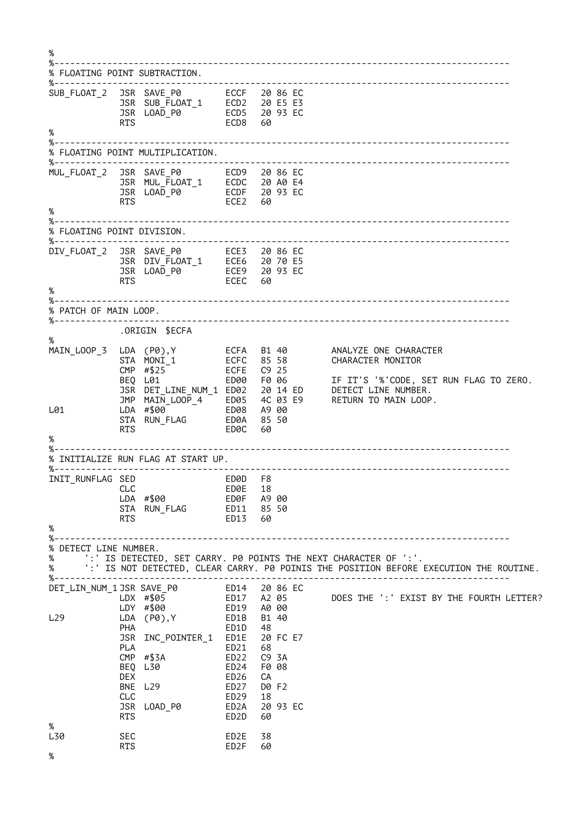% %-------------------------------------------------------------------------------------- % FLOATING POINT SUBTRACTION. %------------------------------SUB\_FLOAT\_2 JSR SAVE\_P0 ECCF 20 86 EC JSR SUB\_FLOAT\_1 ECD2 20 E5 E3 JSR LOAD\_P0 ECD5 20 93 EC ECD8 60 % %-------------------------------------------------------------------------------------- % FLOATING POINT MULTIPLICATION. %-------------------------------------------------------------------------------------- MUL\_FLOAT\_2 JSR SAVE\_P0 ECD9 20 86 EC JSR MUL\_FLOAT\_1 ECDC 20 A0 E4 JSR LOAD\_P0 ECDF 20 93 EC RTS ECE2 60 % %-------------------------------------------------------------------------------------- % FLOATING POINT DIVISION. %-------------------------------------------------------------------------------------- DIV\_FLOAT\_2 JSR SAVE\_P0 ECE3 20 86 EC JSR DIV\_FLOAT\_1 ECE6 20 70 E5 JSR LOAD\_P0 ECE9 20 93 EC RTS ECEC 60 % %-------------------------------------------------------------------------------------- % PATCH OF MAIN LOOP.<br>%---------------------%-------------------------------------------------------------------------------------- .ORIGIN \$ECFA % MAIN\_LOOP\_3 LDA (P0),Y ECFA B1 40 ANALYZE ONE CHARACTER STA MONI\_1 ECFC 85 58 CHARACTER MONITOR CMP #\$25 ECFE C9 25 BEQ L01 ED00 F0 06 IF IT'S '%'CODE, SET RUN FLAG TO ZERO. JSR DET\_LINE\_NUM\_1 ED02 20 14 ED DETECT LINE NUMBER. JMP MAIN\_LOOP\_4 ED05 4C 03 E9 RETURN TO MAIN LOOP. L01 LDA #\$00 ED08 A9 00 LDA #\$00 FD08 A900<br>STA RUN\_FLAG FD0A 85 50<br>RTS FD0C 60 RTS ED0C 60 % %-------------------------------------------------------------------------------------- % INITIALIZE RUN FLAG AT START UP. %-------------------------------------------------------------------------------------- INIT\_RUNFLAG SED ED0D F8 ED0E 18<br>ED0F A9 00 LDA #\$00 ED0F A9 00<br>
STA RUN\_FLAG ED11 85 50 STA RUN\_FLAG RTS ED13 60 % %-------------------------------------------------------------------------------------- % DETECT LINE NUMBER. % ':' IS DETECTED, SET CARRY. P0 POINTS THE NEXT CHARACTER OF ':'. % ':' IS NOT DETECTED, CLEAR CARRY. P0 POINIS THE POSITION BEFORE EXECUTION THE ROUTINE. %-------------------------------------------------------------------------------------- DET\_LIN\_NUM\_1 JSR SAVE\_P0 ED14 20 86<br>LDX #\$05 ED17 A2 05 LDX #\$05 ED17 A2 05 DOES THE ':' EXIST BY THE FOURTH LETTER? LDY #\$00 ED19 A0 00  $L29$   $LDA$   $(P<sub>0</sub>)$ , Y PHA ED1D 48<br>JSR INC POINTER 1 ED1E 20 FC E7 JSR INC\_POINTER\_1 ED1E PLA ED21 68 CMP #\$3A ED22 C9 3A BEO L30 DEX ED26 CA  $BNE$  L<sub>29</sub> CLC ED29 18 JSR LOAD P0 RTS ED2D 60 %<br>L30 SEC ED2E 38<br>RTS ED2F 60  $ED2F$ %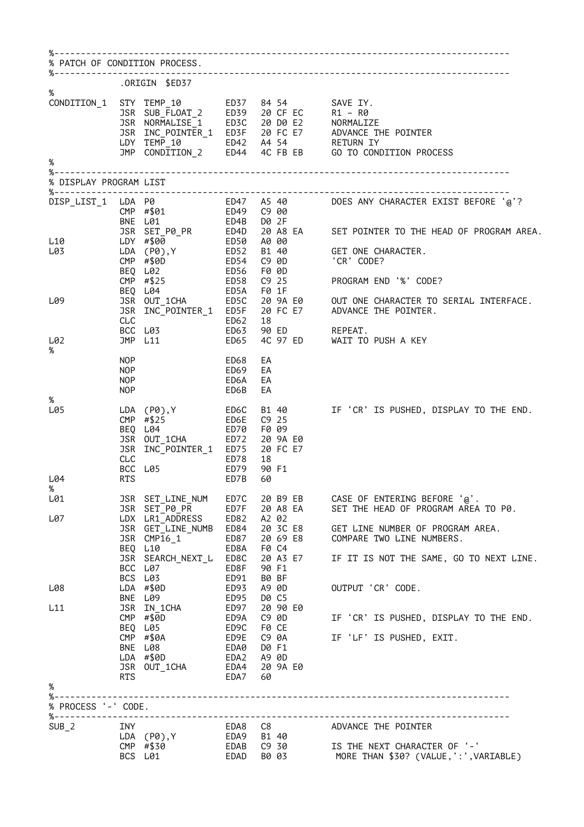| % PATCH OF CONDITION PROCESS. |                                        |                                                                                                               |                                      |                                                                        |                                                                                                                                                                                                                                          |
|-------------------------------|----------------------------------------|---------------------------------------------------------------------------------------------------------------|--------------------------------------|------------------------------------------------------------------------|------------------------------------------------------------------------------------------------------------------------------------------------------------------------------------------------------------------------------------------|
|                               |                                        | .ORIGIN \$ED37                                                                                                |                                      |                                                                        |                                                                                                                                                                                                                                          |
| %                             |                                        |                                                                                                               |                                      |                                                                        | CONDITION_1 STY TEMP_10 ED37 84 54 SAVE IY.<br>JSR SUB_FLOAT_2 ED39 20 CF EC R1 – R0<br>JSR NORMALISE_1 ED3C 20 D0 E2 NORMALIZE<br>JSR INC_POINTER_1 ED3F 20 FC E7 ADVANCE THE POINTER<br>LDY TEMP_10 ED42 A4 54 RETURN IY<br>JMP CONDIT |
| %                             |                                        |                                                                                                               |                                      |                                                                        |                                                                                                                                                                                                                                          |
| % DISPLAY PROGRAM LIST        |                                        |                                                                                                               |                                      |                                                                        |                                                                                                                                                                                                                                          |
|                               |                                        | DISP_LIST_1 LDA P0<br>CMP #\$01<br>BNE L01                                                                    |                                      | ED4B D0 2F                                                             | ED47 A5 40 DOES ANY CHARACTER EXIST BEFORE '@'?<br>ED49 C9 00                                                                                                                                                                            |
| L10<br>L03                    |                                        | $CMP$ #\$0D<br>BEQ L02                                                                                        |                                      | ED54 C9 0D<br>ED56 F0 0D                                               | LDA (P0), Y ED52 B1 40 GET ONE CHARACTER.<br>'CR' CODE?                                                                                                                                                                                  |
| L09                           | <b>CLC</b>                             | CMP #\$25<br>BEQ L04<br>ED62                                                                                  |                                      | ED58 C9 25<br>ED5A F01F<br>18                                          | PROGRAM END '%' CODE?                                                                                                                                                                                                                    |
| L02<br>%                      |                                        | BCC L03<br>JMP L11                                                                                            | ED63<br>ED65                         |                                                                        | 90 ED            REPEAT.<br>4C 97 ED       WAIT TO PUSH A KEY                                                                                                                                                                            |
|                               | NOP<br><b>NOP</b><br>NOP<br><b>NOP</b> |                                                                                                               | ED68<br>ED69<br>ED6A<br>ED6B         | EA<br>EA<br>EA<br>EA                                                   |                                                                                                                                                                                                                                          |
| %<br>L05<br>L04               | <b>CLC</b><br>BCC<br><b>RTS</b>        | LDA (P0), Y ED6C<br>CMP $\#$ \$25<br>BEQ L04<br>JSR OUT_1CHA ED72<br>JSR INC_POINTER_1 ED75<br>L05            | ED6E<br>ED70<br>ED78<br>ED79<br>ED7B | $C9$ 25<br>F0 09<br>20 9A E0<br>20 FC E7<br>18<br>90 F1<br>60          | B1 40 IF 'CR' IS PUSHED, DISPLAY TO THE END.                                                                                                                                                                                             |
| %<br>L01                      |                                        |                                                                                                               |                                      | 20 B9 EB                                                               |                                                                                                                                                                                                                                          |
| L07                           |                                        | JSR SET_LINE_NUM<br>JSR SET_P0_PR<br>LDX LR1_ADDRESS ED82<br>JSR GET_LINE_NUMB ED84<br>JSR CMP16_1<br>BEQ L10 | ED7C<br>ED7F<br>ED87<br>ED8A         | 20 A8 EA<br>A2 02<br>20 3C E8<br>20 69 E8<br>F0 C4                     | CASE OF ENTERING BEFORE '@'.<br>SET THE HEAD OF PROGRAM AREA TO P0.<br>GET LINE NUMBER OF PROGRAM AREA.<br>COMPARE TWO LINE NUMBERS.                                                                                                     |
|                               |                                        | JSR SEARCH_NEXT_L ED8C<br>BCC L07<br>BCS L03                                                                  | ED8F<br>ED91                         | 20 A3 E7<br>90 F1<br>B0 BF                                             | IF IT IS NOT THE SAME, GO TO NEXT LINE.                                                                                                                                                                                                  |
| L08                           |                                        | LDA #\$0D<br>BNE L09                                                                                          | <b>ED93</b><br>ED95                  | A9 0D<br>D0 C5                                                         | OUTPUT 'CR' CODE.                                                                                                                                                                                                                        |
| L11                           |                                        | JSR IN_1CHA<br>$CMP$ #\$0D<br>BEQ L05 ED9C<br>$CMP$ #\$0A<br>RNF 1.08<br>LDA #\$0D<br>JSR OUT_1CHA            | ED97<br>ED9A<br>ED9E<br>EDA0<br>EDA4 | 20 90 E0<br>C9 0D<br>F0 CE<br>C9 0A<br>D0 F1<br>EDA2 A9 0D<br>20 9A E0 | IF 'CR' IS PUSHED, DISPLAY TO THE END.<br>IF 'LF' IS PUSHED, EXIT.                                                                                                                                                                       |
| %                             | RTS                                    |                                                                                                               | EDA7 60                              |                                                                        |                                                                                                                                                                                                                                          |
| % PROCESS '-' CODE.           |                                        |                                                                                                               |                                      |                                                                        |                                                                                                                                                                                                                                          |
| SUB <sub>2</sub>              |                                        | BCS L01                                                                                                       |                                      |                                                                        | NATURE THE POINTER<br>LDA (P0),Y EDA9 B1 40<br>CMP #\$30 EDAB C9 30 IS THE NEXT CHARACTER OF '-'<br>EDAD B0 03 MORE THAN \$30? (VALUE,':',VARIABLE)                                                                                      |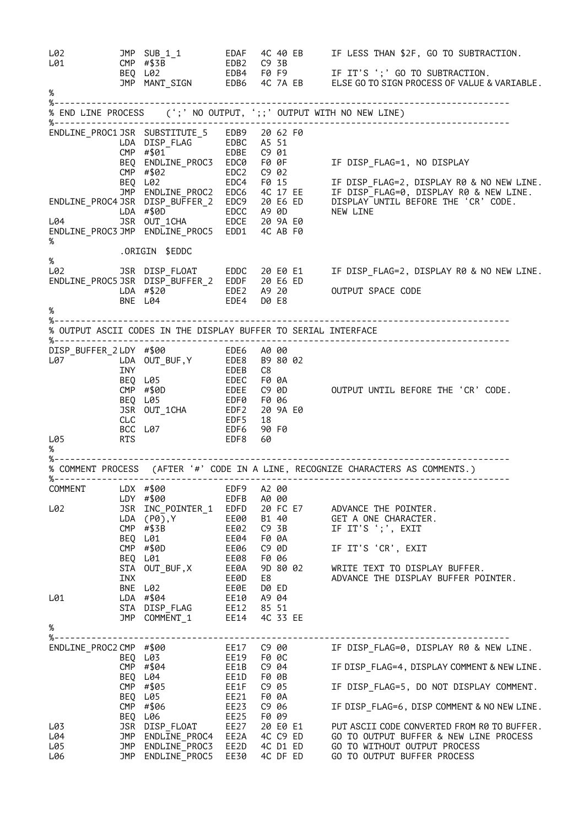L02 JMP SUB\_1\_1 EDAF 4C 40 EB IF LESS THAN \$2F, GO TO SUBTRACTION. L02 JMP SUB\_1\_1<br>
L01 CMP #\$3B<br>
BEQ L02 BEQ L02 EDB4 F0 F9 IF IT'S ';' GO TO SUBTRACTION. JMP MANT\_SIGN EDB6 4C 7A EB ELSE GO TO SIGN PROCESS OF VALUE & VARIABLE. % %-------------------------------------------------------------------------------------- % END LINE PROCESS (';' NO OUTPUT, ';;' OUTPUT WITH NO NEW LINE) %-------------------------------------------------------------------------------------- ENDLINE\_PROC1 JSR SUBSTITUTE\_5 EDB9 20 62 F0 LDA DISP\_FLAG EDBC A5 51 CMP #\$01 EDBE C9 01 BEQ ENDLINE\_PROC3 EDC0 F0 0F IF DISP\_FLAG=1, NO DISPLAY CMP #\$02 EDC2 C9 02 BEQ L02 EDC4 F0 15 IF DISP\_FLAG=2, DISPLAY R0 & NO NEW LINE. JMP ENDLINE\_PROC2 EDC6 4C 17 EE IF DISP\_FLAG=0, DISPLAY R0 & NEW LINE. ENDLINE\_PROC4 JSR DISP\_BUFFER\_2 EDC9 20 E6 ED DISPLAY UNTIL BEFORE THE 'CR' CODE. LDA #\$0D EDCC A9 0D NEW LINE L04 JSR OUT\_1CHA EDCE 20 9A E0 ENDLINE\_PROC3 JMP ENDLINE\_PROC5 EDD1 4C AB F0 % .ORIGIN \$EDDC % L02 JSR DISP\_FLOAT EDDC 20 E0 E1 IF DISP\_FLAG=2, DISPLAY R0 & NO NEW LINE. ENDLINE\_PROC5 JSR DISP\_BUFFER\_2 EDDF 20 E6 ED LDA #\$20 EDE2 A9 20 OUTPUT SPACE CODE BNE L04 EDE4 D0 E8 % %-------------------------------------------------------------------------------------- % OUTPUT ASCII CODES IN THE DISPLAY BUFFER TO SERIAL INTERFACE %-------------------------------------------------------------------------------------- DISP\_BUFFER\_2 LDY #\$00 EDE6 A0 00 L07 LDA OUT\_BUF,Y EDE8 B9 80 02 INY EDEB C8 BEQ L05 EDEC F0 0A CMP #\$0D EDEE C9 0D OUTPUT UNTIL BEFORE THE 'CR' CODE. BEQ L05 EDF0 F0 06 JSR OUT\_1CHA EDF2 20 9A E0 CLC EDF5 18 BCC L07 EDF6 90 F0 L05 RTS EDF8 60 % %-------------------------------------------------------------------------------------- % COMMENT PROCESS (AFTER '#' CODE IN A LINE, RECOGNIZE CHARACTERS AS COMMENTS.) %-------------------------------------------------------------------------------------- COMMENT LDX #\$00 EDF9 A2 00 LDY #\$00 EDFB A0 00 L02 JSR INC\_POINTER\_1 EDFD 20 FC E7 ADVANCE THE POINTER. LDA (P0),Y EE00 B1 40 GET A ONE CHARACTER. CMP #\$3B EE02 C9 3B IF IT'S ';', EXIT BEQ L01 EE04 F0 0A CMP #\$0D EE06 C9 0D IF IT'S 'CR', EXIT BEQ L01 EE08 F0 06 STA OUT\_BUF,X EE0A 9D 80 02 WRITE TEXT TO DISPLAY BUFFER. INX EE0D E8 ADVANCE THE DISPLAY BUFFER POINTER. BNE L02 EE0E D0 ED L01 LDA #\$04 EE10 A9 04 STA DISP\_FLAG EE12 85 51 JMP COMMENT\_1 EE14 4C 33 EE % %-------------------------------------------------------------------------------------- ENDLINE\_PROC2 CMP #\$00 EE17 C9 00 IF DISP\_FLAG=0, DISPLAY R0 & NEW LINE. BEQ L03 EE19 F0 0C CMP #\$04 EE1B C9 04 IF DISP\_FLAG=4, DISPLAY COMMENT & NEW LINE. BEQ L04 EE1D F0 0B CMP #\$05 EE1F C9 05 IF DISP\_FLAG=5, DO NOT DISPLAY COMMENT. BEQ L05 EE21 F0 0A BEQ L05 EE21 F0 0A<br>
CMP #\$06 EE23 C9 06 IF DISP\_FLAG=6, DISP COMMENT & NO NEW LINE.<br>
BEQ L06 EE25 F0 09<br>
JSR DISP\_FLOAT EE27 20 E0 E1 PUT ASCII CODE CONVERTED FROM R0 TO BUFFER. BEQ L06 EE25 F0 09 L03 JSR DISP\_FLOAT EE27 20 E0 E1 PUT ASCII CODE CONVERTED FROM R0 TO BUFFER. L04 JMP ENDLINE\_PROC4 EE2A 4C C9 ED GO TO OUTPUT BUFFER & NEW LINE PROCESS L05 JMP ENDLINE\_PROC3 EE2D 4C D1 ED GO TO WITHOUT OUTPUT PROCESS L06 JMP ENDLINE\_PROC5 EE30 4C DF ED GO TO OUTPUT BUFFER PROCESS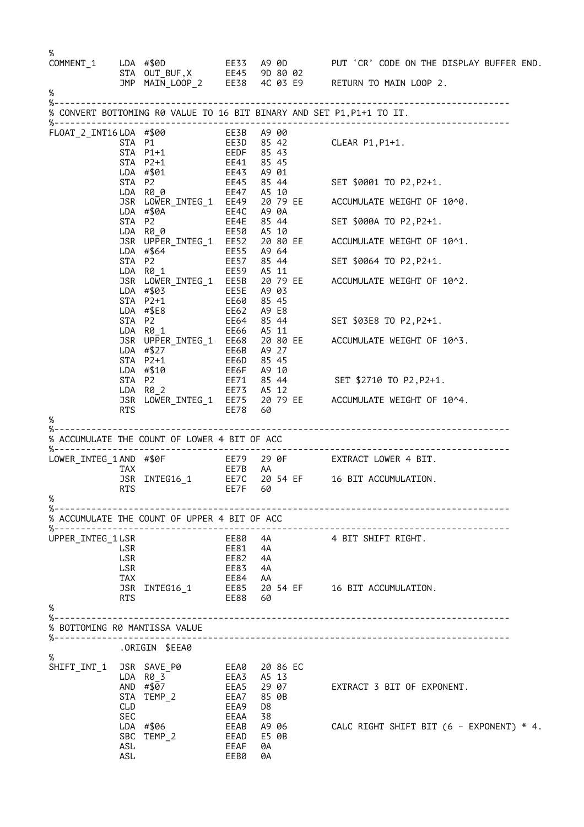| %                                                |                          |                                                                              |                                                    |                         |       | COMMENT_1 LDA #\$0D<br>STA OUT_BUF,X EE45 9D 80 02<br>JMP MAIN_LOOP_2 EE38 4C 03 E9 RETURN TO MAIN LOOP 2.   |
|--------------------------------------------------|--------------------------|------------------------------------------------------------------------------|----------------------------------------------------|-------------------------|-------|--------------------------------------------------------------------------------------------------------------|
| $\%$                                             |                          |                                                                              |                                                    |                         |       |                                                                                                              |
| $% - -$                                          |                          |                                                                              |                                                    |                         |       | % CONVERT BOTTOMING R0 VALUE TO 16 BIT BINARY AND SET P1, P1+1 TO IT.                                        |
| FLOAT_2_INT16 LDA #\$00                          |                          | STA P1<br>STA P1+1<br>STA P2+1                                               | EE3B A9 00                                         |                         |       | CLEAR P1,P1+1.                                                                                               |
|                                                  | STA P2                   | LDA #\$01 EE43 A9 01<br>LDA R00                                              |                                                    |                         |       | EE45 85 44 SET \$0001 TO P2, P2+1.<br>EE47 A5 10                                                             |
|                                                  |                          |                                                                              |                                                    |                         |       | JSR LOWER_INTEG_1 EE49 20 79 EE ACCUMULATE WEIGHT OF 10^0.                                                   |
|                                                  |                          | LDA R0 0 EE50 A5 10                                                          |                                                    |                         |       | SET \$000A TO P2,P2+1.                                                                                       |
|                                                  |                          | EE55 A9 64<br>LDA #\$64                                                      |                                                    |                         |       | JSR UPPER_INTEG_1 EE52 20 80 EE ACCUMULATE WEIGHT OF 10^1.                                                   |
|                                                  | STA P2                   | LDA R0_1 EE59                                                                | EE57 85 44                                         | A5 11                   |       | SET \$0064 TO P2,P2+1.                                                                                       |
|                                                  |                          | LDA #\$03 EE5E A9 03<br>STA P2+1 EE60<br>LDA #\$E8                           |                                                    | 85 45                   |       | JSR LOWER INTEG 1 EE5B 20 79 EE ACCUMULATE WEIGHT OF 10^2.                                                   |
|                                                  |                          | STA P2                                                                       | EE62      A9  E8<br>EE64      85  44               |                         |       | SET \$03E8 TO P2,P2+1.                                                                                       |
|                                                  |                          | LDA #\$27 EE6B A9 27<br>STA P2+1 EE6D 85 45                                  |                                                    |                         |       | JSR UPPER_INTEG_1 EE68 20 80 EE ACCUMULATE WEIGHT OF 10^3.                                                   |
|                                                  | STA P2                   | LDA #\$10                                                                    |                                                    |                         |       | EE6F    A9  10<br>EE71     85  44                 SET  \$2710  TO  P2,P2+1.                                  |
|                                                  | RTS                      | LDA RØ 2 EE73 A5 12                                                          | EE78 60                                            |                         |       | JSR LOWER_INTEG_1 EE75 20 79 EE ACCUMULATE WEIGHT OF 10^4.                                                   |
| %                                                |                          |                                                                              |                                                    |                         |       |                                                                                                              |
|                                                  |                          | % ACCUMULATE THE COUNT OF LOWER 4 BIT OF ACC                                 |                                                    |                         |       |                                                                                                              |
| LOWER_INTEG_1 AND #\$0F                          | TAX                      |                                                                              |                                                    |                         |       | EE79   29 0F           EXTRACT LOWER 4 BIT.<br>EE7B   AA<br>JSR INTEG16_1 EE7C 20 54 EF 16 BIT ACCUMULATION. |
| %                                                | RTS                      |                                                                              | EE7F 60                                            |                         |       |                                                                                                              |
|                                                  |                          | % ACCUMULATE THE COUNT OF UPPER 4 BIT OF ACC                                 |                                                    |                         |       |                                                                                                              |
| %---------------------------<br>UPPER_INTEG_1LSR | LSR<br>LSR               |                                                                              | --------------------------<br>EE80<br>EE81<br>EE82 | 4A<br>4A<br>4A          |       | 4 BIT SHIFT RIGHT.                                                                                           |
|                                                  | LSR<br>TAX<br><b>RTS</b> | JSR INTEG16_1                                                                | EE83<br>EE84<br>EE88 60                            | 4A<br>AA                |       | EE85 20 54 EF 16 BIT ACCUMULATION.                                                                           |
| %                                                |                          |                                                                              |                                                    |                         |       |                                                                                                              |
| % BOTTOMING R0 MANTISSA VALUE                    |                          |                                                                              |                                                    |                         |       |                                                                                                              |
|                                                  |                          | ORIGIN \$EEA0.                                                               |                                                    |                         |       |                                                                                                              |
| $\%$                                             | CLD                      | SHIFT_INT_1 JSR SAVE_P0 EEA0 20 86 EC<br>LDA R0_3<br>AND #\$07<br>STA TEMP 2 | EEA3  A5 13<br>EEA5  29 07<br>EEA7<br>EEA9         | D8                      | 85 0B | EXTRACT 3 BIT OF EXPONENT.                                                                                   |
|                                                  | <b>SEC</b><br>ASL<br>ASL | LDA #\$06<br>SBC TEMP_2                                                      | EEAA<br>EEAB<br>EEAD<br>EEAF<br>EEB0               | 38<br>E5 0B<br>0A<br>0A | A9 06 | CALC RIGHT SHIFT BIT (6 - EXPONENT) * 4.                                                                     |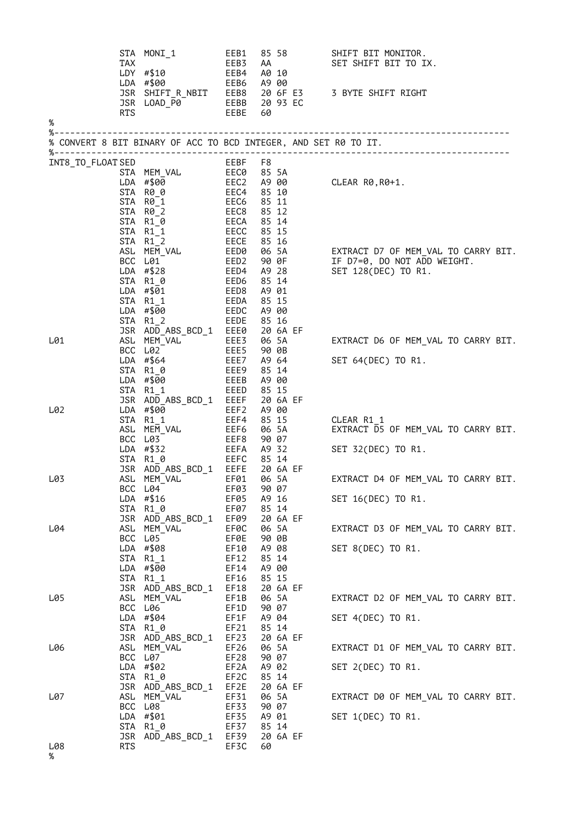| $\%$     | TAX            | EEB1<br>STA MONI_1<br>$LDY$ #\$10<br>LDA #\$00                                                                                                                                                                                                                                                             | EEB3<br>EEB4<br>EEB6                                 | AA<br>A0 10<br>A9 00                                           | 85 58 | SHIFT BIT MONITOR.<br>SET SHIFT BIT TO IX.<br>JSR SHIFT_R_NBIT<br>JSR LOAD_P0 EEBB 20 93 EC<br>RTS EEBE 60 |
|----------|----------------|------------------------------------------------------------------------------------------------------------------------------------------------------------------------------------------------------------------------------------------------------------------------------------------------------------|------------------------------------------------------|----------------------------------------------------------------|-------|------------------------------------------------------------------------------------------------------------|
|          |                | % CONVERT 8 BIT BINARY OF ACC TO BCD INTEGER, AND SET R0 TO IT.                                                                                                                                                                                                                                            |                                                      |                                                                |       |                                                                                                            |
|          |                |                                                                                                                                                                                                                                                                                                            |                                                      |                                                                |       |                                                                                                            |
|          |                |                                                                                                                                                                                                                                                                                                            |                                                      |                                                                |       |                                                                                                            |
|          |                | % CONVENTION CONTRESS TAN MEN VALLAD ELERN PROPERTIES STAN MEN VALLAD EN ECO 85 5A<br>STAN MEN VALLAD ECO 85 5A<br>STAN RO 2 ECC 4 85 10<br>STAN RO 2 EECG 85 11<br>STAN RO 2 EECG 85 12<br>STAN R1 0 EECG 85 12<br>STAN R1 0 EECA 85 14<br>                                                               |                                                      |                                                                |       | EXTRACT D7 OF MEM_VAL TO CARRY BIT.<br>IF D7=0, DO NOT ADD WEIGHT.<br>SET 128(DEC) TO R1.                  |
| L01      |                | STA R1 2<br>JSR ADD_ABS_BCD_1 EEE0 20 6A EF                                                                                                                                                                                                                                                                | EEDE                                                 | 85 16                                                          |       | EXTRACT D6 OF MEM_VAL TO CARRY BIT.                                                                        |
|          |                | ASL MEM_VAL<br>ACC L02<br>BCC L02<br>LDA #\$64<br>LDA #\$64<br>EEE7 A9 64<br>STA R1_0<br>EEE9 85 14<br>LDA #\$00<br>STA R1 1<br><b>EEED</b><br>JSR ADD_ABS_BCD_1 EEEF                                                                                                                                      | EEEB                                                 | A9 00<br>85 15<br>20 6A EF                                     |       | SET 64(DEC) TO R1.                                                                                         |
| L02      |                | UDA #\$00<br>STA R1_1<br>ASL MEM_VAL EEF4 85_15<br>ASL MEM_VAL EEF6 06_5A<br>BCC L03<br>LDA #\$32<br>LDA #\$32<br>EEFA A9_32<br>STA R1_6<br>STA R1_6<br>STA R1_6<br>STA R1_6<br>STA R1_6<br>STA R1_6<br>STA R1_6<br>STA R1_6<br>STA R1_6<br>STA R1_6<br>STA R1_6<br>STA<br>JSR ADD_ABS_BCD_1 EEFE 20 6A EF |                                                      |                                                                |       | CLEAR R1 1<br>EXTRACT D5 OF MEM VAL TO CARRY BIT.<br>SET 32(DEC) TO R1.                                    |
| L03      | STA            | ASL MEM_VAL FER01<br>BCC L04 EF03 90 07<br>LDA #\$16<br>$R1_0$<br>JSR ADD_ABS_BCD_1                                                                                                                                                                                                                        | EF05<br>EF07<br>EF09                                 | 06 5A<br>A9 16<br>85 14<br>20 6A EF                            |       | EXTRACT D4 OF MEM_VAL TO CARRY BIT.<br>SET 16(DEC) TO R1.                                                  |
| L04      | ASL            | MEM_VAL<br>BCC L05<br>LDA #\$08<br>STA R1_1<br>LDA #\$00<br>STA R1_1<br>JSR ADD_ABS_BCD_1                                                                                                                                                                                                                  | EF0C<br>EF0E<br>EF10<br>EF12<br>EF14<br>EF16<br>EF18 | 06 5A<br>90 OB<br>A9 08<br>85 14<br>A9 00<br>85 15<br>20 6A EF |       | EXTRACT D3 OF MEM_VAL TO CARRY BIT.<br>SET 8(DEC) TO R1.                                                   |
| L05      | ASL            | MEM_VAL<br>BCC L06<br>LDA $#$04$<br>STA R1_0<br>JSR ADD_ABS_BCD_1                                                                                                                                                                                                                                          | EF1B<br>EF1D<br>EF1F<br>EF21<br>EF23                 | 06 5A<br>90 07<br>A9 04<br>85 14<br>20 6A EF                   |       | EXTRACT D2 OF MEM_VAL TO CARRY BIT.<br>SET 4(DEC) TO R1.                                                   |
| L06      |                | ASL MEM_VAL<br>BCC L07<br>LDA #\$02<br>STA R1_0                                                                                                                                                                                                                                                            | EF26<br>EF28<br>EF2A<br>EF2C<br>EF2E                 | 06 5A<br>90 07<br>A9 02<br>85 14<br>20 6A EF                   |       | EXTRACT D1 OF MEM_VAL TO CARRY BIT.<br>SET 2(DEC) TO R1.                                                   |
| L07      | ASL<br>BCC L08 | JSR ADD_ABS_BCD_1<br>MEM_VAL<br>LDA #\$01<br>STA R1_0<br>JSR ADD_ABS_BCD_1                                                                                                                                                                                                                                 | EF31<br>EF33<br>EF35<br>EF37<br>EF39                 | 06 5A<br>90 07<br>A9 01<br>85 14<br>20 6A EF                   |       | EXTRACT D0 OF MEM_VAL TO CARRY BIT.<br>SET 1(DEC) TO R1.                                                   |
| L08<br>% | RTS            |                                                                                                                                                                                                                                                                                                            | EF3C                                                 | 60                                                             |       |                                                                                                            |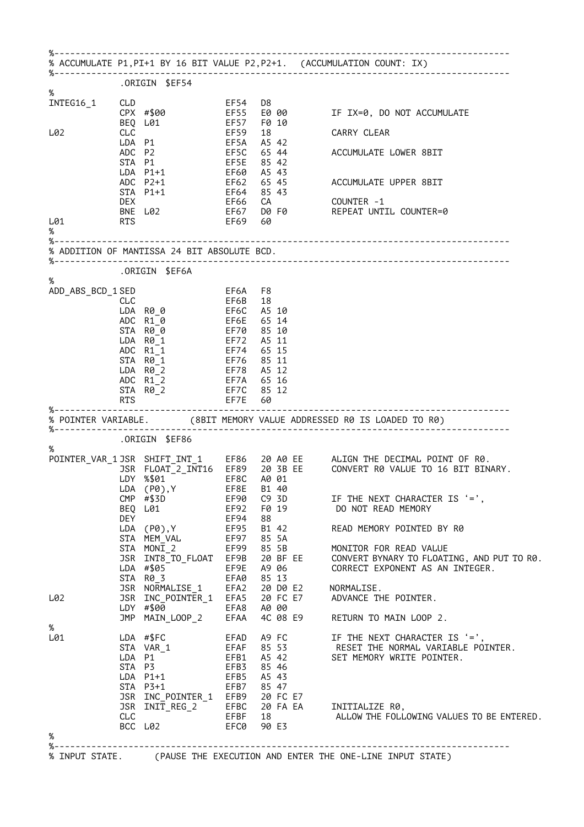| % ACCUMULATE P1, PI+1 BY 16 BIT VALUE P2, P2+1. (ACCUMULATION COUNT: IX) |            |                                                                                          |             |                     |                                                                                                    |
|--------------------------------------------------------------------------|------------|------------------------------------------------------------------------------------------|-------------|---------------------|----------------------------------------------------------------------------------------------------|
| $\%$                                                                     |            | ORIGIN \$EF54.                                                                           |             |                     |                                                                                                    |
| INTEG16_1                                                                | CLD        |                                                                                          | EF54        | D8.                 |                                                                                                    |
|                                                                          |            | CPX #\$00                                                                                |             | EF55 E0 00          | IF IX=0, DO NOT ACCUMULATE                                                                         |
| L02                                                                      | <b>CLC</b> | BEQ L01                                                                                  | EF59        | EF57 F0 10<br>18    | CARRY CLEAR                                                                                        |
|                                                                          |            | LDA P1                                                                                   |             | EF5A A5 42          |                                                                                                    |
|                                                                          |            | ADC P2                                                                                   | EF5C        | 65 44               | ACCUMULATE LOWER 8BIT                                                                              |
|                                                                          |            | STA P1                                                                                   | EF5E        | 85 42               |                                                                                                    |
|                                                                          |            | $LDA$ $P1+1$                                                                             | EF60        | A5 43               |                                                                                                    |
|                                                                          |            | $ADC$ $P2+1$<br>STA P1+1                                                                 | <b>EF64</b> | EF62 65 45<br>85 43 | ACCUMULATE UPPER 8BIT                                                                              |
|                                                                          | DEX        |                                                                                          | EF66 CA     |                     | COUNTER -1                                                                                         |
|                                                                          |            | BNE L02                                                                                  |             |                     | EF67 D0 F0 REPEAT UNTIL COUNTER=0                                                                  |
| L01                                                                      | <b>RTS</b> |                                                                                          | EF69 60     |                     |                                                                                                    |
| %                                                                        |            |                                                                                          |             |                     |                                                                                                    |
|                                                                          |            | % ADDITION OF MANTISSA 24 BIT ABSOLUTE BCD.                                              |             |                     |                                                                                                    |
|                                                                          |            | ORIGIN \$EF6A.                                                                           |             |                     |                                                                                                    |
| $\%$<br>ADD_ABS_BCD_1 SED                                                |            |                                                                                          | EF6A F8     |                     |                                                                                                    |
|                                                                          | <b>CLC</b> |                                                                                          | EF6B        | 18                  |                                                                                                    |
|                                                                          |            | LDA R0_0                                                                                 | EF6C        | A5 10               |                                                                                                    |
|                                                                          |            | ADC R10                                                                                  | EF6E        | 65 14               |                                                                                                    |
|                                                                          |            | STA R00<br>$LDA$ $R\theta_1$                                                             | EF72        | EF70 85 10<br>A5 11 |                                                                                                    |
|                                                                          |            | ADC R1 1                                                                                 | EF74        | 65 15               |                                                                                                    |
|                                                                          |            | STA R0 1                                                                                 |             | EF76 85 11          |                                                                                                    |
|                                                                          |            | LDA R0 2                                                                                 |             | EF78 A5 12          |                                                                                                    |
|                                                                          |            |                                                                                          |             |                     |                                                                                                    |
|                                                                          | ADC R1 2   |                                                                                          |             | EF7A 65 16          |                                                                                                    |
|                                                                          | <b>RTS</b> | STA R0_2                                                                                 |             | EF7C 85 12<br>60    |                                                                                                    |
|                                                                          |            | --------------------------------                                                         | EF7E        |                     |                                                                                                    |
|                                                                          |            | .ORIGIN \$EF86                                                                           |             |                     |                                                                                                    |
|                                                                          |            |                                                                                          |             |                     |                                                                                                    |
|                                                                          |            |                                                                                          |             |                     | POINTER_VAR_1JSR SHIFT_INT_1 EF86 20 A0 EE ALIGN THE DECIMAL POINT OF R0.                          |
|                                                                          |            |                                                                                          |             |                     | JSR FLOAT_2_INT16 EF89 20 3B EE CONVERT R0 VALUE TO 16 BIT BINARY.                                 |
|                                                                          |            |                                                                                          |             |                     |                                                                                                    |
|                                                                          |            | LDY %\$01 EF8C A0 01<br>LDA (P0),Y EF8E B1 40<br>$CMP$ #\$3D                             |             |                     |                                                                                                    |
|                                                                          |            | BEQ L01                                                                                  |             |                     | EF90 C9 3D IF THE NEXT CHARACTER IS '=',<br>DO NOT READ MEMORY                                     |
|                                                                          |            | <b>DEY</b>                                                                               | <b>EF94</b> | 88                  |                                                                                                    |
| %-------<br>$\%$                                                         |            | LDA (P0), Y EF95 B1 42                                                                   |             |                     | READ MEMORY POINTED BY R0                                                                          |
|                                                                          |            |                                                                                          |             |                     | MONITOR FOR READ VALUE                                                                             |
|                                                                          |            |                                                                                          |             |                     |                                                                                                    |
|                                                                          |            |                                                                                          |             |                     | CORRECT EXPONENT AS AN INTEGER.                                                                    |
|                                                                          |            | LDA #\$05 FF9E A9 06<br>STA R0_3 EFA0 85 13                                              |             |                     |                                                                                                    |
|                                                                          |            | JSR NORMALISE_1 EFA2 20 D0 E2 NORMALISE.                                                 |             |                     |                                                                                                    |
|                                                                          |            |                                                                                          |             |                     | JSR INT8_TO_FLOAT EF9B 20 BF EE CONVERT BYNARY TO FLOATING, AND PUT TO R0.<br>ADVANCE THE POINTER. |
|                                                                          |            | JSR INC_POINTER_1 EFA5 20 FC E7<br>LDY #\$00 EFA8 A0 00<br>JMP MAIN_LOOP_2 EFAA 4C 08 E9 |             |                     | 4C 08 E9 RETURN TO MAIN LOOP 2.                                                                    |
|                                                                          |            |                                                                                          |             |                     |                                                                                                    |
|                                                                          |            |                                                                                          |             |                     |                                                                                                    |
|                                                                          |            |                                                                                          |             |                     |                                                                                                    |
|                                                                          |            |                                                                                          |             |                     | LDA P1 <sup>-</sup><br>STA P3 <sup>-</sup><br>STA P3 <sup>-</sup><br>EFB3 85 46 <sup>-</sup>       |
|                                                                          |            | LDA P1+1 EFB5 A5 43                                                                      |             |                     |                                                                                                    |
|                                                                          |            | STA P3+1 EFB7 85 47                                                                      |             |                     |                                                                                                    |
|                                                                          |            |                                                                                          |             |                     |                                                                                                    |
|                                                                          |            |                                                                                          |             |                     |                                                                                                    |
| L02<br>%<br>L01<br>%                                                     |            |                                                                                          |             |                     |                                                                                                    |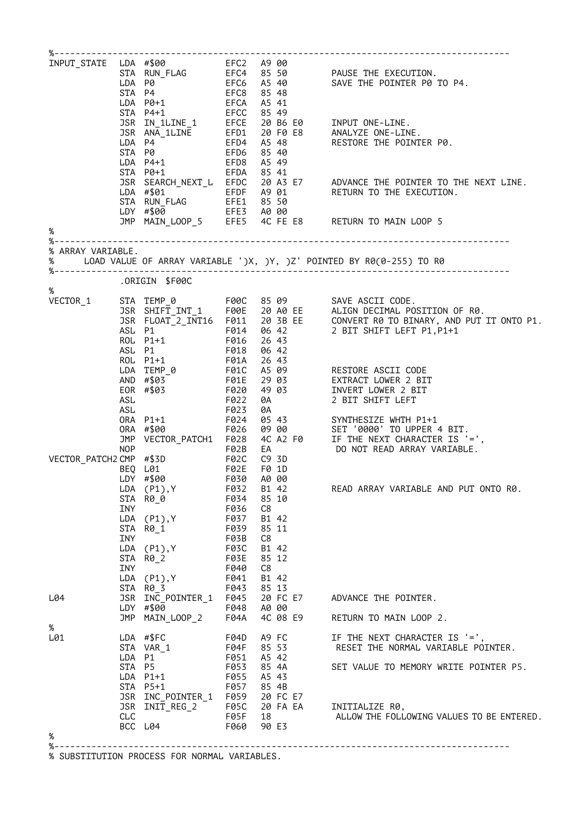|                   |            |                                                                                         |                     |                          | Word INPUT_STATE LDA #\$00<br>EFC2 A 900<br>STA RNN_FLAG EFC4 85 50 PAUSE THE EXECUTION.<br>LDA P0 EFC6 A5 40 SAVE THE POINTER P0 TO P4.<br>STA P4+1 EFC6 85 49<br>DR P4+1 EFCC 85 49<br>SR IN_1LINE_1 EFCE 20 B6 E0 INPUT ONE-LINE.<br>LDA P |
|-------------------|------------|-----------------------------------------------------------------------------------------|---------------------|--------------------------|-----------------------------------------------------------------------------------------------------------------------------------------------------------------------------------------------------------------------------------------------|
|                   |            |                                                                                         |                     |                          |                                                                                                                                                                                                                                               |
|                   |            |                                                                                         |                     |                          |                                                                                                                                                                                                                                               |
|                   |            |                                                                                         |                     |                          |                                                                                                                                                                                                                                               |
|                   |            |                                                                                         |                     |                          |                                                                                                                                                                                                                                               |
|                   |            |                                                                                         |                     |                          |                                                                                                                                                                                                                                               |
|                   |            |                                                                                         |                     |                          |                                                                                                                                                                                                                                               |
|                   |            |                                                                                         |                     |                          |                                                                                                                                                                                                                                               |
|                   |            |                                                                                         |                     |                          |                                                                                                                                                                                                                                               |
|                   |            |                                                                                         |                     |                          |                                                                                                                                                                                                                                               |
|                   |            |                                                                                         |                     |                          |                                                                                                                                                                                                                                               |
|                   |            |                                                                                         |                     |                          |                                                                                                                                                                                                                                               |
|                   |            |                                                                                         |                     |                          | LDA #\$01<br>CON FLAG EFET 85 50<br>LDY #\$00 EFET 85 50<br>LDY #\$00 EFE3 A0 00<br>JMP MAIN_LOOP_5 EFES 4C FE E8 RETURN TO MAIN LOOP 5                                                                                                       |
|                   |            |                                                                                         |                     |                          |                                                                                                                                                                                                                                               |
|                   |            |                                                                                         |                     |                          |                                                                                                                                                                                                                                               |
| $\%$              |            |                                                                                         |                     |                          |                                                                                                                                                                                                                                               |
| % ARRAY VARIABLE. |            |                                                                                         |                     |                          |                                                                                                                                                                                                                                               |
|                   |            |                                                                                         |                     |                          | % LOAD VALUE OF ARRAY VARIABLE ')X, )Y, )Z' POINTED BY R0(0-255) TO R0                                                                                                                                                                        |
|                   |            |                                                                                         |                     |                          |                                                                                                                                                                                                                                               |
| %                 |            | ORIGIN \$F00C                                                                           |                     |                          |                                                                                                                                                                                                                                               |
| VECTOR_1          |            |                                                                                         |                     |                          |                                                                                                                                                                                                                                               |
|                   |            |                                                                                         |                     |                          | STA TEMP_0 F00C 85 09<br>JSR SHIFT_INT_1 F00E 20 A0 EE ALIGN DECIMAL POSITION OF R0.<br>JSR FLOAT_2_INT16 F011 20 3B EE CONVERT R0 TO BINARY, AND PUT IT ONTO P1.<br>ASL P1 F014 06 42 2 BIT SHIFT LEFT P1,P1+1<br>ROL P1+1 F016 26 43        |
|                   |            |                                                                                         |                     |                          |                                                                                                                                                                                                                                               |
|                   |            |                                                                                         |                     |                          |                                                                                                                                                                                                                                               |
|                   |            |                                                                                         |                     |                          |                                                                                                                                                                                                                                               |
|                   |            | ASL P1<br>ROL P1+1                                                                      | F018<br>F01A        | 06 42<br>26 43           |                                                                                                                                                                                                                                               |
|                   |            |                                                                                         |                     |                          |                                                                                                                                                                                                                                               |
|                   |            |                                                                                         |                     |                          | LDA TEMP_0<br>AND #\$03<br>EOR #\$03<br>FO1E 29 03<br>EXTRACT LOWER 2 BIT<br>EOR #\$03<br>FO20 49 03<br>INVERT LOWER 2 BIT<br>ASL<br>FO22 0A<br>2 BIT SHIFT LEFT                                                                              |
|                   |            |                                                                                         |                     |                          |                                                                                                                                                                                                                                               |
|                   |            |                                                                                         |                     |                          |                                                                                                                                                                                                                                               |
|                   | ASL        |                                                                                         | F023<br>F024        | 0A                       |                                                                                                                                                                                                                                               |
|                   |            |                                                                                         |                     |                          |                                                                                                                                                                                                                                               |
|                   |            |                                                                                         |                     |                          |                                                                                                                                                                                                                                               |
|                   |            |                                                                                         |                     |                          | ORA P1+1<br>ORA #\$00<br>ORA #\$00<br>ORA #\$00<br>TO24 05 43<br>ORA #\$00<br>FO24 05 42 F0 SET '0000' TO UPPER 4 BIT.<br>OP FO2B EA DO NOT READ ARRAY VARIABLE.                                                                              |
|                   |            | NOP<br>VECTOR_PATCH2 CMP #\$3D F02C C9 3D<br>BEQ L01 F02E F0 1D<br>LDY #\$00 F030 A0 00 |                     |                          |                                                                                                                                                                                                                                               |
|                   |            |                                                                                         |                     |                          |                                                                                                                                                                                                                                               |
|                   |            |                                                                                         |                     |                          |                                                                                                                                                                                                                                               |
|                   |            | LDA (P1), Y F032 B1 42                                                                  |                     |                          | READ ARRAY VARIABLE AND PUT ONTO R0.                                                                                                                                                                                                          |
|                   | INY        | STA R00                                                                                 | F034<br>F036        | 85 10<br>C8              |                                                                                                                                                                                                                                               |
|                   |            | LDA (P1),Y                                                                              | F037                | B1 42                    |                                                                                                                                                                                                                                               |
|                   |            | STA R0_1                                                                                | F039                | 85 11                    |                                                                                                                                                                                                                                               |
|                   | INY        |                                                                                         | F03B                | C8                       |                                                                                                                                                                                                                                               |
|                   |            | LDA (P1),Y                                                                              | <b>F03C</b>         | B1 42                    |                                                                                                                                                                                                                                               |
|                   | <b>INY</b> | STA R0_2                                                                                | <b>F03E</b><br>F040 | 85 12<br>C8              |                                                                                                                                                                                                                                               |
|                   |            | LDA (P1), Y                                                                             | F041                | B1 42                    |                                                                                                                                                                                                                                               |
|                   |            | STA R0 3<br>F043 85 13                                                                  |                     |                          |                                                                                                                                                                                                                                               |
| L04               |            |                                                                                         |                     |                          | JSR INC_POINTER_1 F045 20 FC E7 ADVANCE THE POINTER.                                                                                                                                                                                          |
|                   |            | LDY #\$00 7648 A0 00<br>JMP MAIN_LOOP_2 F04A 4C 08                                      |                     |                          |                                                                                                                                                                                                                                               |
|                   |            |                                                                                         |                     | 4C 08 E9                 | RETURN TO MAIN LOOP 2.                                                                                                                                                                                                                        |
| %<br>L01          |            | LDA #\$FC                                                                               | F04D                | A9 FC LOS                | IF THE NEXT CHARACTER IS '=',                                                                                                                                                                                                                 |
|                   |            | STA VAR_1                                                                               |                     | F04F 85 53               | RESET THE NORMAL VARIABLE POINTER.                                                                                                                                                                                                            |
|                   |            | LDA P1                                                                                  |                     |                          |                                                                                                                                                                                                                                               |
|                   |            | STA P5                                                                                  |                     | F051 A5 42<br>F053 85 4A | SET VALUE TO MEMORY WRITE POINTER P5.                                                                                                                                                                                                         |
|                   |            | LDA P1+1                                                                                |                     | F055 A5 43               |                                                                                                                                                                                                                                               |
|                   |            | STA P5+1                                                                                | F057                | 85 4B                    |                                                                                                                                                                                                                                               |
|                   |            |                                                                                         |                     |                          | JSR INC_POINTER_1 F059 20 FC E7<br>JSR INIT_REG_2 F05C 20 FA EA INITIALIZE R0,                                                                                                                                                                |
|                   |            |                                                                                         |                     | F05F 18                  | ALLOW THE FOLLOWING VALUES TO BE ENTERED.                                                                                                                                                                                                     |
|                   |            |                                                                                         |                     |                          |                                                                                                                                                                                                                                               |
|                   | CLC        |                                                                                         |                     | F060 90 E3               |                                                                                                                                                                                                                                               |
| %                 |            | BCC L04                                                                                 |                     |                          |                                                                                                                                                                                                                                               |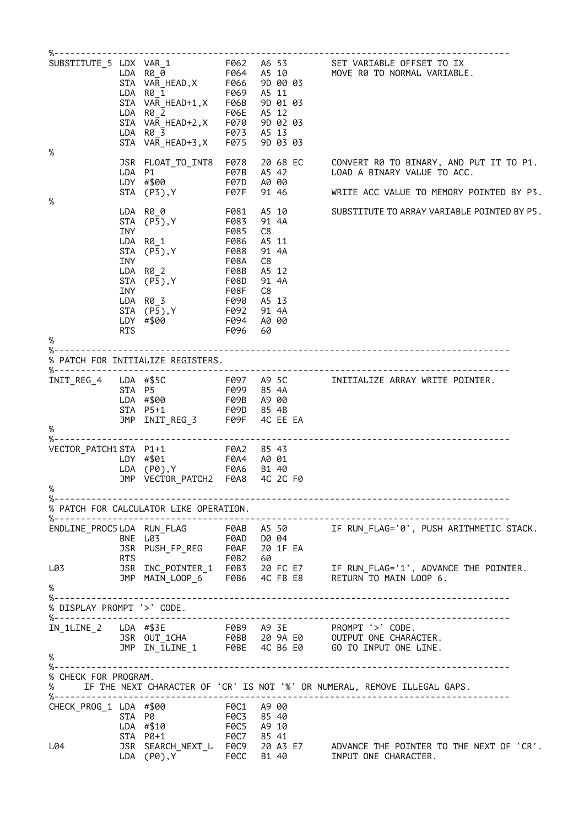| %                            | LDA<br><b>STA</b><br>STA               | F069<br>R0_1<br>VAR_HEAD+1,X F06B<br>FØ6E<br>$LDA$ $R\theta$ 2<br>VAR_HEAD+2,X F070<br>F073 A5 13<br>LDA R0_3<br>STA VAR_HEAD+3,X F075                                                    |                                        | A5 11<br>9D 01 03<br>A5 12<br>9D 02 03<br>9D 03 03                            | SUBSTITUTE_5 LDX VAR_1 F062 A6 53 SET VARIABLE OFFSET TO IX<br>LDA R0_0 F064 A5 10 MOVE R0 TO NORMAL VARIABLE.<br>STA VAR_HEAD,X F066 9D 00 03 |
|------------------------------|----------------------------------------|-------------------------------------------------------------------------------------------------------------------------------------------------------------------------------------------|----------------------------------------|-------------------------------------------------------------------------------|------------------------------------------------------------------------------------------------------------------------------------------------|
|                              |                                        | JSR FLOAT_TO_INT8 F078<br>LDA P1<br>LDY #\$00                                                                                                                                             | F07B<br>F07D                           | 20 68 EC<br>A5 42<br>A0 00                                                    | CONVERT R0 TO BINARY, AND PUT IT TO P1.<br>LOAD A BINARY VALUE TO ACC.                                                                         |
| $\%$                         |                                        | STA (P3), Y                                                                                                                                                                               | F07F                                   | 91 46                                                                         | WRITE ACC VALUE TO MEMORY POINTED BY P3.                                                                                                       |
|                              | STA<br><b>INY</b><br>STA<br><b>INY</b> | LDA R0_0<br>F081<br>F083 (P5),Y<br>F085<br>LDA R01<br>$(P\overline{5}), Y$ F088<br>LDA R0_2<br>STA (P5), Y<br>INY F08F<br>LDA R0 3<br>STA (P5), Y<br>LDY #\$00<br>RTS +690<br>RTS F096 60 | F086<br>F08A<br><b>F08B</b><br>F090    | A5 10<br>91 4A<br>C8<br>A5 11<br>91 4A<br>C8<br>A5 12<br>91 4A<br>C8<br>A5 13 | SUBSTITUTE TO ARRAY VARIABLE POINTED BY P5.                                                                                                    |
| $\%$                         |                                        |                                                                                                                                                                                           |                                        |                                                                               |                                                                                                                                                |
|                              |                                        |                                                                                                                                                                                           |                                        |                                                                               |                                                                                                                                                |
|                              |                                        | LDA #\$00<br>STA P5+1 F09B A9 00<br>STA P5+1 F09D 85 4B<br>JMP INIT_REG_3 F09F 4C EE EA                                                                                                   |                                        |                                                                               |                                                                                                                                                |
| %                            |                                        |                                                                                                                                                                                           |                                        |                                                                               |                                                                                                                                                |
| %                            | LDA                                    | (P0), Y F0A6<br>JMP VECTOR_PATCH2 F0A8                                                                                                                                                    |                                        | B1 40<br>4C 2C F0                                                             |                                                                                                                                                |
|                              |                                        | % PATCH FOR CALCULATOR LIKE OPERATION.                                                                                                                                                    |                                        |                                                                               |                                                                                                                                                |
|                              | RTS                                    | ENDLINE_PROC5 LDA RUN_FLAG F0AB A5 50<br>BNE L03<br>JSR PUSH_FP_REG F0AF 20 1F EA                                                                                                         | F0B2                                   | 60                                                                            | IF RUN_FLAG='0', PUSH ARITHMETIC STACK.                                                                                                        |
| L03<br>%                     |                                        |                                                                                                                                                                                           |                                        |                                                                               | JSR INC_POINTER_1 F0B3 20 FC E7 IF RUN_FLAG='1', ADVANCE THE POINTER.<br>JMP MAIN_LOOP_6 F0B6 4C FB E8 RETURN TO MAIN LOOP 6.                  |
| % DISPLAY PROMPT '>' CODE.   |                                        |                                                                                                                                                                                           |                                        |                                                                               |                                                                                                                                                |
| %------------------          |                                        |                                                                                                                                                                                           |                                        |                                                                               | -----------------------<br>--------------                                                                                                      |
| $\%$<br>% CHECK FOR PROGRAM. |                                        |                                                                                                                                                                                           |                                        |                                                                               |                                                                                                                                                |
| CHECK_PROG_1 LDA #\$00       | STA P0                                 | F0C1 A9 00<br>LDA #\$10<br>STA P0+1                                                                                                                                                       | F0C3 85 40<br>F0C5 A9 10<br>F0C7 85 41 |                                                                               |                                                                                                                                                |
| L04                          |                                        | LDA (P0), Y                                                                                                                                                                               | F0CC                                   | B1 40                                                                         | JSR SEARCH_NEXT_L F0C9 20 A3 E7 ADVANCE THE POINTER TO THE NEXT OF 'CR'.<br>INPUT ONE CHARACTER.                                               |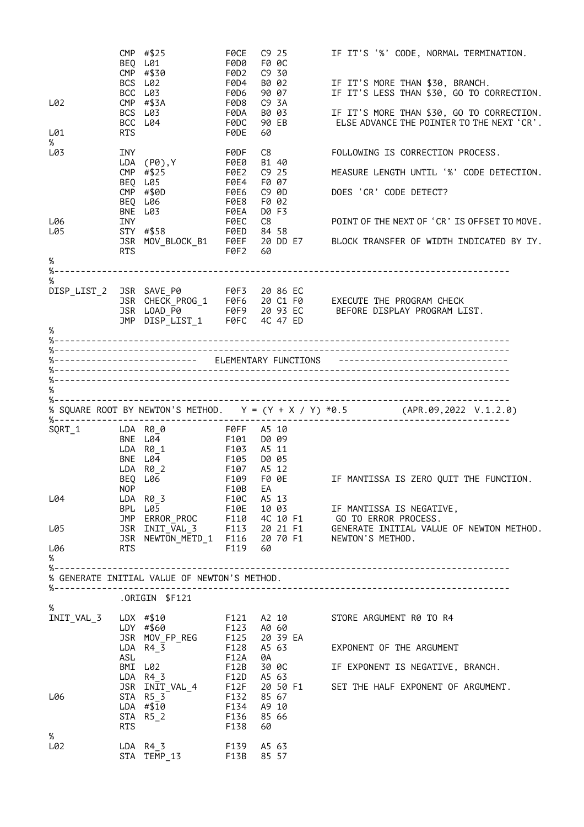|                                 |            | CMP #\$25<br>BEQ L01<br>CMP #\$30<br>BCS L02                                                          | F0CE<br>F0D0<br>F0D2<br>F0D4 | C9 25<br>F0 0C<br>C9 30<br>B0 02                     | IF IT'S '%' CODE, NORMAL TERMINATION.<br>IF IT'S MORE THAN \$30, BRANCH.                                                                                                         |
|---------------------------------|------------|-------------------------------------------------------------------------------------------------------|------------------------------|------------------------------------------------------|----------------------------------------------------------------------------------------------------------------------------------------------------------------------------------|
| L02                             |            | BCC L03<br>$CMP$ #\$3A<br>BCS L03<br>BCC L04                                                          | F0D6<br>F0D8<br>F0DA<br>F0DC | 90 07<br>C9 3A<br>B0 03<br>90 EB                     | IF IT'S LESS THAN \$30, GO TO CORRECTION.<br>IF IT'S MORE THAN \$30, GO TO CORRECTION.<br>ELSE ADVANCE THE POINTER TO THE NEXT 'CR'.                                             |
| L01<br>$\%$                     | <b>RTS</b> |                                                                                                       | F0DE                         | 60                                                   |                                                                                                                                                                                  |
| L03                             | <b>INY</b> | LDA (P0), Y F0E0<br>$CMP$ #\$25                                                                       | F0DF<br>F0E2                 | C8<br>B1 40<br>$C9$ 25                               | FOLLOWING IS CORRECTION PROCESS.<br>MEASURE LENGTH UNTIL '%' CODE DETECTION.                                                                                                     |
|                                 |            | BEQ L05<br>CMP #\$0D<br>BEQ L06                                                                       | FØE4<br>F0E6<br>F0E8         | F0 07<br>C9 0D<br>F0 02                              | DOES 'CR' CODE DETECT?                                                                                                                                                           |
| L06                             | INY        | BNE L03                                                                                               | <b>FØEA</b><br>F0EC          | D0 F3<br>C8                                          | POINT OF THE NEXT OF 'CR' IS OFFSET TO MOVE.                                                                                                                                     |
| L05<br>%                        | RTS        | $STY$ #\$58<br>JSR MOV_BLOCK_B1 F0EF                                                                  | F0ED<br>F0F2                 | 84 58<br>60                                          | 20 DD E7 BLOCK TRANSFER OF WIDTH INDICATED BY IY.                                                                                                                                |
|                                 |            |                                                                                                       |                              |                                                      |                                                                                                                                                                                  |
| $\%$<br>DISP_LIST_2 JSR SAVE_P0 |            |                                                                                                       |                              |                                                      | USR SAVE_P0 F0F3 20 86 EC<br>USR CHECK_PROG_1 F0F6 20 C1 F0 EXECUTE THE PROGRAM CHECK<br>USR LOAD_P0 F0F9 20 93 EC BEFORE DISPLAY PROGRAM LIST.<br>UNP DISP_LIST_1 F0FC 4C 47 ED |
| $\%$                            |            |                                                                                                       |                              |                                                      |                                                                                                                                                                                  |
|                                 |            |                                                                                                       |                              |                                                      |                                                                                                                                                                                  |
|                                 |            |                                                                                                       |                              |                                                      | %------------------------- ELEMENTARY FUNCTIONS --------------------------------                                                                                                 |
| $\%$                            |            |                                                                                                       |                              |                                                      |                                                                                                                                                                                  |
|                                 |            | %----------------------------------                                                                   |                              |                                                      | % SQUARE ROOT BY NEWTON'S METHOD. $Y = (Y + X / Y) * 0.5$ (APR.09,2022 V.1.2.0)                                                                                                  |
| $SQRT_1$                        |            | BNE L04<br>I.DA R0 1 F103<br>LDA R0_1 F103<br>BNE L04 F105<br>LDA R0_2<br>BEQ L06<br>NOP <sub>c</sub> | F107<br>F109                 | D0 09<br>A5 11<br>D0 05<br>A5 12<br>F0 0E<br>F10B EA | IF MANTISSA IS ZERO QUIT THE FUNCTION.                                                                                                                                           |
| L04                             |            | LDA R0_3                                                                                              | F10C                         | A5 13                                                |                                                                                                                                                                                  |
|                                 |            |                                                                                                       |                              |                                                      | BPL L05 F10E 10 03 IF MANTISSA IS NEGATIVE,<br>JMP ERROR_PROC F110 4C 10 F1 GO TO ERROR PROCESS.                                                                                 |
| L05<br>L06<br>%                 | <b>RTS</b> |                                                                                                       | F119 60                      |                                                      | JSR INIT_VAL_3 F113 20 21 F1 GENERATE INITIAL VALUE OF NEWTON METHOD.<br>JSR NEWTON_METD_1 F116 20 70 F1 NEWTON'S METHOD.                                                        |
| $% - - - -$                     |            |                                                                                                       |                              |                                                      |                                                                                                                                                                                  |
|                                 |            | % GENERATE INITIAL VALUE OF NEWTON'S METHOD.                                                          |                              |                                                      |                                                                                                                                                                                  |
| $\%$                            |            | .ORIGIN \$F121                                                                                        |                              |                                                      |                                                                                                                                                                                  |
| INIT_VAL_3     LDX   #\$10      |            | LDY #\$60<br>JSR MOV_FP_REG<br>$LDA$ R4_3                                                             |                              | F123 A0 60<br>F125 20 39 EA<br>F128 A5 63            | F121 A2 10 STORE ARGUMENT R0 TO R4<br>EXPONENT OF THE ARGUMENT                                                                                                                   |
|                                 | ASL        | BMI L02                                                                                               | F12A<br>F12B                 | 0A<br>30 OC                                          | IF EXPONENT IS NEGATIVE, BRANCH.                                                                                                                                                 |
| L06                             |            | LDA R43<br>JSR INIT_VAL_4 F12F<br>STA R5_3                                                            | F12D A5 63<br>F132           | 20 50 F1<br>85 67                                    | SET THE HALF EXPONENT OF ARGUMENT.                                                                                                                                               |
|                                 | <b>RTS</b> | LDA #\$10<br>STA R5_2                                                                                 | F134<br>F136<br>F138         | A9 10<br>85 66<br>60                                 |                                                                                                                                                                                  |
| %<br>L02                        |            | LDA $R4_3$<br><b>F139</b><br>STA TEMP_13                                                              | F13B                         | A5 63<br>85 57                                       |                                                                                                                                                                                  |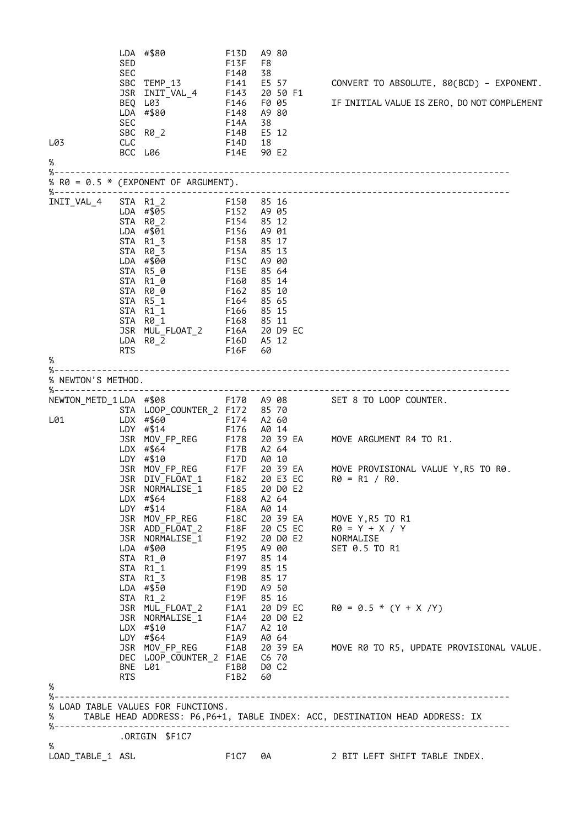| L03<br>℅              | SED<br><b>SEC</b><br>JSR<br>SEC<br>CLC | LDA #\$80<br>SBC TEMP_13<br>INIT_VAL_4 F143<br>BEQ L03<br>LDA #\$80<br>SBC R0_2<br>F14E 90 E2<br>BCC L06                                                                                                              | F13D<br><b>F13F</b><br>F140<br>F141<br>F146 F005<br>F148<br>F14A<br><b>F14B</b><br>F14D                             | A9 80<br>F8<br>38<br>E5 57<br>20 50 F1<br>A9 80<br>38<br>E5 12<br>18                                                      | CONVERT TO ABSOLUTE, 80(BCD) - EXPONENT.<br>IF INITIAL VALUE IS ZERO, DO NOT COMPLEMENT                         |
|-----------------------|----------------------------------------|-----------------------------------------------------------------------------------------------------------------------------------------------------------------------------------------------------------------------|---------------------------------------------------------------------------------------------------------------------|---------------------------------------------------------------------------------------------------------------------------|-----------------------------------------------------------------------------------------------------------------|
|                       |                                        | % R0 = $0.5 * (EXPONENT OF ARGUMENT)$ .                                                                                                                                                                               |                                                                                                                     |                                                                                                                           |                                                                                                                 |
| INIT_VAL_4<br>℅       | RTS                                    | STA R1 2 F150 85 16<br>LDA $\#$ \$05 F152<br>STA R0_2<br>LDA #\$01<br>STA R1 3<br>STA R0_3<br>LDA #\$00<br>STA R50<br>STA R1_0<br>F160<br>STA R0_0<br>STA R5_1<br>STA R1 1<br>STA R0_1<br>JSR MUL_FLOAT_2<br>LDA R0_2 | F154<br>F156<br>F158<br><b>F15A</b><br>F15C<br><b>F15E</b><br>F162<br>F164<br>F166<br>F168 85 11<br>F16D<br>F16F 60 | A9 05<br>85 12<br>A9 01<br>85 17<br>85 13<br>A9 00<br>85 64<br>85 14<br>85 10<br>85 65<br>85 15<br>F16A 20 D9 EC<br>A5 12 |                                                                                                                 |
| % NEWTON'S METHOD.    |                                        |                                                                                                                                                                                                                       |                                                                                                                     |                                                                                                                           |                                                                                                                 |
| L01                   |                                        | STA LOOP_COUNTER_2 F172 85 70<br>LDX #\$60<br>LDY #\$14                                                                                                                                                               | F174 A2 60<br>F176 A0 14                                                                                            |                                                                                                                           | NEWTON METD 1LDA #\$08 F170 A908 SET 8 TO LOOP COUNTER.<br>JSR MOV_FP_REG F178 20 39 EA MOVE ARGUMENT R4 TO R1. |
|                       |                                        | $LDX$ #\$64<br>LDY #\$10<br>JSR NORMALISE_1    F185    20    D0    E2<br>$LDX$ #\$64                                                                                                                                  | F17B A2 64<br>F17D A0 10<br>F188                                                                                    | A2 64                                                                                                                     | JSR MOV_FP_REG F17F 20 39 EA MOVE PROVISIONAL VALUE Y, R5 TO R0.<br>JSR DIV_FLOAT_1 F182 20 E3 EC R0 = R1 / R0. |
|                       |                                        | LDY #\$14<br>JSR ADD_FLOAT_2 F18F 20 C5 EC<br>JSR NORMALISE_1 F192 20 D0 E2<br>LDA #\$00<br>STA R1_0<br>STA R1_1<br>STA R1_3<br>LDA #\$50                                                                             | F18A<br>F195 A9 00<br>F197 85 14<br>F199<br>F19B<br>F19D A9 50                                                      | A0 14<br>85 15<br>85 17                                                                                                   | JSR MOV_FP_REG F18C 20 39 EA MOVE Y, R5 TO R1<br>R0 = Y´+ X / Y<br>NORMALISE<br>SET 0.5 TO R1                   |
|                       |                                        | STA R1_2<br>JSR MUL_FLOAT_2 F1A1 20 D9 EC<br>JSR NORMALISE_1 F1A4 20 D9 E2<br>LDX #\$10<br>LDX #\$10 F1A7 A2 10<br>LDY #\$64 F1A9 A0 64                                                                               |                                                                                                                     |                                                                                                                           | $R\theta = \theta.5 * (Y + X/Y)$<br>JSR MOV_FP_REG F1AB 20 39 EA MOVE R0 TO R5, UPDATE PROVISIONAL VALUE.       |
| %                     |                                        | DEC LOOP_COUNTER_2 F1AE C6 70<br>BNE L01 F1B0 D0 C2<br>RTS F1B2 60                                                                                                                                                    |                                                                                                                     |                                                                                                                           |                                                                                                                 |
| %--<br>%              |                                        | % LOAD TABLE VALUES FOR FUNCTIONS.                                                                                                                                                                                    |                                                                                                                     |                                                                                                                           | TABLE HEAD ADDRESS: P6, P6+1, TABLE INDEX: ACC, DESTINATION HEAD ADDRESS: IX                                    |
|                       |                                        | ORIGIN \$F1C7.                                                                                                                                                                                                        |                                                                                                                     |                                                                                                                           |                                                                                                                 |
| ℅<br>LOAD_TABLE_1 ASL |                                        |                                                                                                                                                                                                                       | F1C7 0A                                                                                                             |                                                                                                                           | 2 BIT LEFT SHIFT TABLE INDEX.                                                                                   |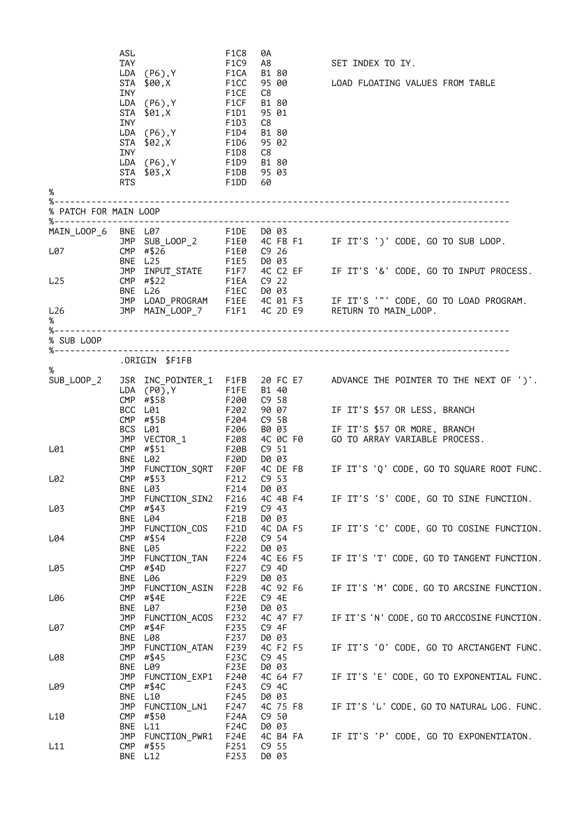| %                        | ASL<br>TAY<br>INY<br><b>INY</b><br><b>RTS</b> | LDA (P6), Y FICA<br>STA \$00,X<br>LDA (P6), Y FICF<br>STA \$01, X F1D1<br>LDA (P6), Y F1D4<br>STA $$02$ , $X$ F1D6<br><b>INY</b><br>LDA (P6), Y F1D9 B1 80<br>STA \$03,X F1DB 95 03 | F1C8<br>F1C9<br>F1CC<br>F1CE<br>F1D3<br>F1D8<br>F1DD 60 | 0A<br>A8<br>B1 80<br>95 00<br>C8<br>B1 80<br>95 01<br>C8<br>B1 80<br>95 02<br>C8 | SET INDEX TO IY.<br>LOAD FLOATING VALUES FROM TABLE                                                                        |
|--------------------------|-----------------------------------------------|-------------------------------------------------------------------------------------------------------------------------------------------------------------------------------------|---------------------------------------------------------|----------------------------------------------------------------------------------|----------------------------------------------------------------------------------------------------------------------------|
| % PATCH FOR MAIN LOOP    |                                               |                                                                                                                                                                                     |                                                         |                                                                                  |                                                                                                                            |
|                          |                                               | MAIN_LOOP_6 BNE L07 F1DE D0 03                                                                                                                                                      |                                                         |                                                                                  |                                                                                                                            |
| L07                      |                                               | CMP #\$26 T F1E0 C9 26<br>BNE L25 F1E5 D0 03                                                                                                                                        |                                                         |                                                                                  | JMP SUB_LOOP_2 F1E0 4C FB F1 IF IT'S ')' CODE, GO TO SUB LOOP.<br>CMP #\$26 F1E0 C9 26                                     |
|                          |                                               |                                                                                                                                                                                     |                                                         |                                                                                  |                                                                                                                            |
| L25                      |                                               |                                                                                                                                                                                     |                                                         |                                                                                  | JMP INPUT_STATE F1F7 4C C2 EF IF IT'S '&' CODE, GO TO INPUT PROCESS.<br>CMP #\$22 F1EA C9 22<br>BNE L26 F1EC D0 03         |
|                          |                                               |                                                                                                                                                                                     |                                                         |                                                                                  | JMP LOAD_PROGRAM F1EE 4C 01 F3 IF IT'S '"' CODE, GO TO LOAD PROGRAM.<br>JMP MAIN_LOOP_7 F1F1 4C 2D E9 RETURN TO MAIN_LOOP. |
| L26<br>%                 |                                               |                                                                                                                                                                                     |                                                         |                                                                                  |                                                                                                                            |
| %--------<br>% SUB LOOP  |                                               |                                                                                                                                                                                     |                                                         |                                                                                  |                                                                                                                            |
| %----------------------- |                                               | .ORIGIN \$F1FB                                                                                                                                                                      |                                                         |                                                                                  |                                                                                                                            |
| %                        |                                               |                                                                                                                                                                                     |                                                         |                                                                                  |                                                                                                                            |
| SUB_LOOP_2               |                                               | $LDA (P0), Y $ F1FE                                                                                                                                                                 |                                                         | B1 40                                                                            | JSR INC_POINTER_1 F1FB 20 FC E7 ADVANCE THE POINTER TO THE NEXT OF ')'.                                                    |
|                          |                                               | CMP $# $58$<br>BCC L01                                                                                                                                                              | F200<br>F202                                            | C9 58                                                                            | C9 58<br>90 07          IF IT'S \$57 OR LESS, BRANCH                                                                       |
|                          |                                               | CMP $\#$ \$5B<br>BCS L01                                                                                                                                                            | F206                                                    | F204 C9 5B                                                                       |                                                                                                                            |
|                          |                                               | JMP VECTOR_1 F208                                                                                                                                                                   |                                                         |                                                                                  | B0 03           IF IT'S \$57 OR MORE, BRANCH<br>4C 0C F0       GO TO ARRAY VARIABLE PROCESS.                               |
| L01                      |                                               | CMP #\$51<br>BNE L02                                                                                                                                                                | <b>F20B</b>                                             | C9 51                                                                            | BNE L02 F20D D0 03<br>JMP FUNCTION_SQRT F20F 4C DE FB IF IT'S 'Q' CODE, GO TO SQUARE ROOT FUNC.                            |
| L02                      |                                               | F212 C9 53<br>CMP #\$53                                                                                                                                                             |                                                         |                                                                                  |                                                                                                                            |
|                          |                                               | BNE L03<br>JMP FUNCTION_SIN2                                                                                                                                                        | F214<br>F216                                            | D0 03<br>4C 4B F4                                                                | IF IT'S 'S' CODE, GO TO SINE FUNCTION.                                                                                     |
| L03                      |                                               | $CMP$ #\$43                                                                                                                                                                         | F219                                                    | C9 43                                                                            |                                                                                                                            |
|                          |                                               | BNE L04<br>JMP FUNCTION_COS                                                                                                                                                         | F21B<br>F21D                                            | D0 03<br>4C DA F5                                                                | IF IT'S 'C' CODE, GO TO COSINE FUNCTION.                                                                                   |
| L04                      | BNE                                           | CMP #\$54<br>L05                                                                                                                                                                    | F220<br>F222                                            | C9 <sub>54</sub><br>D0 03                                                        |                                                                                                                            |
| L05                      |                                               | JMP FUNCTION_TAN<br>CMP $#$ \$4D                                                                                                                                                    | F224<br>F227                                            | 4C E6 F5<br>C9 4D                                                                | IF IT'S 'T' CODE, GO TO TANGENT FUNCTION.                                                                                  |
|                          |                                               | BNE L06                                                                                                                                                                             | F229                                                    | D0 03                                                                            |                                                                                                                            |
| L06                      |                                               | JMP FUNCTION_ASIN<br>CMP #\$4E                                                                                                                                                      | F22B<br>F <sub>2</sub> 2E                               | 4C 92 F6<br>C9 4E                                                                | IF IT'S 'M' CODE, GO TO ARCSINE FUNCTION.                                                                                  |
|                          |                                               | BNE L07<br>JMP FUNCTION_ACOS                                                                                                                                                        | F230<br>F232                                            | D0 03<br>4C 47 F7                                                                | IF IT'S 'N' CODE, GO TO ARCCOSINE FUNCTION.                                                                                |
| L07                      |                                               | CMP $#$ \$4F                                                                                                                                                                        | F235                                                    | C9 4F                                                                            |                                                                                                                            |
|                          |                                               | BNE L08<br>JMP FUNCTION_ATAN                                                                                                                                                        | F237<br>F239                                            | D0 03<br>4C F2 F5                                                                | IF IT'S 'O' CODE, GO TO ARCTANGENT FUNC.                                                                                   |
| L08                      |                                               | CMP #\$45<br>BNE L09                                                                                                                                                                | F23C<br>F23E                                            | C9 45<br>D0 03                                                                   |                                                                                                                            |
| L09                      |                                               | JMP FUNCTION_EXP1<br>CMP $#$4C$                                                                                                                                                     | F240<br>F243                                            | 4C 64 F7<br>C9 4C                                                                | IF IT'S 'E' CODE, GO TO EXPONENTIAL FUNC.                                                                                  |
|                          |                                               | BNE L10                                                                                                                                                                             | F245                                                    | D0 03                                                                            |                                                                                                                            |
| L <sub>10</sub>          | CMP                                           | JMP FUNCTION_LN1<br>#\$50                                                                                                                                                           | F247<br>F24A                                            | 4C 75 F8<br>C9 50                                                                | IF IT'S 'L' CODE, GO TO NATURAL LOG. FUNC.                                                                                 |
|                          |                                               | BNE L11<br>JMP FUNCTION_PWR1                                                                                                                                                        | F24C<br>F24E                                            | D0 03<br>4C B4 FA                                                                | IF IT'S 'P' CODE, GO TO EXPONENTIATON.                                                                                     |
| L11                      |                                               | CMP #\$55<br>BNE L12                                                                                                                                                                | F251<br>F253                                            | C9 55<br>D0 03                                                                   |                                                                                                                            |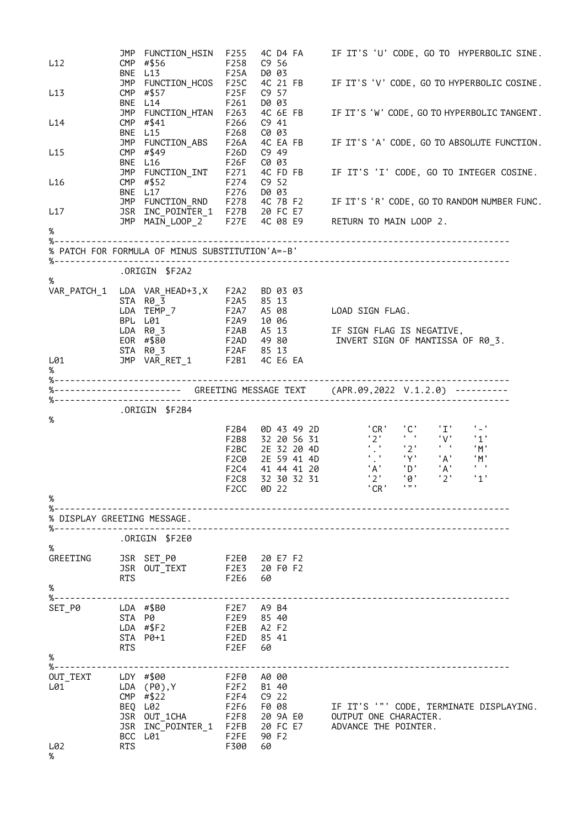| L12                                                                                                            |            | JMP FUNCTION HSIN F255<br>CMP #\$56               | F258        | C9 <sub>56</sub>         | 4C D4 FA IF IT'S 'U' CODE, GO TO HYPERBOLIC SINE.                                                                                                                                                                                         |
|----------------------------------------------------------------------------------------------------------------|------------|---------------------------------------------------|-------------|--------------------------|-------------------------------------------------------------------------------------------------------------------------------------------------------------------------------------------------------------------------------------------|
|                                                                                                                |            | BNE L13                                           | <b>F25A</b> | D0 03                    |                                                                                                                                                                                                                                           |
| L13                                                                                                            |            | JMP FUNCTION_HCOS F25C<br>CMP #\$57               | F25F        | C9 57                    | 4C 21 FB IF IT'S 'V' CODE, GO TO HYPERBOLIC COSINE.                                                                                                                                                                                       |
|                                                                                                                |            | BNE L14                                           | F261        | D0 03                    |                                                                                                                                                                                                                                           |
|                                                                                                                |            | JMP FUNCTION_HTAN F263                            |             |                          | 4C 6E FB IF IT'S 'W' CODE, GO TO HYPERBOLIC TANGENT.                                                                                                                                                                                      |
| L14                                                                                                            |            | CMP #\$41<br>F266<br>BNE L15                      | F268        | $C9$ 41<br>C0 03         |                                                                                                                                                                                                                                           |
|                                                                                                                |            | JMP FUNCTION_ABS F26A                             |             |                          | 4C EA FB IF IT'S 'A' CODE, GO TO ABSOLUTE FUNCTION.                                                                                                                                                                                       |
| L15                                                                                                            |            | CMP #\$49                                         | F26D        | C9 49                    |                                                                                                                                                                                                                                           |
|                                                                                                                |            | BNE L16                                           | F26F        | C0 03                    |                                                                                                                                                                                                                                           |
| L16                                                                                                            |            |                                                   |             |                          |                                                                                                                                                                                                                                           |
|                                                                                                                |            |                                                   |             |                          | JMP FUNCTION_INT F271 4C FD FB IF IT'S 'I' CODE, GO TO INTEGER COSINE.<br>CMP #\$52 F274 C9 52<br>BNE L17 F276 D0 03<br>JMP FUNCTION_RND F278 4C 7B F2 IF IT'S 'R' CODE, GO TO RANDOM NUMBER FUNC.<br>JSR INC_POINTER_1 F27B 20 FC E7<br> |
| L17                                                                                                            |            |                                                   |             |                          |                                                                                                                                                                                                                                           |
|                                                                                                                |            |                                                   |             |                          | JMP $MATN_LOOP_2^-$ F27E 4C 08 E9 RETURN TO MAIN LOOP 2.                                                                                                                                                                                  |
| $\%$                                                                                                           |            |                                                   |             |                          |                                                                                                                                                                                                                                           |
|                                                                                                                |            | % PATCH FOR FORMULA OF MINUS SUBSTITUTION'A =- B' |             |                          |                                                                                                                                                                                                                                           |
|                                                                                                                |            |                                                   |             |                          |                                                                                                                                                                                                                                           |
| %                                                                                                              |            | ORIGIN \$F2A2.                                    |             |                          |                                                                                                                                                                                                                                           |
|                                                                                                                |            | VAR_PATCH_1 LDA VAR_HEAD+3,X F2A2 BD 03 03        |             |                          |                                                                                                                                                                                                                                           |
|                                                                                                                |            |                                                   |             |                          |                                                                                                                                                                                                                                           |
|                                                                                                                |            |                                                   |             |                          |                                                                                                                                                                                                                                           |
|                                                                                                                |            |                                                   |             |                          | BPL L01<br>LDA R0_3<br>EOR #\$80 F2AB A5_13 IF SIGN_FLAG_IS_NEGATIVE,<br>EOR #\$80 F2AD 49_80 INVERT_SIGN_OF_MANTISSA_OF_R0_3.                                                                                                            |
|                                                                                                                |            |                                                   |             |                          |                                                                                                                                                                                                                                           |
| L01 and the set of the set of the set of the set of the set of the set of the set of the set of the set of the |            |                                                   |             |                          |                                                                                                                                                                                                                                           |
| %                                                                                                              |            |                                                   |             |                          |                                                                                                                                                                                                                                           |
|                                                                                                                |            |                                                   |             |                          | %----------------------- GREETING MESSAGE TEXT (APR.09,2022 V.1.2.0) ----------                                                                                                                                                           |
|                                                                                                                |            |                                                   |             |                          |                                                                                                                                                                                                                                           |
| %                                                                                                              |            | ORIGIN \$F2B4.                                    |             |                          |                                                                                                                                                                                                                                           |
|                                                                                                                |            |                                                   |             |                          |                                                                                                                                                                                                                                           |
|                                                                                                                |            |                                                   |             |                          |                                                                                                                                                                                                                                           |
|                                                                                                                |            |                                                   |             |                          |                                                                                                                                                                                                                                           |
|                                                                                                                |            |                                                   |             |                          |                                                                                                                                                                                                                                           |
|                                                                                                                |            |                                                   |             |                          |                                                                                                                                                                                                                                           |
| %                                                                                                              |            |                                                   |             |                          |                                                                                                                                                                                                                                           |
| % DISPLAY GREETING MESSAGE.                                                                                    |            |                                                   |             |                          |                                                                                                                                                                                                                                           |
|                                                                                                                |            |                                                   |             |                          |                                                                                                                                                                                                                                           |
| $\%$                                                                                                           |            | .ORIGIN \$F2E0                                    |             |                          |                                                                                                                                                                                                                                           |
| GREETING                                                                                                       |            | JSR SET_P0                                        |             | F2E0 20 E7 F2            |                                                                                                                                                                                                                                           |
|                                                                                                                |            | JSR OUT_TEXT                                      |             | F2E3 20 F0 F2            |                                                                                                                                                                                                                                           |
| $\%$                                                                                                           | <b>RTS</b> |                                                   | F2E6        | - 60                     |                                                                                                                                                                                                                                           |
| $% - -$                                                                                                        |            |                                                   |             |                          | ---------------------------------                                                                                                                                                                                                         |
| SET_P0                                                                                                         |            | LDA #\$B0                                         |             | F2E7 A9 B4               |                                                                                                                                                                                                                                           |
|                                                                                                                | STA P0     | LDA #\$F2                                         |             | F2E9 85 40<br>F2EB A2 F2 |                                                                                                                                                                                                                                           |
|                                                                                                                |            | STA P0+1                                          |             | F2ED 85 41               |                                                                                                                                                                                                                                           |
| $\%$                                                                                                           | <b>RTS</b> |                                                   | F2EF        | 60                       |                                                                                                                                                                                                                                           |
|                                                                                                                |            | ----------------------------                      |             |                          |                                                                                                                                                                                                                                           |
| OUT_TEXT                                                                                                       |            | LDY #\$00                                         | F2F0        | A0 00                    |                                                                                                                                                                                                                                           |
| L01                                                                                                            |            | LDA (P0),Y F2F2<br>CMP $# $22$                    |             | B1 40<br>F2F4 C9 22      |                                                                                                                                                                                                                                           |
|                                                                                                                |            | BEQ L02                                           |             | F2F6 F0 08               | IF IT'S '"' CODE, TERMINATE DISPLAYING.                                                                                                                                                                                                   |
|                                                                                                                |            |                                                   |             |                          | JSR OUT_1CHA F2F8 20 9A E0 OUTPUT ONE CHARACTER.                                                                                                                                                                                          |
|                                                                                                                |            | JSR INC_POINTER_1 F2FB 20 FC E7<br>BCC L01        | F2FE        | 90 F2                    | ADVANCE THE POINTER.                                                                                                                                                                                                                      |
| L02                                                                                                            | <b>RTS</b> |                                                   | F300        | 60                       |                                                                                                                                                                                                                                           |
| %                                                                                                              |            |                                                   |             |                          |                                                                                                                                                                                                                                           |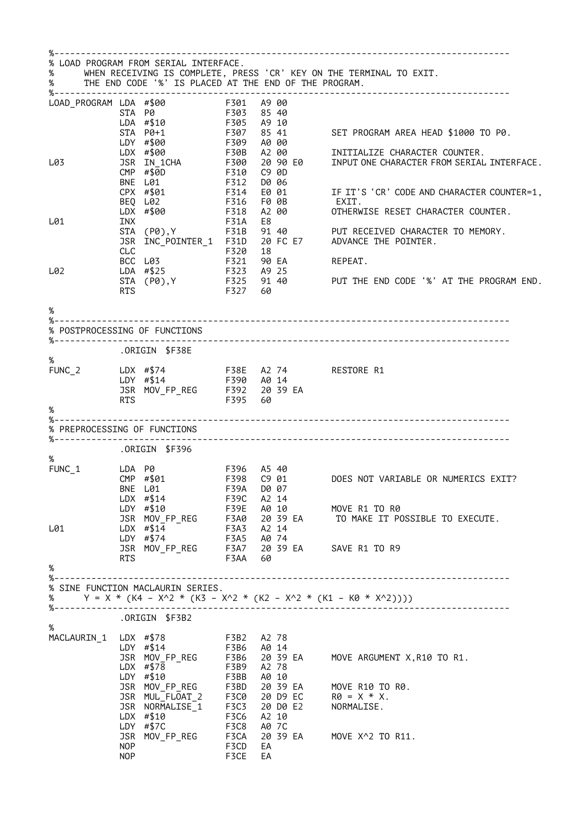|                                     |            | % LOAD PROGRAM FROM SERIAL INTERFACE.                                                          |                             |       |       |                                                                                                               |
|-------------------------------------|------------|------------------------------------------------------------------------------------------------|-----------------------------|-------|-------|---------------------------------------------------------------------------------------------------------------|
| %                                   |            |                                                                                                |                             |       |       | WHEN RECEIVING IS COMPLETE, PRESS 'CR' KEY ON THE TERMINAL TO EXIT.                                           |
| %                                   |            | THE END CODE '%' IS PLACED AT THE END OF THE PROGRAM.                                          |                             |       |       |                                                                                                               |
| $\overline{LOAD}$ PROGRAM LDA #\$00 |            |                                                                                                | F301 A900<br>F303 8540      |       |       |                                                                                                               |
|                                     |            | STA P0                                                                                         |                             |       |       |                                                                                                               |
|                                     |            | LDA #\$10                                                                                      | F305 A9 10                  |       |       |                                                                                                               |
|                                     |            | STA P0+1<br>LDY #\$00                                                                          | F307<br>F309                |       | A0 00 | 85 41 SET PROGRAM AREA HEAD \$1000 TO P0.                                                                     |
|                                     |            | LDX #\$00                                                                                      | F30B A2 00                  |       |       | INITIALIZE CHARACTER COUNTER.                                                                                 |
| L03                                 |            | JSR IN_1CHA                                                                                    | F300<br>F310                |       |       | 20 90 E0 INPUT ONE CHARACTER FROM SERIAL INTERFACE.                                                           |
|                                     |            | CMP #\$0D                                                                                      |                             |       | C9 0D |                                                                                                               |
|                                     |            | BNE L01                                                                                        | <b>F312</b>                 |       | D0 06 |                                                                                                               |
|                                     |            | CPX #\$01<br>BEQ L02                                                                           | F314                        |       |       | F314    E0  01              IF IT'S 'CR' CODE AND CHARACTER COUNTER=1,<br>F316    F0  0B                EXIT. |
|                                     |            | LDX #\$00                                                                                      | F318                        |       |       | A2 00 OTHERWISE RESET CHARACTER COUNTER.                                                                      |
| L01                                 | INX        |                                                                                                | <b>F31A</b>                 | E8    |       |                                                                                                               |
|                                     |            | STA (P0), Y                                                                                    |                             |       |       | F31B 91 40 PUT RECEIVED CHARACTER TO MEMORY.                                                                  |
|                                     |            |                                                                                                |                             |       |       | JSR INC_POINTER_1 F31D 20 FC E7 ADVANCE THE POINTER.                                                          |
|                                     |            |                                                                                                |                             |       |       |                                                                                                               |
| L02                                 |            | LDA #\$25                                                                                      | F323 A9 25                  |       |       |                                                                                                               |
|                                     |            |                                                                                                |                             |       |       | STA (P0), Y F325 91 40 PUT THE END CODE '%' AT THE PROGRAM END.                                               |
|                                     | <b>RTS</b> |                                                                                                | F327 60                     |       |       |                                                                                                               |
|                                     |            |                                                                                                |                             |       |       |                                                                                                               |
| %                                   |            |                                                                                                |                             |       |       |                                                                                                               |
|                                     |            | % POSTPROCESSING OF FUNCTIONS                                                                  |                             |       |       |                                                                                                               |
|                                     |            |                                                                                                |                             |       |       |                                                                                                               |
| %                                   |            | ORIGIN \$F38E.                                                                                 |                             |       |       |                                                                                                               |
|                                     |            |                                                                                                |                             |       |       |                                                                                                               |
|                                     |            | FUNC_2 LDX #\$74 F38E A2 74 RESTORE R1<br>LDY #\$14 F390 A0 14<br>JSR MOV_FP_REG F392 20 39 EA |                             |       |       |                                                                                                               |
|                                     |            |                                                                                                |                             |       |       |                                                                                                               |
|                                     | RTS        |                                                                                                | F395 60                     |       |       |                                                                                                               |
| %                                   |            |                                                                                                |                             |       |       |                                                                                                               |
| % PREPROCESSING OF FUNCTIONS        |            |                                                                                                |                             |       |       |                                                                                                               |
|                                     |            |                                                                                                |                             |       |       |                                                                                                               |
|                                     |            | ORIGIN \$F396.                                                                                 |                             |       |       |                                                                                                               |
| %<br>$FUNC_1$                       | LDA P0     |                                                                                                |                             |       |       |                                                                                                               |
|                                     |            | CMP #\$01                                                                                      |                             |       |       |                                                                                                               |
|                                     |            | BNE L01 F39A D0 07                                                                             |                             |       |       |                                                                                                               |
|                                     |            | $LDX$ #\$14                                                                                    | F39C                        | A2 14 |       |                                                                                                               |
|                                     |            | LDY #\$10                                                                                      | F39E A0 10                  |       |       | MOVE R1 TO R0                                                                                                 |
|                                     |            | JSR MOV_FP_REG F3A0 20 39 EA                                                                   |                             |       |       | TO MAKE IT POSSIBLE TO EXECUTE.                                                                               |
| L01                                 |            |                                                                                                |                             |       |       |                                                                                                               |
|                                     |            |                                                                                                |                             |       |       | LDX #\$14 - F3A3 A2 14<br>LDY #\$74 - F3A5 A0 74<br>JSR MOV_FP_REG - F3A7 20 39 EA - SAVE R1 TO R9            |
|                                     | <b>RTS</b> |                                                                                                | F3AA 60                     |       |       |                                                                                                               |
| %                                   |            |                                                                                                |                             |       |       |                                                                                                               |
|                                     |            |                                                                                                |                             |       |       |                                                                                                               |
|                                     |            | % SINE FUNCTION MACLAURIN SERIES.                                                              |                             |       |       | % $Y = X * (K4 - X^2 * (K3 - X^2 * (K2 - X^2 * (K1 - K0 * X^2))))$                                            |
|                                     |            |                                                                                                |                             |       |       |                                                                                                               |
|                                     |            | .ORIGIN \$F3B2                                                                                 |                             |       |       |                                                                                                               |
| $\%$                                |            |                                                                                                |                             |       |       |                                                                                                               |
|                                     |            | MACLAURIN_1 LDX #\$78 F3B2 A2 78<br>LDY #\$14 F3B6 A0 14                                       |                             |       |       |                                                                                                               |
|                                     |            |                                                                                                |                             |       |       | JSR MOV_FP_REG F3B6 20 39 EA MOVE ARGUMENT X, R10 TO R1.                                                      |
|                                     |            | LDX #\$78                                                                                      | F3B9 A2 78                  |       |       |                                                                                                               |
|                                     |            | LDY #\$10                                                                                      | F3BB A0 10                  |       |       |                                                                                                               |
|                                     |            |                                                                                                |                             |       |       | JSR MOV_FP_REG F3BD 20 39 EA MOVE R10 TO R0.<br>JSR MUL_FLOAT_2 F3C0 20 D9 EC R0 = X * X.                     |
|                                     |            |                                                                                                |                             |       |       |                                                                                                               |
|                                     |            | JSR NORMALISE 1<br>$LDX$ #\$10                                                                 | F3C3 20 D0 E2<br>F3C6 A2 10 |       |       | NORMALISE.                                                                                                    |
|                                     |            | LDY #\$7C                                                                                      | F3C8 A0 7C                  |       |       |                                                                                                               |
|                                     |            |                                                                                                |                             |       |       | JSR MOV_FP_REG F3CA 20 39 EA MOVE X^2 TO R11.                                                                 |
|                                     | <b>NOP</b> |                                                                                                | F3CD                        | EA    |       |                                                                                                               |
|                                     | <b>NOP</b> |                                                                                                | F3CE                        | EA    |       |                                                                                                               |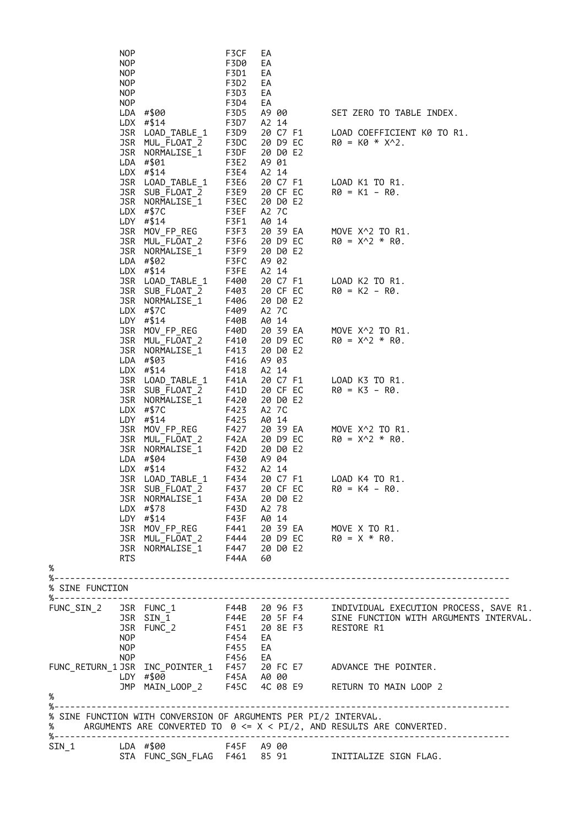|                 | <b>NOP</b><br><b>NOP</b> |                                                                 | F3CF<br>F3D0  | EA<br>EA          |                   |                      |                                                                                                                                                                                     |
|-----------------|--------------------------|-----------------------------------------------------------------|---------------|-------------------|-------------------|----------------------|-------------------------------------------------------------------------------------------------------------------------------------------------------------------------------------|
|                 | <b>NOP</b><br><b>NOP</b> |                                                                 | F3D1<br>F3D2  | EA<br>EA          |                   |                      |                                                                                                                                                                                     |
|                 | NOP                      |                                                                 | F3D3          | EA                |                   |                      |                                                                                                                                                                                     |
|                 | NOP                      |                                                                 | F3D4          | EA                |                   |                      |                                                                                                                                                                                     |
|                 |                          | LDA #\$00<br>$LDX$ #\$14                                        | F3D5<br>F3D7  |                   | A9 00<br>A2 14    |                      | SET ZERO TO TABLE INDEX.                                                                                                                                                            |
|                 |                          | JSR LOAD_TABLE_1                                                | F3D9          |                   | 20 C7 F1          |                      | LOAD COEFFICIENT K0 TO R1.                                                                                                                                                          |
|                 |                          | JSR MUL_FLOAT_2<br>JSR NORMALISE 1                              | F3DC          |                   |                   | 20 D9 EC             | $R\theta = K\theta * X^2$ .                                                                                                                                                         |
|                 |                          | LDA #\$01                                                       | F3DF<br>F3E2  |                   | 20 DO E2<br>A9 01 |                      |                                                                                                                                                                                     |
|                 |                          | LDX $# $14$                                                     | F3E4          |                   | A2 14             |                      |                                                                                                                                                                                     |
|                 |                          | JSR LOAD_TABLE_1<br>JSR SUB_FLOAT_2                             | F3E6<br>F3E9  |                   |                   | 20 C7 F1<br>20 CF EC | LOAD K1 TO R1.<br>$R\theta = K1 - R\theta$ .                                                                                                                                        |
|                 |                          | JSR NORMALISE_1                                                 | F3EC          |                   |                   | 20 D0 E2             |                                                                                                                                                                                     |
|                 |                          | $LDX$ #\$7C                                                     | F3EF          |                   | A2 7C             |                      |                                                                                                                                                                                     |
|                 |                          | LDY #\$14<br>JSR MOV_FP_REG                                     | F3F1<br>F3F3  |                   | A0 14             | 20 39 EA             | MOVE X^2 TO R1.                                                                                                                                                                     |
|                 |                          | JSR MUL FLOAT 2                                                 | F3F6          |                   |                   | 20 D9 EC             | $R\theta = X^2 + R\theta$ .                                                                                                                                                         |
|                 |                          | JSR NORMALISE_1                                                 | F3F9          |                   | 20 DO E2          |                      |                                                                                                                                                                                     |
|                 |                          | LDA $#$02$<br>$LDX$ #\$14                                       | F3FC<br>F3FE  |                   | A9 02<br>A2 14    |                      |                                                                                                                                                                                     |
|                 |                          | JSR LOAD_TABLE_1                                                | F400          |                   |                   | 20 C7 F1             | LOAD K2 TO R1.                                                                                                                                                                      |
|                 |                          | JSR SUB_FLOAT_2                                                 | F403          |                   |                   | 20 CF EC             | $R\theta = K2 - R\theta$ .                                                                                                                                                          |
|                 |                          | JSR NORMALISE_1<br>LDX $# $7C$                                  | F406<br>F409  |                   | 20 D0 E2<br>A2 7C |                      |                                                                                                                                                                                     |
|                 |                          | LDY $\# $14$                                                    | F40B          |                   | A0 14             |                      |                                                                                                                                                                                     |
|                 |                          | JSR MOV_FP_REG                                                  | F40D          |                   |                   | 20 39 EA             | MOVE X^2 TO R1.                                                                                                                                                                     |
|                 |                          | JSR MUL_FLOAT_2<br>JSR NORMALISE_1                              | F410<br>F413  |                   | 20 DO E2          | 20 D9 EC             | $R\theta = X^2 + R\theta$ .                                                                                                                                                         |
|                 |                          | LDA #\$03                                                       | F416          |                   | A9 03             |                      |                                                                                                                                                                                     |
|                 |                          | LDX $# $14$                                                     | F418          |                   | A2 14             |                      |                                                                                                                                                                                     |
|                 |                          | JSR LOAD_TABLE_1<br>JSR SUB_FLOAT_2                             | F41A<br>F41D  |                   | 20 C7 F1          | 20 CF EC             | LOAD K3 TO R1.<br>$R\theta = K3 - R\theta$ .                                                                                                                                        |
|                 |                          | JSR NORMALISE 1                                                 | F420          |                   | 20 DO E2          |                      |                                                                                                                                                                                     |
|                 |                          | $LDX$ #\$7C                                                     | F423          |                   | A2 7C             |                      |                                                                                                                                                                                     |
|                 |                          | LDY #\$14<br>JSR MOV_FP_REG                                     | F425<br>F427  |                   | A0 14             | 20 39 EA             | MOVE X^2 TO R1.                                                                                                                                                                     |
|                 |                          | JSR MUL FLOAT 2                                                 | F42A          |                   |                   | 20 D9 EC             | $R\theta = X^2 * R\theta$ .                                                                                                                                                         |
|                 |                          | JSR NORMALISE_1                                                 | F42D          |                   | 20 D0 E2          |                      |                                                                                                                                                                                     |
|                 |                          | LDA $#$04$<br>$LDX$ #\$14                                       | F430<br>F432  |                   | A9 04<br>A2 14    |                      |                                                                                                                                                                                     |
|                 |                          | JSR LOAD TABLE 1                                                | F434          |                   | 20 C7 F1          |                      | LOAD K4 TO R1.                                                                                                                                                                      |
|                 |                          | JSR SUB_FLOAT_2                                                 | F437 20 CF EC |                   |                   |                      | $RØ = K4 - RØ$ .                                                                                                                                                                    |
|                 |                          | JSR NORMALISE_1 F43A<br>LDX #\$78 F43D<br>LDY #\$14 F43F        |               | 20 D0 E2<br>A2 78 |                   |                      |                                                                                                                                                                                     |
|                 |                          | LDY #\$14                                                       | <b>F43F</b>   | A0 14             |                   |                      |                                                                                                                                                                                     |
|                 |                          | JSR MOV_FP_REG F441 20 39 EA MOVE X TO R1.                      |               |                   |                   |                      |                                                                                                                                                                                     |
|                 |                          |                                                                 |               |                   |                   |                      |                                                                                                                                                                                     |
|                 | RTS                      |                                                                 | F44A          | 60                |                   |                      |                                                                                                                                                                                     |
| $\%$            |                          |                                                                 |               |                   |                   |                      |                                                                                                                                                                                     |
| % SINE FUNCTION |                          |                                                                 |               |                   |                   |                      |                                                                                                                                                                                     |
|                 |                          |                                                                 |               |                   |                   |                      |                                                                                                                                                                                     |
|                 |                          |                                                                 |               |                   |                   |                      | FUNC_SIN_2 JSR FUNC_1 F44B 20 96 F3 INDIVIDUAL EXECUTION PROCESS, SAVE R1.<br>JSR SIN_1 F44E 20 5F F4 SINE FUNCTION WITH ARGUMENTS INTERVAL.<br>JSR FUNC_2 F451 20 8E F3 RESTORE R1 |
|                 |                          |                                                                 |               |                   |                   |                      |                                                                                                                                                                                     |
|                 | <b>NOP</b>               |                                                                 | F454          | EA                |                   |                      |                                                                                                                                                                                     |
|                 | <b>NOP</b><br><b>NOP</b> |                                                                 | F455<br>F456  | EA<br>EA          |                   |                      |                                                                                                                                                                                     |
|                 |                          |                                                                 |               |                   |                   |                      |                                                                                                                                                                                     |
|                 |                          |                                                                 |               |                   |                   |                      | FUNC_RETURN_1 JSR INC_POINTER_1 F457 20 FC E7 ADVANCE THE POINTER.<br>LDY #\$00 F45A A0 00<br>JMP MAIN_LOOP_2 F45C 4C 08 E9 RETURN TO MAIN LOOP 2                                   |
| %               |                          |                                                                 |               |                   |                   |                      |                                                                                                                                                                                     |
|                 |                          |                                                                 |               |                   |                   |                      |                                                                                                                                                                                     |
| %               |                          | % SINE FUNCTION WITH CONVERSION OF ARGUMENTS PER PI/2 INTERVAL. |               |                   |                   |                      | ARGUMENTS ARE CONVERTED TO $\theta \leq X \leq P I/2$ , AND RESULTS ARE CONVERTED.                                                                                                  |
|                 |                          | SIN_1 LDA #\$00 F45F A9 00                                      |               |                   |                   |                      |                                                                                                                                                                                     |
|                 |                          |                                                                 |               |                   |                   |                      | STA FUNC_SGN_FLAG F461 85 91 INITIALIZE SIGN FLAG.                                                                                                                                  |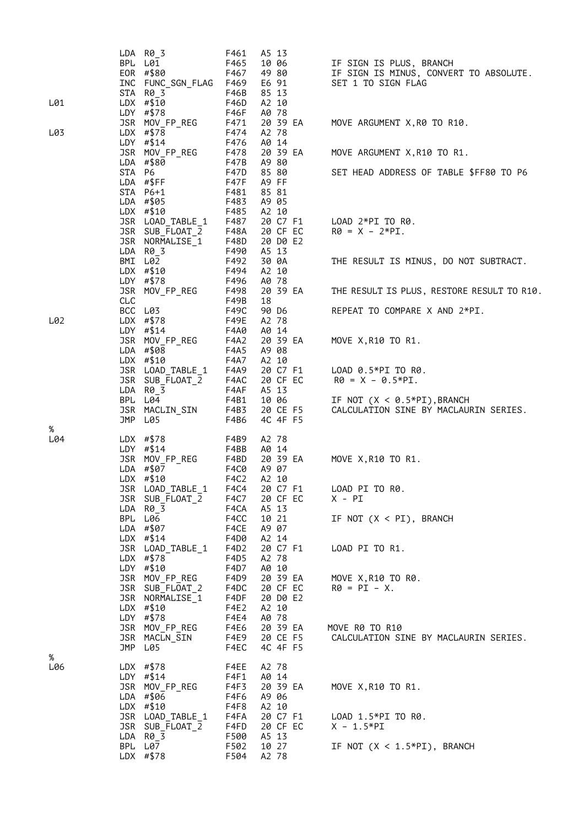| BPL L01<br>F467<br>49 80<br>IF SIGN IS MINUS, CONVERT TO ABSOLUTE.<br>EOR #\$80<br>SET 1 TO SIGN FLAG<br>INC FUNC_SGN_FLAG F469<br>E6 91<br>85 13<br>STA R0_3<br>F46B<br>$LDX$ #\$10<br>F46D<br>A2 10<br>L01<br>LDY #\$78<br>A0 78<br>F46F<br>JSR MOV_FP_REG<br>20 39 EA<br>F471<br>MOVE ARGUMENT X, R0 TO R10.<br>F474<br>LDX #\$78<br>A2 78<br>LDY #\$14<br>F476<br>A0 14<br>JSR MOV_FP_REG<br>F478<br>20 39 EA<br>MOVE ARGUMENT X, R10 TO R1.<br>LDA #\$80<br>F47B<br>A9 80<br>STA P6<br>F47D<br>85 80<br>SET HEAD ADDRESS OF TABLE \$FF80 TO P6<br>LDA #\$FF<br>A9 FF<br>F47F<br>85 81<br>STA P6+1<br>F481<br>LDA #\$05<br>F483<br>A9 05<br>$LDX$ #\$10<br>F485<br>A2 10<br>20 C7 F1<br>JSR LOAD_TABLE_1<br>F487<br>$LOAD$ $2*PI$ TO R0.<br>JSR SUB_FLOAT_2<br>20 CF EC<br>$R0 = X - 2*PI.$<br>F48A<br>20 D0 E2<br>JSR NORMALISE_1<br>F48D<br>F490<br>A5 13<br>LDA R0_3<br>BMI L02<br>30 0A<br>F492<br>THE RESULT IS MINUS, DO NOT SUBTRACT.<br>F494<br>LDX #\$10<br>A2 10<br>A0 78<br>LDY #\$78<br>F496<br>20 39 EA<br>JSR MOV_FP_REG<br>F498<br>THE RESULT IS PLUS, RESTORE RESULT TO R10.<br>CLC<br>F49B<br>18<br>BCC L03<br>F49C<br>90 D6<br>REPEAT TO COMPARE X AND 2*PI.<br>L02<br>LDX #\$78<br>F49E<br>A2 78<br>LDY #\$14<br>F4A0<br>A0 14<br>JSR MOV_FP_REG<br>F4A2<br>20 39 EA<br>MOVE X, R10 TO R1.<br>A9 08<br>LDA #\$08<br>F4A5<br>$LDX$ #\$10<br>A2 10<br>F4A7<br>JSR LOAD_TABLE_1<br>F4A9<br>20 C7 F1<br>LOAD $0.5*$ PI TO R0.<br>20 CF EC<br>R0 = X - 0.5*PI.<br>JSR SUB_FLOAT_2<br>F4AC<br>F4AF<br>A5 13<br>$LDA$ $R\theta$ 3<br>BPL L04<br>F4B1<br>10 06<br>IF NOT $(X < 0.5*PI)$ , BRANCH<br>JSR MACLIN_SIN<br>F4B3<br>20 CE F5<br>CALCULATION SINE BY MACLAURIN SERIES.<br>4C 4F F5<br>JMP<br>L05<br>F4B6<br>L04<br>LDX #\$78<br>A2 78<br>F4B9<br>LDY #\$14<br>F4BB<br>A0 14<br>JSR MOV_FP_REG<br>F4BD<br>20 39 EA<br>MOVE X, R10 TO R1.<br>LDA #\$07<br>A9 07<br>F4C0<br>$LDX$ #\$10<br>F4C2<br>A2 10<br>F4C4 20 C7 F1<br>JSR LOAD_TABLE_1<br>LOAD PI TO R0.<br>JSR SUB_FLOAT_2<br>F4C7<br>20 CF EC<br>X - PI<br>A5 13<br>LDA R0 3<br>F4CA<br>BPL L06<br>10 21<br>F4CC<br>IF NOT $(X < PI)$ , BRANCH<br>LDA #\$07<br>F4CE<br>A9 07<br>$LDX$ #\$14<br>F4D0<br>A2 14<br>JSR LOAD_TABLE_1<br>F4D2<br>20 C7 F1<br>LOAD PI TO R1.<br>LDX $# $78$<br>F4D5<br>A2 78<br>LDY #\$10<br>F4D7<br>A0 10<br>JSR MOV_FP_REG<br>20 39 EA<br>F4D9<br>MOVE X, R10 TO R0.<br>20 CF EC<br>JSR SUB_FLOAT_2<br>F4DC<br>$RØ = PI - X$ .<br>JSR NORMALISE_1<br>F4DF<br>20 D0 E2<br>A2 10<br>LDX #\$10<br>F4E2<br>LDY $\# $78$<br>F4E4<br>A0 78<br>JSR MOV_FP_REG<br>20 39 EA<br>MOVE R0 TO R10<br>F4E6<br>JSR MACLN_SIN<br>20 CE F5<br>F4E9<br>CALCULATION SINE BY MACLAURIN SERIES.<br>JMP L05<br>4C 4F F5<br>F4EC<br>L06<br>LDX $# $78$<br>A2 78<br>F4EE<br>$LDY$ #\$14<br>F4F1<br>A0 14<br>JSR MOV_FP_REG<br>F4F3<br>20 39 EA<br>MOVE X, R10 TO R1.<br>LDA #\$06<br>F4F6<br>A9 06<br>$LDX$ #\$10<br>A2 10<br>F4F8<br>JSR LOAD_TABLE_1<br>F4FA<br>20 C7 F1<br>LOAD 1.5*PI TO R0.<br>20 CF EC<br>JSR SUB_FLOAT_2<br>F4FD<br>$X - 1.5*PI$<br>$LDA$ $R\theta$ 3<br>F500<br>A5 13<br>BPL L07<br>F502<br>10 27<br>IF NOT $(X < 1.5*PI)$ , BRANCH<br>LDX #\$78 |     | LDA R0_3 | F461 | A5 13 |                         |
|------------------------------------------------------------------------------------------------------------------------------------------------------------------------------------------------------------------------------------------------------------------------------------------------------------------------------------------------------------------------------------------------------------------------------------------------------------------------------------------------------------------------------------------------------------------------------------------------------------------------------------------------------------------------------------------------------------------------------------------------------------------------------------------------------------------------------------------------------------------------------------------------------------------------------------------------------------------------------------------------------------------------------------------------------------------------------------------------------------------------------------------------------------------------------------------------------------------------------------------------------------------------------------------------------------------------------------------------------------------------------------------------------------------------------------------------------------------------------------------------------------------------------------------------------------------------------------------------------------------------------------------------------------------------------------------------------------------------------------------------------------------------------------------------------------------------------------------------------------------------------------------------------------------------------------------------------------------------------------------------------------------------------------------------------------------------------------------------------------------------------------------------------------------------------------------------------------------------------------------------------------------------------------------------------------------------------------------------------------------------------------------------------------------------------------------------------------------------------------------------------------------------------------------------------------------------------------------------------------------------------------------------------------------------------------------------------------------------------------------------------------------------------------------------------------------------------------------------------------------------------------------------------------------------------------------------------------------------------------------------------------------------------------------------------------------------------------------------------------------------------------------------------------|-----|----------|------|-------|-------------------------|
|                                                                                                                                                                                                                                                                                                                                                                                                                                                                                                                                                                                                                                                                                                                                                                                                                                                                                                                                                                                                                                                                                                                                                                                                                                                                                                                                                                                                                                                                                                                                                                                                                                                                                                                                                                                                                                                                                                                                                                                                                                                                                                                                                                                                                                                                                                                                                                                                                                                                                                                                                                                                                                                                                                                                                                                                                                                                                                                                                                                                                                                                                                                                                            |     |          | F465 | 10 06 | IF SIGN IS PLUS, BRANCH |
|                                                                                                                                                                                                                                                                                                                                                                                                                                                                                                                                                                                                                                                                                                                                                                                                                                                                                                                                                                                                                                                                                                                                                                                                                                                                                                                                                                                                                                                                                                                                                                                                                                                                                                                                                                                                                                                                                                                                                                                                                                                                                                                                                                                                                                                                                                                                                                                                                                                                                                                                                                                                                                                                                                                                                                                                                                                                                                                                                                                                                                                                                                                                                            |     |          |      |       |                         |
|                                                                                                                                                                                                                                                                                                                                                                                                                                                                                                                                                                                                                                                                                                                                                                                                                                                                                                                                                                                                                                                                                                                                                                                                                                                                                                                                                                                                                                                                                                                                                                                                                                                                                                                                                                                                                                                                                                                                                                                                                                                                                                                                                                                                                                                                                                                                                                                                                                                                                                                                                                                                                                                                                                                                                                                                                                                                                                                                                                                                                                                                                                                                                            |     |          |      |       |                         |
|                                                                                                                                                                                                                                                                                                                                                                                                                                                                                                                                                                                                                                                                                                                                                                                                                                                                                                                                                                                                                                                                                                                                                                                                                                                                                                                                                                                                                                                                                                                                                                                                                                                                                                                                                                                                                                                                                                                                                                                                                                                                                                                                                                                                                                                                                                                                                                                                                                                                                                                                                                                                                                                                                                                                                                                                                                                                                                                                                                                                                                                                                                                                                            |     |          |      |       |                         |
|                                                                                                                                                                                                                                                                                                                                                                                                                                                                                                                                                                                                                                                                                                                                                                                                                                                                                                                                                                                                                                                                                                                                                                                                                                                                                                                                                                                                                                                                                                                                                                                                                                                                                                                                                                                                                                                                                                                                                                                                                                                                                                                                                                                                                                                                                                                                                                                                                                                                                                                                                                                                                                                                                                                                                                                                                                                                                                                                                                                                                                                                                                                                                            |     |          |      |       |                         |
|                                                                                                                                                                                                                                                                                                                                                                                                                                                                                                                                                                                                                                                                                                                                                                                                                                                                                                                                                                                                                                                                                                                                                                                                                                                                                                                                                                                                                                                                                                                                                                                                                                                                                                                                                                                                                                                                                                                                                                                                                                                                                                                                                                                                                                                                                                                                                                                                                                                                                                                                                                                                                                                                                                                                                                                                                                                                                                                                                                                                                                                                                                                                                            | L03 |          |      |       |                         |
|                                                                                                                                                                                                                                                                                                                                                                                                                                                                                                                                                                                                                                                                                                                                                                                                                                                                                                                                                                                                                                                                                                                                                                                                                                                                                                                                                                                                                                                                                                                                                                                                                                                                                                                                                                                                                                                                                                                                                                                                                                                                                                                                                                                                                                                                                                                                                                                                                                                                                                                                                                                                                                                                                                                                                                                                                                                                                                                                                                                                                                                                                                                                                            |     |          |      |       |                         |
|                                                                                                                                                                                                                                                                                                                                                                                                                                                                                                                                                                                                                                                                                                                                                                                                                                                                                                                                                                                                                                                                                                                                                                                                                                                                                                                                                                                                                                                                                                                                                                                                                                                                                                                                                                                                                                                                                                                                                                                                                                                                                                                                                                                                                                                                                                                                                                                                                                                                                                                                                                                                                                                                                                                                                                                                                                                                                                                                                                                                                                                                                                                                                            |     |          |      |       |                         |
|                                                                                                                                                                                                                                                                                                                                                                                                                                                                                                                                                                                                                                                                                                                                                                                                                                                                                                                                                                                                                                                                                                                                                                                                                                                                                                                                                                                                                                                                                                                                                                                                                                                                                                                                                                                                                                                                                                                                                                                                                                                                                                                                                                                                                                                                                                                                                                                                                                                                                                                                                                                                                                                                                                                                                                                                                                                                                                                                                                                                                                                                                                                                                            |     |          |      |       |                         |
|                                                                                                                                                                                                                                                                                                                                                                                                                                                                                                                                                                                                                                                                                                                                                                                                                                                                                                                                                                                                                                                                                                                                                                                                                                                                                                                                                                                                                                                                                                                                                                                                                                                                                                                                                                                                                                                                                                                                                                                                                                                                                                                                                                                                                                                                                                                                                                                                                                                                                                                                                                                                                                                                                                                                                                                                                                                                                                                                                                                                                                                                                                                                                            |     |          |      |       |                         |
|                                                                                                                                                                                                                                                                                                                                                                                                                                                                                                                                                                                                                                                                                                                                                                                                                                                                                                                                                                                                                                                                                                                                                                                                                                                                                                                                                                                                                                                                                                                                                                                                                                                                                                                                                                                                                                                                                                                                                                                                                                                                                                                                                                                                                                                                                                                                                                                                                                                                                                                                                                                                                                                                                                                                                                                                                                                                                                                                                                                                                                                                                                                                                            |     |          |      |       |                         |
|                                                                                                                                                                                                                                                                                                                                                                                                                                                                                                                                                                                                                                                                                                                                                                                                                                                                                                                                                                                                                                                                                                                                                                                                                                                                                                                                                                                                                                                                                                                                                                                                                                                                                                                                                                                                                                                                                                                                                                                                                                                                                                                                                                                                                                                                                                                                                                                                                                                                                                                                                                                                                                                                                                                                                                                                                                                                                                                                                                                                                                                                                                                                                            |     |          |      |       |                         |
|                                                                                                                                                                                                                                                                                                                                                                                                                                                                                                                                                                                                                                                                                                                                                                                                                                                                                                                                                                                                                                                                                                                                                                                                                                                                                                                                                                                                                                                                                                                                                                                                                                                                                                                                                                                                                                                                                                                                                                                                                                                                                                                                                                                                                                                                                                                                                                                                                                                                                                                                                                                                                                                                                                                                                                                                                                                                                                                                                                                                                                                                                                                                                            |     |          |      |       |                         |
|                                                                                                                                                                                                                                                                                                                                                                                                                                                                                                                                                                                                                                                                                                                                                                                                                                                                                                                                                                                                                                                                                                                                                                                                                                                                                                                                                                                                                                                                                                                                                                                                                                                                                                                                                                                                                                                                                                                                                                                                                                                                                                                                                                                                                                                                                                                                                                                                                                                                                                                                                                                                                                                                                                                                                                                                                                                                                                                                                                                                                                                                                                                                                            |     |          |      |       |                         |
|                                                                                                                                                                                                                                                                                                                                                                                                                                                                                                                                                                                                                                                                                                                                                                                                                                                                                                                                                                                                                                                                                                                                                                                                                                                                                                                                                                                                                                                                                                                                                                                                                                                                                                                                                                                                                                                                                                                                                                                                                                                                                                                                                                                                                                                                                                                                                                                                                                                                                                                                                                                                                                                                                                                                                                                                                                                                                                                                                                                                                                                                                                                                                            |     |          |      |       |                         |
|                                                                                                                                                                                                                                                                                                                                                                                                                                                                                                                                                                                                                                                                                                                                                                                                                                                                                                                                                                                                                                                                                                                                                                                                                                                                                                                                                                                                                                                                                                                                                                                                                                                                                                                                                                                                                                                                                                                                                                                                                                                                                                                                                                                                                                                                                                                                                                                                                                                                                                                                                                                                                                                                                                                                                                                                                                                                                                                                                                                                                                                                                                                                                            |     |          |      |       |                         |
|                                                                                                                                                                                                                                                                                                                                                                                                                                                                                                                                                                                                                                                                                                                                                                                                                                                                                                                                                                                                                                                                                                                                                                                                                                                                                                                                                                                                                                                                                                                                                                                                                                                                                                                                                                                                                                                                                                                                                                                                                                                                                                                                                                                                                                                                                                                                                                                                                                                                                                                                                                                                                                                                                                                                                                                                                                                                                                                                                                                                                                                                                                                                                            |     |          |      |       |                         |
|                                                                                                                                                                                                                                                                                                                                                                                                                                                                                                                                                                                                                                                                                                                                                                                                                                                                                                                                                                                                                                                                                                                                                                                                                                                                                                                                                                                                                                                                                                                                                                                                                                                                                                                                                                                                                                                                                                                                                                                                                                                                                                                                                                                                                                                                                                                                                                                                                                                                                                                                                                                                                                                                                                                                                                                                                                                                                                                                                                                                                                                                                                                                                            |     |          |      |       |                         |
|                                                                                                                                                                                                                                                                                                                                                                                                                                                                                                                                                                                                                                                                                                                                                                                                                                                                                                                                                                                                                                                                                                                                                                                                                                                                                                                                                                                                                                                                                                                                                                                                                                                                                                                                                                                                                                                                                                                                                                                                                                                                                                                                                                                                                                                                                                                                                                                                                                                                                                                                                                                                                                                                                                                                                                                                                                                                                                                                                                                                                                                                                                                                                            |     |          |      |       |                         |
|                                                                                                                                                                                                                                                                                                                                                                                                                                                                                                                                                                                                                                                                                                                                                                                                                                                                                                                                                                                                                                                                                                                                                                                                                                                                                                                                                                                                                                                                                                                                                                                                                                                                                                                                                                                                                                                                                                                                                                                                                                                                                                                                                                                                                                                                                                                                                                                                                                                                                                                                                                                                                                                                                                                                                                                                                                                                                                                                                                                                                                                                                                                                                            |     |          |      |       |                         |
|                                                                                                                                                                                                                                                                                                                                                                                                                                                                                                                                                                                                                                                                                                                                                                                                                                                                                                                                                                                                                                                                                                                                                                                                                                                                                                                                                                                                                                                                                                                                                                                                                                                                                                                                                                                                                                                                                                                                                                                                                                                                                                                                                                                                                                                                                                                                                                                                                                                                                                                                                                                                                                                                                                                                                                                                                                                                                                                                                                                                                                                                                                                                                            |     |          |      |       |                         |
|                                                                                                                                                                                                                                                                                                                                                                                                                                                                                                                                                                                                                                                                                                                                                                                                                                                                                                                                                                                                                                                                                                                                                                                                                                                                                                                                                                                                                                                                                                                                                                                                                                                                                                                                                                                                                                                                                                                                                                                                                                                                                                                                                                                                                                                                                                                                                                                                                                                                                                                                                                                                                                                                                                                                                                                                                                                                                                                                                                                                                                                                                                                                                            |     |          |      |       |                         |
|                                                                                                                                                                                                                                                                                                                                                                                                                                                                                                                                                                                                                                                                                                                                                                                                                                                                                                                                                                                                                                                                                                                                                                                                                                                                                                                                                                                                                                                                                                                                                                                                                                                                                                                                                                                                                                                                                                                                                                                                                                                                                                                                                                                                                                                                                                                                                                                                                                                                                                                                                                                                                                                                                                                                                                                                                                                                                                                                                                                                                                                                                                                                                            |     |          |      |       |                         |
|                                                                                                                                                                                                                                                                                                                                                                                                                                                                                                                                                                                                                                                                                                                                                                                                                                                                                                                                                                                                                                                                                                                                                                                                                                                                                                                                                                                                                                                                                                                                                                                                                                                                                                                                                                                                                                                                                                                                                                                                                                                                                                                                                                                                                                                                                                                                                                                                                                                                                                                                                                                                                                                                                                                                                                                                                                                                                                                                                                                                                                                                                                                                                            |     |          |      |       |                         |
|                                                                                                                                                                                                                                                                                                                                                                                                                                                                                                                                                                                                                                                                                                                                                                                                                                                                                                                                                                                                                                                                                                                                                                                                                                                                                                                                                                                                                                                                                                                                                                                                                                                                                                                                                                                                                                                                                                                                                                                                                                                                                                                                                                                                                                                                                                                                                                                                                                                                                                                                                                                                                                                                                                                                                                                                                                                                                                                                                                                                                                                                                                                                                            |     |          |      |       |                         |
|                                                                                                                                                                                                                                                                                                                                                                                                                                                                                                                                                                                                                                                                                                                                                                                                                                                                                                                                                                                                                                                                                                                                                                                                                                                                                                                                                                                                                                                                                                                                                                                                                                                                                                                                                                                                                                                                                                                                                                                                                                                                                                                                                                                                                                                                                                                                                                                                                                                                                                                                                                                                                                                                                                                                                                                                                                                                                                                                                                                                                                                                                                                                                            |     |          |      |       |                         |
|                                                                                                                                                                                                                                                                                                                                                                                                                                                                                                                                                                                                                                                                                                                                                                                                                                                                                                                                                                                                                                                                                                                                                                                                                                                                                                                                                                                                                                                                                                                                                                                                                                                                                                                                                                                                                                                                                                                                                                                                                                                                                                                                                                                                                                                                                                                                                                                                                                                                                                                                                                                                                                                                                                                                                                                                                                                                                                                                                                                                                                                                                                                                                            |     |          |      |       |                         |
|                                                                                                                                                                                                                                                                                                                                                                                                                                                                                                                                                                                                                                                                                                                                                                                                                                                                                                                                                                                                                                                                                                                                                                                                                                                                                                                                                                                                                                                                                                                                                                                                                                                                                                                                                                                                                                                                                                                                                                                                                                                                                                                                                                                                                                                                                                                                                                                                                                                                                                                                                                                                                                                                                                                                                                                                                                                                                                                                                                                                                                                                                                                                                            |     |          |      |       |                         |
|                                                                                                                                                                                                                                                                                                                                                                                                                                                                                                                                                                                                                                                                                                                                                                                                                                                                                                                                                                                                                                                                                                                                                                                                                                                                                                                                                                                                                                                                                                                                                                                                                                                                                                                                                                                                                                                                                                                                                                                                                                                                                                                                                                                                                                                                                                                                                                                                                                                                                                                                                                                                                                                                                                                                                                                                                                                                                                                                                                                                                                                                                                                                                            | %   |          |      |       |                         |
|                                                                                                                                                                                                                                                                                                                                                                                                                                                                                                                                                                                                                                                                                                                                                                                                                                                                                                                                                                                                                                                                                                                                                                                                                                                                                                                                                                                                                                                                                                                                                                                                                                                                                                                                                                                                                                                                                                                                                                                                                                                                                                                                                                                                                                                                                                                                                                                                                                                                                                                                                                                                                                                                                                                                                                                                                                                                                                                                                                                                                                                                                                                                                            |     |          |      |       |                         |
|                                                                                                                                                                                                                                                                                                                                                                                                                                                                                                                                                                                                                                                                                                                                                                                                                                                                                                                                                                                                                                                                                                                                                                                                                                                                                                                                                                                                                                                                                                                                                                                                                                                                                                                                                                                                                                                                                                                                                                                                                                                                                                                                                                                                                                                                                                                                                                                                                                                                                                                                                                                                                                                                                                                                                                                                                                                                                                                                                                                                                                                                                                                                                            |     |          |      |       |                         |
|                                                                                                                                                                                                                                                                                                                                                                                                                                                                                                                                                                                                                                                                                                                                                                                                                                                                                                                                                                                                                                                                                                                                                                                                                                                                                                                                                                                                                                                                                                                                                                                                                                                                                                                                                                                                                                                                                                                                                                                                                                                                                                                                                                                                                                                                                                                                                                                                                                                                                                                                                                                                                                                                                                                                                                                                                                                                                                                                                                                                                                                                                                                                                            |     |          |      |       |                         |
|                                                                                                                                                                                                                                                                                                                                                                                                                                                                                                                                                                                                                                                                                                                                                                                                                                                                                                                                                                                                                                                                                                                                                                                                                                                                                                                                                                                                                                                                                                                                                                                                                                                                                                                                                                                                                                                                                                                                                                                                                                                                                                                                                                                                                                                                                                                                                                                                                                                                                                                                                                                                                                                                                                                                                                                                                                                                                                                                                                                                                                                                                                                                                            |     |          |      |       |                         |
|                                                                                                                                                                                                                                                                                                                                                                                                                                                                                                                                                                                                                                                                                                                                                                                                                                                                                                                                                                                                                                                                                                                                                                                                                                                                                                                                                                                                                                                                                                                                                                                                                                                                                                                                                                                                                                                                                                                                                                                                                                                                                                                                                                                                                                                                                                                                                                                                                                                                                                                                                                                                                                                                                                                                                                                                                                                                                                                                                                                                                                                                                                                                                            |     |          |      |       |                         |
|                                                                                                                                                                                                                                                                                                                                                                                                                                                                                                                                                                                                                                                                                                                                                                                                                                                                                                                                                                                                                                                                                                                                                                                                                                                                                                                                                                                                                                                                                                                                                                                                                                                                                                                                                                                                                                                                                                                                                                                                                                                                                                                                                                                                                                                                                                                                                                                                                                                                                                                                                                                                                                                                                                                                                                                                                                                                                                                                                                                                                                                                                                                                                            |     |          |      |       |                         |
|                                                                                                                                                                                                                                                                                                                                                                                                                                                                                                                                                                                                                                                                                                                                                                                                                                                                                                                                                                                                                                                                                                                                                                                                                                                                                                                                                                                                                                                                                                                                                                                                                                                                                                                                                                                                                                                                                                                                                                                                                                                                                                                                                                                                                                                                                                                                                                                                                                                                                                                                                                                                                                                                                                                                                                                                                                                                                                                                                                                                                                                                                                                                                            |     |          |      |       |                         |
|                                                                                                                                                                                                                                                                                                                                                                                                                                                                                                                                                                                                                                                                                                                                                                                                                                                                                                                                                                                                                                                                                                                                                                                                                                                                                                                                                                                                                                                                                                                                                                                                                                                                                                                                                                                                                                                                                                                                                                                                                                                                                                                                                                                                                                                                                                                                                                                                                                                                                                                                                                                                                                                                                                                                                                                                                                                                                                                                                                                                                                                                                                                                                            |     |          |      |       |                         |
|                                                                                                                                                                                                                                                                                                                                                                                                                                                                                                                                                                                                                                                                                                                                                                                                                                                                                                                                                                                                                                                                                                                                                                                                                                                                                                                                                                                                                                                                                                                                                                                                                                                                                                                                                                                                                                                                                                                                                                                                                                                                                                                                                                                                                                                                                                                                                                                                                                                                                                                                                                                                                                                                                                                                                                                                                                                                                                                                                                                                                                                                                                                                                            |     |          |      |       |                         |
|                                                                                                                                                                                                                                                                                                                                                                                                                                                                                                                                                                                                                                                                                                                                                                                                                                                                                                                                                                                                                                                                                                                                                                                                                                                                                                                                                                                                                                                                                                                                                                                                                                                                                                                                                                                                                                                                                                                                                                                                                                                                                                                                                                                                                                                                                                                                                                                                                                                                                                                                                                                                                                                                                                                                                                                                                                                                                                                                                                                                                                                                                                                                                            |     |          |      |       |                         |
|                                                                                                                                                                                                                                                                                                                                                                                                                                                                                                                                                                                                                                                                                                                                                                                                                                                                                                                                                                                                                                                                                                                                                                                                                                                                                                                                                                                                                                                                                                                                                                                                                                                                                                                                                                                                                                                                                                                                                                                                                                                                                                                                                                                                                                                                                                                                                                                                                                                                                                                                                                                                                                                                                                                                                                                                                                                                                                                                                                                                                                                                                                                                                            |     |          |      |       |                         |
|                                                                                                                                                                                                                                                                                                                                                                                                                                                                                                                                                                                                                                                                                                                                                                                                                                                                                                                                                                                                                                                                                                                                                                                                                                                                                                                                                                                                                                                                                                                                                                                                                                                                                                                                                                                                                                                                                                                                                                                                                                                                                                                                                                                                                                                                                                                                                                                                                                                                                                                                                                                                                                                                                                                                                                                                                                                                                                                                                                                                                                                                                                                                                            |     |          |      |       |                         |
|                                                                                                                                                                                                                                                                                                                                                                                                                                                                                                                                                                                                                                                                                                                                                                                                                                                                                                                                                                                                                                                                                                                                                                                                                                                                                                                                                                                                                                                                                                                                                                                                                                                                                                                                                                                                                                                                                                                                                                                                                                                                                                                                                                                                                                                                                                                                                                                                                                                                                                                                                                                                                                                                                                                                                                                                                                                                                                                                                                                                                                                                                                                                                            |     |          |      |       |                         |
|                                                                                                                                                                                                                                                                                                                                                                                                                                                                                                                                                                                                                                                                                                                                                                                                                                                                                                                                                                                                                                                                                                                                                                                                                                                                                                                                                                                                                                                                                                                                                                                                                                                                                                                                                                                                                                                                                                                                                                                                                                                                                                                                                                                                                                                                                                                                                                                                                                                                                                                                                                                                                                                                                                                                                                                                                                                                                                                                                                                                                                                                                                                                                            |     |          |      |       |                         |
|                                                                                                                                                                                                                                                                                                                                                                                                                                                                                                                                                                                                                                                                                                                                                                                                                                                                                                                                                                                                                                                                                                                                                                                                                                                                                                                                                                                                                                                                                                                                                                                                                                                                                                                                                                                                                                                                                                                                                                                                                                                                                                                                                                                                                                                                                                                                                                                                                                                                                                                                                                                                                                                                                                                                                                                                                                                                                                                                                                                                                                                                                                                                                            |     |          |      |       |                         |
|                                                                                                                                                                                                                                                                                                                                                                                                                                                                                                                                                                                                                                                                                                                                                                                                                                                                                                                                                                                                                                                                                                                                                                                                                                                                                                                                                                                                                                                                                                                                                                                                                                                                                                                                                                                                                                                                                                                                                                                                                                                                                                                                                                                                                                                                                                                                                                                                                                                                                                                                                                                                                                                                                                                                                                                                                                                                                                                                                                                                                                                                                                                                                            |     |          |      |       |                         |
|                                                                                                                                                                                                                                                                                                                                                                                                                                                                                                                                                                                                                                                                                                                                                                                                                                                                                                                                                                                                                                                                                                                                                                                                                                                                                                                                                                                                                                                                                                                                                                                                                                                                                                                                                                                                                                                                                                                                                                                                                                                                                                                                                                                                                                                                                                                                                                                                                                                                                                                                                                                                                                                                                                                                                                                                                                                                                                                                                                                                                                                                                                                                                            |     |          |      |       |                         |
|                                                                                                                                                                                                                                                                                                                                                                                                                                                                                                                                                                                                                                                                                                                                                                                                                                                                                                                                                                                                                                                                                                                                                                                                                                                                                                                                                                                                                                                                                                                                                                                                                                                                                                                                                                                                                                                                                                                                                                                                                                                                                                                                                                                                                                                                                                                                                                                                                                                                                                                                                                                                                                                                                                                                                                                                                                                                                                                                                                                                                                                                                                                                                            | %   |          |      |       |                         |
|                                                                                                                                                                                                                                                                                                                                                                                                                                                                                                                                                                                                                                                                                                                                                                                                                                                                                                                                                                                                                                                                                                                                                                                                                                                                                                                                                                                                                                                                                                                                                                                                                                                                                                                                                                                                                                                                                                                                                                                                                                                                                                                                                                                                                                                                                                                                                                                                                                                                                                                                                                                                                                                                                                                                                                                                                                                                                                                                                                                                                                                                                                                                                            |     |          |      |       |                         |
|                                                                                                                                                                                                                                                                                                                                                                                                                                                                                                                                                                                                                                                                                                                                                                                                                                                                                                                                                                                                                                                                                                                                                                                                                                                                                                                                                                                                                                                                                                                                                                                                                                                                                                                                                                                                                                                                                                                                                                                                                                                                                                                                                                                                                                                                                                                                                                                                                                                                                                                                                                                                                                                                                                                                                                                                                                                                                                                                                                                                                                                                                                                                                            |     |          |      |       |                         |
|                                                                                                                                                                                                                                                                                                                                                                                                                                                                                                                                                                                                                                                                                                                                                                                                                                                                                                                                                                                                                                                                                                                                                                                                                                                                                                                                                                                                                                                                                                                                                                                                                                                                                                                                                                                                                                                                                                                                                                                                                                                                                                                                                                                                                                                                                                                                                                                                                                                                                                                                                                                                                                                                                                                                                                                                                                                                                                                                                                                                                                                                                                                                                            |     |          |      |       |                         |
|                                                                                                                                                                                                                                                                                                                                                                                                                                                                                                                                                                                                                                                                                                                                                                                                                                                                                                                                                                                                                                                                                                                                                                                                                                                                                                                                                                                                                                                                                                                                                                                                                                                                                                                                                                                                                                                                                                                                                                                                                                                                                                                                                                                                                                                                                                                                                                                                                                                                                                                                                                                                                                                                                                                                                                                                                                                                                                                                                                                                                                                                                                                                                            |     |          |      |       |                         |
|                                                                                                                                                                                                                                                                                                                                                                                                                                                                                                                                                                                                                                                                                                                                                                                                                                                                                                                                                                                                                                                                                                                                                                                                                                                                                                                                                                                                                                                                                                                                                                                                                                                                                                                                                                                                                                                                                                                                                                                                                                                                                                                                                                                                                                                                                                                                                                                                                                                                                                                                                                                                                                                                                                                                                                                                                                                                                                                                                                                                                                                                                                                                                            |     |          |      |       |                         |
|                                                                                                                                                                                                                                                                                                                                                                                                                                                                                                                                                                                                                                                                                                                                                                                                                                                                                                                                                                                                                                                                                                                                                                                                                                                                                                                                                                                                                                                                                                                                                                                                                                                                                                                                                                                                                                                                                                                                                                                                                                                                                                                                                                                                                                                                                                                                                                                                                                                                                                                                                                                                                                                                                                                                                                                                                                                                                                                                                                                                                                                                                                                                                            |     |          |      |       |                         |
|                                                                                                                                                                                                                                                                                                                                                                                                                                                                                                                                                                                                                                                                                                                                                                                                                                                                                                                                                                                                                                                                                                                                                                                                                                                                                                                                                                                                                                                                                                                                                                                                                                                                                                                                                                                                                                                                                                                                                                                                                                                                                                                                                                                                                                                                                                                                                                                                                                                                                                                                                                                                                                                                                                                                                                                                                                                                                                                                                                                                                                                                                                                                                            |     |          | F504 | A2 78 |                         |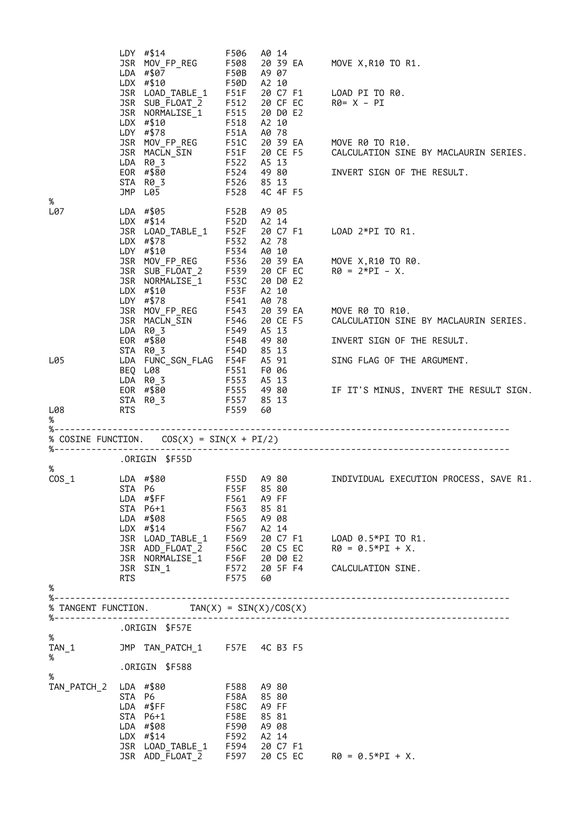|                            |            | LDY $\# $14$<br>JSR MOV_FP_REG<br>LDA #\$07<br>$LDX$ #\$10<br>JSR LOAD_TABLE_1 F51F<br>JSR SUB_FLOAT_2 F512<br>JSR NORMALISE_1 F515<br>$SE_1$<br>F518<br>F51A<br>$LDX$ #\$10<br>LDY #\$78<br>JSR MOV_FP_REG F51C<br>$EOR$ $# $80$<br>$STA$ $STC$<br>STA R0_3 F526<br>JMP L05                                                                               | F506<br>F508<br>F50B<br><b>F50D</b><br>F522<br>F528 | A0 14<br>20 39 EA<br>A9 07<br>A2 10<br>20 CF EC<br>20 D0 E2<br>A2 10<br>A0 78<br>20 39 EA<br>A5 13<br>$F524$ 49 80<br>85 13<br>4C 4F F5 | MOVE X, R10 TO R1.<br>20 C7 F1 LOAD PI TO R0.<br>R0= X - PI<br>MOVE R0 TO R10.<br>JSR MACLN_SIN F51F 20 CE F5 CALCULATION SINE BY MACLAURIN SERIES.<br>INVERT SIGN OF THE RESULT.                                      |
|----------------------------|------------|------------------------------------------------------------------------------------------------------------------------------------------------------------------------------------------------------------------------------------------------------------------------------------------------------------------------------------------------------------|-----------------------------------------------------|-----------------------------------------------------------------------------------------------------------------------------------------|------------------------------------------------------------------------------------------------------------------------------------------------------------------------------------------------------------------------|
| %<br>L07                   |            | LDA #\$05<br><b>ES2B</b><br>LDX #\$14<br>JSR LOAD_TABLE_1 F52P<br>LDX #\$78 F532<br>LDY #\$10 F532<br>LDY #\$10<br>UDI #\$10<br>JSR MOV_FP_REG F536 20 39 EA<br>JSR SUB_FLOAT_2 F539 20 CF EC<br>$JSR$ NORMALISE <sub>1</sub> F53C<br>$LDX$ #\$10 F53E<br>LDX #\$10<br>LDY #\$78<br>JSR MOV_FP_REG F543<br>JSR MACLN_SIN F546<br>LDA R0 3 F549<br>LDA R0_3 | F534<br>F53F<br>F541                                | A9 05<br>A2 14<br>20 C7 F1<br>A2 78<br>A0 10<br>20 D0 E2<br>A2 10<br>A0 78<br>20 CE F5<br>A5 13                                         | LOAD $2*PI$ TO R1.<br>20 39 EA MOVE X,R10 TO R0.<br>$R\theta = 2*PI - X$ .<br>20 39 EA MOVE R0 TO R10.<br>CALCULATION SINE BY MACLAURIN SERIES.                                                                        |
| L05<br>L08                 | RTS        | F54B<br>F54D<br>EOR #\$80<br>STA R0_3<br>LDA FUNC_SGN_FLAG F54F<br>F551<br>BEQ L08<br>$LDA$ $R\theta_3$<br>$EOR$ $\# $8\overline{0}$<br>STA $R\theta_2$ 5 F557 85 13                                                                                                                                                                                       | <b>F559</b>                                         | 4980<br>$85$ 13<br>$45$ 91<br>F0 06<br>F553  A5 13<br>F555  49 80<br>A5 13<br>- 60                                                      | INVERT SIGN OF THE RESULT.<br>SING FLAG OF THE ARGUMENT.<br>IF IT'S MINUS, INVERT THE RESULT SIGN.                                                                                                                     |
| %                          |            |                                                                                                                                                                                                                                                                                                                                                            |                                                     |                                                                                                                                         |                                                                                                                                                                                                                        |
|                            |            |                                                                                                                                                                                                                                                                                                                                                            |                                                     |                                                                                                                                         |                                                                                                                                                                                                                        |
| %                          |            | .ORIGIN \$F55D                                                                                                                                                                                                                                                                                                                                             |                                                     |                                                                                                                                         |                                                                                                                                                                                                                        |
| $COS_1$                    |            | LDA #\$80<br>LDA #\$FF<br>STA P6+1<br>LDA #\$08                                                                                                                                                                                                                                                                                                            | F561<br>F563<br>F565                                | F55D A9 80<br>A9 FF<br>85 81<br>A9 08                                                                                                   | INDIVIDUAL EXECUTION PROCESS, SAVE R1.<br>LDX #\$14<br>JSR LOAD_TABLE_1 F569 20 C7 F1 LOAD 0.5*PI TO R1.<br>JSR ADD_FLOAT_2 F56C 20 C5 EC R0 = 0.5*PI + X.<br>JSR NORMALISE_1 F56F 20 D0 E2<br>JSR SIN 1 EF73 30 FE F1 |
|                            | <b>RTS</b> | JSR SIN_1                                                                                                                                                                                                                                                                                                                                                  | F575 60                                             |                                                                                                                                         | F572 20 5F F4 CALCULATION SINE.                                                                                                                                                                                        |
| %                          |            |                                                                                                                                                                                                                                                                                                                                                            |                                                     |                                                                                                                                         |                                                                                                                                                                                                                        |
| %-----------------------   |            | % TANGENT FUNCTION. TAN(X) = $\text{SIN}(X)/\text{COS}(X)$                                                                                                                                                                                                                                                                                                 |                                                     |                                                                                                                                         | ------------------------------------                                                                                                                                                                                   |
|                            |            | ORIGIN \$F57E.                                                                                                                                                                                                                                                                                                                                             |                                                     |                                                                                                                                         |                                                                                                                                                                                                                        |
| %<br>TAN 1                 |            | JMP TAN_PATCH_1 F57E 4C B3 F5                                                                                                                                                                                                                                                                                                                              |                                                     |                                                                                                                                         |                                                                                                                                                                                                                        |
| %                          |            | .ORIGIN \$F588                                                                                                                                                                                                                                                                                                                                             |                                                     |                                                                                                                                         |                                                                                                                                                                                                                        |
| %<br>TAN_PATCH_2 LDA #\$80 |            | STA P6<br>LDA #\$FF<br>STA P6+1<br>LDA #\$08<br>LDX #\$14                                                                                                                                                                                                                                                                                                  | F588<br>F58A<br>F58C<br>F58E<br>F590<br>F592        | A9 80<br>8580<br>A9 FF<br>85 81<br>A9 08<br>A2 14                                                                                       | JSR LOAD_TABLE_1 F594 20 C7 F1<br>JSR ADD_FLOAT_2 F597 20 C5 EC R0 = 0.5*PI + X.                                                                                                                                       |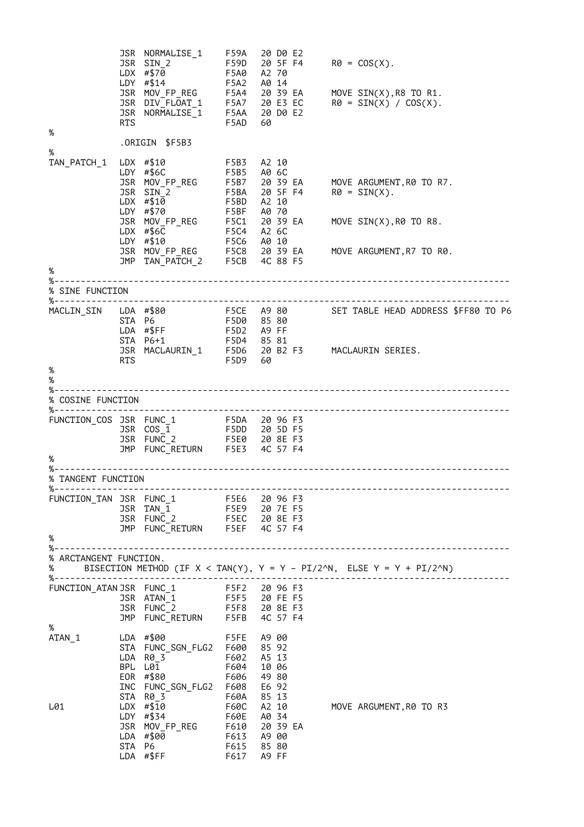JSR NORMALISE\_1 F59A 20 D0 E2 JSR SIN\_2 F59D 20 5F F4 R0 = COS(X). LDX #\$70 F5A0 A2 70 LDY #\$14 F5A2 A0 14 JSR MOV\_FP\_REG F5A4 20 39 EA MOVE SIN(X),R8 TO R1. JSR DIV\_FLOAT\_1 F5A7 20 E3 EC R0 = SIN(X) / COS(X). JSR NORMALISE\_1 F5AA 20 D0 E2 RTS F5AD 60 % .ORIGIN \$F5B3 % TAN\_PATCH\_1 LDX #\$10 F5B3 A2 10 LDY #\$6C F5B5 A0 6C JSR MOV\_FP\_REG F5B7 20 39 EA MOVE ARGUMENT,R0 TO R7. JSR SIN\_2 F5BA 20 5F F4 R0 = SIN(X). LDX #\$10 F5BD A2 10 LDY #\$70 F5BF A0 70 JSR MOV\_FP\_REG F5C1 20 39 EA MOVE SIN(X),R0 TO R8. LDX #\$6C F5C4 A2 6C LDY #\$10 F5C6 A0 10 JSR MOV\_FP\_REG F5C8 20 39 EA MOVE ARGUMENT,R7 TO R0. JMP TAN\_PATCH\_2 F5CB 4C 88 F5 % %-------------------------------------------------------------------------------------- % SINE FUNCTION %-------------------------------------------------------------------------------------- MACLIN\_SIN LDA #\$80 F5CE A9 80 SET TABLE HEAD ADDRESS \$FF80 TO P6 STA P6 F5D0 85 80 LDA #\$FF F5D2 A9 FF STA P6+1 F5D4 85 81 JSR MACLAURIN\_1 F5D6 20 B2 F3 MACLAURIN SERIES. RTS F5D9 60 % % %-------------------------------------------------------------------------------------- % COSINE FUNCTION %-------------------------------------------------------------------------------------- FUNCTION\_COS JSR FUNC\_1 F5DA 20 96 F3 JSR COS\_1 F5DD 20 5D F5 JSR FUNC\_2 F5E0 20 8E F3 JMP FUNC\_RETURN F5E3 4C 57 F4 % %-------------------------------------------------------------------------------------- % TANGENT FUNCTION %-------------------------------------------------------------------------------------- FUNCTION\_TAN JSR FUNC\_1 F5E6 20 96 F3 JSR TAN\_1 F5E9 20 7E F5 JSR FUNC\_2 F5EC 20 8E F3 JMP FUNC\_RETURN F5EF 4C 57 F4 % %-------------------------------------------------------------------------------------- % ARCTANGENT FUNCTION. % BISECTION METHOD (IF X < TAN(Y), Y = Y – PI/2^N, ELSE Y = Y + PI/2^N) %-------------------------------------------------------------------------------------- FUNCTION\_ATAN JSR FUNC\_1 F5F2 20 96 F3 JSR ATAN\_1 F5F5 20 FE F5 JSR FUNC\_2 F5F8 20 8E F3 JMP FUNC\_RETURN F5FB 4C 57 F4 %<br>ATAN\_1 LDA #\$00 F5FE A9 00 STA FUNC\_SGN\_FLG2 F600 85 92 LDA R0\_3 F602 A5 13 BPL L01 F604 10 06 EOR #\$80 F606 49 80 INC FUNC\_SGN\_FLG2 F608 E6 92 STA R0\_3 F60A 85 13 L01 LDX #\$10 F60C A2 10 MOVE ARGUMENT,R0 TO R3 LDY #\$34 F60E A0 34 JSR MOV\_FP\_REG F610 20 39 EA LDA #\$00 F613 A9 00 STA P6 F615 85 80 LDA #\$FF F617 A9 FF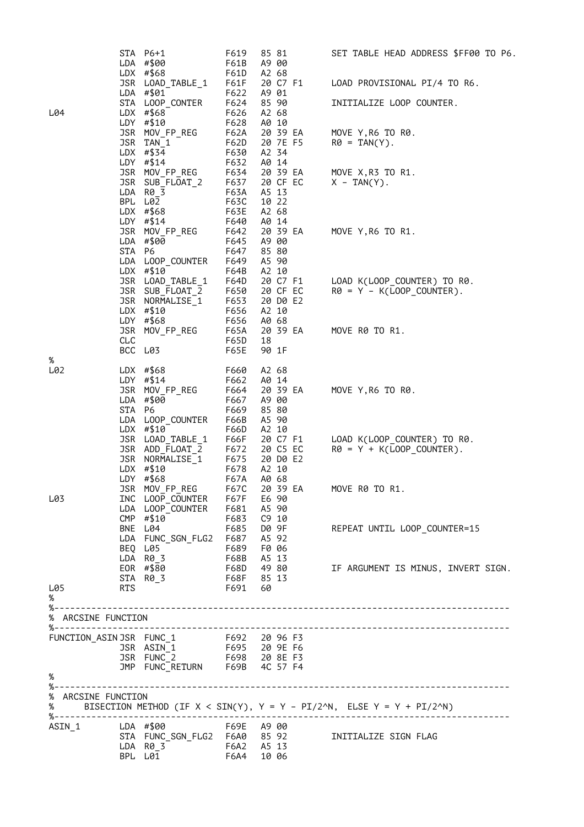|                         |        | STA P6+1                                                           | F619         | 85 81          | SET TABLE HEAD ADDRESS \$FF00 TO P6.                                    |
|-------------------------|--------|--------------------------------------------------------------------|--------------|----------------|-------------------------------------------------------------------------|
|                         |        | LDA #\$00                                                          | F61B         | A9 00          |                                                                         |
|                         |        | LDX #\$68                                                          | F61D         | A2 68          |                                                                         |
|                         |        | JSR LOAD_TABLE_1                                                   | F61F         | 20 C7 F1       | LOAD PROVISIONAL PI/4 TO R6.                                            |
|                         |        | LDA #\$01                                                          | F622         | A9 01          |                                                                         |
|                         |        | STA LOOP_CONTER                                                    | F624         | 85 90          | INITIALIZE LOOP COUNTER.                                                |
| L04                     |        | LDX $#$ \$68                                                       | F626         | A2 68          |                                                                         |
|                         |        | LDY #\$10                                                          | F628         | A0 10          |                                                                         |
|                         |        | JSR MOV_FP_REG                                                     | F62A         | 20 39 EA       | MOVE Y, R6 TO R0.                                                       |
|                         |        | JSR TAN_1                                                          | F62D         | 20 7E F5       | $R\theta = TAN(Y)$ .                                                    |
|                         |        | LDX $\#$ \$34                                                      | F630         | A2 34          |                                                                         |
|                         |        | LDY #\$14                                                          | F632         | A0 14          |                                                                         |
|                         |        | JSR MOV_FP_REG                                                     | F634         | 20 39 EA       | MOVE X,R3 TO R1.                                                        |
|                         |        | JSR SUB FLOAT 2                                                    | F637         | 20 CF EC       | $X - TAN(Y)$ .                                                          |
|                         | LDA    | R0_3                                                               | F63A         | A5 13          |                                                                         |
|                         |        | BPL L02                                                            | F63C         | 10 22          |                                                                         |
|                         |        | LDX $#$ \$68                                                       | F63E         | A2 68          |                                                                         |
|                         |        | LDY $\#$ \$14                                                      | F640         | A0 14          |                                                                         |
|                         |        | JSR MOV_FP_REG                                                     | F642         | 20 39 EA       | MOVE Y, R6 TO R1.                                                       |
|                         |        | LDA #\$00                                                          | F645         | A9 00          |                                                                         |
|                         | STA P6 |                                                                    | F647         | 85 80          |                                                                         |
|                         |        | LDA LOOP_COUNTER                                                   | F649         | A5 90          |                                                                         |
|                         |        | LDX #\$10                                                          | F64B         | A2 10          |                                                                         |
|                         |        | JSR LOAD_TABLE_1                                                   | F64D         | 20 C7 F1       | LOAD K(LOOP_COUNTER) TO R0.                                             |
|                         |        | JSR SUB FLOAT 2                                                    | F650         | 20 CF EC       | $R\theta = Y - K(LOOP_CQUNTER)$ .                                       |
|                         |        | JSR NORMALISE 1                                                    | F653         | 20 D0 E2       |                                                                         |
|                         |        | LDX #\$10                                                          | F656         | A2 10          |                                                                         |
|                         |        | LDY #\$68                                                          | F656         | A0 68          |                                                                         |
|                         |        | JSR MOV_FP_REG                                                     | <b>F65A</b>  | 20 39 EA       | MOVE R0 TO R1.                                                          |
|                         | CLC    |                                                                    | F65D         | 18             |                                                                         |
|                         |        | BCC L03                                                            | <b>F65E</b>  | 90 1F          |                                                                         |
| %<br>L02                |        |                                                                    |              |                |                                                                         |
|                         |        | LDX $#$ \$68<br>LDY $\#$ \$14                                      | F660<br>F662 | A2 68<br>A0 14 |                                                                         |
|                         |        | JSR MOV_FP_REG                                                     | F664         | 20 39 EA       | MOVE Y, R6 TO R0.                                                       |
|                         |        | LDA #\$00                                                          | F667         | A9 00          |                                                                         |
|                         | STA P6 |                                                                    | F669         | 85 80          |                                                                         |
|                         |        | LDA LOOP_COUNTER                                                   | F66B         | A5 90          |                                                                         |
|                         |        | LDX #\$10                                                          | F66D         | A2 10          |                                                                         |
|                         |        | JSR LOAD_TABLE_1                                                   | F66F         | 20 C7 F1       | LOAD K(LOOP_COUNTER) TO R0.                                             |
|                         |        | JSR ADD FLOAT 2                                                    | F672         | 20 C5 EC       | $R\theta = Y + K(LOOP_CQUNTER)$ .                                       |
|                         |        | JSR NORMALISE_1                                                    | F675         | 20 D0 E2       |                                                                         |
|                         |        | $LDX$ #\$10                                                        | F678         | A2 10          |                                                                         |
|                         |        | LDY $#$ \$68                                                       | F67A         | A0 68          |                                                                         |
|                         |        | JSR MOV_FP_REG                                                     | F67C         | 20 39 EA       | MOVE R0 TO R1                                                           |
| L03                     |        | INC LOOP COUNTER                                                   | ro/د<br>F67F | E6 90          |                                                                         |
|                         |        | LDA LOOP_COUNTER                                                   | F681         | A5 90          |                                                                         |
|                         |        | CMP #\$10                                                          | F683         | C9 10          |                                                                         |
|                         |        | BNE L04                                                            | F685         | D0 9F          | REPEAT UNTIL LOOP_COUNTER=15                                            |
|                         |        | LDA FUNC_SGN_FLG2 F687 A5 92                                       |              |                |                                                                         |
|                         |        | BEQ L05                                                            | F689 F0 06   |                |                                                                         |
|                         |        | LDA R0 3                                                           | F68B         | A5 13          |                                                                         |
|                         |        | EOR #\$80                                                          |              | F68D 49 80     | IF ARGUMENT IS MINUS, INVERT SIGN.                                      |
|                         |        | EOR #\$80<br>STA R0_3                                              | F68F 85 13   |                |                                                                         |
| L05                     | RTS    |                                                                    | F691         | 60             |                                                                         |
| %                       |        |                                                                    |              |                |                                                                         |
|                         |        |                                                                    |              |                |                                                                         |
|                         |        |                                                                    |              |                |                                                                         |
|                         |        |                                                                    |              |                |                                                                         |
|                         |        | FUNCTION_ASIN JSR FUNC_1 F692 20 96 F3<br>JSR ASIN_1 F695 20 9E F6 |              |                |                                                                         |
|                         |        |                                                                    |              |                |                                                                         |
|                         |        | JSR FUNC_2 F698 20 8E F3<br>JMP FUNC_RETURN F69B 4C 57 F4          |              |                |                                                                         |
|                         |        |                                                                    |              |                |                                                                         |
| %                       |        |                                                                    |              |                |                                                                         |
| %-----                  |        |                                                                    |              |                |                                                                         |
| % ARCSINE FUNCTION<br>% |        |                                                                    |              |                | BISECTION METHOD (IF $X <$ SIN(Y), Y = Y - PI/2^N, ELSE Y = Y + PI/2^N) |
|                         |        |                                                                    |              |                |                                                                         |
| ASIN 1                  |        | F69E A9 00<br>LDA #\$00                                            |              |                |                                                                         |
|                         |        |                                                                    |              |                | INITIALIZE SIGN FLAG                                                    |
|                         |        | LDA R0_3 F6A2 A5 13                                                |              |                |                                                                         |
|                         |        | BPL L01                                                            | F6A4 10 06   |                |                                                                         |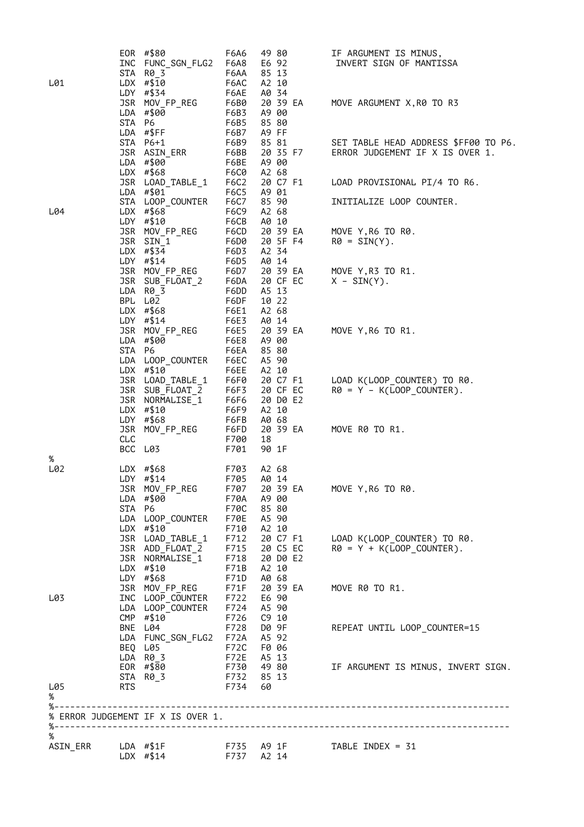| %           | ASIN_ERR            LDA    #\$1F                |              | F735 A9 1F                     | TABLE INDEX = 31                     |
|-------------|-------------------------------------------------|--------------|--------------------------------|--------------------------------------|
|             | % ERROR JUDGEMENT IF X IS OVER 1.               |              |                                |                                      |
| %           |                                                 |              |                                |                                      |
| L05         | STA R0 3<br>RTS                                 | F734 60      | F732 85 13                     |                                      |
|             | EOR #\$80                                       |              | F730 49 80                     | IF ARGUMENT IS MINUS, INVERT SIGN.   |
|             | BEQ L05<br>LDA R03                              | F72C         | F0 06<br>F72E A5 13            |                                      |
|             | LDA FUNC_SGN_FLG2                               | F72A         | A5 92                          |                                      |
|             | CMP #\$10<br>BNE L04                            | F726         | C9 10<br>F728 D0 9F            | REPEAT UNTIL LOOP_COUNTER=15         |
|             | LDA LOOP_COUNTER                                | F724         | A5 90                          |                                      |
| L03         | INC LOOP COUNTER                                | F722         | E6 90                          |                                      |
|             | LDY #\$68<br>JSR MOV FP REG                     | F71D<br>F71F | A0 68<br>20 39 EA              | MOVE R0 TO R1.                       |
|             |                                                 | F71B         | A2 10                          |                                      |
|             | JSR NORMALISE_1<br>JSR NORMALISE_1<br>LDX #\$10 |              | F715 20 C5 EC<br>F718 20 D0 E2 | $R\theta = Y + K(LOOP COUNTER)$ .    |
|             | JSR LOAD TABLE 1                                | F712         | 20 C7 F1                       | LOAD K(LOOP COUNTER) TO R0.          |
|             | LDA LOOP_COUNTER<br>$LDX$ #\$10                 | F70E<br>F710 | A5 90<br>A2 10                 |                                      |
|             | STA P6                                          | F70C         | 85 80                          |                                      |
|             | LDA #\$00                                       | F70A         | A9 00                          |                                      |
|             | LDY $# $14$<br>JSR MOV_FP_REG                   | F705<br>F707 | A0 14<br>20 39 EA              | MOVE Y, R6 TO R0.                    |
| $\%$<br>L02 | LDX $#$ \$68                                    | F703         | A2 68                          |                                      |
|             | BCC L03                                         | F701         | 90 1F                          |                                      |
|             | JSR MOV_FP_REG<br>CLC                           | F6FD<br>F700 | 20 39 EA<br>18                 | MOVE R0 TO R1.                       |
|             | LDY #\$68                                       | F6FB         | A0 68                          |                                      |
|             | LDX #\$10                                       | F6F9         | A2 10                          |                                      |
|             | JSR SUB_FLOAT_2<br>JSR NORMALISE_1              | F6F3<br>F6F6 | 20 CF EC<br>20 D0 E2           | $R\theta = Y - K(LOOP COUNTER)$ .    |
|             | JSR LOAD_TABLE_1                                | F6F0         | 20 C7 F1                       | LOAD K(LOOP_COUNTER) TO R0.          |
|             | LDA LOOP_COUNTER<br>LDX #\$10                   | F6EC<br>F6EE | A5 90<br>A2 10                 |                                      |
|             | STA P6                                          | F6EA         | 85 80                          |                                      |
|             | LDA #\$00                                       | F6E8         | A9 00                          |                                      |
|             | $LDY$ #\$14<br>JSR MOV_FP_REG                   | F6E3<br>F6E5 | A0 14<br>20 39 EA              | MOVE Y, R6 TO R1.                    |
|             | LDX #\$68                                       | F6E1         | A2 68                          |                                      |
|             | LDA R0 3<br>BPL L02                             | F6DD<br>F6DF | A5 13<br>10 22                 |                                      |
|             | JSR SUB_FLOAT_2                                 | F6DA         | 20 CF EC                       | $X - SIN(Y)$ .                       |
|             | JSR MOV_FP_REG                                  | F6D7         | 20 39 EA                       | MOVE Y, R3 TO R1.                    |
|             | LDX $\#$ \$34<br>$LDY$ #\$14                    | F6D3<br>F6D5 | A2 34<br>A0 14                 |                                      |
|             | JSR SIN 1                                       | F6D0         | 20 5F F4                       | $R\theta = SIN(Y)$ .                 |
|             | LDY #\$10<br>JSR MOV_FP_REG                     | F6CB<br>F6CD | A0 10<br>20 39 EA              | MOVE Y, R6 TO R0.                    |
| L04         | LDX $#$ \$68                                    | F6C9         | A2 68                          |                                      |
|             | LDA #\$01<br>STA LOOP_COUNTER                   | F6C5<br>F6C7 | A9 01<br>85 90                 | INITIALIZE LOOP COUNTER.             |
|             | JSR LOAD_TABLE_1                                | F6C2         | 20 C7 F1                       | LOAD PROVISIONAL PI/4 TO R6.         |
|             | LDX $#$ \$68                                    | F6C0         | A2 68                          |                                      |
|             | JSR ASIN_ERR<br>LDA #\$00                       | F6BB<br>F6BE | 20 35 F7<br>A9 00              | ERROR JUDGEMENT IF X IS OVER 1.      |
|             | STA P6+1                                        | F6B9         | 85 81                          | SET TABLE HEAD ADDRESS \$FF00 TO P6. |
|             | STA P6<br>LDA #\$FF                             | F6B5<br>F6B7 | 85 80<br>A9 FF                 |                                      |
|             | LDA #\$00                                       | F6B3         | A9 00                          |                                      |
|             | LDY #\$34<br>JSR MOV_FP_REG                     | F6AE<br>F6B0 | A0 34<br>20 39 EA              | MOVE ARGUMENT X, R0 TO R3            |
| L01         | $LDX$ #\$10                                     | F6AC         | A2 10                          |                                      |
|             | INC FUNC SGN FLG2<br>STA R0 3                   | F6A8<br>F6AA | E6 92<br>85 13                 | INVERT SIGN OF MANTISSA              |
|             | EOR #\$80                                       | F6A6         | 49 80                          | IF ARGUMENT IS MINUS,                |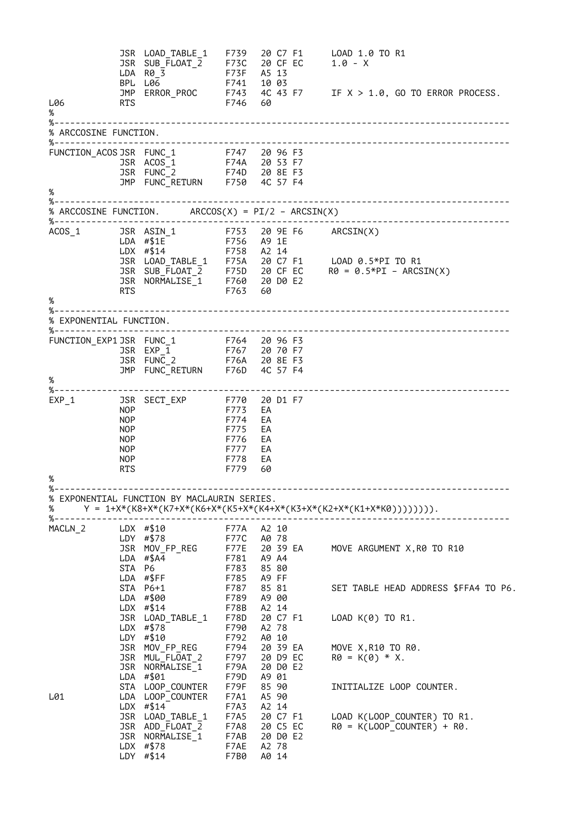JSR LOAD\_TABLE\_1 F739 20 C7 F1 LOAD 1.0 TO R1 JSR SUB\_FLOAT\_2 F73C 20 CF EC<br>LDA R0\_3 F13F A5 13  $\begin{array}{ccccc} \text{LDA} & \text{R0} & \overline{3} & & & & \text{F73F} & \text{AS} & 13 \\ \text{BPL} & \text{L06} & & & & \text{F741} & 10 & 03 \end{array}$  $BPL L06$  F741<br>  $JMP ERROR_PROC$  F743 JMP ERROR\_PROC F743 4C 43 F7 IF  $X > 1.0$ , GO TO ERROR PROCESS.<br>RTS L06 RTS F746 % %-------------------------------------------------------------------------------------- % ARCCOSINE FUNCTION. %-------------------------------------------------------------------------------------- FUNCTION\_ACOS JSR FUNC\_1 F747 20 96 F3 JSR ACOS\_1 F74A 20 53 F7 JSR FUNC\_2 F74D 20 8E F3 JMP FUNC\_RETURN F750 4C 57 F4 %<br>%--%--------------------------------------------------------------------------------------  $\stackrel{\sim}{\text{\tiny$\text{W}}}$  ARCCOSINE FUNCTION. ARCCOS(X) = PI/2 - ARCSIN(X) %-------------------------------------------------------------------------------------- ACOS\_1 JSR ASIN\_1 F753 20 9E F6 ARCSIN(X) LDA #\$1E F756 A9 1E LDX #\$14 F758 A2 14 JSR LOAD\_TABLE\_1 F75A 20 C7 F1 LOAD 0.5\*PI TO R1 JSR SUB\_FLOAT\_2 F75D 20 CF EC R0 = 0.5\*PI – ARCSIN(X) JSR NORMALISE\_1 F760 20 D0 E2 RTS F763 60 % %-------------------------------------------------------------------------------------- % EXPONENTIAL FUNCTION. %-------------------------------------------------------------------------------------- FUNCTION\_EXP1 JSR FUNC\_1 F764 20 96 F3 JSR EXP\_1 F767 20 70 F7 JSR FUNC\_2 F76A 20 8E F3 JMP FUNC\_RETURN F76D 4C 57 F4 % %-------------------------------------------------------------------------------------- EXP\_1 JSR SECT\_EXP F770 20 D1 F7 NOP F773 EA NOP F774 EA NOP<br>
NOP<br>
NOP<br>
NOP<br>
F776 EA F776 EA NOP F777 EA NOP F778 EA F779 % %-------------------------------------------------------------------------------------- % EXPONENTIAL FUNCTION BY MACLAURIN SERIES. % Y = 1+X\*(K8+X\*(K7+X\*(K6+X\*(K5+X\*(K4+X\*(K3+X\*(K2+X\*(K1+X\*K0)))))))). %-------------------------------------------------------------------------------------- MACLN\_2 LDX #\$10 F77A A2 10 LDY #\$78 F77C A0 78 JSR MOV\_FP\_REG F77E 20 39 EA MOVE ARGUMENT X,R0 TO R10 LDA #\$A4 F781 A9 A4 STA P6 F783 85 80 STA P6<br>
LDA #\$FF F783 85 80<br>
LDA #\$FF F785 A9 FF<br>
STA P6+1 F787 85 81 F787 85 81 SET TABLE HEAD ADDRESS \$FFA4 TO P6.<br>F789 A9 00  $LDA$  #\$00 LDX #\$14 F78B A2 14 JSR LOAD\_TABLE\_1 F78D 20 C7 F1 LOAD K(0) TO R1. LDX #\$78 F790 A2 78 1990 FOR LOAD TABLE 1<br>
LDX #\$78 F790 A2 78<br>
LDY #\$10 F792 A0 10<br>
JSR MOV FP REG F794 20 39 EA JSR MOV\_FP\_REG F794 20 39 EA MOVE X,R10 TO R0.<br>JSR MUL\_FLOAT\_2 F797 20 D9 EC R0 = K(0) \* X.<br>JSR NORMALISE\_1 F79A 20 D0 E2<br>LDA #\$01 F79D A9 01 JSR MUL\_FLOAT\_2 F797 20 D9 EC R0 = K(0) \* X. JSR NORMALISE<sup>-1</sup> LDA #\$01 F79D A9 01 INITIALIZE LOOP COUNTER. L01 LDA LOOP\_COUNTER F7A1 A5 90 LDX #\$14<sup>-</sup><br>JSR LOAD\_TABLE\_1 F7A5 20 C7 F1<br>JSR ADD\_FLOAT\_2 F7A8 20 C5 EC JSR LOAD\_TABLE\_1 F7A5 20 C7 F1 LOAD K(LOOP\_COUNTER) TO R1. JSR ADD\_FLOAT\_2 F7A8 20 C5 EC R0 = K(LOOP\_COUNTER) + R0. JSR NORMALISE<sup>1</sup> F7AB 20 D0 E2<br>LDX #\$78 F7AE A2 78 LDX #\$78 F7AE A2 78  $LDY$  #\$14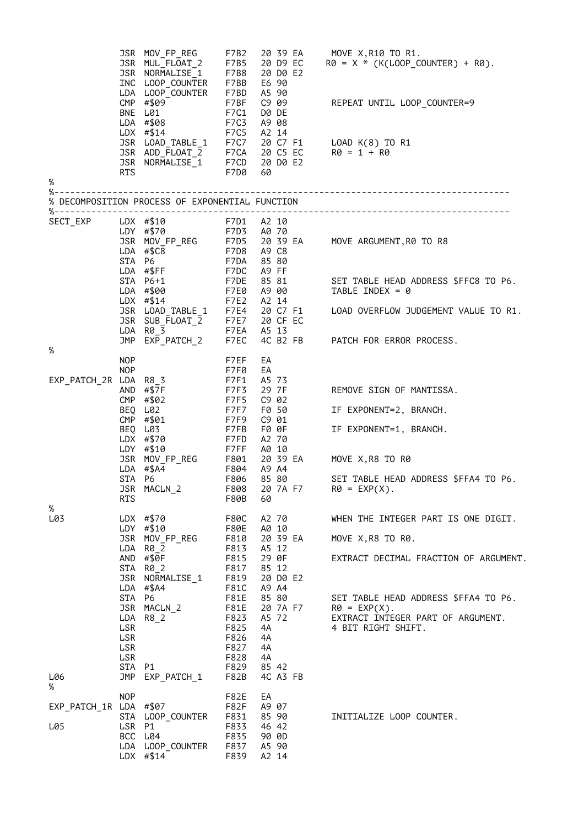|                        |                                              | JSR MOV_FP_REG<br>JSR MUL_FLOAT_2<br>JSR NORMALISE <sup>-1</sup><br>INC LOOP_COUNTER<br>LDA LOOP_COUNTER                              | F7BB<br>F7BD                                                 | F7B8 20 D0 E2<br>E6 90<br>A5 90                             | F7B5 20 D9 EC R0 = $X$ , R10 T0 R1.<br>F7B5 20 D9 EC R0 = $X$ * $(10^{10}C)^{-1}$<br>$R\theta = X * (K(LOOP_COUNTER) + R\theta).$ |
|------------------------|----------------------------------------------|---------------------------------------------------------------------------------------------------------------------------------------|--------------------------------------------------------------|-------------------------------------------------------------|-----------------------------------------------------------------------------------------------------------------------------------|
|                        |                                              | CMP #\$09<br>BNE L01<br>LDA #\$08<br>$LDX$ #\$14                                                                                      | F7BF<br>F7C1<br>F7C3<br>F7C5                                 | C9 09<br>D0 DE<br>A9 08<br>A2 14                            | REPEAT UNTIL LOOP_COUNTER=9                                                                                                       |
|                        | RTS                                          | JSR LOAD_TABLE_1<br>JSR ADD_FLOAT_2<br>JSR NORMALISE_1                                                                                | F7D0                                                         | 60                                                          | F7C7 20 C7 F1 LOAD K(8) TO R1<br>F7CA 20 C5 EC R0 = 1 + R0<br>F7CD 20 D0 E2                                                       |
| $\%$<br>%-             |                                              |                                                                                                                                       |                                                              |                                                             |                                                                                                                                   |
|                        |                                              | % DECOMPOSITION PROCESS OF EXPONENTIAL FUNCTION                                                                                       |                                                              |                                                             |                                                                                                                                   |
| SECT_EXP               |                                              | LDX #\$10 F7D1 A2 10<br>LDY #\$70 F7D3 A0 70<br>JSR MOV_FP_REG<br>LDA #\$C8<br>LDA $\#$ \$C8<br>STA P6                                | F7DA                                                         | 8580                                                        | F7D5 20 39 EA MOVE ARGUMENT, R0 TO R8<br>F7D8 A9 C8                                                                               |
|                        |                                              | LDA #\$FF<br>STA P6+1<br>LDA #\$00                                                                                                    | F7DC                                                         | A9 FF<br>F7E0 A9 00                                         | F7DE 85 81 SET TABLE HEAD ADDRESS \$FFC8 TO P6.<br>TABLE INDEX = $\theta$                                                         |
|                        |                                              | F7E2 A2 14<br>JSR LOAD_TABLE_1 F7E4 20 C7 F1<br>JSR SUB_FLOAT_2 F7E7 20 CF EC<br>LDA R0_3 F7EA A5 13<br>JMP EXP_PATCH_2 F7EC 4C B2 FB |                                                              |                                                             | LOAD OVERFLOW JUDGEMENT VALUE TO R1.                                                                                              |
| %                      |                                              |                                                                                                                                       |                                                              | 4C B2 FB                                                    | PATCH FOR ERROR PROCESS.                                                                                                          |
|                        | <b>NOP</b>                                   |                                                                                                                                       | F7EF                                                         | EA                                                          |                                                                                                                                   |
| EXP_PATCH_2R LDA R8_3  | <b>NOP</b>                                   | AND #\$7F                                                                                                                             | F7F0<br>F7F1<br>F7F3                                         | EA<br>A5 73<br>29 7F                                        | REMOVE SIGN OF MANTISSA.                                                                                                          |
|                        |                                              | CMP #\$02<br>BEQ L02                                                                                                                  | F7F5<br>F7F7                                                 | C9 02<br>F0 50                                              | IF EXPONENT=2, BRANCH.                                                                                                            |
|                        |                                              | CMP #\$01<br>BEQ L03<br>LDX #\$70                                                                                                     | F7F9<br>F7FB                                                 | C9 01<br>F0 0F<br>F7FD A2 70                                | IF EXPONENT=1, BRANCH.                                                                                                            |
|                        |                                              | LDX #3/0<br>LDY #\$10 F7FF A0 10<br>JSR MOV_FP_REG F801 20 39 EA<br>And F804 A9 A4<br>And Table 25 80                                 |                                                              |                                                             | MOVE X,R8 TO R0                                                                                                                   |
|                        | <b>RTS</b>                                   | JSR MACLN_2                                                                                                                           | F80B                                                         | F808 20 7A F7<br>60                                         | SET TABLE HEAD ADDRESS \$FFA4 TO P6.<br>$RØ = EXP(X)$ .                                                                           |
| %<br>L03               |                                              | $LDX$ #\$70<br>LDY #\$10                                                                                                              | F80C<br>F80E                                                 | A2 70<br>A0 10                                              | WHEN THE INTEGER PART IS ONE DIGIT.                                                                                               |
|                        | LDA                                          | JSR MOV_FP_REG<br>$R\Theta$ 2                                                                                                         | F810<br>F813                                                 | 20 39 EA<br>A5 12                                           | MOVE X, R8 TO R0.                                                                                                                 |
|                        |                                              | AND #\$0F<br>STA R0_2<br>JSR NORMALISE_1<br>$LDA$ #\$A4                                                                               | F815<br>F817<br>F819<br>F81C                                 | 29 OF<br>85 12<br>20 D0 E2<br>A9 A4                         | EXTRACT DECIMAL FRACTION OF ARGUMENT.                                                                                             |
|                        | STA P6<br>LSR<br>LSR<br>LSR<br>LSR<br>STA P1 | JSR MACLN_2<br>$LDA$ $R8_2$                                                                                                           | F81E<br>F81E<br>F823<br>F825<br>F826<br>F827<br>F828<br>F829 | 85 80<br>20 7A F7<br>A5 72<br>4A<br>4A<br>4A<br>4A<br>85 42 | SET TABLE HEAD ADDRESS \$FFA4 TO P6.<br>$RØ = EXP(X)$ .<br>EXTRACT INTEGER PART OF ARGUMENT.<br>4 BIT RIGHT SHIFT.                |
| L06<br>%               | JMP                                          | EXP_PATCH_1                                                                                                                           | F82B                                                         | 4C A3 FB                                                    |                                                                                                                                   |
| EXP_PATCH_1R LDA #\$07 | <b>NOP</b><br>STA                            | LOOP_COUNTER                                                                                                                          | F82E<br>F82F<br>F831                                         | EA<br>A9 07<br>85 90                                        | INITIALIZE LOOP COUNTER.                                                                                                          |
| L05                    | LSR                                          | P1<br>BCC L04<br>LDA LOOP_COUNTER<br>$LDX$ #\$14                                                                                      | F833<br>F835<br>F837<br>F839                                 | 46 42<br>90 OD<br>A5 90<br>A2 14                            |                                                                                                                                   |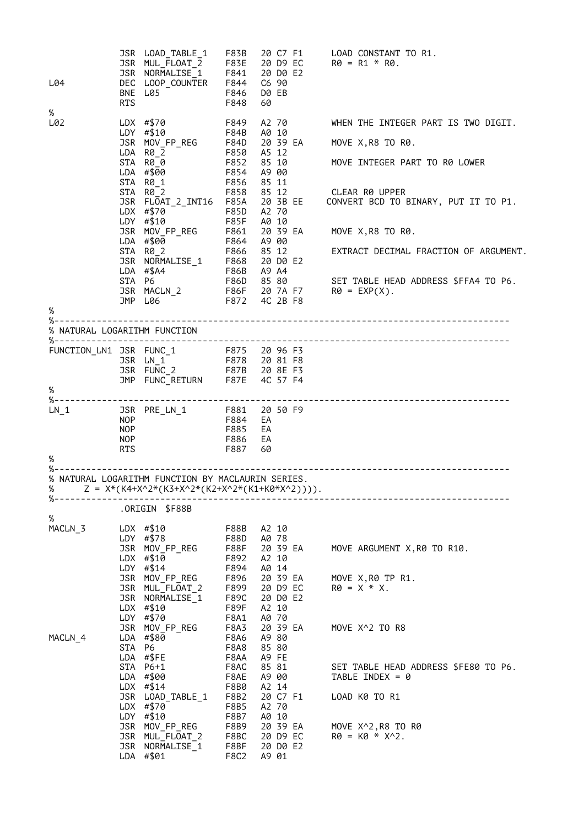| L04                          | <b>RTS</b>                      | JSR LOAD_TABLE_1<br>JSR MUL FLOAT 2<br>JSR NORMALISE 1<br>DEC LOOP_COUNTER<br>BNE L05                   | F83B<br>F83E<br>F841<br>F844<br>F846<br>F848 | 20 C7 F1<br>20 D9 EC<br>20 DO E2<br>C6 90<br>D0 EB<br>60 | LOAD CONSTANT TO R1.<br>$R\theta = R1 * R\theta$ .                                                                      |
|------------------------------|---------------------------------|---------------------------------------------------------------------------------------------------------|----------------------------------------------|----------------------------------------------------------|-------------------------------------------------------------------------------------------------------------------------|
| $\%$<br>L02                  |                                 | LDX #\$70<br>LDY #\$10                                                                                  | F849<br>F84B                                 | A2 70<br>A0 10                                           | WHEN THE INTEGER PART IS TWO DIGIT.                                                                                     |
|                              |                                 | JSR MOV_FP_REG                                                                                          | F84D                                         | 20 39 EA                                                 | MOVE X, R8 TO R0.                                                                                                       |
|                              |                                 | LDA R0 2<br>STA R00<br>LDA #\$00<br>STA R0 1                                                            | F850<br>F852<br>F854                         | A5 12<br>85 10<br>A9 00                                  | MOVE INTEGER PART TO R0 LOWER                                                                                           |
|                              |                                 | STA R0 2<br>JSR FLOAT_2_INT16<br>LDX #\$70                                                              | F856<br>F858<br>F85A<br>F85D                 | 85 11<br>85 12<br>20 3B EE<br>A2 70                      | CLEAR R0 UPPER<br>CONVERT BCD TO BINARY, PUT IT TO P1.                                                                  |
|                              |                                 | $LDY$ #\$10<br>JSR MOV_FP_REG                                                                           | <b>F85F</b><br>F861                          | A0 10<br>20 39 EA                                        | MOVE X, R8 TO R0.                                                                                                       |
|                              |                                 | LDA #\$00                                                                                               | F864                                         | A9 00                                                    |                                                                                                                         |
|                              |                                 | 1986 12<br>JSR NORMALISE_1 F868 20 D0 E2<br>LDA #\$A4 F86B A9 A4<br>STA P2                              |                                              |                                                          | EXTRACT DECIMAL FRACTION OF ARGUMENT.                                                                                   |
|                              | STA P6                          | JSR MACLN_2<br>JMP L06                                                                                  |                                              | F86D 85 80<br>4C 2B F8                                   | SET TABLE HEAD ADDRESS \$FFA4 TO P6.<br>کا اعلام است کا SEI TABLE HE<br>1986 - PA F7 - R0 = EXP(X).<br>19872 - AC 2R F8 |
| $\%$                         |                                 | JMP L06                                                                                                 | F872                                         |                                                          |                                                                                                                         |
| % NATURAL LOGARITHM FUNCTION |                                 |                                                                                                         |                                              |                                                          |                                                                                                                         |
|                              |                                 |                                                                                                         |                                              |                                                          |                                                                                                                         |
|                              |                                 | JSR FUNC_2<br>JMP FUNC_RETURN                                                                           |                                              | F87B 20 8E F3<br>F87E 4C 57 F4                           |                                                                                                                         |
| $\%$                         |                                 |                                                                                                         |                                              |                                                          |                                                                                                                         |
| $LN_1$                       |                                 | JSR PRE_LN_1 F881 20 50 F9                                                                              |                                              |                                                          |                                                                                                                         |
|                              | <b>NOP</b><br><b>NOP</b><br>NOP |                                                                                                         | F884<br>F885<br>F886                         | EA<br>EA<br>EA                                           |                                                                                                                         |
| %                            | RTS                             |                                                                                                         | F887                                         | 60                                                       |                                                                                                                         |
| %-                           |                                 |                                                                                                         |                                              |                                                          |                                                                                                                         |
| $% - - - - - - - - - -$      |                                 | % NATURAL LOGARITHM FUNCTION BY MACLAURIN SERIES.<br>% $Z = X*(K4+X^2*(K3+X^2*(K2+X^2*(K1+K0*X^2))))$ . |                                              |                                                          |                                                                                                                         |
| %                            |                                 | ORIGIN \$F88B.                                                                                          |                                              |                                                          |                                                                                                                         |
| MACLN 3                      |                                 | $LDX$ #\$10                                                                                             | F88B                                         | A2 10                                                    |                                                                                                                         |
|                              |                                 | LDY #\$78<br>JSR MOV_FP_REG<br>$LDX$ #\$10                                                              | F88D<br>F88F<br>F892                         | A0 78<br>20 39 EA<br>A2 10                               | MOVE ARGUMENT X, R0 TO R10.                                                                                             |
|                              |                                 | LDY #\$14<br>JSR MOV_FP_REG                                                                             | F894<br>F896                                 | A0 14<br>20 39 EA                                        | MOVE X, R0 TP R1.                                                                                                       |
|                              |                                 | JSR MUL FLOAT 2<br>JSR NORMALISE_1<br>$LDX$ #\$10                                                       | F899<br>F89C<br>F89F                         | 20 D9 EC<br>20 D0 E2<br>A2 10                            | $R\theta = X * X$ .                                                                                                     |
|                              |                                 | LDY #\$70                                                                                               | F8A1                                         | A0 70                                                    |                                                                                                                         |
| MACLN_4                      | STA P6                          | JSR MOV_FP_REG<br>LDA #\$80                                                                             | F8A3<br>F8A6<br>F8A8                         | 20 39 EA<br>A9 80<br>85 80                               | MOVE X^2 TO R8                                                                                                          |
|                              |                                 | LDA #\$FE<br>STA P6+1<br>LDA #\$00                                                                      | F8AA<br>F8AC<br>F8AE                         | A9 FE<br>85 81<br>A9 00                                  | SET TABLE HEAD ADDRESS \$FE80 TO P6.<br>TABLE INDEX = $\theta$                                                          |
|                              |                                 | $LDX$ #\$14<br>JSR LOAD_TABLE_1<br>$LDX$ #\$70                                                          | F8B0<br>F8B2                                 | A2 14<br>20 C7 F1<br>A2 70                               | LOAD K0 TO R1                                                                                                           |
|                              |                                 | LDY #\$10                                                                                               | F8B5<br>F8B7                                 | A0 10                                                    |                                                                                                                         |
|                              |                                 | JSR MOV FP REG<br>JSR MUL FLOAT 2<br>JSR NORMALISE 1<br>LDA #\$01                                       | F8B9<br>F8BC<br>F8BF<br>F8C2                 | 20 39 EA<br>20 D9 EC<br>20 D0 E2<br>A9 01                | MOVE X^2, R8 TO R0<br>$R\theta = K\theta * X^2$ .                                                                       |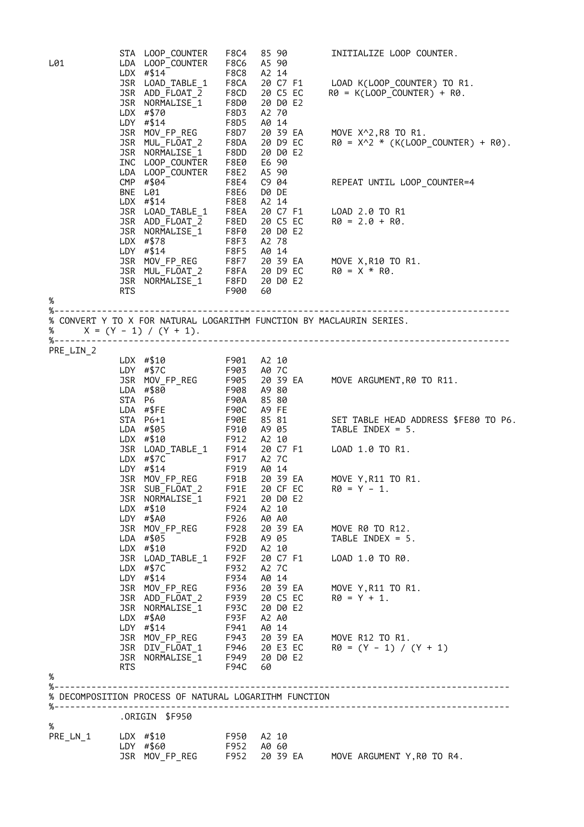|           |     | STA LOOP_COUNTER                                                                                                                                                                                                                                   | F8C4                       | 85 90                                           | INITIALIZE LOOP COUNTER.                                                                                                                                                                                                                          |
|-----------|-----|----------------------------------------------------------------------------------------------------------------------------------------------------------------------------------------------------------------------------------------------------|----------------------------|-------------------------------------------------|---------------------------------------------------------------------------------------------------------------------------------------------------------------------------------------------------------------------------------------------------|
| L01       |     | LDA LOOP_COUNTER                                                                                                                                                                                                                                   | F8C6                       | A5 90                                           |                                                                                                                                                                                                                                                   |
|           |     | LDX #\$14                                                                                                                                                                                                                                          | F8C8                       | A2 14                                           |                                                                                                                                                                                                                                                   |
|           |     | 1988 LOAD_TABLE_1 F8CA<br>1988 ADD_FLOAT_2 F8CD<br>1988 NORMALISE_1 F8D0<br>1988 HORMALISE_1 F8D0<br>1988 HOV_FP_REG<br>1988 MOV_FP_REG<br>1988 MOV_FP_REG<br>1988 HOLL_FLOAT_2 F8DA<br>1988 HOLL_FLOAT_2 F8DA<br>1988 F8D7<br>1988 HOLL_FLOAT_2 F |                            | 20 C7 F1<br>20 C5 EC                            | LOAD K(LOOP_COUNTER) TO R1.<br>$R\theta = K(LOOP_COUNTER) + R\theta.$                                                                                                                                                                             |
|           |     |                                                                                                                                                                                                                                                    |                            | 20 D0 E2                                        |                                                                                                                                                                                                                                                   |
|           |     |                                                                                                                                                                                                                                                    |                            | A2 70                                           |                                                                                                                                                                                                                                                   |
|           |     |                                                                                                                                                                                                                                                    |                            | A0 14                                           |                                                                                                                                                                                                                                                   |
|           |     |                                                                                                                                                                                                                                                    |                            |                                                 |                                                                                                                                                                                                                                                   |
|           |     |                                                                                                                                                                                                                                                    |                            |                                                 | 20 39 EA MOVE X^2,R8 TO R1.<br>20 D9 EC R0 = X^2 * (K(LOOP_COUNTER) + R0).                                                                                                                                                                        |
|           |     | JSR MULLFLUAILA<br>JSR NORMALISE 1 F8DD<br>INC LOOP_COUNTER F8E0<br>LDA LOOP_COUNTER F8E2                                                                                                                                                          |                            | 20 DO E2                                        |                                                                                                                                                                                                                                                   |
|           |     |                                                                                                                                                                                                                                                    |                            | E6 90                                           |                                                                                                                                                                                                                                                   |
|           |     |                                                                                                                                                                                                                                                    |                            | A5 90                                           |                                                                                                                                                                                                                                                   |
|           |     | CMP #\$04                                                                                                                                                                                                                                          | <b>F8E4</b><br><b>F8E6</b> | C9 04                                           | REPEAT UNTIL LOOP_COUNTER=4                                                                                                                                                                                                                       |
|           |     | BNE L01<br>$LDX$ #\$14                                                                                                                                                                                                                             | <b>F8E8</b>                | D0 DE<br>A2 14                                  |                                                                                                                                                                                                                                                   |
|           |     |                                                                                                                                                                                                                                                    |                            |                                                 |                                                                                                                                                                                                                                                   |
|           |     |                                                                                                                                                                                                                                                    |                            |                                                 |                                                                                                                                                                                                                                                   |
|           |     |                                                                                                                                                                                                                                                    |                            |                                                 |                                                                                                                                                                                                                                                   |
|           |     |                                                                                                                                                                                                                                                    |                            |                                                 |                                                                                                                                                                                                                                                   |
|           |     |                                                                                                                                                                                                                                                    |                            |                                                 |                                                                                                                                                                                                                                                   |
|           |     |                                                                                                                                                                                                                                                    |                            |                                                 |                                                                                                                                                                                                                                                   |
|           |     |                                                                                                                                                                                                                                                    |                            |                                                 |                                                                                                                                                                                                                                                   |
|           | RTS |                                                                                                                                                                                                                                                    | F900                       | 60                                              | UDX #\$14 F8E8 A2 14<br>JSR LOAD_TABLE_1 F8EA 20 C7 F1 LOAD 2.0 TO R1<br>JSR ADD_FLOAT_2 F8ED 20 C5 EC R0 = 2.0 + R0.<br>JSR NORMALISE_1 F8F0 20 D0 E2<br>LDX #\$78 F8F3 A2 78<br>LDY #\$14 F8F5 A0 14<br>JSR MOV_FP_REG F8F7 20 39 EA MOVE X     |
| $\%$      |     |                                                                                                                                                                                                                                                    |                            |                                                 |                                                                                                                                                                                                                                                   |
|           |     |                                                                                                                                                                                                                                                    |                            |                                                 |                                                                                                                                                                                                                                                   |
| %         |     | $X = (Y - 1) / (Y + 1).$                                                                                                                                                                                                                           |                            |                                                 | % CONVERT Y TO X FOR NATURAL LOGARITHM FUNCTION BY MACLAURIN SERIES.                                                                                                                                                                              |
|           |     |                                                                                                                                                                                                                                                    |                            |                                                 |                                                                                                                                                                                                                                                   |
| PRE_LIN_2 |     |                                                                                                                                                                                                                                                    |                            |                                                 |                                                                                                                                                                                                                                                   |
|           |     | LDX #\$10 F901 A2 10                                                                                                                                                                                                                               |                            |                                                 | LDX #\$10<br>LDY #\$7C F903 A07C<br>JSR MOV_FP_REG F905 2039 EA MOVE ARGUMENT,R0TO R11.<br>LDA #\$80 F908 A980<br>STA P6 F90A 8580<br>LDA #\$FE F90C A9FE<br>STA P6+1 F90E 8581 SET TABLE HEAD ADDRESS \$<br>STA P6+1 F90E 8581 SET TABLE HEAD AD |
|           |     |                                                                                                                                                                                                                                                    |                            |                                                 |                                                                                                                                                                                                                                                   |
|           |     |                                                                                                                                                                                                                                                    |                            |                                                 |                                                                                                                                                                                                                                                   |
|           |     |                                                                                                                                                                                                                                                    |                            |                                                 |                                                                                                                                                                                                                                                   |
|           |     |                                                                                                                                                                                                                                                    |                            |                                                 |                                                                                                                                                                                                                                                   |
|           |     |                                                                                                                                                                                                                                                    |                            |                                                 | SET TABLE HEAD ADDRESS \$FE80 TO P6.                                                                                                                                                                                                              |
|           |     |                                                                                                                                                                                                                                                    |                            |                                                 |                                                                                                                                                                                                                                                   |
|           |     |                                                                                                                                                                                                                                                    |                            |                                                 | LDX #\$10<br>JSR LOAD_TABLE_1 F912 A2 10<br>LDX #\$7C<br>LDX #\$7C<br>LDX #\$7C<br>F912 A2 7C<br>F917 A2 7C<br>LDY #\$14<br>JSR MOV_FP_REG<br>JSR SUB_FLOAT_2 F91B 20 39 EA MOVE Y,R11 TO R:<br>JSR SUB_FLOAT_2 F91E 20 CF EC<br>R0 = Y - 1.      |
|           |     |                                                                                                                                                                                                                                                    |                            |                                                 |                                                                                                                                                                                                                                                   |
|           |     |                                                                                                                                                                                                                                                    |                            |                                                 |                                                                                                                                                                                                                                                   |
|           |     |                                                                                                                                                                                                                                                    |                            |                                                 | 20 39 EA MOVE Y, R11 TO R1.                                                                                                                                                                                                                       |
|           |     |                                                                                                                                                                                                                                                    |                            |                                                 |                                                                                                                                                                                                                                                   |
|           |     | JSR NORMALISE_1                                                                                                                                                                                                                                    | F921                       | 20 D0 E2                                        |                                                                                                                                                                                                                                                   |
|           |     |                                                                                                                                                                                                                                                    | F924                       | A2 10                                           |                                                                                                                                                                                                                                                   |
|           |     | LDX #\$10<br>LDY #\$A0                                                                                                                                                                                                                             | F926                       | A0 A0                                           |                                                                                                                                                                                                                                                   |
|           |     | JSR MOV FP REG                                                                                                                                                                                                                                     |                            | F928 20 39 EA                                   | MOVE R0 TO R12.                                                                                                                                                                                                                                   |
|           |     | LDA #\$05                                                                                                                                                                                                                                          |                            | F92B A9 05                                      | TABLE INDEX = $5.$                                                                                                                                                                                                                                |
|           |     | $LDX$ #\$10<br>JSR LOAD_TABLE_1                                                                                                                                                                                                                    | F92F                       | F92D A2 10<br>20 C7 F1                          | LOAD 1.0 TO R0.                                                                                                                                                                                                                                   |
|           |     | $LDX$ #\$7C                                                                                                                                                                                                                                        | F932                       | A2 7C                                           |                                                                                                                                                                                                                                                   |
|           |     | $LDY$ #\$14                                                                                                                                                                                                                                        |                            | F934 A0 14                                      |                                                                                                                                                                                                                                                   |
|           |     | JSR MOV_FP_REG                                                                                                                                                                                                                                     |                            |                                                 | F936 20 39 EA MOVE Y, R11 TO R1.                                                                                                                                                                                                                  |
|           |     | JSR ADD_FLOAT_2                                                                                                                                                                                                                                    |                            | F939 20 C5 EC<br>F939 20 C5 EC<br>F93C 20 D0 E2 | $R\theta = Y + 1$ .                                                                                                                                                                                                                               |
|           |     | JSR NORMALISE 1                                                                                                                                                                                                                                    |                            |                                                 |                                                                                                                                                                                                                                                   |
|           |     | $LDX$ #\$A0                                                                                                                                                                                                                                        | F93F                       | A2 A0                                           |                                                                                                                                                                                                                                                   |
|           |     | LDY $\#$ \$14                                                                                                                                                                                                                                      | F941                       | A0 14                                           | JSR MOV_FP_REG F943 20 39 EA MOVE R12 TO R1.                                                                                                                                                                                                      |
|           |     |                                                                                                                                                                                                                                                    |                            |                                                 | $R\emptyset = (Y - 1) / (Y + 1)$                                                                                                                                                                                                                  |
|           |     | JSR DIV_FLOAT_1 F946 20 E3 EC<br>JSR NORMALISE_1 F949 20 D0 E2                                                                                                                                                                                     |                            |                                                 |                                                                                                                                                                                                                                                   |
|           | RTS |                                                                                                                                                                                                                                                    | F94C 60                    |                                                 |                                                                                                                                                                                                                                                   |
| %         |     |                                                                                                                                                                                                                                                    |                            |                                                 |                                                                                                                                                                                                                                                   |
| %−        |     |                                                                                                                                                                                                                                                    |                            |                                                 |                                                                                                                                                                                                                                                   |
|           |     | % DECOMPOSITION PROCESS OF NATURAL LOGARITHM FUNCTION                                                                                                                                                                                              |                            |                                                 |                                                                                                                                                                                                                                                   |
|           |     | .ORIGIN \$F950                                                                                                                                                                                                                                     |                            |                                                 |                                                                                                                                                                                                                                                   |
| $\%$      |     |                                                                                                                                                                                                                                                    |                            |                                                 |                                                                                                                                                                                                                                                   |
| PRE_LN_1  |     | LDX #\$10<br>LDY #\$60                                                                                                                                                                                                                             |                            | F950 A2 10<br>F952 A0 60                        |                                                                                                                                                                                                                                                   |
|           |     | JSR MOV_FP_REG                                                                                                                                                                                                                                     |                            |                                                 | F952 20 39 EA MOVE ARGUMENT Y,R0 TO R4.                                                                                                                                                                                                           |
|           |     |                                                                                                                                                                                                                                                    |                            |                                                 |                                                                                                                                                                                                                                                   |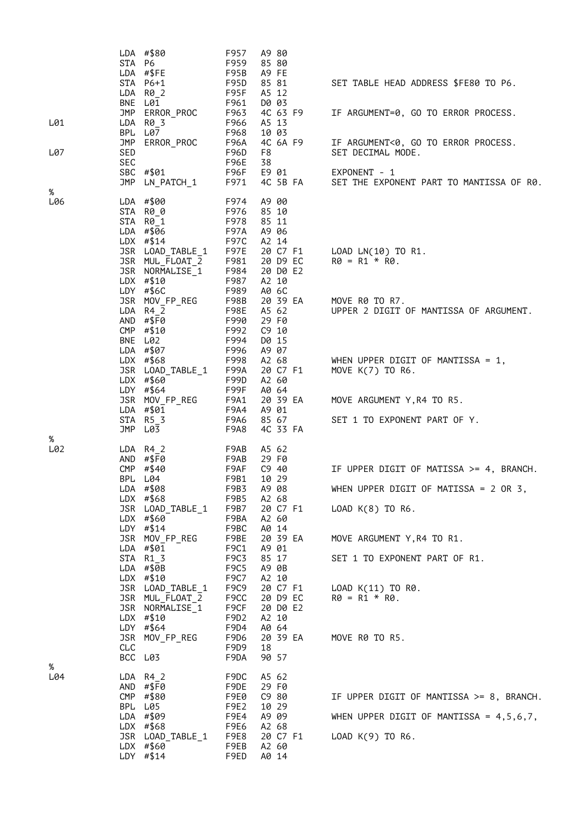| L01<br>L07 | STA P6<br><b>BNE</b><br>BPL<br>JMP<br>SED<br>SEC | LDA #\$80<br>LDA #\$FE<br>STA P6+1<br>$LDA$ $R\theta_2$<br>L01<br>JMP ERROR_PROC<br>LDA R0_3<br>L07<br>ERROR_PROC<br>SBC #\$01<br>JMP LN_PATCH_1                                                                                                                                                                                                        | F957<br>F959<br>F95B<br>F95D<br>F95F<br>F961<br>F963<br>F966<br>F968<br>F96A<br>F96D<br>F96E<br>F96F<br>F971                                                                                        | A9 80<br>85 80<br>A9 FE<br>85 81<br>A5 12<br>D0 03<br>4C 63 F9<br>A5 13<br>10 03<br>4C 6A F9<br>F8<br>38<br>E9 01<br>4C 5B FA                                                                                                             | SET TABLE HEAD ADDRESS \$FE80 TO P6.<br>IF ARGUMENT=0, GO TO ERROR PROCESS.<br>IF ARGUMENT<0, GO TO ERROR PROCESS.<br>SET DECIMAL MODE.<br>EXPONENT - 1<br>SET THE EXPONENT PART TO MANTISSA OF R0.                                          |
|------------|--------------------------------------------------|---------------------------------------------------------------------------------------------------------------------------------------------------------------------------------------------------------------------------------------------------------------------------------------------------------------------------------------------------------|-----------------------------------------------------------------------------------------------------------------------------------------------------------------------------------------------------|-------------------------------------------------------------------------------------------------------------------------------------------------------------------------------------------------------------------------------------------|----------------------------------------------------------------------------------------------------------------------------------------------------------------------------------------------------------------------------------------------|
| %<br>L06   |                                                  | LDA #\$00<br>STA R0_0<br>STA R0_1<br>LDA #\$06<br>$LDX$ #\$14<br>JSR LOAD_TABLE_1<br>JSR MUL_FLOAT_2<br>JSR NORMALISE_1<br>LDX #\$10<br>LDY $#$6C$<br>JSR MOV_FP_REG<br>LDA R4 2<br>AND #\$F0<br>CMP #\$10<br>BNE L02<br>LDA #\$07<br>LDX #\$68<br>JSR LOAD_TABLE_1<br>LDX #\$60<br>LDY #\$64<br>JSR MOV_FP_REG<br>LDA #\$01<br>$STA$ $R5_3$<br>JMP L03 | F974<br>F976<br>F978<br><b>F97A</b><br>F97C<br>F97E<br>F981<br>F984<br>F987<br>F989<br>F98B<br>F98E<br>F990<br>F992<br>F994<br>F996<br>F998<br>F99A<br>F99D<br>F99F<br>F9A1<br>F9A4<br>F9A6<br>F9A8 | A9 00<br>85 10<br>85 11<br>A9 06<br>A2 14<br>20 C7 F1<br>20 D9 EC<br>20 D0 E2<br>A2 10<br>A0 6C<br>20 39 EA<br>A5 62<br>29 F0<br>C9 10<br>D0 15<br>A9 07<br>A2 68<br>20 C7 F1<br>A2 60<br>A0 64<br>20 39 EA<br>A9 01<br>85 67<br>4C 33 FA | LOAD LN(10) TO R1.<br>$R\theta = R1 * R\theta$ .<br>MOVE R0 TO R7.<br>UPPER 2 DIGIT OF MANTISSA OF ARGUMENT.<br>WHEN UPPER DIGIT OF MANTISSA = $1$ ,<br>MOVE K(7) TO R6.<br>MOVE ARGUMENT Y, R4 TO R5.<br>SET 1 TO EXPONENT PART OF Y.       |
| %<br>L02   | <b>BPL</b><br>CLC<br>BCC L03                     | $LDA$ R4_2<br>AND #\$F0<br>CMP #\$40<br>L04<br>LDA #\$08<br>LDX $#$ \$68<br>JSR LOAD_TABLE_1<br>LDX #\$60<br>LDY #\$14<br>JSR MOV_FP_REG<br>LDA #\$01<br>STA R1 3<br>$LDA$ #\$0B<br>LDX #\$10<br>JSR LOAD_TABLE_1<br>JSR MUL_FLOAT_2<br>JSR NORMALISE_1<br>$LDX$ #\$10<br>LDY #\$64<br>JSR MOV_FP_REG                                                   | F9AB<br>F9AB<br>F9AF<br>F9B1<br>F9B3<br>F9B5<br>F9B7<br>F9BA<br>F9BC<br>F9BE<br>F9C1<br>F9C3<br>F9C5<br>F9C7<br>F9C9<br>F9CC<br>F9CF<br>F9D <sub>2</sub><br>F9D4<br>F9D6<br>F9D9<br>F9DA            | A5 62<br>29 F0<br>$C9$ 40<br>10 29<br>A9 08<br>A2 68<br>20 C7 F1<br>A2 60<br>A0 14<br>20 39 EA<br>A9 01<br>85 17<br>A9 0B<br>A2 10<br>20 C7 F1<br>20 D9 EC<br>20 D0 E2<br>A2 10<br>A0 64<br>20 39 EA<br>18<br>90 57                       | IF UPPER DIGIT OF MATISSA >= 4, BRANCH.<br>WHEN UPPER DIGIT OF MATISSA = $2$ OR 3,<br>LOAD K(8) TO R6.<br>MOVE ARGUMENT Y, R4 TO R1.<br>SET 1 TO EXPONENT PART OF R1.<br>LOAD $K(11)$ TO R0.<br>$R\theta = R1 * R\theta$ .<br>MOVE R0 TO R5. |
| %<br>L04   |                                                  | LDA R4 2<br>AND #\$F0<br>CMP #\$80<br>BPL L05<br>LDA #\$09<br>LDX $#$ \$68<br>JSR LOAD_TABLE_1<br>LDX #\$60<br>LDY $# $14$                                                                                                                                                                                                                              | F9DC<br>F9DE<br>F9E0<br>F9E2<br>F9E4<br>F9E6<br>F9E8<br>F9EB<br>F9ED                                                                                                                                | A5 62<br>29 F0<br>C9 80<br>10 29<br>A9 09<br>A2 68<br>20 C7 F1<br>A2 60<br>A0 14                                                                                                                                                          | IF UPPER DIGIT OF MANTISSA $>= 8$ , BRANCH.<br>WHEN UPPER DIGIT OF MANTISSA = $4,5,6,7$ ,<br>LOAD K(9) TO R6.                                                                                                                                |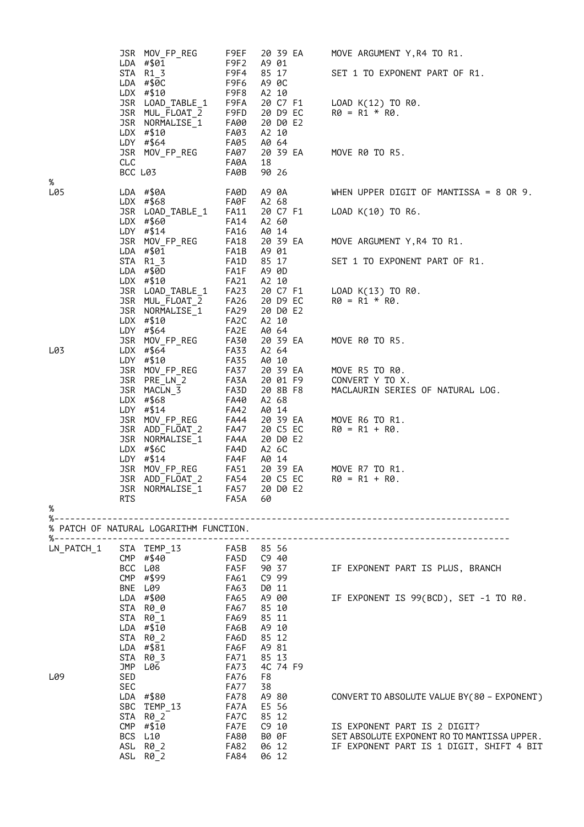|                                      | JSR MOV_FP_REG<br>LDA #\$01<br>STA R1_3<br>$LDA$ #\$0C<br>$LDX$ #\$10<br>JSR LOAD_TABLE_1<br>JSR MUL_FLOAT_2<br>JSR NORMALISE_1<br>$LDX$ #\$10<br>LDY #\$64<br>JSR MOV_FP_REG<br><b>CLC</b><br>BCC L03 | F9EF<br>F9F2<br>F9F4<br>F9F6<br>F9F8<br>F9FA<br>F9FD<br>FA00<br>FA03<br>FA05<br>FA07<br>FA0A<br>FA0B | 20 39 EA<br>A9 01<br>85 17<br>A9 0C<br>A2 10<br>20 C7 F1<br>20 D9 EC<br>20 DO E2<br>A2 10<br>A0 64<br>20 39 EA<br>18<br>90 26 | MOVE ARGUMENT Y, R4 TO R1.<br>SET 1 TO EXPONENT PART OF R1.<br>LOAD K(12) TO R0.<br>$R\theta = R1 * R\theta$ .<br>MOVE R0 TO R5. |
|--------------------------------------|--------------------------------------------------------------------------------------------------------------------------------------------------------------------------------------------------------|------------------------------------------------------------------------------------------------------|-------------------------------------------------------------------------------------------------------------------------------|----------------------------------------------------------------------------------------------------------------------------------|
| %<br>L05                             | $LDA$ #\$0A<br>LDX $#$ \$68<br>JSR LOAD_TABLE_1<br>LDX #\$60<br>LDY #\$14<br>JSR MOV_FP_REG                                                                                                            | FA0D<br>FA0F<br>FA11<br>FA14<br>FA16<br>FA18                                                         | A9 0A<br>A2 68<br>20 C7 F1<br>A2 60<br>A0 14<br>20 39 EA                                                                      | WHEN UPPER DIGIT OF MANTISSA = $8$ OR 9.<br>LOAD K(10) TO R6.<br>MOVE ARGUMENT Y, R4 TO R1.                                      |
|                                      | LDA #\$01<br>STA R1_3<br>LDA #\$0D<br>$LDX$ #\$10<br>JSR LOAD_TABLE_1<br>JSR MUL_FLOAT_2<br>JSR NORMALISE 1<br>LDX #\$10                                                                               | FA1B<br>FA1D<br>FA1F<br>FA21<br>FA23<br>FA26<br>FA29<br>FA <sub>2</sub> C                            | A9 01<br>85 17<br>A9 0D<br>A2 10<br>20 C7 F1<br>20 D9 EC<br>20 D0 E2<br>A2 10                                                 | SET 1 TO EXPONENT PART OF R1.<br>LOAD K(13) TO R0.<br>$R\theta = R1 * R\theta$ .                                                 |
| L03                                  | LDY #\$64<br>JSR MOV_FP_REG<br>LDX $#$ \$64<br>LDY #\$10<br>JSR MOV_FP_REG<br>JSR PRE_LN_2<br>JSR MACLN_3<br>LDX $#$ \$68<br>LDY #\$14                                                                 | FA2E<br>FA30<br><b>FA33</b><br>FA35<br>FA37<br>FA3A<br>FA3D<br>FA40<br>FA42                          | A0 64<br>20 39 EA<br>A2 64<br>A0 10<br>20 39 EA<br>20 01 F9<br>20 8B F8<br>A2 68<br>A0 14                                     | MOVE R0 TO R5.<br>MOVE R5 TO R0.<br>CONVERT Y TO X.<br>MACLAURIN SERIES OF NATURAL LOG.                                          |
| %                                    | JSR MOV_FP_REG<br>JSR ADD_FLOAT_2<br>JSR NORMALISE_1<br>$LDX$ #\$6C<br>LDY #\$14<br>JSR MOV_FP_REG<br>JSR ADD_FLOAT_2<br>JSR NORMALISE_1<br><b>RTS</b>                                                 | FA44<br>FA47<br>FA4A<br>FA4D<br>FA4F<br>FA51<br><b>FA54</b><br><b>FA57</b><br>FA5A                   | 20 39 EA<br>20 C5 EC<br>20 D0 E2<br>A2 6C<br>A0 14<br>20 39 EA<br>20 C5 EC<br>20 D0 E2<br>60                                  | MOVE R6 TO R1.<br>$R\theta = R1 + R\theta$ .<br>MOVE R7 TO R1.<br>$R0 = R1 + R0$ .                                               |
|                                      | % PATCH OF NATURAL LOGARITHM FUNCTION.                                                                                                                                                                 |                                                                                                      |                                                                                                                               |                                                                                                                                  |
| $\%$ - - - - - - - - -<br>LN PATCH 1 | STA TEMP_13<br>CMP #\$40<br>BCC L08<br>CMP #\$99<br>BNE L09<br>LDA #\$00                                                                                                                               | FA5B 85 56<br>FA5D C9 40<br>FA5F 90 37<br>FA61<br>FA63<br>FA65                                       | C9 99<br>D0 11<br>A9 00                                                                                                       | IF EXPONENT PART IS PLUS, BRANCH<br>IF EXPONENT IS 99(BCD), SET -1 TO R0.                                                        |
| L09                                  | STA R0_0<br>STA R0_1<br>LDA #\$10<br>STA R0_2<br>LDA #\$81<br>STA R0_3<br>JMP L06<br>SED                                                                                                               | <b>FA67</b><br>FA69<br>FA6B<br>FA6D<br>FA6F<br>FA71<br><b>FA73</b><br>FA76                           | 85 10<br>85 11<br>A9 10<br>85 12<br>A9 81<br>85 13<br>4C 74 F9<br>F8                                                          |                                                                                                                                  |
|                                      | SEC<br>LDA #\$80<br>SBC TEMP_13<br>STA R0_2                                                                                                                                                            | FA77<br>FA78<br>FA7A<br>FA7C                                                                         | 38<br>A9 80<br>E5 56<br>85 12                                                                                                 | CONVERT TO ABSOLUTE VALUE BY (80 - EXPONENT)                                                                                     |
|                                      | CMP #\$10<br>BCS L10<br>ASL R0_2<br>ASL R0_2                                                                                                                                                           | FA7E<br><b>FA80</b><br>FA82<br>FA84                                                                  | C9 10<br>B0 0F<br>06 12<br>06 12                                                                                              | IS EXPONENT PART IS 2 DIGIT?<br>SET ABSOLUTE EXPONENT RO TO MANTISSA UPPER.<br>IF EXPONENT PART IS 1 DIGIT, SHIFT 4 BIT          |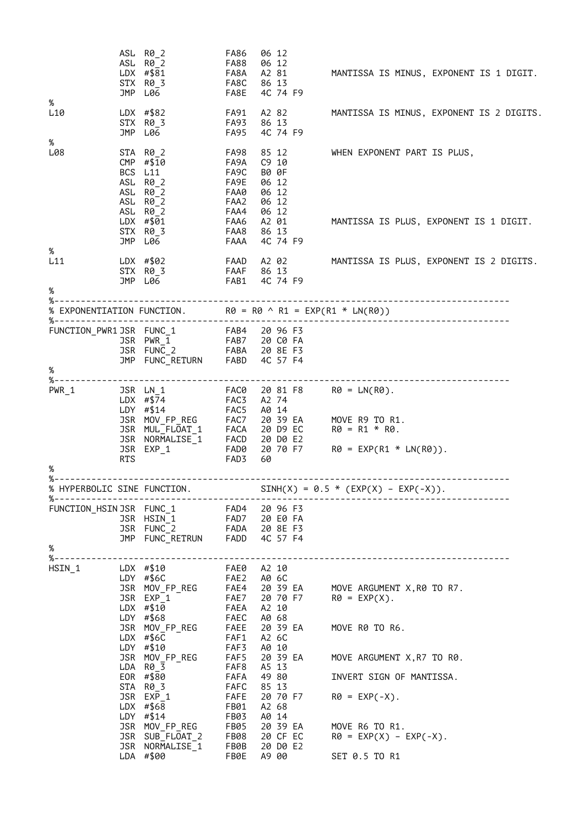|                          |            | ASL R0_2<br>ASL R0_2<br>LDX $\#$ \$81<br>STX R0_3<br>JMP L06                                                                                         | FA86<br>FA88<br>FA8A<br>FA8C<br>FA8E                                        | 06 12<br>06 12<br>A2 81<br>86 13<br>4C 74 F9                                                | MANTISSA IS MINUS, EXPONENT IS 1 DIGIT.                                                                                                      |
|--------------------------|------------|------------------------------------------------------------------------------------------------------------------------------------------------------|-----------------------------------------------------------------------------|---------------------------------------------------------------------------------------------|----------------------------------------------------------------------------------------------------------------------------------------------|
| $\%$<br>L <sub>10</sub>  |            | LDX $#$ \$82<br>STX R0_3<br>JMP L06                                                                                                                  | FA91<br><b>FA93</b><br><b>FA95</b>                                          | A2 82<br>86 13<br>4C 74 F9                                                                  | MANTISSA IS MINUS, EXPONENT IS 2 DIGITS.                                                                                                     |
| %<br>L08                 |            | STA R0_2<br>CMP #\$10<br>BCS L11<br>ASL R0_2<br>ASL R0_2<br>ASL R0_2<br>ASL R0_2<br>LDX #\$01<br>STX R0_3                                            | <b>FA98</b><br>FA9A<br>FA9C<br>FA9E<br>FAA0<br>FAA2<br>FAA4<br>FAA6<br>FAA8 | 85 12<br>$C9$ 10<br>B0 0F<br>06 12<br>06 12<br>06 12<br>06 12<br>A2 01<br>86 13             | WHEN EXPONENT PART IS PLUS,<br>MANTISSA IS PLUS, EXPONENT IS 1 DIGIT.                                                                        |
| $\%$                     |            | JMP L06                                                                                                                                              | FAAA                                                                        | 4C 74 F9                                                                                    |                                                                                                                                              |
| L11<br>%                 |            | LDX #\$02<br>STX R0_3<br>JMP L06                                                                                                                     | FAAF 86 13                                                                  | FAAD A202<br>FAB1 4C 74 F9                                                                  | MANTISSA IS PLUS, EXPONENT IS 2 DIGITS.                                                                                                      |
|                          |            |                                                                                                                                                      |                                                                             |                                                                                             | % EXPONENTIATION FUNCTION. R0 = R0 $\land$ R1 = EXP(R1 * LN(R0))                                                                             |
|                          |            |                                                                                                                                                      |                                                                             |                                                                                             |                                                                                                                                              |
|                          |            | FUNCTION_PWR1JSR FUNC_1 FAB4 20 96 F3<br>JSR PWR_1<br>JSR FUNC_2 FABA 20 8E F3<br>JMP FUNC_RETURN FABD 4C 57 F4                                      |                                                                             |                                                                                             |                                                                                                                                              |
| $\%$<br>%--------------- |            | -----------------------                                                                                                                              |                                                                             |                                                                                             |                                                                                                                                              |
| $PWR_1$<br>%             | <b>RTS</b> | JSR LN_1<br>LDX #\$74<br>LDY #\$14<br>JSR MUL_FLOAT_1<br>JSR NORMALISE_1<br>JSR NORMALISE_1 FACD<br>JSR EXP 1 FAD0                                   | FAC3<br>FAC5<br><b>FACA</b><br>FAD3                                         | A2 74<br>A0 14<br>20 D9 EC<br>20 D0 E2<br>20 70 F7<br>60                                    | FAC0 20 81 F8 R0 = LN(R0).<br>JSR MOV_FP_REG FAC7 20 39 EA MOVE R9 TO R1.<br>$R\theta = R1 * R\theta.$<br>$R\theta = EXP(R1 * LN(R\theta)).$ |
| %.                       |            |                                                                                                                                                      |                                                                             |                                                                                             |                                                                                                                                              |
| %--------                |            | % HYPERBOLIC SINE FUNCTION.                                                                                                                          |                                                                             |                                                                                             | SINH(X) = $0.5 * (EXP(X) - EXP(-X)).$                                                                                                        |
| $\%$                     |            | FUNCTION_HSIN JSR FUNC_1 FAD4 20 96 F3<br>JSR HSIN <sup>1</sup><br>JSR FUNC_2 FADA 20 8E F3<br>JMP FUNC_RETRUN FADD 4C 57 F4                         |                                                                             | 20 E0 FA                                                                                    |                                                                                                                                              |
|                          |            |                                                                                                                                                      |                                                                             |                                                                                             |                                                                                                                                              |
| HSIN 1                   |            | LDX #\$10<br>LDY #\$6C<br>JSR MOV_FP_REG<br>JSR EXP 1<br>LDX #\$10<br>LDY #\$68<br>JSR MOV_FP_REG FAEE<br>$LDX$ #\$6C<br>LDY #\$10<br>JSR MOV_FP_REG | FAE2<br>FAE4<br>FAE7<br><b>FAEA</b><br>FAEC<br>FAF1<br>FAF3<br>FAF5         | FAE0 A2 10<br>A0 6C<br>20 70 F7<br>A2 10<br>A0 68<br>20 39 EA<br>A2 6C<br>A0 10<br>20 39 EA | 20 39 EA MOVE ARGUMENT X, R0 TO R7.<br>$RØ = EXP(X)$ .<br>MOVE R0 TO R6.<br>MOVE ARGUMENT X, R7 TO R0.                                       |
|                          |            | LDA R0_3<br>EOR #\$80                                                                                                                                | FAF8<br>FAFA                                                                | A5 13<br>49 80                                                                              | INVERT SIGN OF MANTISSA.                                                                                                                     |
|                          |            | STA R0 3<br>JSR EXP 1<br>LDX $#$ \$68<br>$LDY$ #\$14                                                                                                 | FAFC<br>FAFE<br>FB01<br>FB03                                                | 85 13<br>20 70 F7<br>A2 68<br>A0 14                                                         | $RØ = EXP(-X)$ .                                                                                                                             |
|                          |            | JSR MOV_FP_REG<br>JSR SUB_FLOAT_2<br>JSR NORMALISE_1                                                                                                 | FB05<br>FB08<br>FB0B                                                        | 20 39 EA<br>20 CF EC<br>20 D0 E2                                                            | MOVE R6 TO R1.<br>$RØ = EXP(X) - EXP(-X)$ .                                                                                                  |
|                          |            | LDA #\$00                                                                                                                                            | FB0E                                                                        | A9 00                                                                                       | SET 0.5 TO R1                                                                                                                                |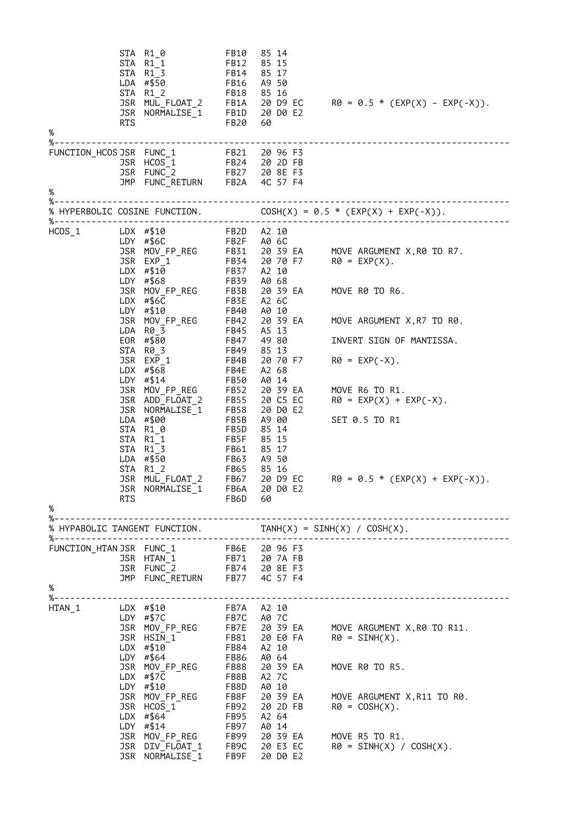|                       |                                                                   | STA R1_0<br>STA R1_1<br>STA R1 3<br>LDA #\$50<br>STA R1 2                                                                                                                                                                                                                                                                                                                                                                                                                                  | FB10<br>FB12<br>FB14<br><b>FB16</b><br>FB18                                                                                                          | 85 14<br>85 15<br>85 17<br>A9 50<br>85 16                                                                                                                                                                      | STA R1_2<br>JSR MUL_FLOAT_2 FB1A 20 D9 EC R0 = 0.5 * (EXP(X) – EXP(-X)).<br>JSR NORMALISE_1 FB1D 20 D0 E2<br>RTS FB20 60                                                                                                                                                                                                              |
|-----------------------|-------------------------------------------------------------------|--------------------------------------------------------------------------------------------------------------------------------------------------------------------------------------------------------------------------------------------------------------------------------------------------------------------------------------------------------------------------------------------------------------------------------------------------------------------------------------------|------------------------------------------------------------------------------------------------------------------------------------------------------|----------------------------------------------------------------------------------------------------------------------------------------------------------------------------------------------------------------|---------------------------------------------------------------------------------------------------------------------------------------------------------------------------------------------------------------------------------------------------------------------------------------------------------------------------------------|
| %                     |                                                                   |                                                                                                                                                                                                                                                                                                                                                                                                                                                                                            |                                                                                                                                                      |                                                                                                                                                                                                                |                                                                                                                                                                                                                                                                                                                                       |
|                       |                                                                   | FUNCTION_HCOS JSR FUNC_1 FB21 20 96 F3<br>JSR HCOS_1 FB24 20 2D FB<br>JSR FUNC_2 FB27 20 8E F3<br>JMP FUNC_RETURN FB2A 4C 57 F4                                                                                                                                                                                                                                                                                                                                                            |                                                                                                                                                      |                                                                                                                                                                                                                |                                                                                                                                                                                                                                                                                                                                       |
| $\%$                  |                                                                   |                                                                                                                                                                                                                                                                                                                                                                                                                                                                                            |                                                                                                                                                      |                                                                                                                                                                                                                |                                                                                                                                                                                                                                                                                                                                       |
| %-------------------- |                                                                   |                                                                                                                                                                                                                                                                                                                                                                                                                                                                                            |                                                                                                                                                      |                                                                                                                                                                                                                |                                                                                                                                                                                                                                                                                                                                       |
| $HCOS_1$<br>$\%$      | LDX #\$10<br>LDY<br><b>JSR</b><br>STA<br>STA<br>JSR<br><b>RTS</b> | FB2D A2 10<br>FB2F A0 6C<br>LDY $#$6C$<br>LDY #\$68<br>-<br>JSR MOV_FP_REG FB3B<br>LDX #\$6C FB3E<br>$LDX$ #\$6C<br>#\$10<br>JSR MOV_FP_REG FB42<br>LDA R0_3 FB45<br>LDA R0_3<br>EOR #\$80<br>STA R0_3<br>JSR EXP_1<br>LDX $#$ \$68<br>LDY #\$14<br>JSR MOV_FP_REG FB52<br>JSR ADD_FLOAT_2<br>NORMALISE_1<br>LDA #\$00<br>STA R1_0<br>$R1_1$<br>STA R1 3<br><b>FB63</b><br>LDA #\$50<br>$R1_2$<br>MUL FLOAT 2<br>JSR NORMALISE_1 FB6A 20 D0 E2                                             | FB39<br>FB40<br><b>FB47</b><br>FB49<br>FB4B<br>FB4E<br>FB50<br><b>FB55</b><br><b>FB58</b><br>FB5B<br>FB5D<br>FB5F<br>FB61<br>FB65<br>FB67<br>FB6D 60 | A0 68<br>20 39 EA<br>A2 6C<br>A0 10<br>20 39 EA<br>A5 13<br>49 80<br>85 13<br>20 70 F7<br>A2 68<br>A0 14<br>20 39 EA<br>20 C5 EC<br>20 D0 E2<br>A9 00<br>85 14<br>85 15<br>85 17<br>A9 50<br>85 16<br>20 D9 EC | 3SR MOV_FP_REG FB31 20 39 EA MOVE ARGUMENT X, R0 TO R7.<br>3SR EXP_1 FB34 20 70 F7 R0 = EXP(X).<br>LDX #\$10 FB37 A2 10<br>MOVE R0 TO R6.<br>MOVE ARGUMENT X, R7 TO R0.<br>INVERT SIGN OF MANTISSA.<br>$RØ = EXP(-X)$ .<br>MOVE R6 TO R1.<br>$RØ = EXP(X) + EXP(-X)$ .<br>SET 0.5 TO R1<br>$R\theta = \theta.5 * (EXP(X) + EXP(-X)).$ |
|                       |                                                                   |                                                                                                                                                                                                                                                                                                                                                                                                                                                                                            |                                                                                                                                                      |                                                                                                                                                                                                                |                                                                                                                                                                                                                                                                                                                                       |
| $\%$                  |                                                                   | FUNCTION_HTAN JSR FUNC_1<br>JSR HTAN_1 FB71 20 7A FB<br>JSR FUNC_2 FB74 20 8E F3<br>JMP FUNC_RETURN FB77 4C 57 F4                                                                                                                                                                                                                                                                                                                                                                          |                                                                                                                                                      |                                                                                                                                                                                                                |                                                                                                                                                                                                                                                                                                                                       |
| HTAN 1                | LDX #\$10                                                         | FB7A A2 10<br>FB7C A0 7C<br>LDY $# $7C$<br>LDX $\uparrow \downarrow \downarrow \downarrow$<br>LDY #\$64 FB86 AV .<br>JSR MOV_FP_REG FB88 20 39 EA<br>$\uparrow \uparrow \downarrow \downarrow \uparrow \uparrow$ FB8B A2 7C<br>LDY #\$10<br>JSR MOV_FP_REG FB8F 20 39 EA<br>JSR HCOS_1 FB92 20 2D FB<br>LDX #\$64 FB95 A2 64<br>I.DY #\$14 FB97 A0 14<br>TCC 30 39 EA<br>3BN MOV_FP_REG<br>3SR DIV_FLOAT_1 FB90 20 39 EA<br>3SR DIV_FLOAT_1 FB9C 20 E3 EC<br>3SR NORMALISE_1 FB9F 20 D0 E2 | FB8D                                                                                                                                                 |                                                                                                                                                                                                                | JSR MOV_FP_REG FB7E 20 39 EA MOVE ARGUMENT X,R0 TO R11.<br>JSR HSIN_1 FB81 20 E0 FA R0 = SINH(X).<br>LDX #\$10 FB84 A2 10<br>MOVE R0 TO R5.<br>MOVE ARGUMENT X, R11 TO R0.<br>$RØ = COSH(X)$ .<br>MOVE R5 TO R1.<br>$RO = SINH(X) / COSH(X)$ .                                                                                        |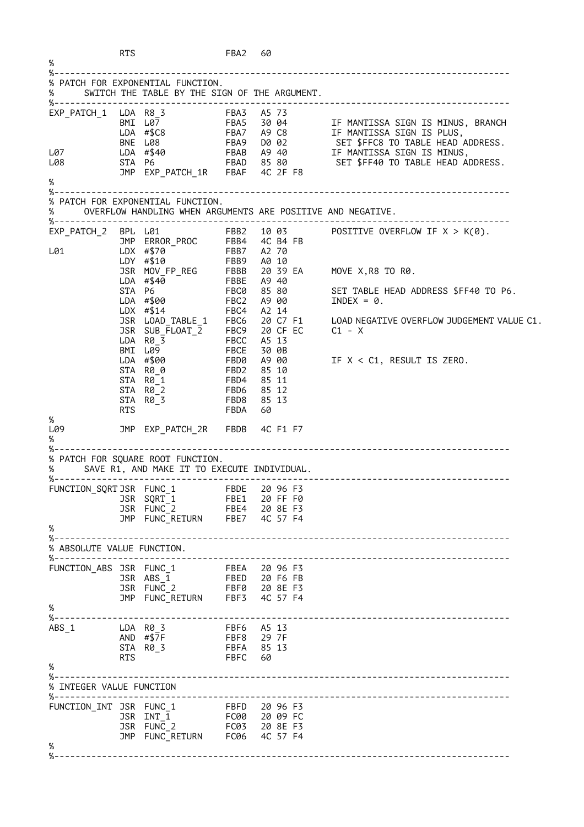|                                   | <b>RTS</b> |                                                                                                                                                                                         | FBA2 60                                                                                  |                                                    |                |                                                                                                                                                                                                                                                |
|-----------------------------------|------------|-----------------------------------------------------------------------------------------------------------------------------------------------------------------------------------------|------------------------------------------------------------------------------------------|----------------------------------------------------|----------------|------------------------------------------------------------------------------------------------------------------------------------------------------------------------------------------------------------------------------------------------|
| %--<br>%                          |            | % PATCH FOR EXPONENTIAL FUNCTION.<br>SWITCH THE TABLE BY THE SIGN OF THE ARGUMENT.                                                                                                      |                                                                                          |                                                    |                |                                                                                                                                                                                                                                                |
|                                   |            |                                                                                                                                                                                         |                                                                                          |                                                    |                | BMILD<br>BMILD<br>LDA #\$C8 FBA5 3004 IF MANTISSA SIGN IS MINUS, BRANCH<br>LDA #\$C8 FBA7 A9C8 IF MANTISSA SIGN IS PLUS,<br>BNE L08 FBA9 D002 SET \$FFC8 TO TABLE HEAD ADDRESS.<br>LDA #\$40 FBAB A940 IF MANTISSA SIGN IS MINUS,<br>STA P6 FB |
| L07 <b>Legendi</b><br>L08<br>%    |            |                                                                                                                                                                                         |                                                                                          |                                                    |                |                                                                                                                                                                                                                                                |
| %---                              |            | % PATCH FOR EXPONENTIAL FUNCTION.<br>OVERFLOW HANDLING WHEN ARGUMENTS ARE POSITIVE AND NEGATIVE.                                                                                        |                                                                                          |                                                    |                |                                                                                                                                                                                                                                                |
| L01                               |            | JMP ERROR_PROC FBB4 4C B4 FB<br>$LDX$ #\$14<br>JSR SUB_FLOAT_ $\overline{2}$ FBC9 20 CF EC<br>$LDA$ $R\theta$ 3<br>BMI L09<br>LDA #\$00<br>STA R0_0<br>STA R0_1<br>STA R0_2<br>STA R0_3 | FBB7 A2 70<br>FBB9 A0 10<br>FBC4<br>FBCC<br>FBCE<br>FBD0<br>FBD2<br>FBD4<br>FBD6<br>FBD8 | A2 14<br>A5 13<br>A9 00<br>85 11<br>85 12<br>85 13 | 30 OB<br>85 10 | $EXP_PATCH_2$ BPL L01 FBB2 10 03 POSITIVE OVERFLOW IF $X > K(0)$ .<br>JSR MOV_FP_REG FBBB 20 39 EA MOVE X, R8 TO R0.<br>JSR LOAD_TABLE_1 FBC6 20 C7 F1 LOAD NEGATIVE OVERFLOW JUDGEMENT VALUE C1.<br>$C1 - X$<br>IF $X < C1$ , RESULT IS ZERO. |
| L09<br>%                          | <b>RTS</b> |                                                                                                                                                                                         | FBDA                                                                                     | 60                                                 |                |                                                                                                                                                                                                                                                |
| %--<br>%                          |            | % PATCH FOR SQUARE ROOT FUNCTION.<br>SAVE R1, AND MAKE IT TO EXECUTE INDIVIDUAL.                                                                                                        |                                                                                          |                                                    |                |                                                                                                                                                                                                                                                |
| FUNCTION_SQRTJSR FUNC_1<br>℅      |            | JSR SQRT_1<br>JSR $FUNC_2$<br>JMP FUNC_RETURN FBE7 4C 57 F4                                                                                                                             | FBDE 20 96 F3<br>FBE1 20 FF F0<br>FBE4 20 8E F3                                          |                                                    |                |                                                                                                                                                                                                                                                |
| %––<br>% ABSOLUTE VALUE FUNCTION. |            |                                                                                                                                                                                         |                                                                                          |                                                    |                |                                                                                                                                                                                                                                                |
| %<br>%--                          |            | FUNCTION_ABS JSR FUNC_1 FBEA 20 96 F3<br>FBED 20 F6 FB<br>JSR ABS 1<br>JSR FUNC_2 FBF0 20 8E F3<br>JMP FUNC_RETURN FBF3 4C 57 F4                                                        |                                                                                          |                                                    |                |                                                                                                                                                                                                                                                |
| ABS 1<br>%                        | RTS        | LDA R0_3<br>AND #\$7F<br>STA R0_3                                                                                                                                                       | FBF6 A5 13<br>FBF8 29 7F<br>FBFA 85 13<br>FBFC                                           | 60                                                 |                |                                                                                                                                                                                                                                                |
| % INTEGER VALUE FUNCTION          |            |                                                                                                                                                                                         |                                                                                          |                                                    |                |                                                                                                                                                                                                                                                |
| ℅                                 |            | FUNCTION_INT JSR FUNC_1 FBFD 20 96 F3<br>JSR INT 1<br>JSR FUNC 2<br>JMP FUNC_RETURN FC06 4C 57 F4                                                                                       | FC00 20 09 FC<br>FC03 20 8E F3                                                           |                                                    |                |                                                                                                                                                                                                                                                |
| %---------                        |            |                                                                                                                                                                                         |                                                                                          |                                                    |                |                                                                                                                                                                                                                                                |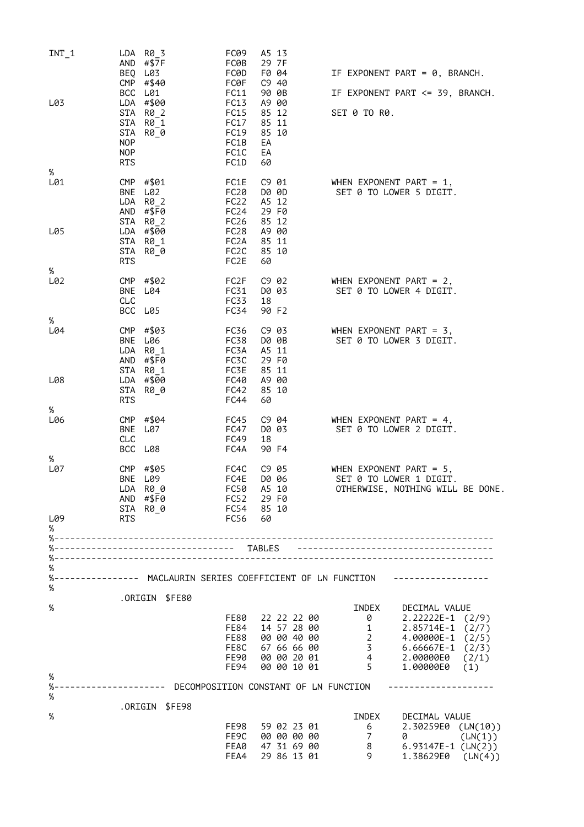| INT 1    |                                        | LDA R0 3<br>AND $\#$ \$7F                                          | FC09<br>FC0B                                          | A5 13<br>29 7F                            |                            |                  |                                                                                           |         |
|----------|----------------------------------------|--------------------------------------------------------------------|-------------------------------------------------------|-------------------------------------------|----------------------------|------------------|-------------------------------------------------------------------------------------------|---------|
|          | CMP                                    | BEQ L03<br>#\$40                                                   | FC0D<br><b>FC0F</b>                                   | F0 04<br>C9 40                            |                            |                  | IF EXPONENT PART = 0, BRANCH.                                                             |         |
| L03      |                                        | BCC L01<br>LDA #\$00                                               | FC11<br>FC13                                          | 90 OB<br>A9 00                            |                            |                  | IF EXPONENT PART <= 39, BRANCH.                                                           |         |
|          | STA<br><b>NOP</b><br><b>NOP</b><br>RTS | STA R0 2<br>STA R0_1<br>R0_0                                       | FC15<br>FC17<br>FC19<br>FC1B<br>FC1C<br>FC1D          | 85 12<br>85 11<br>85 10<br>EA<br>EA<br>60 |                            | SET 0 TO R0.     |                                                                                           |         |
| %<br>L01 |                                        | CMP #\$01                                                          | FC1E                                                  |                                           | C9 01                      |                  | WHEN EXPONENT PART = $1,$                                                                 |         |
|          | BNE<br>LDA                             | L02<br>R0_2<br>AND #\$F0<br>STA R0_2                               | FC20<br>FC <sub>22</sub><br>FC <sub>24</sub><br>FC26  | A5 12<br>29 F0<br>85 12                   | D0 0D                      |                  | SET 0 TO LOWER 5 DIGIT.                                                                   |         |
| L05      | STA<br><b>RTS</b>                      | LDA #\$00<br>STA R0_1<br>R0_0                                      | FC <sub>28</sub><br>FC2A<br>FC <sub>2</sub> C<br>FC2E | A9 00<br>85 11<br>85 10<br>60             |                            |                  |                                                                                           |         |
| %<br>L02 |                                        | CMP #\$02                                                          | FC2F                                                  |                                           |                            |                  | C9 02 WHEN EXPONENT PART = 2,                                                             |         |
|          | BNE<br>CLC                             | L04                                                                | FC31<br>FC33                                          | 18                                        | D0 03                      |                  | SET 0 TO LOWER 4 DIGIT.                                                                   |         |
| %        |                                        | BCC L05                                                            | FC34                                                  | 90 F2                                     |                            |                  |                                                                                           |         |
| L04      |                                        | CMP #\$03<br>BNE L06<br>$LDA$ $R\theta_1$<br>AND #\$F0<br>STA R0_1 | FC36<br>FC38<br>FC3A<br>FC3C<br>FC3E                  | A5 11<br>29 F0<br>85 11                   | C9 03<br>D0 0B             |                  | WHEN EXPONENT PART = $3$ ,<br>SET 0 TO LOWER 3 DIGIT.                                     |         |
| L08<br>% | STA<br><b>RTS</b>                      | LDA #\$00<br>R0 0                                                  | FC40<br>FC42<br>FC44                                  | A9 00<br>85 10<br>60                      |                            |                  |                                                                                           |         |
| L06      |                                        | CMP #\$04                                                          | FC45                                                  |                                           |                            |                  | C9 04 WHEN EXPONENT PART = $4$ ,                                                          |         |
|          | <b>BNE</b><br>CLC<br>BCC               | L07<br>L08                                                         | FC47<br>FC49<br>FC4A                                  | D0 03<br>18<br>90 F4                      |                            |                  | SET 0 TO LOWER 2 DIGIT.                                                                   |         |
| %        |                                        |                                                                    |                                                       |                                           |                            |                  |                                                                                           |         |
| L07      | CMP                                    | #\$05<br>BNE L09<br>LDA R00<br>AND #\$F0<br>STA R0_0               | FC4C<br>FC4E<br>FC50<br>FC52<br>FC54                  | D0 06<br>A5 10<br>29 F0<br>85 10          | C9 05                      |                  | WHEN EXPONENT PART = $5$ ,<br>SET 0 TO LOWER 1 DIGIT.<br>OTHERWISE, NOTHING WILL BE DONE. |         |
| L09<br>% | RTS                                    |                                                                    | FC56                                                  | 60                                        |                            |                  |                                                                                           |         |
|          |                                        |                                                                    |                                                       |                                           |                            |                  |                                                                                           |         |
|          |                                        | --------------------------------- TABLES                           |                                                       |                                           |                            |                  | -----------------------------------                                                       |         |
| %        |                                        |                                                                    |                                                       |                                           |                            |                  |                                                                                           |         |
| %        |                                        | .ORIGIN \$FE80                                                     |                                                       |                                           |                            |                  |                                                                                           |         |
| %        |                                        |                                                                    |                                                       |                                           |                            | INDEX            | DECIMAL VALUE                                                                             |         |
|          |                                        |                                                                    | FE80                                                  |                                           | 22 22 22 00                | $\Theta$         | $2.22222E-1$ (2/9)                                                                        |         |
|          |                                        |                                                                    | FE84<br>FE88                                          |                                           | 14 57 28 00<br>00 00 40 00 | $\overline{1}$   | $2.85714E-1$ (2/7)                                                                        |         |
|          |                                        |                                                                    | FE8C                                                  |                                           | 67 66 66 00                |                  | 2 4.00000E-1 (2/5)<br>3 6.66667E-1 (2/3)<br>4 2.00000E0 (2/1)                             |         |
|          |                                        |                                                                    | FE90<br>FE94                                          |                                           | 00 00 20 01<br>00 00 10 01 | $5 - 5$          | 1.00000E0                                                                                 | (1)     |
| %        |                                        |                                                                    |                                                       |                                           |                            |                  |                                                                                           |         |
| $\%$     |                                        | -------------- DECOMPOSITION CONSTANT OF LN FUNCTION               |                                                       |                                           |                            |                  |                                                                                           |         |
|          |                                        | .ORIGIN \$FE98                                                     |                                                       |                                           |                            |                  |                                                                                           |         |
| %        |                                        |                                                                    | FE98                                                  |                                           | 59 02 23 01                | INDEX<br>6       | DECIMAL VALUE<br>2.30259E0 (LN(10))                                                       |         |
|          |                                        |                                                                    | FE9C                                                  |                                           | 00 00 00 00                | $7\overline{ }$  |                                                                                           | (LN(1)) |
|          |                                        |                                                                    | FEA0<br>FEA4                                          |                                           | 47 31 69 00<br>29 86 13 01 | 8<br>$9^{\circ}$ | $6.93147E-1$ (LN(2))<br>1.38629E0 (LN(4))                                                 |         |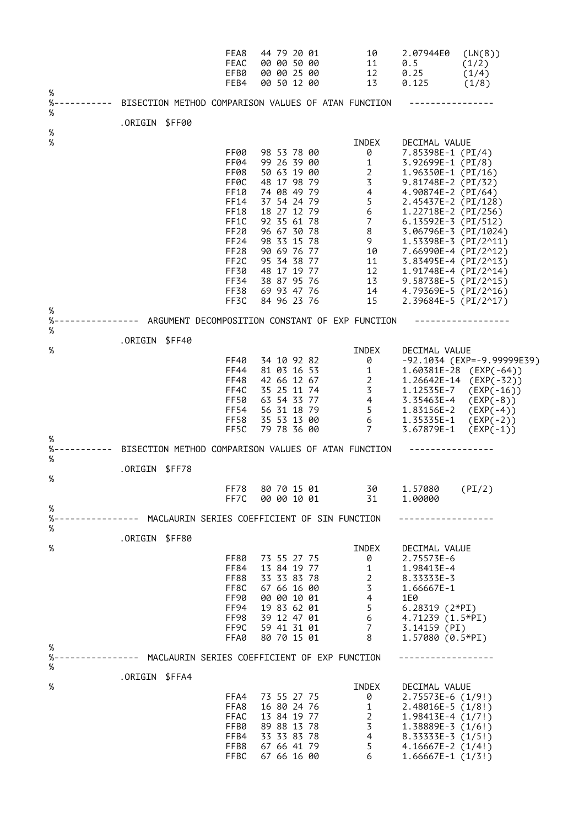|             |                                                             | FEA8<br>FEAC<br>EFB0<br>FEB4                                                                                                      | 44 79 20 01<br>00 00 50 00<br>00 00 25 00<br>00 50 12 00                                                                                                                                                                      | 10<br>11<br>12<br>13                                                                                                                      | 2.07944E0<br>0.5<br>0.25<br>0.125                                                                                                                                                                                                                                                                                                                                              | (LN(8))<br>(1/2)<br>(1/4)<br>(1/8)                                                                                                                         |
|-------------|-------------------------------------------------------------|-----------------------------------------------------------------------------------------------------------------------------------|-------------------------------------------------------------------------------------------------------------------------------------------------------------------------------------------------------------------------------|-------------------------------------------------------------------------------------------------------------------------------------------|--------------------------------------------------------------------------------------------------------------------------------------------------------------------------------------------------------------------------------------------------------------------------------------------------------------------------------------------------------------------------------|------------------------------------------------------------------------------------------------------------------------------------------------------------|
| %<br>%<br>% | ------ BISECTION METHOD COMPARISON VALUES OF ATAN FUNCTION  |                                                                                                                                   |                                                                                                                                                                                                                               |                                                                                                                                           |                                                                                                                                                                                                                                                                                                                                                                                |                                                                                                                                                            |
| $\%$        | .ORIGIN \$FF00                                              |                                                                                                                                   |                                                                                                                                                                                                                               |                                                                                                                                           |                                                                                                                                                                                                                                                                                                                                                                                |                                                                                                                                                            |
| $\%$        |                                                             | FF00<br>FF04<br>FF08<br>FF0C<br>FF10<br>FF14<br>FF18<br>FF1C<br>FF20<br>FF24<br>FF28<br>FF <sub>2</sub> C<br>FF30<br>FF34<br>FF38 | 98 53 78 00<br>99 26 39 00<br>50 63 19 00<br>48 17 98 79<br>74 08 49 79<br>37 54 24 79<br>18 27 12 79<br>92 35 61 78<br>96 67 30 78<br>98 33 15 78<br>90 69 76 77<br>95 34 38 77<br>48 17 19 77<br>38 87 95 76<br>69 93 47 76 | INDEX<br>0<br>1<br>$\overline{2}$<br>3 <sup>7</sup><br>4<br>5 <sub>1</sub><br>6<br>7 <sup>7</sup><br>8<br>9<br>10<br>11<br>12<br>13<br>14 | DECIMAL VALUE<br>7.85398E-1 (PI/4)<br>3.92699E-1 (PI/8)<br>1.96350E-1 (PI/16)<br>$9.81748E-2$ (PI/32)<br>4.90874E-2 (PI/64)<br>2.45437E-2 (PI/128)<br>1.22718E-2 (PI/256)<br>6.13592E-3 $(PI/512)$<br>3.06796E-3 (PI/1024)<br>1.53398E-3 (PI/2^11)<br>7.66990E-4 (PI/2^12)<br>$3.83495E-4$ (PI/2^13)<br>1.91748E-4 (PI/2^14)<br>9.58738E-5 (PI/2^15)<br>4.79369E-5 $(PI/2^16)$ |                                                                                                                                                            |
| %           |                                                             | FF3C                                                                                                                              | 84 96 23 76                                                                                                                                                                                                                   | 15                                                                                                                                        | 2.39684E-5 (PI/2^17)                                                                                                                                                                                                                                                                                                                                                           |                                                                                                                                                            |
| %<br>%      | ----------- ARGUMENT DECOMPOSITION CONSTANT OF EXP FUNCTION |                                                                                                                                   |                                                                                                                                                                                                                               |                                                                                                                                           |                                                                                                                                                                                                                                                                                                                                                                                |                                                                                                                                                            |
|             | .ORIGIN \$FF40                                              |                                                                                                                                   |                                                                                                                                                                                                                               |                                                                                                                                           |                                                                                                                                                                                                                                                                                                                                                                                |                                                                                                                                                            |
| %<br>%      |                                                             | FF40<br>FF44<br>FF48<br>FF4C<br>FF50<br>FF54<br><b>FF58</b><br>FF5C                                                               | 34 10 92 82<br>81 03 16 53<br>42 66 12 67<br>35 25 11 74<br>63 54 33 77<br>56 31 18 79<br>35 53 13 00<br>79 78 36 00                                                                                                          | INDEX<br>0<br>$\overline{1}$<br>$2 \overline{ }$<br>$\overline{3}$<br>$\overline{4}$<br>$5 -$<br>6<br>$7\overline{ }$                     | DECIMAL VALUE<br>1.12535E-7<br>3.35463E-4<br>1.83156E-2<br>1.35335E-1<br>3.67879E-1                                                                                                                                                                                                                                                                                            | -92.1034 (EXP=-9.99999E39)<br>1.60381E-28 (EXP(-64))<br>$1.26642E-14$ (EXP(-32))<br>(EXP(-16))<br>$(EXP(-8))$<br>$(EXP(-4))$<br>$(EXP(-2))$<br>$(EXP(-1))$ |
| %<br>%      | BISECTION METHOD COMPARISON VALUES OF ATAN FUNCTION         |                                                                                                                                   |                                                                                                                                                                                                                               |                                                                                                                                           |                                                                                                                                                                                                                                                                                                                                                                                |                                                                                                                                                            |
|             | .ORIGIN \$FF78                                              |                                                                                                                                   |                                                                                                                                                                                                                               |                                                                                                                                           |                                                                                                                                                                                                                                                                                                                                                                                |                                                                                                                                                            |
| %           |                                                             | FF7C                                                                                                                              | FF78 80 70 15 01<br>00 00 10 01                                                                                                                                                                                               | 30<br>31                                                                                                                                  | 1.57080<br>1.00000                                                                                                                                                                                                                                                                                                                                                             | (PI/2)                                                                                                                                                     |
| %<br>%      |                                                             |                                                                                                                                   |                                                                                                                                                                                                                               |                                                                                                                                           |                                                                                                                                                                                                                                                                                                                                                                                |                                                                                                                                                            |
| $\%$        | .ORIGIN \$FF80                                              |                                                                                                                                   |                                                                                                                                                                                                                               |                                                                                                                                           |                                                                                                                                                                                                                                                                                                                                                                                |                                                                                                                                                            |
| %           |                                                             | FF80<br>FF84<br>FF88<br>FF8C<br>FF90<br>FF94<br>FF98<br>FF9C<br>FFA0                                                              | 73 55 27 75<br>13 84 19 77<br>33 33 83 78<br>67 66 16 00<br>00 00 10 01<br>19 83 62 01<br>39 12 47 01<br>59 41 31 01<br>80 70 15 01                                                                                           | INDEX<br>0<br>$\mathbf{1}$<br>$\overline{2}$<br>$\overline{3}$<br>$\overline{4}$<br>5<br>6<br>$7\overline{ }$<br>8                        | DECIMAL VALUE<br>2.75573E-6<br>1.98413E-4<br>8.33335E-3<br>1.66667E-1<br>1E0<br>6.28319 $(2*PI)$<br>4.71239 (1.5*PI)<br>3.14159 (PI)<br>1.57080 (0.5*PI)                                                                                                                                                                                                                       |                                                                                                                                                            |
| %<br>%      |                                                             |                                                                                                                                   |                                                                                                                                                                                                                               |                                                                                                                                           |                                                                                                                                                                                                                                                                                                                                                                                |                                                                                                                                                            |
| $\%$<br>%   | .ORIGIN \$FFA4                                              | FFA4<br>FFA8<br>FFAC<br>FFB0<br>FFB4<br>FFB8<br>FFBC                                                                              | 73 55 27 75<br>16 80 24 76<br>13 84 19 77<br>89 88 13 78<br>33 33 83 78<br>67 66 41 79<br>67 66 16 00                                                                                                                         | INDEX<br>0<br>$\mathbf{1}$<br>$\overline{2}$<br>$\overline{3}$<br>4<br>5<br>6                                                             | DECIMAL VALUE<br>2.75573E-6 (1/9!)<br>$2.48016E - 5(1/8!)$<br>$1.98413E-4(1/7!)$<br>$1.38889E-3(1/6!)$<br>$8.33333E-3(1/5!)$<br>$4.16667E-2(1/4!)$<br>$1.66667E-1$ $(1/3!)$                                                                                                                                                                                                    |                                                                                                                                                            |